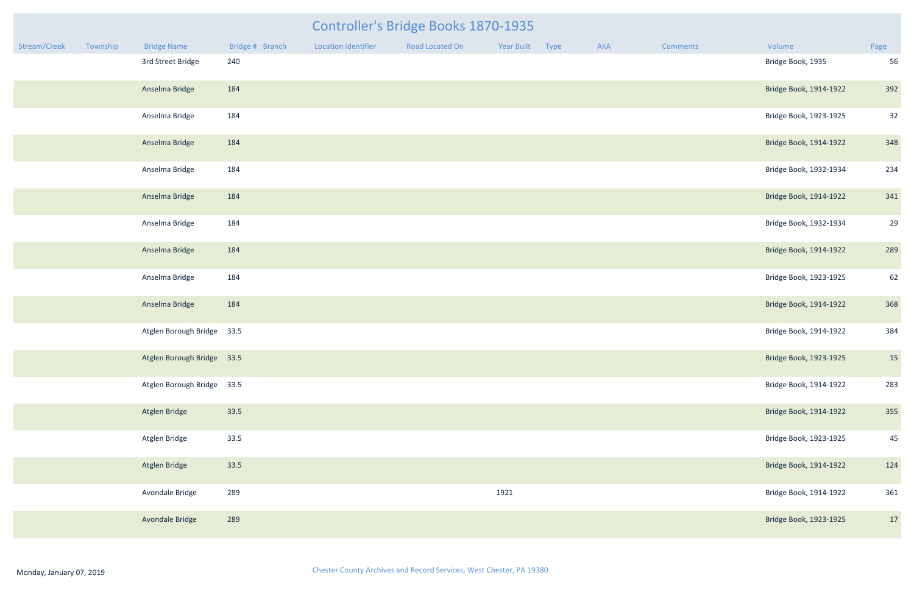| mments | Volume                 | Page |
|--------|------------------------|------|
|        | Bridge Book, 1935      | 56   |
|        | Bridge Book, 1914-1922 | 392  |
|        | Bridge Book, 1923-1925 | 32   |
|        | Bridge Book, 1914-1922 | 348  |
|        | Bridge Book, 1932-1934 | 234  |
|        | Bridge Book, 1914-1922 | 341  |
|        | Bridge Book, 1932-1934 | 29   |
|        | Bridge Book, 1914-1922 | 289  |
|        | Bridge Book, 1923-1925 | 62   |
|        | Bridge Book, 1914-1922 | 368  |
|        | Bridge Book, 1914-1922 | 384  |
|        | Bridge Book, 1923-1925 | 15   |
|        | Bridge Book, 1914-1922 | 283  |
|        | Bridge Book, 1914-1922 | 355  |
|        | Bridge Book, 1923-1925 | 45   |
|        | Bridge Book, 1914-1922 | 124  |
|        | Bridge Book, 1914-1922 | 361  |
|        | Bridge Book, 1923-1925 | 17   |

|              |          |                            |                 |                            | Controller's Bridge Books 1870-1935 |            |      |            |                 |                        |                |
|--------------|----------|----------------------------|-----------------|----------------------------|-------------------------------------|------------|------|------------|-----------------|------------------------|----------------|
| Stream/Creek | Township | <b>Bridge Name</b>         | Bridge # Branch | <b>Location Identifier</b> | Road Located On                     | Year Built | Type | <b>AKA</b> | <b>Comments</b> | Volume                 | Page           |
|              |          | 3rd Street Bridge          | 240             |                            |                                     |            |      |            |                 | Bridge Book, 1935      | 56             |
|              |          | Anselma Bridge             | 184             |                            |                                     |            |      |            |                 | Bridge Book, 1914-1922 | 392            |
|              |          | Anselma Bridge             | 184             |                            |                                     |            |      |            |                 | Bridge Book, 1923-1925 | 32             |
|              |          | Anselma Bridge             | 184             |                            |                                     |            |      |            |                 | Bridge Book, 1914-1922 | 348            |
|              |          | Anselma Bridge             | 184             |                            |                                     |            |      |            |                 | Bridge Book, 1932-1934 | 234            |
|              |          | Anselma Bridge             | 184             |                            |                                     |            |      |            |                 | Bridge Book, 1914-1922 | 341            |
|              |          | Anselma Bridge             | 184             |                            |                                     |            |      |            |                 | Bridge Book, 1932-1934 | 2 <sup>c</sup> |
|              |          | Anselma Bridge             | 184             |                            |                                     |            |      |            |                 | Bridge Book, 1914-1922 | 289            |
|              |          | Anselma Bridge             | 184             |                            |                                     |            |      |            |                 | Bridge Book, 1923-1925 | 62             |
|              |          | Anselma Bridge             | 184             |                            |                                     |            |      |            |                 | Bridge Book, 1914-1922 | 368            |
|              |          | Atglen Borough Bridge 33.5 |                 |                            |                                     |            |      |            |                 | Bridge Book, 1914-1922 | 384            |
|              |          | Atglen Borough Bridge 33.5 |                 |                            |                                     |            |      |            |                 | Bridge Book, 1923-1925 | 15             |
|              |          | Atglen Borough Bridge 33.5 |                 |                            |                                     |            |      |            |                 | Bridge Book, 1914-1922 | 283            |
|              |          | Atglen Bridge              | 33.5            |                            |                                     |            |      |            |                 | Bridge Book, 1914-1922 | 355            |
|              |          | Atglen Bridge              | 33.5            |                            |                                     |            |      |            |                 | Bridge Book, 1923-1925 | 45             |
|              |          | Atglen Bridge              | 33.5            |                            |                                     |            |      |            |                 | Bridge Book, 1914-1922 | 124            |
|              |          | Avondale Bridge            | 289             |                            |                                     | 1921       |      |            |                 | Bridge Book, 1914-1922 | 361            |
|              |          | Avondale Bridge            | 289             |                            |                                     |            |      |            |                 | Bridge Book, 1923-1925 | 17             |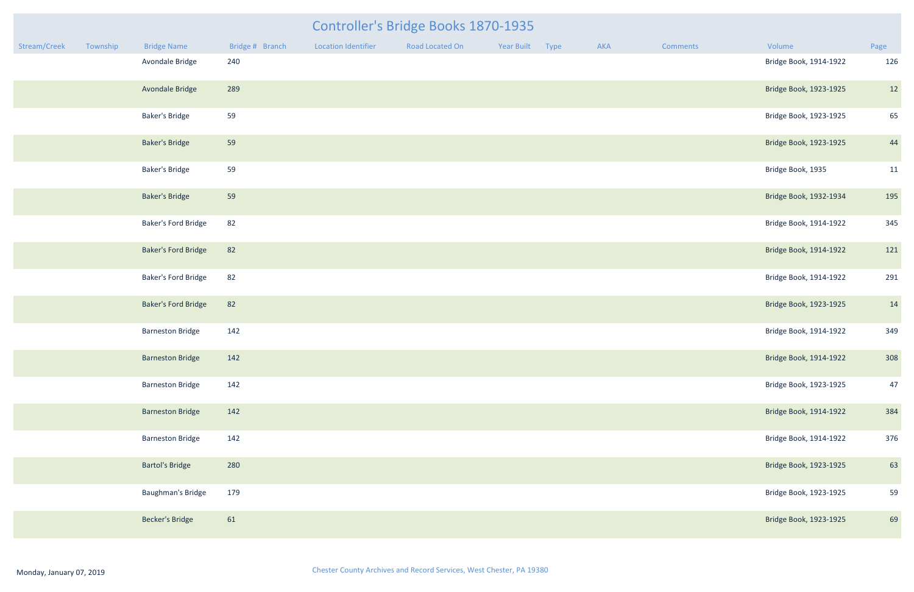|              |          |                            | Controller's Bridge Books 1870-1935 |                            |                 |            |      |     |          |                        |      |  |
|--------------|----------|----------------------------|-------------------------------------|----------------------------|-----------------|------------|------|-----|----------|------------------------|------|--|
| Stream/Creek | Township | <b>Bridge Name</b>         | Bridge # Branch                     | <b>Location Identifier</b> | Road Located On | Year Built | Type | AKA | Comments | Volume                 | Page |  |
|              |          | Avondale Bridge            | 240                                 |                            |                 |            |      |     |          | Bridge Book, 1914-1922 | 126  |  |
|              |          | Avondale Bridge            | 289                                 |                            |                 |            |      |     |          | Bridge Book, 1923-1925 | 12   |  |
|              |          | <b>Baker's Bridge</b>      | 59                                  |                            |                 |            |      |     |          | Bridge Book, 1923-1925 | 65   |  |
|              |          | <b>Baker's Bridge</b>      | 59                                  |                            |                 |            |      |     |          | Bridge Book, 1923-1925 | 44   |  |
|              |          | <b>Baker's Bridge</b>      | 59                                  |                            |                 |            |      |     |          | Bridge Book, 1935      | 11   |  |
|              |          | <b>Baker's Bridge</b>      | 59                                  |                            |                 |            |      |     |          | Bridge Book, 1932-1934 | 195  |  |
|              |          | <b>Baker's Ford Bridge</b> | 82                                  |                            |                 |            |      |     |          | Bridge Book, 1914-1922 | 345  |  |
|              |          | <b>Baker's Ford Bridge</b> | 82                                  |                            |                 |            |      |     |          | Bridge Book, 1914-1922 | 121  |  |
|              |          | <b>Baker's Ford Bridge</b> | 82                                  |                            |                 |            |      |     |          | Bridge Book, 1914-1922 | 291  |  |
|              |          | <b>Baker's Ford Bridge</b> | 82                                  |                            |                 |            |      |     |          | Bridge Book, 1923-1925 | 14   |  |
|              |          | <b>Barneston Bridge</b>    | 142                                 |                            |                 |            |      |     |          | Bridge Book, 1914-1922 | 349  |  |
|              |          | <b>Barneston Bridge</b>    | 142                                 |                            |                 |            |      |     |          | Bridge Book, 1914-1922 | 308  |  |
|              |          | <b>Barneston Bridge</b>    | 142                                 |                            |                 |            |      |     |          | Bridge Book, 1923-1925 | 47   |  |
|              |          | <b>Barneston Bridge</b>    | 142                                 |                            |                 |            |      |     |          | Bridge Book, 1914-1922 | 384  |  |
|              |          | <b>Barneston Bridge</b>    | 142                                 |                            |                 |            |      |     |          | Bridge Book, 1914-1922 | 376  |  |
|              |          | <b>Bartol's Bridge</b>     | 280                                 |                            |                 |            |      |     |          | Bridge Book, 1923-1925 | 63   |  |
|              |          | Baughman's Bridge          | 179                                 |                            |                 |            |      |     |          | Bridge Book, 1923-1925 | 59   |  |
|              |          | <b>Becker's Bridge</b>     | 61                                  |                            |                 |            |      |     |          | Bridge Book, 1923-1925 | 69   |  |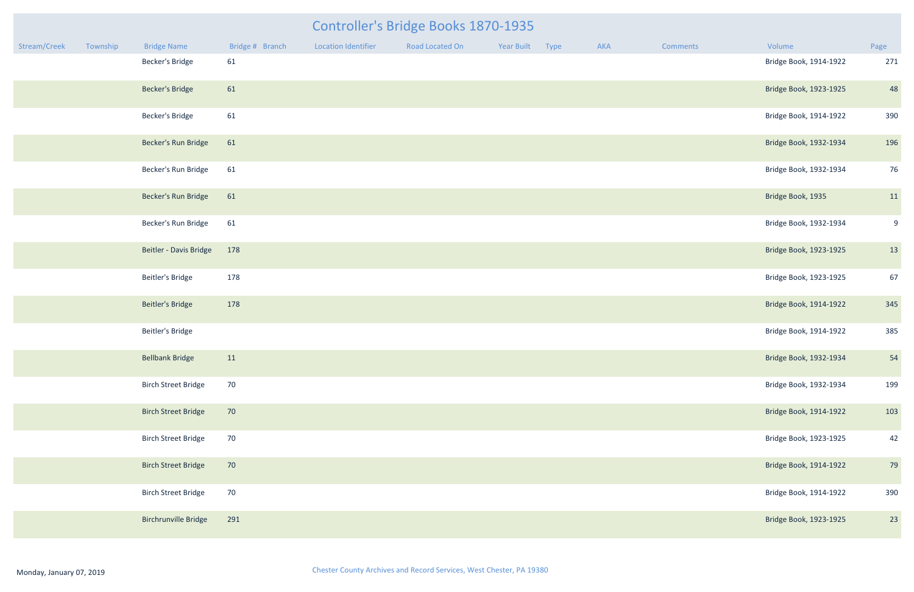|              | Controller's Bridge Books 1870-1935 |                            |                 |                            |                 |            |      |     |          |                        |      |
|--------------|-------------------------------------|----------------------------|-----------------|----------------------------|-----------------|------------|------|-----|----------|------------------------|------|
| Stream/Creek | Township                            | <b>Bridge Name</b>         | Bridge # Branch | <b>Location Identifier</b> | Road Located On | Year Built | Type | AKA | Comments | Volume                 | Page |
|              |                                     | <b>Becker's Bridge</b>     | 61              |                            |                 |            |      |     |          | Bridge Book, 1914-1922 | 271  |
|              |                                     | <b>Becker's Bridge</b>     | 61              |                            |                 |            |      |     |          | Bridge Book, 1923-1925 | 48   |
|              |                                     | Becker's Bridge            | 61              |                            |                 |            |      |     |          | Bridge Book, 1914-1922 | 390  |
|              |                                     | Becker's Run Bridge        | 61              |                            |                 |            |      |     |          | Bridge Book, 1932-1934 | 196  |
|              |                                     | Becker's Run Bridge        | 61              |                            |                 |            |      |     |          | Bridge Book, 1932-1934 | 76   |
|              |                                     | Becker's Run Bridge        | 61              |                            |                 |            |      |     |          | Bridge Book, 1935      | 11   |
|              |                                     | Becker's Run Bridge        | 61              |                            |                 |            |      |     |          | Bridge Book, 1932-1934 | 9    |
|              |                                     | Beitler - Davis Bridge     | 178             |                            |                 |            |      |     |          | Bridge Book, 1923-1925 | 13   |
|              |                                     | Beitler's Bridge           | 178             |                            |                 |            |      |     |          | Bridge Book, 1923-1925 | 67   |
|              |                                     | <b>Beitler's Bridge</b>    | 178             |                            |                 |            |      |     |          | Bridge Book, 1914-1922 | 345  |
|              |                                     | <b>Beitler's Bridge</b>    |                 |                            |                 |            |      |     |          | Bridge Book, 1914-1922 | 385  |
|              |                                     | <b>Bellbank Bridge</b>     | 11              |                            |                 |            |      |     |          | Bridge Book, 1932-1934 | 54   |
|              |                                     | <b>Birch Street Bridge</b> | 70              |                            |                 |            |      |     |          | Bridge Book, 1932-1934 | 199  |
|              |                                     | <b>Birch Street Bridge</b> | 70              |                            |                 |            |      |     |          | Bridge Book, 1914-1922 | 103  |
|              |                                     | <b>Birch Street Bridge</b> | 70              |                            |                 |            |      |     |          | Bridge Book, 1923-1925 | 42   |
|              |                                     | <b>Birch Street Bridge</b> | 70              |                            |                 |            |      |     |          | Bridge Book, 1914-1922 | 79   |
|              |                                     | <b>Birch Street Bridge</b> | 70              |                            |                 |            |      |     |          | Bridge Book, 1914-1922 | 390  |
|              |                                     | Birchrunville Bridge       | 291             |                            |                 |            |      |     |          | Bridge Book, 1923-1925 | 23   |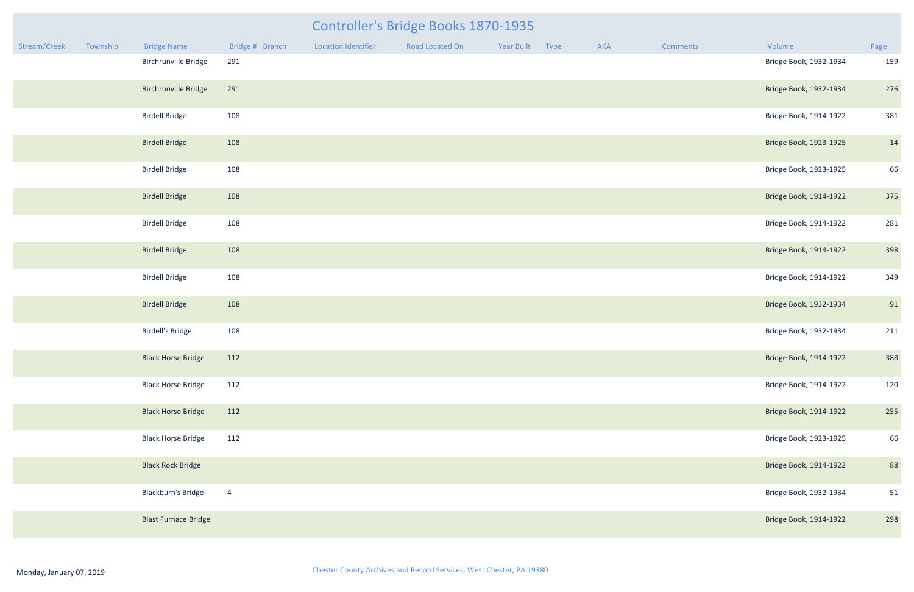|              |          |                             |                 |                            | Controller's Bridge Books 1870-1935 |            |      |     |                 |                        |      |
|--------------|----------|-----------------------------|-----------------|----------------------------|-------------------------------------|------------|------|-----|-----------------|------------------------|------|
| Stream/Creek | Township | <b>Bridge Name</b>          | Bridge # Branch | <b>Location Identifier</b> | Road Located On                     | Year Built | Type | AKA | <b>Comments</b> | Volume                 | Page |
|              |          | Birchrunville Bridge        | 291             |                            |                                     |            |      |     |                 | Bridge Book, 1932-1934 | 159  |
|              |          | <b>Birchrunville Bridge</b> | 291             |                            |                                     |            |      |     |                 | Bridge Book, 1932-1934 | 276  |
|              |          | <b>Birdell Bridge</b>       | 108             |                            |                                     |            |      |     |                 | Bridge Book, 1914-1922 | 381  |
|              |          | <b>Birdell Bridge</b>       | 108             |                            |                                     |            |      |     |                 | Bridge Book, 1923-1925 | 14   |
|              |          | <b>Birdell Bridge</b>       | 108             |                            |                                     |            |      |     |                 | Bridge Book, 1923-1925 | 66   |
|              |          | <b>Birdell Bridge</b>       | 108             |                            |                                     |            |      |     |                 | Bridge Book, 1914-1922 | 375  |
|              |          | <b>Birdell Bridge</b>       | 108             |                            |                                     |            |      |     |                 | Bridge Book, 1914-1922 | 281  |
|              |          | <b>Birdell Bridge</b>       | 108             |                            |                                     |            |      |     |                 | Bridge Book, 1914-1922 | 398  |
|              |          | <b>Birdell Bridge</b>       | 108             |                            |                                     |            |      |     |                 | Bridge Book, 1914-1922 | 349  |
|              |          | <b>Birdell Bridge</b>       | 108             |                            |                                     |            |      |     |                 | Bridge Book, 1932-1934 | 91   |
|              |          | <b>Birdell's Bridge</b>     | 108             |                            |                                     |            |      |     |                 | Bridge Book, 1932-1934 | 211  |
|              |          | <b>Black Horse Bridge</b>   | 112             |                            |                                     |            |      |     |                 | Bridge Book, 1914-1922 | 388  |
|              |          | <b>Black Horse Bridge</b>   | 112             |                            |                                     |            |      |     |                 | Bridge Book, 1914-1922 | 120  |
|              |          | <b>Black Horse Bridge</b>   | 112             |                            |                                     |            |      |     |                 | Bridge Book, 1914-1922 | 255  |
|              |          | <b>Black Horse Bridge</b>   | 112             |                            |                                     |            |      |     |                 | Bridge Book, 1923-1925 | 66   |
|              |          | <b>Black Rock Bridge</b>    |                 |                            |                                     |            |      |     |                 | Bridge Book, 1914-1922 | 88   |
|              |          | <b>Blackburn's Bridge</b>   | $\overline{4}$  |                            |                                     |            |      |     |                 | Bridge Book, 1932-1934 | 51   |
|              |          | <b>Blast Furnace Bridge</b> |                 |                            |                                     |            |      |     |                 | Bridge Book, 1914-1922 | 298  |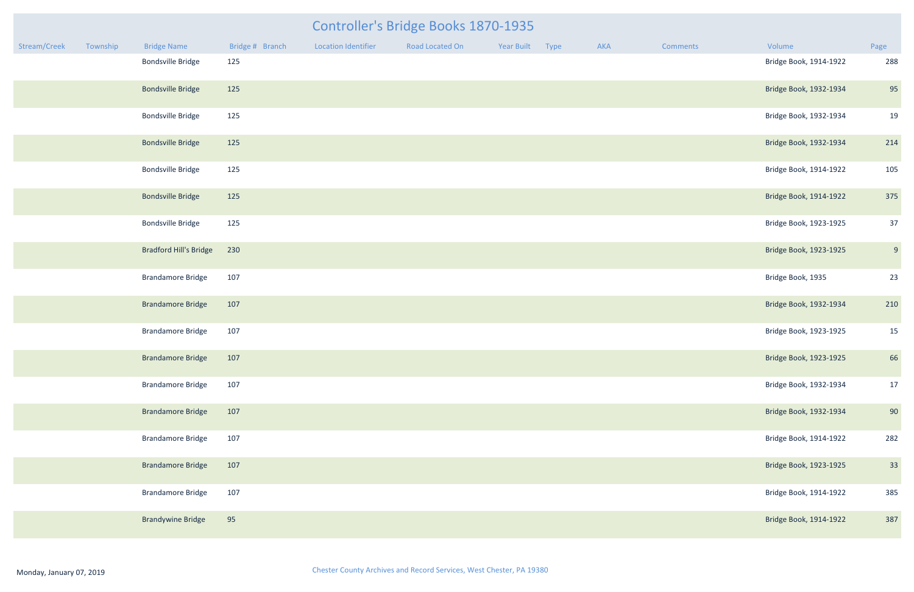|              |          |                               |                 |                            | <b>Controller's Bridge Books 1870-1935</b> |                 |     |                 |                        |      |
|--------------|----------|-------------------------------|-----------------|----------------------------|--------------------------------------------|-----------------|-----|-----------------|------------------------|------|
| Stream/Creek | Township | <b>Bridge Name</b>            | Bridge # Branch | <b>Location Identifier</b> | Road Located On                            | Year Built Type | AKA | <b>Comments</b> | Volume                 | Page |
|              |          | <b>Bondsville Bridge</b>      | 125             |                            |                                            |                 |     |                 | Bridge Book, 1914-1922 | 288  |
|              |          | <b>Bondsville Bridge</b>      | 125             |                            |                                            |                 |     |                 | Bridge Book, 1932-1934 | 95   |
|              |          | <b>Bondsville Bridge</b>      | 125             |                            |                                            |                 |     |                 | Bridge Book, 1932-1934 | 19   |
|              |          | <b>Bondsville Bridge</b>      | 125             |                            |                                            |                 |     |                 | Bridge Book, 1932-1934 | 214  |
|              |          | <b>Bondsville Bridge</b>      | 125             |                            |                                            |                 |     |                 | Bridge Book, 1914-1922 | 105  |
|              |          | <b>Bondsville Bridge</b>      | 125             |                            |                                            |                 |     |                 | Bridge Book, 1914-1922 | 375  |
|              |          | <b>Bondsville Bridge</b>      | 125             |                            |                                            |                 |     |                 | Bridge Book, 1923-1925 | 37   |
|              |          | <b>Bradford Hill's Bridge</b> | 230             |                            |                                            |                 |     |                 | Bridge Book, 1923-1925 | 9    |
|              |          | <b>Brandamore Bridge</b>      | 107             |                            |                                            |                 |     |                 | Bridge Book, 1935      | 23   |
|              |          | <b>Brandamore Bridge</b>      | 107             |                            |                                            |                 |     |                 | Bridge Book, 1932-1934 | 210  |
|              |          | <b>Brandamore Bridge</b>      | 107             |                            |                                            |                 |     |                 | Bridge Book, 1923-1925 | 15   |
|              |          | <b>Brandamore Bridge</b>      | 107             |                            |                                            |                 |     |                 | Bridge Book, 1923-1925 | 66   |
|              |          | <b>Brandamore Bridge</b>      | 107             |                            |                                            |                 |     |                 | Bridge Book, 1932-1934 | 17   |
|              |          | <b>Brandamore Bridge</b>      | 107             |                            |                                            |                 |     |                 | Bridge Book, 1932-1934 | 90   |
|              |          | <b>Brandamore Bridge</b>      | 107             |                            |                                            |                 |     |                 | Bridge Book, 1914-1922 | 282  |
|              |          | <b>Brandamore Bridge</b>      | 107             |                            |                                            |                 |     |                 | Bridge Book, 1923-1925 | 33   |
|              |          | <b>Brandamore Bridge</b>      | 107             |                            |                                            |                 |     |                 | Bridge Book, 1914-1922 | 385  |
|              |          | <b>Brandywine Bridge</b>      | 95              |                            |                                            |                 |     |                 | Bridge Book, 1914-1922 | 387  |

| <b>Brandamore Bridge</b> |  |
|--------------------------|--|
| Brandamore Bridge        |  |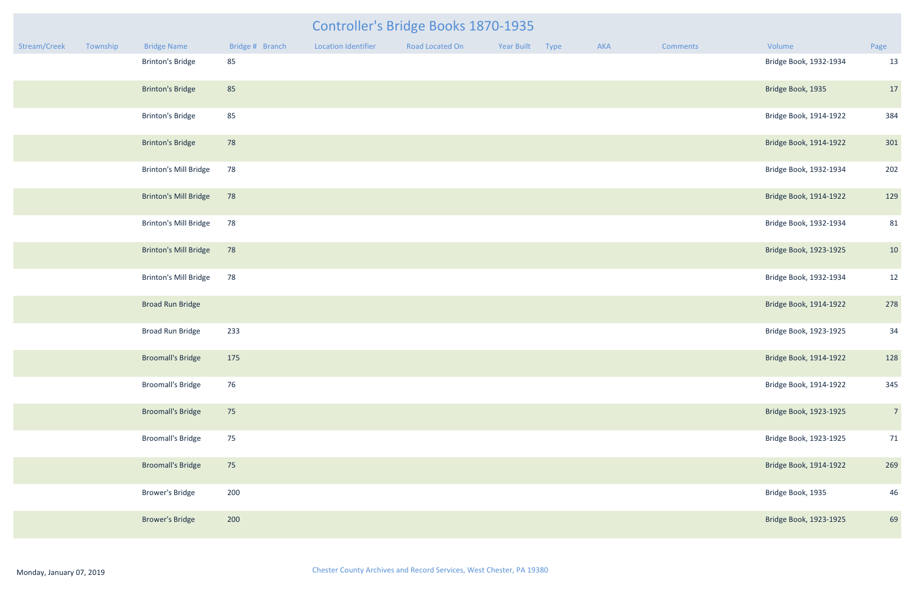#### Controller's Bridge Books 1870-1935

| Stream/Creek | Township | <b>Bridge Name</b>           | Bridge # Branch | <b>Location Identifier</b> | Road Located On | Year Built | Type | AKA | Comments | Volume                 | Page           |
|--------------|----------|------------------------------|-----------------|----------------------------|-----------------|------------|------|-----|----------|------------------------|----------------|
|              |          | <b>Brinton's Bridge</b>      | 85              |                            |                 |            |      |     |          | Bridge Book, 1932-1934 | 13             |
|              |          | <b>Brinton's Bridge</b>      | 85              |                            |                 |            |      |     |          | Bridge Book, 1935      | 17             |
|              |          | <b>Brinton's Bridge</b>      | 85              |                            |                 |            |      |     |          | Bridge Book, 1914-1922 | 384            |
|              |          | <b>Brinton's Bridge</b>      | 78              |                            |                 |            |      |     |          | Bridge Book, 1914-1922 | 301            |
|              |          | <b>Brinton's Mill Bridge</b> | 78              |                            |                 |            |      |     |          | Bridge Book, 1932-1934 | 202            |
|              |          | Brinton's Mill Bridge        | 78              |                            |                 |            |      |     |          | Bridge Book, 1914-1922 | 129            |
|              |          | <b>Brinton's Mill Bridge</b> | 78              |                            |                 |            |      |     |          | Bridge Book, 1932-1934 | 81             |
|              |          | <b>Brinton's Mill Bridge</b> | 78              |                            |                 |            |      |     |          | Bridge Book, 1923-1925 | 10             |
|              |          | <b>Brinton's Mill Bridge</b> | 78              |                            |                 |            |      |     |          | Bridge Book, 1932-1934 | 12             |
|              |          | <b>Broad Run Bridge</b>      |                 |                            |                 |            |      |     |          | Bridge Book, 1914-1922 | 278            |
|              |          | <b>Broad Run Bridge</b>      | 233             |                            |                 |            |      |     |          | Bridge Book, 1923-1925 | 34             |
|              |          | <b>Broomall's Bridge</b>     | 175             |                            |                 |            |      |     |          | Bridge Book, 1914-1922 | 128            |
|              |          | <b>Broomall's Bridge</b>     | 76              |                            |                 |            |      |     |          | Bridge Book, 1914-1922 | 345            |
|              |          | <b>Broomall's Bridge</b>     | 75              |                            |                 |            |      |     |          | Bridge Book, 1923-1925 | $\overline{7}$ |
|              |          | <b>Broomall's Bridge</b>     | 75              |                            |                 |            |      |     |          | Bridge Book, 1923-1925 | 71             |
|              |          | <b>Broomall's Bridge</b>     | 75              |                            |                 |            |      |     |          | Bridge Book, 1914-1922 | 269            |
|              |          | <b>Brower's Bridge</b>       | 200             |                            |                 |            |      |     |          | Bridge Book, 1935      | 46             |
|              |          | <b>Brower's Bridge</b>       | 200             |                            |                 |            |      |     |          | Bridge Book, 1923-1925 | 69             |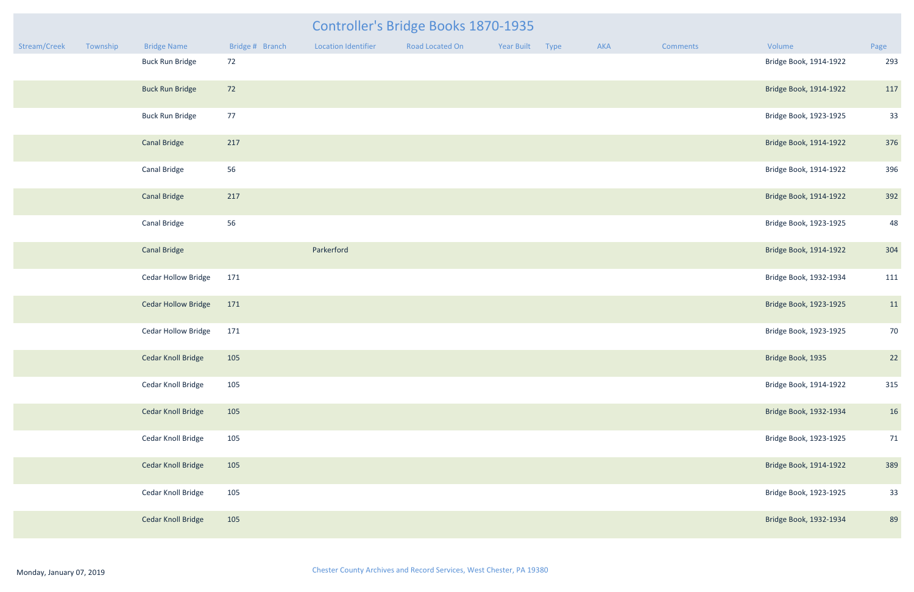|              |          |                            |                 | Controller's Bridge Books 1870-1935 |                 |            |      |     |                 |                        |      |
|--------------|----------|----------------------------|-----------------|-------------------------------------|-----------------|------------|------|-----|-----------------|------------------------|------|
| Stream/Creek | Township | <b>Bridge Name</b>         | Bridge # Branch | <b>Location Identifier</b>          | Road Located On | Year Built | Type | AKA | <b>Comments</b> | Volume                 | Page |
|              |          | <b>Buck Run Bridge</b>     | 72              |                                     |                 |            |      |     |                 | Bridge Book, 1914-1922 | 293  |
|              |          | <b>Buck Run Bridge</b>     | 72              |                                     |                 |            |      |     |                 | Bridge Book, 1914-1922 | 117  |
|              |          | <b>Buck Run Bridge</b>     | 77              |                                     |                 |            |      |     |                 | Bridge Book, 1923-1925 | 33   |
|              |          | <b>Canal Bridge</b>        | 217             |                                     |                 |            |      |     |                 | Bridge Book, 1914-1922 | 376  |
|              |          | <b>Canal Bridge</b>        | 56              |                                     |                 |            |      |     |                 | Bridge Book, 1914-1922 | 396  |
|              |          | <b>Canal Bridge</b>        | 217             |                                     |                 |            |      |     |                 | Bridge Book, 1914-1922 | 392  |
|              |          | <b>Canal Bridge</b>        | 56              |                                     |                 |            |      |     |                 | Bridge Book, 1923-1925 | 48   |
|              |          | <b>Canal Bridge</b>        |                 | Parkerford                          |                 |            |      |     |                 | Bridge Book, 1914-1922 | 304  |
|              |          | <b>Cedar Hollow Bridge</b> | 171             |                                     |                 |            |      |     |                 | Bridge Book, 1932-1934 | 111  |
|              |          | <b>Cedar Hollow Bridge</b> | 171             |                                     |                 |            |      |     |                 | Bridge Book, 1923-1925 | 11   |
|              |          | <b>Cedar Hollow Bridge</b> | 171             |                                     |                 |            |      |     |                 | Bridge Book, 1923-1925 | 70   |
|              |          | <b>Cedar Knoll Bridge</b>  | 105             |                                     |                 |            |      |     |                 | Bridge Book, 1935      | 22   |
|              |          | Cedar Knoll Bridge         | 105             |                                     |                 |            |      |     |                 | Bridge Book, 1914-1922 | 315  |
|              |          | <b>Cedar Knoll Bridge</b>  | 105             |                                     |                 |            |      |     |                 | Bridge Book, 1932-1934 | 16   |
|              |          | Cedar Knoll Bridge         | 105             |                                     |                 |            |      |     |                 | Bridge Book, 1923-1925 | 71   |
|              |          | <b>Cedar Knoll Bridge</b>  | 105             |                                     |                 |            |      |     |                 | Bridge Book, 1914-1922 | 389  |
|              |          | Cedar Knoll Bridge         | 105             |                                     |                 |            |      |     |                 | Bridge Book, 1923-1925 | 33   |
|              |          | <b>Cedar Knoll Bridge</b>  | 105             |                                     |                 |            |      |     |                 | Bridge Book, 1932-1934 | 89   |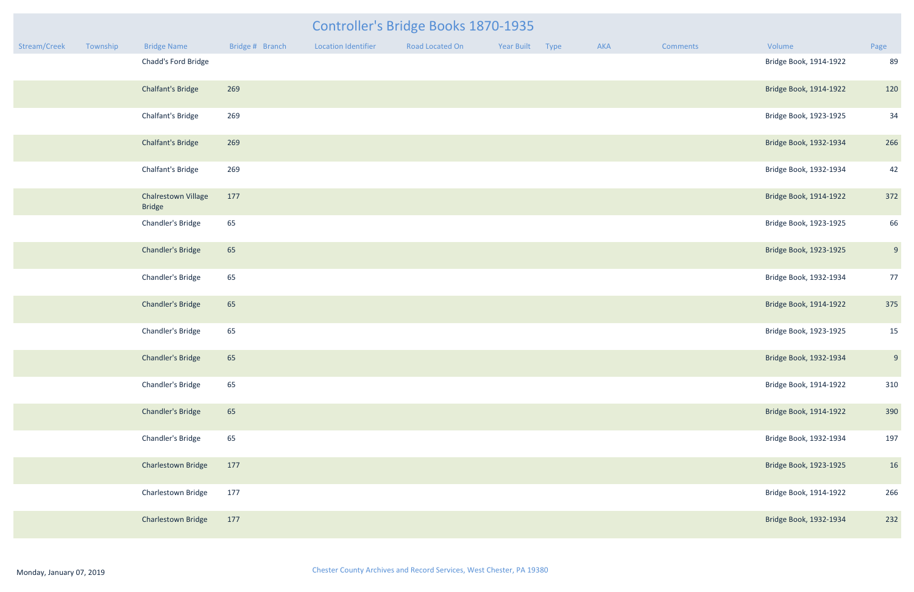|              |          |                                             | Controller's Bridge Books 1870-1935 |                            |                 |            |      |     |          |                        |      |  |
|--------------|----------|---------------------------------------------|-------------------------------------|----------------------------|-----------------|------------|------|-----|----------|------------------------|------|--|
| Stream/Creek | Township | <b>Bridge Name</b>                          | Bridge # Branch                     | <b>Location Identifier</b> | Road Located On | Year Built | Type | AKA | Comments | Volume                 | Page |  |
|              |          | Chadd's Ford Bridge                         |                                     |                            |                 |            |      |     |          | Bridge Book, 1914-1922 | 89   |  |
|              |          | <b>Chalfant's Bridge</b>                    | 269                                 |                            |                 |            |      |     |          | Bridge Book, 1914-1922 | 120  |  |
|              |          | Chalfant's Bridge                           | 269                                 |                            |                 |            |      |     |          | Bridge Book, 1923-1925 | 34   |  |
|              |          | <b>Chalfant's Bridge</b>                    | 269                                 |                            |                 |            |      |     |          | Bridge Book, 1932-1934 | 266  |  |
|              |          | <b>Chalfant's Bridge</b>                    | 269                                 |                            |                 |            |      |     |          | Bridge Book, 1932-1934 | 42   |  |
|              |          | <b>Chalrestown Village</b><br><b>Bridge</b> | 177                                 |                            |                 |            |      |     |          | Bridge Book, 1914-1922 | 372  |  |
|              |          | Chandler's Bridge                           | 65                                  |                            |                 |            |      |     |          | Bridge Book, 1923-1925 | 66   |  |
|              |          | <b>Chandler's Bridge</b>                    | 65                                  |                            |                 |            |      |     |          | Bridge Book, 1923-1925 | 9    |  |
|              |          | Chandler's Bridge                           | 65                                  |                            |                 |            |      |     |          | Bridge Book, 1932-1934 | 77   |  |
|              |          | <b>Chandler's Bridge</b>                    | 65                                  |                            |                 |            |      |     |          | Bridge Book, 1914-1922 | 375  |  |
|              |          | Chandler's Bridge                           | 65                                  |                            |                 |            |      |     |          | Bridge Book, 1923-1925 | 15   |  |
|              |          | <b>Chandler's Bridge</b>                    | 65                                  |                            |                 |            |      |     |          | Bridge Book, 1932-1934 | 9    |  |
|              |          | Chandler's Bridge                           | 65                                  |                            |                 |            |      |     |          | Bridge Book, 1914-1922 | 310  |  |
|              |          | <b>Chandler's Bridge</b>                    | 65                                  |                            |                 |            |      |     |          | Bridge Book, 1914-1922 | 390  |  |
|              |          | Chandler's Bridge                           | 65                                  |                            |                 |            |      |     |          | Bridge Book, 1932-1934 | 197  |  |
|              |          | <b>Charlestown Bridge</b>                   | 177                                 |                            |                 |            |      |     |          | Bridge Book, 1923-1925 | 16   |  |
|              |          | Charlestown Bridge                          | 177                                 |                            |                 |            |      |     |          | Bridge Book, 1914-1922 | 266  |  |
|              |          | <b>Charlestown Bridge</b>                   | 177                                 |                            |                 |            |      |     |          | Bridge Book, 1932-1934 | 232  |  |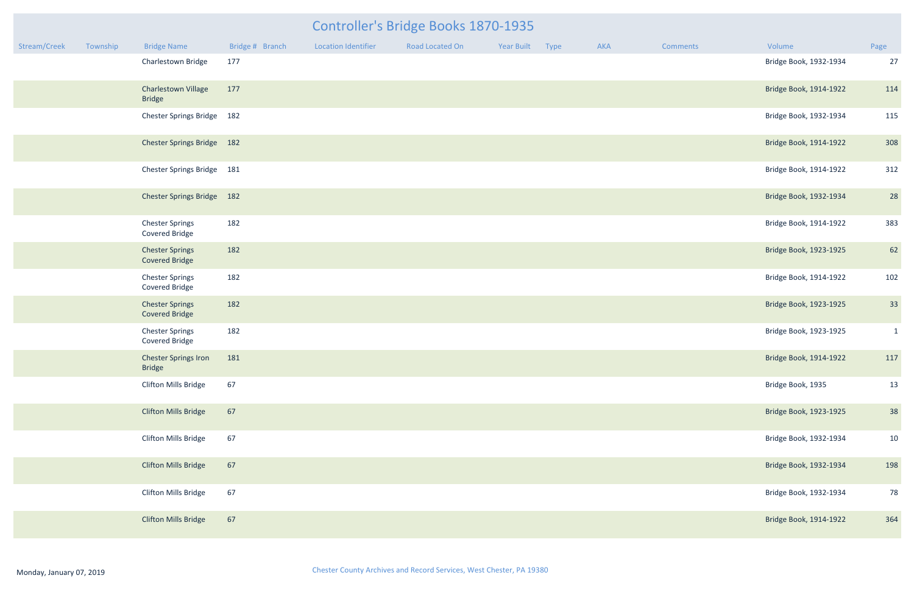# Controller's Bridge Books 1870-1935

| Stream/Creek | Township | <b>Bridge Name</b>                              | Bridge # Branch | <b>Location Identifier</b> | Road Located On | Year Built | Type | AKA | <b>Comments</b> | Volume                 | Page         |
|--------------|----------|-------------------------------------------------|-----------------|----------------------------|-----------------|------------|------|-----|-----------------|------------------------|--------------|
|              |          | Charlestown Bridge                              | 177             |                            |                 |            |      |     |                 | Bridge Book, 1932-1934 | 27           |
|              |          | Charlestown Village<br><b>Bridge</b>            | 177             |                            |                 |            |      |     |                 | Bridge Book, 1914-1922 | 114          |
|              |          | Chester Springs Bridge 182                      |                 |                            |                 |            |      |     |                 | Bridge Book, 1932-1934 | 115          |
|              |          | Chester Springs Bridge 182                      |                 |                            |                 |            |      |     |                 | Bridge Book, 1914-1922 | 308          |
|              |          | Chester Springs Bridge 181                      |                 |                            |                 |            |      |     |                 | Bridge Book, 1914-1922 | 312          |
|              |          | Chester Springs Bridge 182                      |                 |                            |                 |            |      |     |                 | Bridge Book, 1932-1934 | 28           |
|              |          | <b>Chester Springs</b><br>Covered Bridge        | 182             |                            |                 |            |      |     |                 | Bridge Book, 1914-1922 | 383          |
|              |          | <b>Chester Springs</b><br><b>Covered Bridge</b> | 182             |                            |                 |            |      |     |                 | Bridge Book, 1923-1925 | 62           |
|              |          | <b>Chester Springs</b><br>Covered Bridge        | 182             |                            |                 |            |      |     |                 | Bridge Book, 1914-1922 | 102          |
|              |          | <b>Chester Springs</b><br><b>Covered Bridge</b> | 182             |                            |                 |            |      |     |                 | Bridge Book, 1923-1925 | 33           |
|              |          | <b>Chester Springs</b><br>Covered Bridge        | 182             |                            |                 |            |      |     |                 | Bridge Book, 1923-1925 | $\mathbf{1}$ |
|              |          | <b>Chester Springs Iron</b><br>Bridge           | 181             |                            |                 |            |      |     |                 | Bridge Book, 1914-1922 | 117          |
|              |          | Clifton Mills Bridge                            | 67              |                            |                 |            |      |     |                 | Bridge Book, 1935      | 13           |
|              |          | <b>Clifton Mills Bridge</b>                     | 67              |                            |                 |            |      |     |                 | Bridge Book, 1923-1925 | 38           |
|              |          | <b>Clifton Mills Bridge</b>                     | 67              |                            |                 |            |      |     |                 | Bridge Book, 1932-1934 | 10           |
|              |          | <b>Clifton Mills Bridge</b>                     | 67              |                            |                 |            |      |     |                 | Bridge Book, 1932-1934 | 198          |
|              |          | Clifton Mills Bridge                            | 67              |                            |                 |            |      |     |                 | Bridge Book, 1932-1934 | 78           |
|              |          | <b>Clifton Mills Bridge</b>                     | 67              |                            |                 |            |      |     |                 | Bridge Book, 1914-1922 | 364          |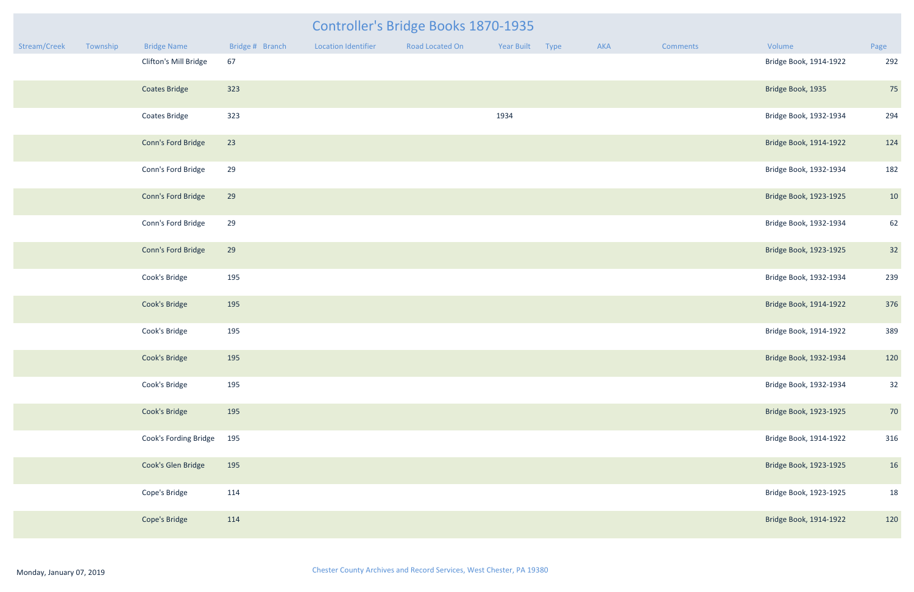|              |          |                       |                 |                            | Controller's Bridge Books 1870-1935 |                 |     |                 |                        |      |
|--------------|----------|-----------------------|-----------------|----------------------------|-------------------------------------|-----------------|-----|-----------------|------------------------|------|
| Stream/Creek | Township | <b>Bridge Name</b>    | Bridge # Branch | <b>Location Identifier</b> | Road Located On                     | Year Built Type | AKA | <b>Comments</b> | Volume                 | Page |
|              |          | Clifton's Mill Bridge | 67              |                            |                                     |                 |     |                 | Bridge Book, 1914-1922 | 292  |
|              |          | <b>Coates Bridge</b>  | 323             |                            |                                     |                 |     |                 | Bridge Book, 1935      | 75   |
|              |          | <b>Coates Bridge</b>  | 323             |                            |                                     | 1934            |     |                 | Bridge Book, 1932-1934 | 294  |
|              |          | Conn's Ford Bridge    | 23              |                            |                                     |                 |     |                 | Bridge Book, 1914-1922 | 124  |
|              |          | Conn's Ford Bridge    | 29              |                            |                                     |                 |     |                 | Bridge Book, 1932-1934 | 182  |
|              |          | Conn's Ford Bridge    | 29              |                            |                                     |                 |     |                 | Bridge Book, 1923-1925 | 10   |
|              |          | Conn's Ford Bridge    | 29              |                            |                                     |                 |     |                 | Bridge Book, 1932-1934 | 62   |
|              |          | Conn's Ford Bridge    | 29              |                            |                                     |                 |     |                 | Bridge Book, 1923-1925 | 32   |
|              |          | Cook's Bridge         | 195             |                            |                                     |                 |     |                 | Bridge Book, 1932-1934 | 239  |
|              |          | Cook's Bridge         | 195             |                            |                                     |                 |     |                 | Bridge Book, 1914-1922 | 376  |
|              |          | Cook's Bridge         | 195             |                            |                                     |                 |     |                 | Bridge Book, 1914-1922 | 389  |
|              |          | Cook's Bridge         | 195             |                            |                                     |                 |     |                 | Bridge Book, 1932-1934 | 120  |
|              |          | Cook's Bridge         | 195             |                            |                                     |                 |     |                 | Bridge Book, 1932-1934 | 32   |
|              |          | Cook's Bridge         | 195             |                            |                                     |                 |     |                 | Bridge Book, 1923-1925 | 70   |
|              |          | Cook's Fording Bridge | 195             |                            |                                     |                 |     |                 | Bridge Book, 1914-1922 | 316  |
|              |          | Cook's Glen Bridge    | 195             |                            |                                     |                 |     |                 | Bridge Book, 1923-1925 | 16   |
|              |          | Cope's Bridge         | 114             |                            |                                     |                 |     |                 | Bridge Book, 1923-1925 | 18   |
|              |          | Cope's Bridge         | 114             |                            |                                     |                 |     |                 | Bridge Book, 1914-1922 | 120  |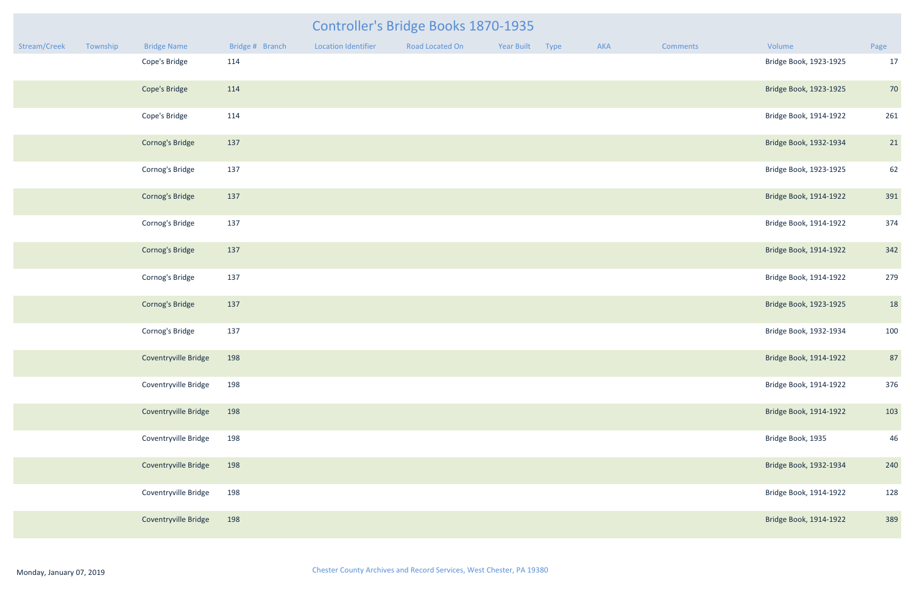|              |          |                      |                 |                     | <b>Controller's Bridge Books 1870-1935</b> |                 |     |          |                        |      |
|--------------|----------|----------------------|-----------------|---------------------|--------------------------------------------|-----------------|-----|----------|------------------------|------|
| Stream/Creek | Township | <b>Bridge Name</b>   | Bridge # Branch | Location Identifier | Road Located On                            | Year Built Type | AKA | Comments | Volume                 | Page |
|              |          | Cope's Bridge        | 114             |                     |                                            |                 |     |          | Bridge Book, 1923-1925 | 17   |
|              |          | Cope's Bridge        | 114             |                     |                                            |                 |     |          | Bridge Book, 1923-1925 | 70   |
|              |          | Cope's Bridge        | 114             |                     |                                            |                 |     |          | Bridge Book, 1914-1922 | 261  |
|              |          | Cornog's Bridge      | 137             |                     |                                            |                 |     |          | Bridge Book, 1932-1934 | 21   |
|              |          | Cornog's Bridge      | 137             |                     |                                            |                 |     |          | Bridge Book, 1923-1925 | 62   |
|              |          | Cornog's Bridge      | 137             |                     |                                            |                 |     |          | Bridge Book, 1914-1922 | 391  |
|              |          | Cornog's Bridge      | 137             |                     |                                            |                 |     |          | Bridge Book, 1914-1922 | 374  |
|              |          | Cornog's Bridge      | 137             |                     |                                            |                 |     |          | Bridge Book, 1914-1922 | 342  |
|              |          | Cornog's Bridge      | 137             |                     |                                            |                 |     |          | Bridge Book, 1914-1922 | 279  |
|              |          | Cornog's Bridge      | 137             |                     |                                            |                 |     |          | Bridge Book, 1923-1925 | 18   |
|              |          | Cornog's Bridge      | 137             |                     |                                            |                 |     |          | Bridge Book, 1932-1934 | 100  |
|              |          | Coventryville Bridge | 198             |                     |                                            |                 |     |          | Bridge Book, 1914-1922 | 87   |
|              |          | Coventryville Bridge | 198             |                     |                                            |                 |     |          | Bridge Book, 1914-1922 | 376  |
|              |          | Coventryville Bridge | 198             |                     |                                            |                 |     |          | Bridge Book, 1914-1922 | 103  |
|              |          | Coventryville Bridge | 198             |                     |                                            |                 |     |          | Bridge Book, 1935      | 46   |
|              |          | Coventryville Bridge | 198             |                     |                                            |                 |     |          | Bridge Book, 1932-1934 | 240  |
|              |          | Coventryville Bridge | 198             |                     |                                            |                 |     |          | Bridge Book, 1914-1922 | 128  |
|              |          | Coventryville Bridge | 198             |                     |                                            |                 |     |          | Bridge Book, 1914-1922 | 389  |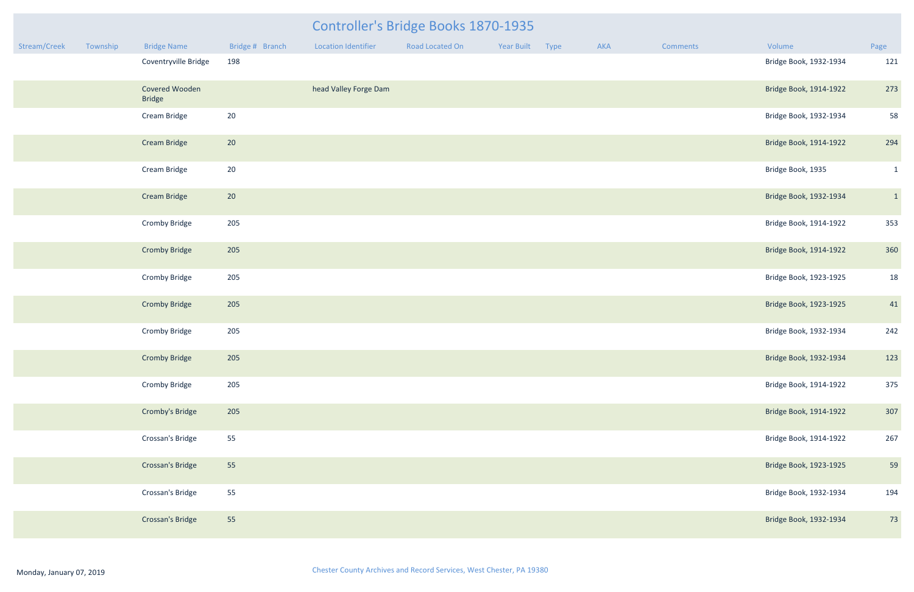|              |          |                                 |                 |                       | <b>Controller's Bridge Books 1870-1935</b> |                 |     |          |                        |              |
|--------------|----------|---------------------------------|-----------------|-----------------------|--------------------------------------------|-----------------|-----|----------|------------------------|--------------|
| Stream/Creek | Township | <b>Bridge Name</b>              | Bridge # Branch | Location Identifier   | Road Located On                            | Year Built Type | AKA | Comments | Volume                 | Page         |
|              |          | Coventryville Bridge            | 198             |                       |                                            |                 |     |          | Bridge Book, 1932-1934 | 121          |
|              |          | Covered Wooden<br><b>Bridge</b> |                 | head Valley Forge Dam |                                            |                 |     |          | Bridge Book, 1914-1922 | 273          |
|              |          | Cream Bridge                    | 20              |                       |                                            |                 |     |          | Bridge Book, 1932-1934 | 58           |
|              |          | <b>Cream Bridge</b>             | 20              |                       |                                            |                 |     |          | Bridge Book, 1914-1922 | 294          |
|              |          | Cream Bridge                    | 20              |                       |                                            |                 |     |          | Bridge Book, 1935      | $\mathbf{1}$ |
|              |          | <b>Cream Bridge</b>             | 20              |                       |                                            |                 |     |          | Bridge Book, 1932-1934 | $\vert$ 1    |
|              |          | <b>Cromby Bridge</b>            | 205             |                       |                                            |                 |     |          | Bridge Book, 1914-1922 | 353          |
|              |          | <b>Cromby Bridge</b>            | 205             |                       |                                            |                 |     |          | Bridge Book, 1914-1922 | 360          |
|              |          | <b>Cromby Bridge</b>            | 205             |                       |                                            |                 |     |          | Bridge Book, 1923-1925 | 18           |
|              |          | <b>Cromby Bridge</b>            | 205             |                       |                                            |                 |     |          | Bridge Book, 1923-1925 | 41           |
|              |          | <b>Cromby Bridge</b>            | 205             |                       |                                            |                 |     |          | Bridge Book, 1932-1934 | 242          |
|              |          | <b>Cromby Bridge</b>            | 205             |                       |                                            |                 |     |          | Bridge Book, 1932-1934 | 123          |
|              |          | <b>Cromby Bridge</b>            | 205             |                       |                                            |                 |     |          | Bridge Book, 1914-1922 | 375          |
|              |          | Cromby's Bridge                 | 205             |                       |                                            |                 |     |          | Bridge Book, 1914-1922 | 307          |
|              |          | Crossan's Bridge                | 55              |                       |                                            |                 |     |          | Bridge Book, 1914-1922 | 267          |
|              |          | <b>Crossan's Bridge</b>         | 55              |                       |                                            |                 |     |          | Bridge Book, 1923-1925 | 59           |
|              |          | Crossan's Bridge                | 55              |                       |                                            |                 |     |          | Bridge Book, 1932-1934 | 194          |
|              |          | Crossan's Bridge                | 55              |                       |                                            |                 |     |          | Bridge Book, 1932-1934 | 73           |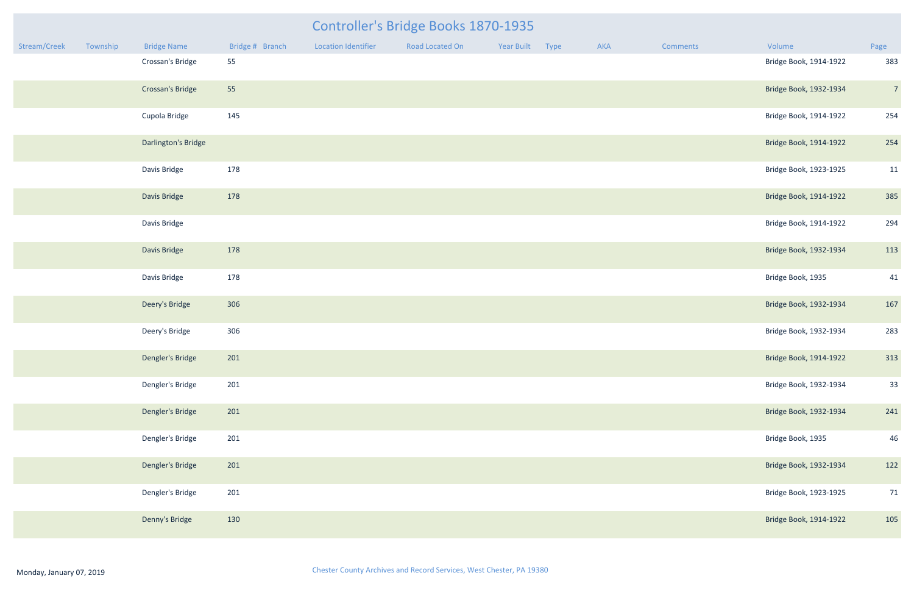| Controller's Bridge Books 1870-1935 |          |                     |                 |                            |                 |            |      |     |                 |                        |                |
|-------------------------------------|----------|---------------------|-----------------|----------------------------|-----------------|------------|------|-----|-----------------|------------------------|----------------|
| Stream/Creek                        | Township | <b>Bridge Name</b>  | Bridge # Branch | <b>Location Identifier</b> | Road Located On | Year Built | Type | AKA | <b>Comments</b> | Volume                 | Page           |
|                                     |          | Crossan's Bridge    | 55              |                            |                 |            |      |     |                 | Bridge Book, 1914-1922 | 383            |
|                                     |          | Crossan's Bridge    | 55              |                            |                 |            |      |     |                 | Bridge Book, 1932-1934 | $\overline{7}$ |
|                                     |          | Cupola Bridge       | 145             |                            |                 |            |      |     |                 | Bridge Book, 1914-1922 | 254            |
|                                     |          | Darlington's Bridge |                 |                            |                 |            |      |     |                 | Bridge Book, 1914-1922 | 254            |
|                                     |          | Davis Bridge        | 178             |                            |                 |            |      |     |                 | Bridge Book, 1923-1925 | 11             |
|                                     |          | Davis Bridge        | 178             |                            |                 |            |      |     |                 | Bridge Book, 1914-1922 | 385            |
|                                     |          | Davis Bridge        |                 |                            |                 |            |      |     |                 | Bridge Book, 1914-1922 | 294            |
|                                     |          | Davis Bridge        | 178             |                            |                 |            |      |     |                 | Bridge Book, 1932-1934 | 113            |
|                                     |          | Davis Bridge        | 178             |                            |                 |            |      |     |                 | Bridge Book, 1935      | 41             |
|                                     |          | Deery's Bridge      | 306             |                            |                 |            |      |     |                 | Bridge Book, 1932-1934 | 167            |
|                                     |          | Deery's Bridge      | 306             |                            |                 |            |      |     |                 | Bridge Book, 1932-1934 | 283            |
|                                     |          | Dengler's Bridge    | 201             |                            |                 |            |      |     |                 | Bridge Book, 1914-1922 | 313            |
|                                     |          | Dengler's Bridge    | 201             |                            |                 |            |      |     |                 | Bridge Book, 1932-1934 | 33             |
|                                     |          | Dengler's Bridge    | 201             |                            |                 |            |      |     |                 | Bridge Book, 1932-1934 | 241            |
|                                     |          | Dengler's Bridge    | 201             |                            |                 |            |      |     |                 | Bridge Book, 1935      | 46             |
|                                     |          | Dengler's Bridge    | 201             |                            |                 |            |      |     |                 | Bridge Book, 1932-1934 | 122            |
|                                     |          | Dengler's Bridge    | 201             |                            |                 |            |      |     |                 | Bridge Book, 1923-1925 | 71             |
|                                     |          | Denny's Bridge      | 130             |                            |                 |            |      |     |                 | Bridge Book, 1914-1922 | 105            |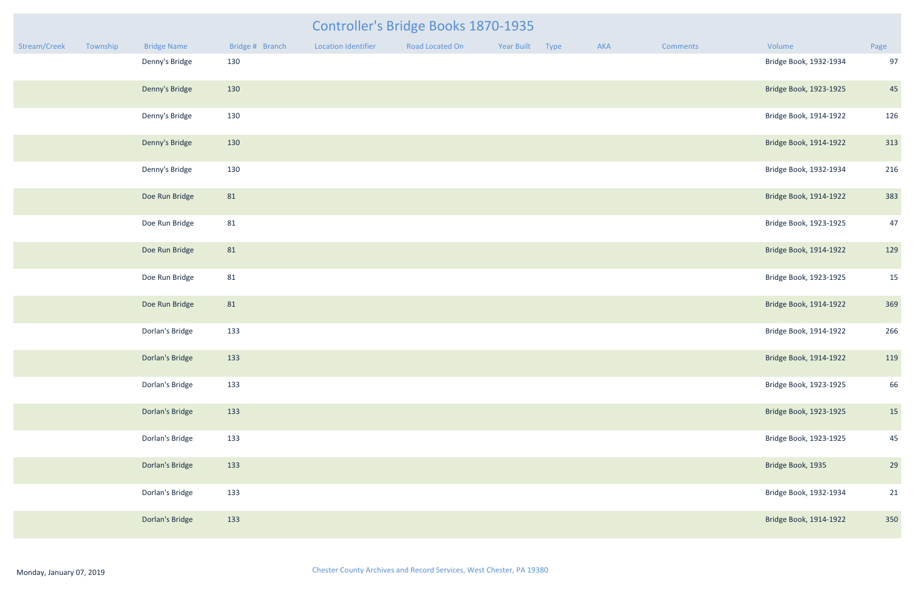|              |          |                    |                 |                            | <b>Controller's Bridge Books 1870-1935</b> |                 |     |                 |                        |      |
|--------------|----------|--------------------|-----------------|----------------------------|--------------------------------------------|-----------------|-----|-----------------|------------------------|------|
| Stream/Creek | Township | <b>Bridge Name</b> | Bridge # Branch | <b>Location Identifier</b> | Road Located On                            | Year Built Type | AKA | <b>Comments</b> | Volume                 | Page |
|              |          | Denny's Bridge     | 130             |                            |                                            |                 |     |                 | Bridge Book, 1932-1934 | 97   |
|              |          | Denny's Bridge     | 130             |                            |                                            |                 |     |                 | Bridge Book, 1923-1925 | 45   |
|              |          | Denny's Bridge     | 130             |                            |                                            |                 |     |                 | Bridge Book, 1914-1922 | 126  |
|              |          | Denny's Bridge     | 130             |                            |                                            |                 |     |                 | Bridge Book, 1914-1922 | 313  |
|              |          | Denny's Bridge     | 130             |                            |                                            |                 |     |                 | Bridge Book, 1932-1934 | 216  |
|              |          | Doe Run Bridge     | 81              |                            |                                            |                 |     |                 | Bridge Book, 1914-1922 | 383  |
|              |          | Doe Run Bridge     | 81              |                            |                                            |                 |     |                 | Bridge Book, 1923-1925 | 47   |
|              |          | Doe Run Bridge     | 81              |                            |                                            |                 |     |                 | Bridge Book, 1914-1922 | 129  |
|              |          | Doe Run Bridge     | 81              |                            |                                            |                 |     |                 | Bridge Book, 1923-1925 | 15   |
|              |          | Doe Run Bridge     | 81              |                            |                                            |                 |     |                 | Bridge Book, 1914-1922 | 369  |
|              |          | Dorlan's Bridge    | 133             |                            |                                            |                 |     |                 | Bridge Book, 1914-1922 | 266  |
|              |          | Dorlan's Bridge    | 133             |                            |                                            |                 |     |                 | Bridge Book, 1914-1922 | 119  |
|              |          | Dorlan's Bridge    | 133             |                            |                                            |                 |     |                 | Bridge Book, 1923-1925 | 66   |
|              |          | Dorlan's Bridge    | 133             |                            |                                            |                 |     |                 | Bridge Book, 1923-1925 | 15   |
|              |          | Dorlan's Bridge    | 133             |                            |                                            |                 |     |                 | Bridge Book, 1923-1925 | 45   |
|              |          | Dorlan's Bridge    | 133             |                            |                                            |                 |     |                 | Bridge Book, 1935      | 29   |
|              |          | Dorlan's Bridge    | 133             |                            |                                            |                 |     |                 | Bridge Book, 1932-1934 | 21   |
|              |          | Dorlan's Bridge    | 133             |                            |                                            |                 |     |                 | Bridge Book, 1914-1922 | 350  |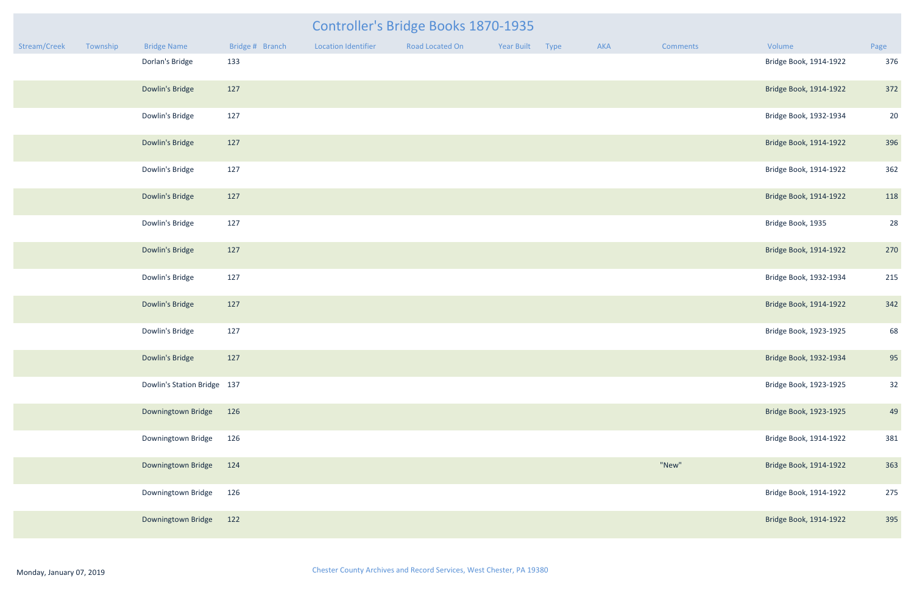| Controller's Bridge Books 1870-1935<br><b>Bridge Name</b><br>Bridge # Branch<br><b>Location Identifier</b><br>Road Located On<br>Year Built<br>Type<br>AKA<br>Volume<br>Page<br>Township<br>Comments |  |                             |     |  |  |  |  |  |       |                        |     |
|------------------------------------------------------------------------------------------------------------------------------------------------------------------------------------------------------|--|-----------------------------|-----|--|--|--|--|--|-------|------------------------|-----|
| Stream/Creek                                                                                                                                                                                         |  |                             |     |  |  |  |  |  |       |                        |     |
|                                                                                                                                                                                                      |  | Dorlan's Bridge             | 133 |  |  |  |  |  |       | Bridge Book, 1914-1922 | 376 |
|                                                                                                                                                                                                      |  | Dowlin's Bridge             | 127 |  |  |  |  |  |       | Bridge Book, 1914-1922 | 372 |
|                                                                                                                                                                                                      |  | Dowlin's Bridge             | 127 |  |  |  |  |  |       | Bridge Book, 1932-1934 | 20  |
|                                                                                                                                                                                                      |  | Dowlin's Bridge             | 127 |  |  |  |  |  |       | Bridge Book, 1914-1922 | 396 |
|                                                                                                                                                                                                      |  | Dowlin's Bridge             | 127 |  |  |  |  |  |       | Bridge Book, 1914-1922 | 362 |
|                                                                                                                                                                                                      |  | Dowlin's Bridge             | 127 |  |  |  |  |  |       | Bridge Book, 1914-1922 | 118 |
|                                                                                                                                                                                                      |  | Dowlin's Bridge             | 127 |  |  |  |  |  |       | Bridge Book, 1935      | 28  |
|                                                                                                                                                                                                      |  | Dowlin's Bridge             | 127 |  |  |  |  |  |       | Bridge Book, 1914-1922 | 270 |
|                                                                                                                                                                                                      |  | Dowlin's Bridge             | 127 |  |  |  |  |  |       | Bridge Book, 1932-1934 | 215 |
|                                                                                                                                                                                                      |  | Dowlin's Bridge             | 127 |  |  |  |  |  |       | Bridge Book, 1914-1922 | 342 |
|                                                                                                                                                                                                      |  | Dowlin's Bridge             | 127 |  |  |  |  |  |       | Bridge Book, 1923-1925 | 68  |
|                                                                                                                                                                                                      |  | Dowlin's Bridge             | 127 |  |  |  |  |  |       | Bridge Book, 1932-1934 | 95  |
|                                                                                                                                                                                                      |  | Dowlin's Station Bridge 137 |     |  |  |  |  |  |       | Bridge Book, 1923-1925 | 32  |
|                                                                                                                                                                                                      |  | Downingtown Bridge          | 126 |  |  |  |  |  |       | Bridge Book, 1923-1925 | 49  |
|                                                                                                                                                                                                      |  | Downingtown Bridge          | 126 |  |  |  |  |  |       | Bridge Book, 1914-1922 | 381 |
|                                                                                                                                                                                                      |  | Downingtown Bridge          | 124 |  |  |  |  |  | "New" | Bridge Book, 1914-1922 | 363 |
|                                                                                                                                                                                                      |  | Downingtown Bridge          | 126 |  |  |  |  |  |       | Bridge Book, 1914-1922 | 275 |
|                                                                                                                                                                                                      |  | Downingtown Bridge          | 122 |  |  |  |  |  |       | Bridge Book, 1914-1922 | 395 |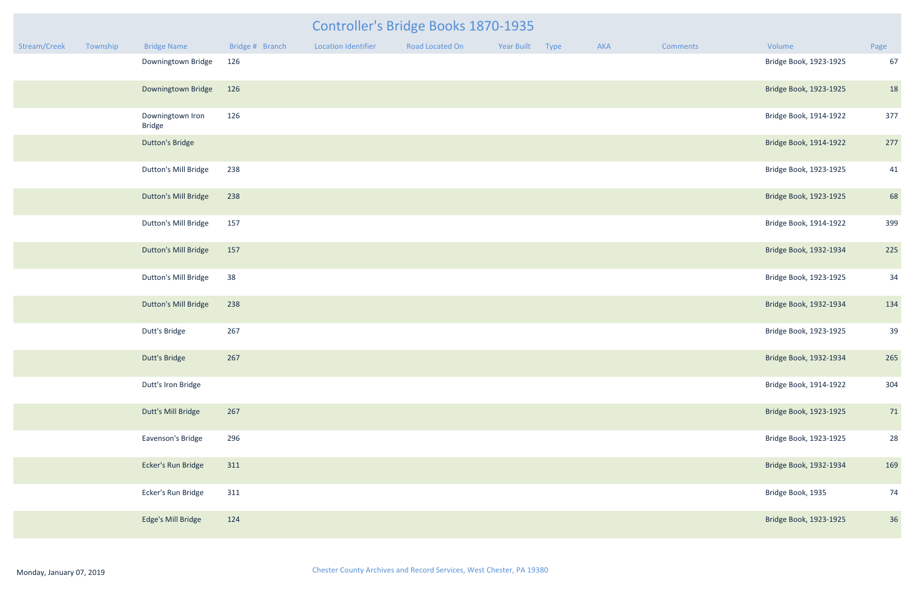| Controller's Bridge Books 1870-1935 |          |                                   |                 |                            |                 |            |             |     |          |                        |      |
|-------------------------------------|----------|-----------------------------------|-----------------|----------------------------|-----------------|------------|-------------|-----|----------|------------------------|------|
| Stream/Creek                        | Township | <b>Bridge Name</b>                | Bridge # Branch | <b>Location Identifier</b> | Road Located On | Year Built | <b>Type</b> | AKA | Comments | Volume                 | Page |
|                                     |          | Downingtown Bridge                | 126             |                            |                 |            |             |     |          | Bridge Book, 1923-1925 | 67   |
|                                     |          | Downingtown Bridge                | 126             |                            |                 |            |             |     |          | Bridge Book, 1923-1925 | 18   |
|                                     |          | Downingtown Iron<br><b>Bridge</b> | 126             |                            |                 |            |             |     |          | Bridge Book, 1914-1922 | 377  |
|                                     |          | <b>Dutton's Bridge</b>            |                 |                            |                 |            |             |     |          | Bridge Book, 1914-1922 | 277  |
|                                     |          | Dutton's Mill Bridge              | 238             |                            |                 |            |             |     |          | Bridge Book, 1923-1925 | 41   |
|                                     |          | <b>Dutton's Mill Bridge</b>       | 238             |                            |                 |            |             |     |          | Bridge Book, 1923-1925 | 68   |
|                                     |          | Dutton's Mill Bridge              | 157             |                            |                 |            |             |     |          | Bridge Book, 1914-1922 | 399  |
|                                     |          | <b>Dutton's Mill Bridge</b>       | 157             |                            |                 |            |             |     |          | Bridge Book, 1932-1934 | 225  |
|                                     |          | Dutton's Mill Bridge              | 38              |                            |                 |            |             |     |          | Bridge Book, 1923-1925 | 34   |
|                                     |          | <b>Dutton's Mill Bridge</b>       | 238             |                            |                 |            |             |     |          | Bridge Book, 1932-1934 | 134  |
|                                     |          | Dutt's Bridge                     | 267             |                            |                 |            |             |     |          | Bridge Book, 1923-1925 | 39   |
|                                     |          | Dutt's Bridge                     | 267             |                            |                 |            |             |     |          | Bridge Book, 1932-1934 | 265  |
|                                     |          | Dutt's Iron Bridge                |                 |                            |                 |            |             |     |          | Bridge Book, 1914-1922 | 304  |
|                                     |          | Dutt's Mill Bridge                | 267             |                            |                 |            |             |     |          | Bridge Book, 1923-1925 | 71   |
|                                     |          | Eavenson's Bridge                 | 296             |                            |                 |            |             |     |          | Bridge Book, 1923-1925 | 28   |
|                                     |          | Ecker's Run Bridge                | 311             |                            |                 |            |             |     |          | Bridge Book, 1932-1934 | 169  |
|                                     |          | Ecker's Run Bridge                | 311             |                            |                 |            |             |     |          | Bridge Book, 1935      | 74   |
|                                     |          | Edge's Mill Bridge                | 124             |                            |                 |            |             |     |          | Bridge Book, 1923-1925 | 36   |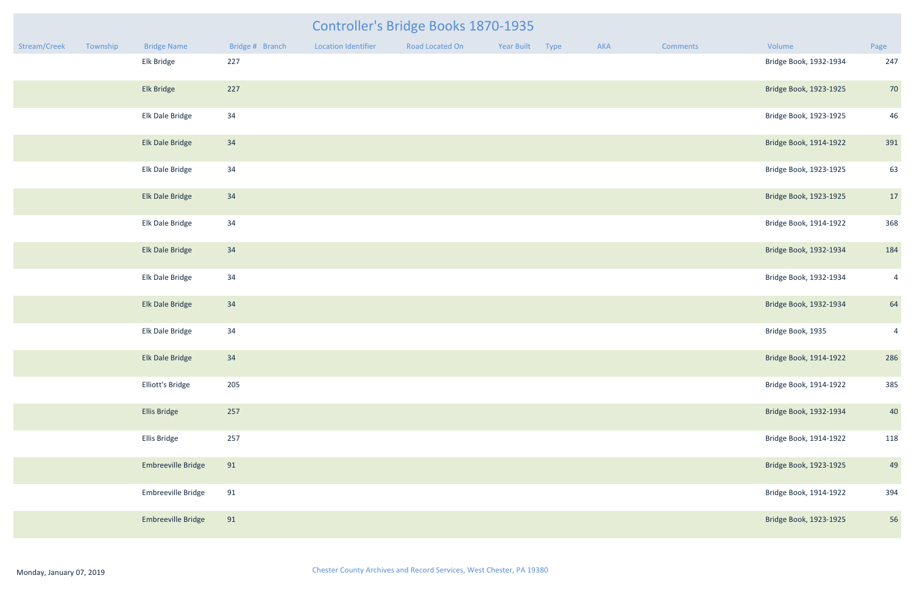|              |          |                           |                 |                     | <b>Controller's Bridge Books 1870-1935</b> |                 |     |                 |                        |                |
|--------------|----------|---------------------------|-----------------|---------------------|--------------------------------------------|-----------------|-----|-----------------|------------------------|----------------|
| Stream/Creek | Township | <b>Bridge Name</b>        | Bridge # Branch | Location Identifier | Road Located On                            | Year Built Type | AKA | <b>Comments</b> | Volume                 | Page           |
|              |          | Elk Bridge                | 227             |                     |                                            |                 |     |                 | Bridge Book, 1932-1934 | 247            |
|              |          | Elk Bridge                | 227             |                     |                                            |                 |     |                 | Bridge Book, 1923-1925 | 70             |
|              |          | Elk Dale Bridge           | 34              |                     |                                            |                 |     |                 | Bridge Book, 1923-1925 | 46             |
|              |          | Elk Dale Bridge           | 34              |                     |                                            |                 |     |                 | Bridge Book, 1914-1922 | 391            |
|              |          | Elk Dale Bridge           | 34              |                     |                                            |                 |     |                 | Bridge Book, 1923-1925 | 63             |
|              |          | Elk Dale Bridge           | 34              |                     |                                            |                 |     |                 | Bridge Book, 1923-1925 | 17             |
|              |          | Elk Dale Bridge           | 34              |                     |                                            |                 |     |                 | Bridge Book, 1914-1922 | 368            |
|              |          | Elk Dale Bridge           | 34              |                     |                                            |                 |     |                 | Bridge Book, 1932-1934 | 184            |
|              |          | Elk Dale Bridge           | 34              |                     |                                            |                 |     |                 | Bridge Book, 1932-1934 | $\overline{4}$ |
|              |          | Elk Dale Bridge           | 34              |                     |                                            |                 |     |                 | Bridge Book, 1932-1934 | 64             |
|              |          | Elk Dale Bridge           | 34              |                     |                                            |                 |     |                 | Bridge Book, 1935      | $\overline{4}$ |
|              |          | Elk Dale Bridge           | 34              |                     |                                            |                 |     |                 | Bridge Book, 1914-1922 | 286            |
|              |          | Elliott's Bridge          | 205             |                     |                                            |                 |     |                 | Bridge Book, 1914-1922 | 385            |
|              |          | <b>Ellis Bridge</b>       | 257             |                     |                                            |                 |     |                 | Bridge Book, 1932-1934 | 40             |
|              |          | Ellis Bridge              | 257             |                     |                                            |                 |     |                 | Bridge Book, 1914-1922 | 118            |
|              |          | Embreeville Bridge        | 91              |                     |                                            |                 |     |                 | Bridge Book, 1923-1925 | 49             |
|              |          | Embreeville Bridge        | 91              |                     |                                            |                 |     |                 | Bridge Book, 1914-1922 | 394            |
|              |          | <b>Embreeville Bridge</b> | 91              |                     |                                            |                 |     |                 | Bridge Book, 1923-1925 | 56             |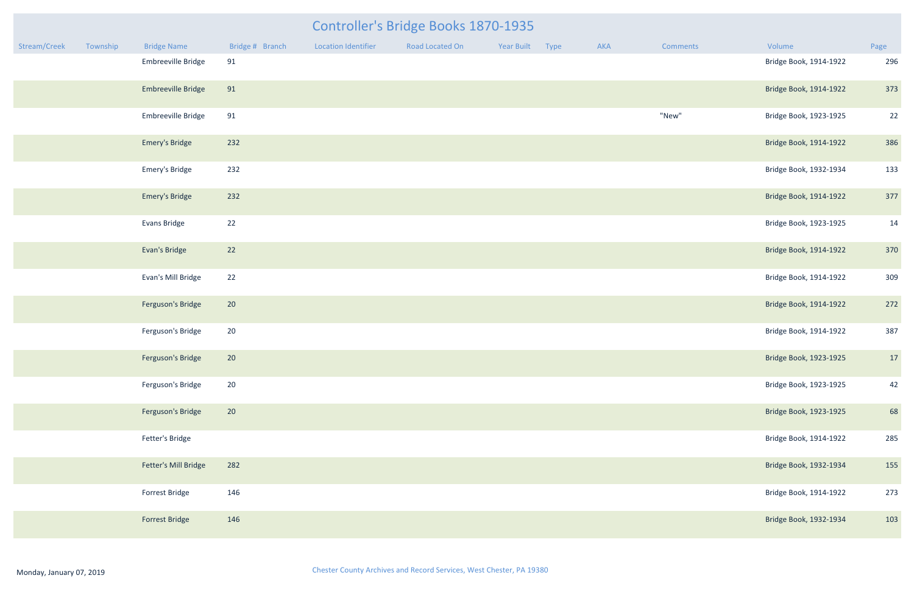| <b>Controller's Bridge Books 1870-1935</b> |          |                       |                 |                            |                 |                 |  |     |                 |                        |      |
|--------------------------------------------|----------|-----------------------|-----------------|----------------------------|-----------------|-----------------|--|-----|-----------------|------------------------|------|
| Stream/Creek                               | Township | <b>Bridge Name</b>    | Bridge # Branch | <b>Location Identifier</b> | Road Located On | Year Built Type |  | AKA | <b>Comments</b> | Volume                 | Page |
|                                            |          | Embreeville Bridge    | 91              |                            |                 |                 |  |     |                 | Bridge Book, 1914-1922 | 296  |
|                                            |          | Embreeville Bridge    | 91              |                            |                 |                 |  |     |                 | Bridge Book, 1914-1922 | 373  |
|                                            |          | Embreeville Bridge    | 91              |                            |                 |                 |  |     | "New"           | Bridge Book, 1923-1925 | 22   |
|                                            |          | <b>Emery's Bridge</b> | 232             |                            |                 |                 |  |     |                 | Bridge Book, 1914-1922 | 386  |
|                                            |          | Emery's Bridge        | 232             |                            |                 |                 |  |     |                 | Bridge Book, 1932-1934 | 133  |
|                                            |          | <b>Emery's Bridge</b> | 232             |                            |                 |                 |  |     |                 | Bridge Book, 1914-1922 | 377  |
|                                            |          | Evans Bridge          | 22              |                            |                 |                 |  |     |                 | Bridge Book, 1923-1925 | 14   |
|                                            |          | Evan's Bridge         | 22              |                            |                 |                 |  |     |                 | Bridge Book, 1914-1922 | 370  |
|                                            |          | Evan's Mill Bridge    | 22              |                            |                 |                 |  |     |                 | Bridge Book, 1914-1922 | 309  |
|                                            |          | Ferguson's Bridge     | 20              |                            |                 |                 |  |     |                 | Bridge Book, 1914-1922 | 272  |
|                                            |          | Ferguson's Bridge     | 20              |                            |                 |                 |  |     |                 | Bridge Book, 1914-1922 | 387  |
|                                            |          | Ferguson's Bridge     | 20              |                            |                 |                 |  |     |                 | Bridge Book, 1923-1925 | 17   |
|                                            |          | Ferguson's Bridge     | 20              |                            |                 |                 |  |     |                 | Bridge Book, 1923-1925 | 42   |
|                                            |          | Ferguson's Bridge     | 20              |                            |                 |                 |  |     |                 | Bridge Book, 1923-1925 | 68   |
|                                            |          | Fetter's Bridge       |                 |                            |                 |                 |  |     |                 | Bridge Book, 1914-1922 | 285  |
|                                            |          | Fetter's Mill Bridge  | 282             |                            |                 |                 |  |     |                 | Bridge Book, 1932-1934 | 155  |
|                                            |          | Forrest Bridge        | 146             |                            |                 |                 |  |     |                 | Bridge Book, 1914-1922 | 273  |
|                                            |          | <b>Forrest Bridge</b> | 146             |                            |                 |                 |  |     |                 | Bridge Book, 1932-1934 | 103  |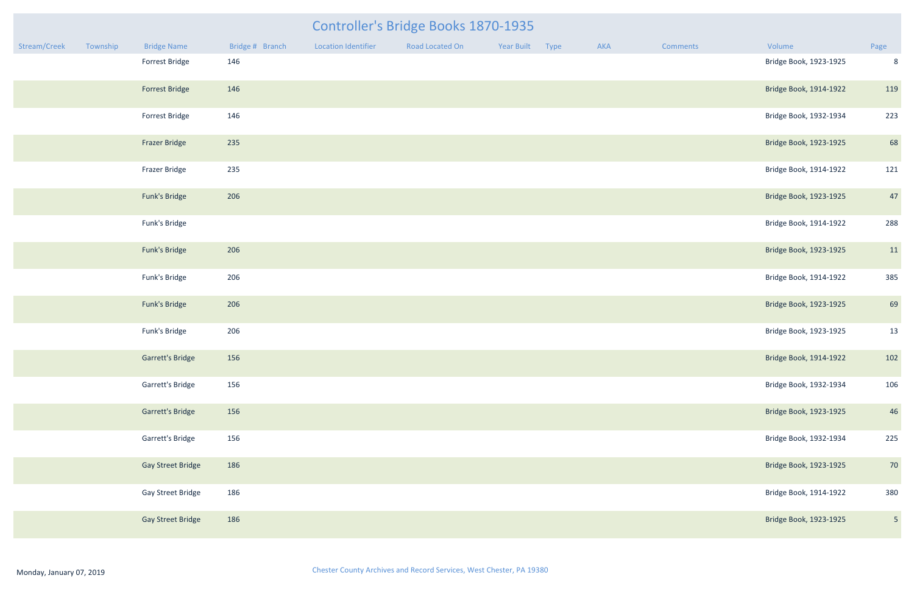| <b>Controller's Bridge Books 1870-1935</b><br>Stream/Creek<br>Bridge # Branch<br><b>Location Identifier</b><br>Road Located On<br>Year Built Type<br>Volume<br>Township<br><b>Bridge Name</b><br>AKA<br><b>Comments</b> |  |                          |     |  |  |  |  |  |  |                        |                |
|-------------------------------------------------------------------------------------------------------------------------------------------------------------------------------------------------------------------------|--|--------------------------|-----|--|--|--|--|--|--|------------------------|----------------|
|                                                                                                                                                                                                                         |  |                          |     |  |  |  |  |  |  |                        | Page           |
|                                                                                                                                                                                                                         |  | Forrest Bridge           | 146 |  |  |  |  |  |  | Bridge Book, 1923-1925 | 8              |
|                                                                                                                                                                                                                         |  | <b>Forrest Bridge</b>    | 146 |  |  |  |  |  |  | Bridge Book, 1914-1922 | 119            |
|                                                                                                                                                                                                                         |  | Forrest Bridge           | 146 |  |  |  |  |  |  | Bridge Book, 1932-1934 | 223            |
|                                                                                                                                                                                                                         |  | <b>Frazer Bridge</b>     | 235 |  |  |  |  |  |  | Bridge Book, 1923-1925 | 68             |
|                                                                                                                                                                                                                         |  | Frazer Bridge            | 235 |  |  |  |  |  |  | Bridge Book, 1914-1922 | 121            |
|                                                                                                                                                                                                                         |  | Funk's Bridge            | 206 |  |  |  |  |  |  | Bridge Book, 1923-1925 | 47             |
|                                                                                                                                                                                                                         |  | Funk's Bridge            |     |  |  |  |  |  |  | Bridge Book, 1914-1922 | 288            |
|                                                                                                                                                                                                                         |  | Funk's Bridge            | 206 |  |  |  |  |  |  | Bridge Book, 1923-1925 | 11             |
|                                                                                                                                                                                                                         |  | Funk's Bridge            | 206 |  |  |  |  |  |  | Bridge Book, 1914-1922 | 385            |
|                                                                                                                                                                                                                         |  | Funk's Bridge            | 206 |  |  |  |  |  |  | Bridge Book, 1923-1925 | 69             |
|                                                                                                                                                                                                                         |  | Funk's Bridge            | 206 |  |  |  |  |  |  | Bridge Book, 1923-1925 | 13             |
|                                                                                                                                                                                                                         |  | Garrett's Bridge         | 156 |  |  |  |  |  |  | Bridge Book, 1914-1922 | 102            |
|                                                                                                                                                                                                                         |  | Garrett's Bridge         | 156 |  |  |  |  |  |  | Bridge Book, 1932-1934 | 106            |
|                                                                                                                                                                                                                         |  | Garrett's Bridge         | 156 |  |  |  |  |  |  | Bridge Book, 1923-1925 | 46             |
|                                                                                                                                                                                                                         |  | <b>Garrett's Bridge</b>  | 156 |  |  |  |  |  |  | Bridge Book, 1932-1934 | 225            |
|                                                                                                                                                                                                                         |  | <b>Gay Street Bridge</b> | 186 |  |  |  |  |  |  | Bridge Book, 1923-1925 | 70             |
|                                                                                                                                                                                                                         |  | <b>Gay Street Bridge</b> | 186 |  |  |  |  |  |  | Bridge Book, 1914-1922 | 380            |
|                                                                                                                                                                                                                         |  | <b>Gay Street Bridge</b> | 186 |  |  |  |  |  |  | Bridge Book, 1923-1925 | 5 <sub>1</sub> |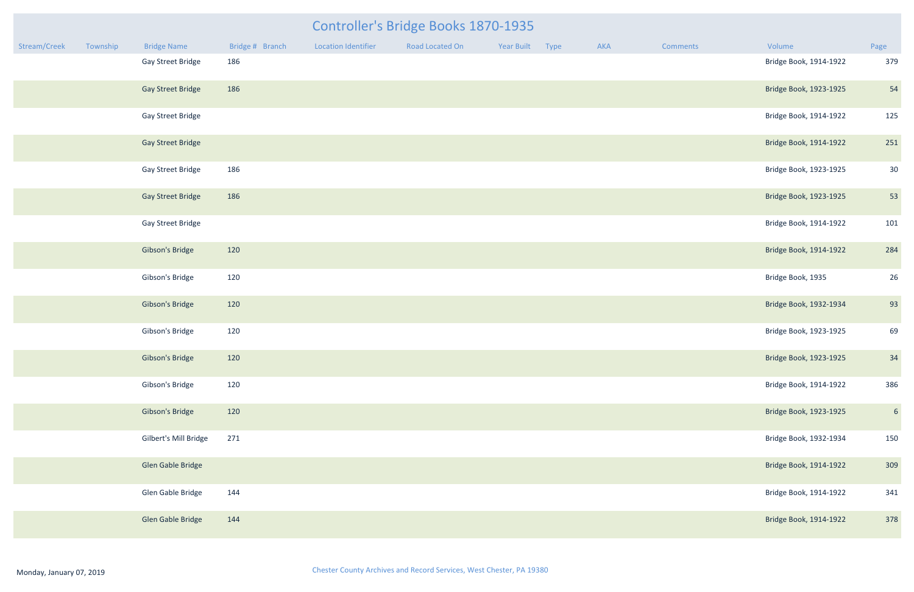| <b>Controller's Bridge Books 1870-1935</b><br>Year Built Type |          |                          |                 |                            |                 |  |  |     |                 |                        |                 |
|---------------------------------------------------------------|----------|--------------------------|-----------------|----------------------------|-----------------|--|--|-----|-----------------|------------------------|-----------------|
| Stream/Creek                                                  | Township | <b>Bridge Name</b>       | Bridge # Branch | <b>Location Identifier</b> | Road Located On |  |  | AKA | <b>Comments</b> | Volume                 | Page            |
|                                                               |          | Gay Street Bridge        | 186             |                            |                 |  |  |     |                 | Bridge Book, 1914-1922 | 379             |
|                                                               |          | <b>Gay Street Bridge</b> | 186             |                            |                 |  |  |     |                 | Bridge Book, 1923-1925 | 54              |
|                                                               |          | Gay Street Bridge        |                 |                            |                 |  |  |     |                 | Bridge Book, 1914-1922 | 125             |
|                                                               |          | <b>Gay Street Bridge</b> |                 |                            |                 |  |  |     |                 | Bridge Book, 1914-1922 | 251             |
|                                                               |          | Gay Street Bridge        | 186             |                            |                 |  |  |     |                 | Bridge Book, 1923-1925 | 30              |
|                                                               |          | <b>Gay Street Bridge</b> | 186             |                            |                 |  |  |     |                 | Bridge Book, 1923-1925 | 53              |
|                                                               |          | Gay Street Bridge        |                 |                            |                 |  |  |     |                 | Bridge Book, 1914-1922 | 101             |
|                                                               |          | Gibson's Bridge          | 120             |                            |                 |  |  |     |                 | Bridge Book, 1914-1922 | 284             |
|                                                               |          | Gibson's Bridge          | 120             |                            |                 |  |  |     |                 | Bridge Book, 1935      | 26              |
|                                                               |          | Gibson's Bridge          | 120             |                            |                 |  |  |     |                 | Bridge Book, 1932-1934 | 93              |
|                                                               |          | Gibson's Bridge          | 120             |                            |                 |  |  |     |                 | Bridge Book, 1923-1925 | 69              |
|                                                               |          | Gibson's Bridge          | 120             |                            |                 |  |  |     |                 | Bridge Book, 1923-1925 | 34              |
|                                                               |          | Gibson's Bridge          | 120             |                            |                 |  |  |     |                 | Bridge Book, 1914-1922 | 386             |
|                                                               |          | Gibson's Bridge          | 120             |                            |                 |  |  |     |                 | Bridge Book, 1923-1925 | $6\overline{6}$ |
|                                                               |          | Gilbert's Mill Bridge    | 271             |                            |                 |  |  |     |                 | Bridge Book, 1932-1934 | 150             |
|                                                               |          | Glen Gable Bridge        |                 |                            |                 |  |  |     |                 | Bridge Book, 1914-1922 | 309             |
|                                                               |          | Glen Gable Bridge        | 144             |                            |                 |  |  |     |                 | Bridge Book, 1914-1922 | 341             |
|                                                               |          | Glen Gable Bridge        | 144             |                            |                 |  |  |     |                 | Bridge Book, 1914-1922 | 378             |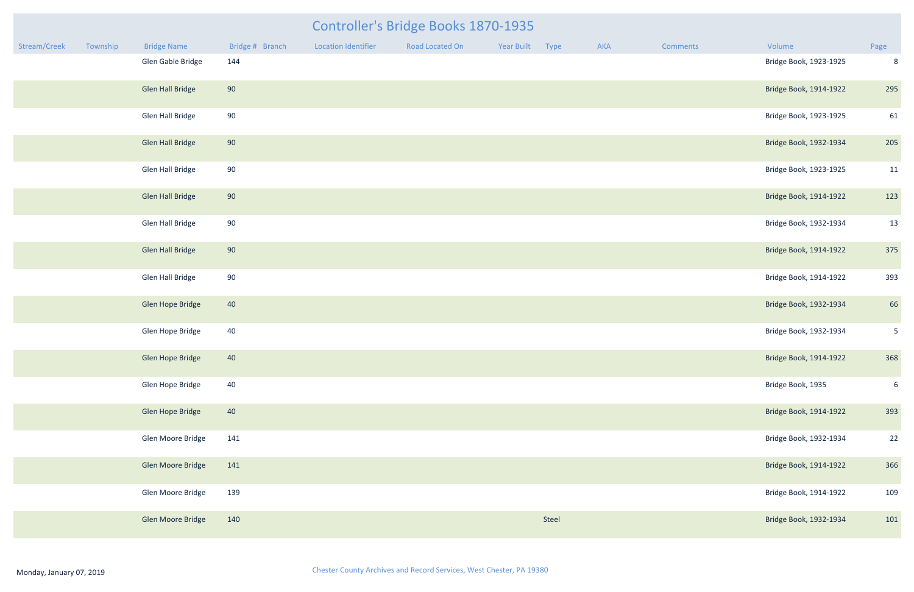#### Controller's Bridge Books 1870-1935

| Stream/Creek | Township | <b>Bridge Name</b>      | Bridge # Branch | <b>Location Identifier</b> | Road Located On | Year Built | Type  | AKA | Comments | Volume                 | Page           |
|--------------|----------|-------------------------|-----------------|----------------------------|-----------------|------------|-------|-----|----------|------------------------|----------------|
|              |          | Glen Gable Bridge       | 144             |                            |                 |            |       |     |          | Bridge Book, 1923-1925 | 8              |
|              |          | <b>Glen Hall Bridge</b> | 90              |                            |                 |            |       |     |          | Bridge Book, 1914-1922 | 295            |
|              |          | <b>Glen Hall Bridge</b> | 90              |                            |                 |            |       |     |          | Bridge Book, 1923-1925 | 61             |
|              |          | <b>Glen Hall Bridge</b> | 90              |                            |                 |            |       |     |          | Bridge Book, 1932-1934 | 205            |
|              |          | <b>Glen Hall Bridge</b> | 90              |                            |                 |            |       |     |          | Bridge Book, 1923-1925 | 11             |
|              |          | <b>Glen Hall Bridge</b> | 90              |                            |                 |            |       |     |          | Bridge Book, 1914-1922 | 123            |
|              |          | <b>Glen Hall Bridge</b> | 90              |                            |                 |            |       |     |          | Bridge Book, 1932-1934 | 13             |
|              |          | <b>Glen Hall Bridge</b> | 90              |                            |                 |            |       |     |          | Bridge Book, 1914-1922 | 375            |
|              |          | Glen Hall Bridge        | 90              |                            |                 |            |       |     |          | Bridge Book, 1914-1922 | 393            |
|              |          | Glen Hope Bridge        | 40              |                            |                 |            |       |     |          | Bridge Book, 1932-1934 | 66             |
|              |          | Glen Hope Bridge        | 40              |                            |                 |            |       |     |          | Bridge Book, 1932-1934 | 5 <sup>5</sup> |
|              |          | Glen Hope Bridge        | 40              |                            |                 |            |       |     |          | Bridge Book, 1914-1922 | 368            |
|              |          | Glen Hope Bridge        | 40              |                            |                 |            |       |     |          | Bridge Book, 1935      | 6              |
|              |          | Glen Hope Bridge        | 40              |                            |                 |            |       |     |          | Bridge Book, 1914-1922 | 393            |
|              |          | Glen Moore Bridge       | 141             |                            |                 |            |       |     |          | Bridge Book, 1932-1934 | 22             |
|              |          | Glen Moore Bridge       | 141             |                            |                 |            |       |     |          | Bridge Book, 1914-1922 | 366            |
|              |          | Glen Moore Bridge       | 139             |                            |                 |            |       |     |          | Bridge Book, 1914-1922 | 109            |
|              |          | Glen Moore Bridge       | 140             |                            |                 |            | Steel |     |          | Bridge Book, 1932-1934 | 101            |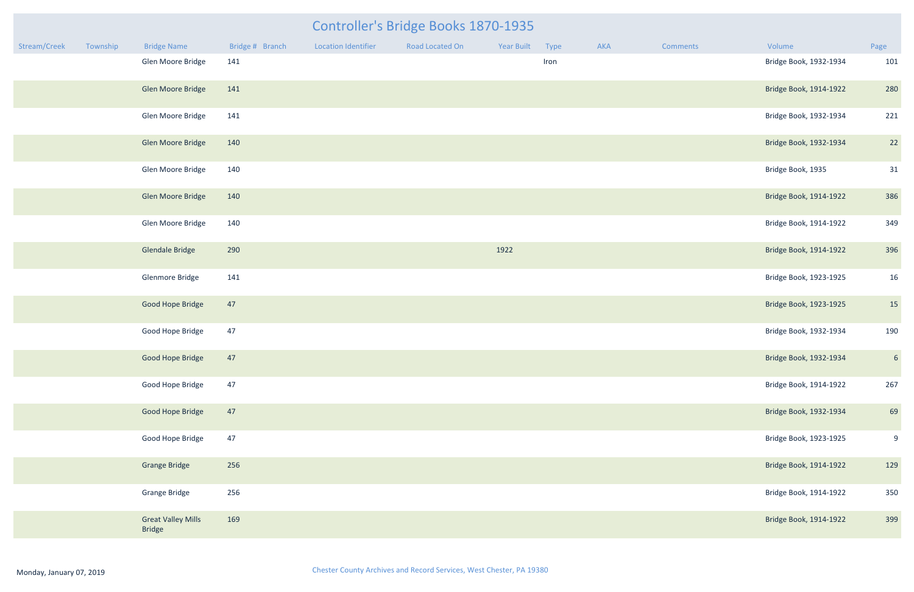| <b>Bridge Name</b>                         | Bridge # Branch | <b>Location Identifier</b> | Road Located On | Year Built | <b>Type</b> | <b>AKA</b> | Comments | Volume                 | Page             |
|--------------------------------------------|-----------------|----------------------------|-----------------|------------|-------------|------------|----------|------------------------|------------------|
| Glen Moore Bridge                          | 141             |                            |                 |            | Iron        |            |          | Bridge Book, 1932-1934 | 101              |
| <b>Glen Moore Bridge</b>                   | 141             |                            |                 |            |             |            |          | Bridge Book, 1914-1922 | 280              |
| Glen Moore Bridge                          | 141             |                            |                 |            |             |            |          | Bridge Book, 1932-1934 | 221              |
| <b>Glen Moore Bridge</b>                   | 140             |                            |                 |            |             |            |          | Bridge Book, 1932-1934 | 22               |
| Glen Moore Bridge                          | 140             |                            |                 |            |             |            |          | Bridge Book, 1935      | 31               |
| <b>Glen Moore Bridge</b>                   | 140             |                            |                 |            |             |            |          | Bridge Book, 1914-1922 | 386              |
| Glen Moore Bridge                          | 140             |                            |                 |            |             |            |          | Bridge Book, 1914-1922 | 349              |
| <b>Glendale Bridge</b>                     | 290             |                            |                 | 1922       |             |            |          | Bridge Book, 1914-1922 | 396              |
| Glenmore Bridge                            | 141             |                            |                 |            |             |            |          | Bridge Book, 1923-1925 | 16               |
| <b>Good Hope Bridge</b>                    | 47              |                            |                 |            |             |            |          | Bridge Book, 1923-1925 | 15               |
| Good Hope Bridge                           | 47              |                            |                 |            |             |            |          | Bridge Book, 1932-1934 | 190              |
| <b>Good Hope Bridge</b>                    | 47              |                            |                 |            |             |            |          | Bridge Book, 1932-1934 | $6\overline{6}$  |
| Good Hope Bridge                           | 47              |                            |                 |            |             |            |          | Bridge Book, 1914-1922 | 267              |
| <b>Good Hope Bridge</b>                    | 47              |                            |                 |            |             |            |          | Bridge Book, 1932-1934 | 69               |
| Good Hope Bridge                           | 47              |                            |                 |            |             |            |          | Bridge Book, 1923-1925 | $\boldsymbol{9}$ |
| <b>Grange Bridge</b>                       | 256             |                            |                 |            |             |            |          | Bridge Book, 1914-1922 | 129              |
| <b>Grange Bridge</b>                       | 256             |                            |                 |            |             |            |          | Bridge Book, 1914-1922 | 350              |
| <b>Great Valley Mills</b><br><b>Aridge</b> | 169             |                            |                 |            |             |            |          | Bridge Book, 1914-1922 | 399              |

## Stream/Creek Township Bridge Name Bridge #Branch Location Identifier Road Located On Year Built Type AKA Comments Volume Controller's Bridge Books 1870-1935 Glen Moore Bridge 141 11 1932-1934 101 Research Moore Bridge Book, 1932-1934 101 Glen Moore Bridge 141 Bridge Book, 1914-1922 280 Glen Moore Bridge 141 Bridge Book, 1932-1934 221 Glen Moore Bridge 140 Bridge Book, 1932-1934 22 Glen Moore Bridge 140 2014 140 Bridge Book, 1935 31

Glendale Bridge 290 1922 Bridge Book, 1914-1922 396 Glenmore Bridge 141 Bridge Book, 1923-1925 16 Good Hope Bridge 47 Bridge Book, 1923-1925 15 Good Hope Bridge 47 Bridge Book, 1932-1934 190

Good Hope Bridge 47 Bridge Book, 1923-1925 9 Grange Bridge 256 Bridge Book, 1914-1922 129 Grange Bridge 256 Bridge Book, 1914-1922 350 Great Valley Mills 169 Bridge Book, 1914-1922 399

Bridge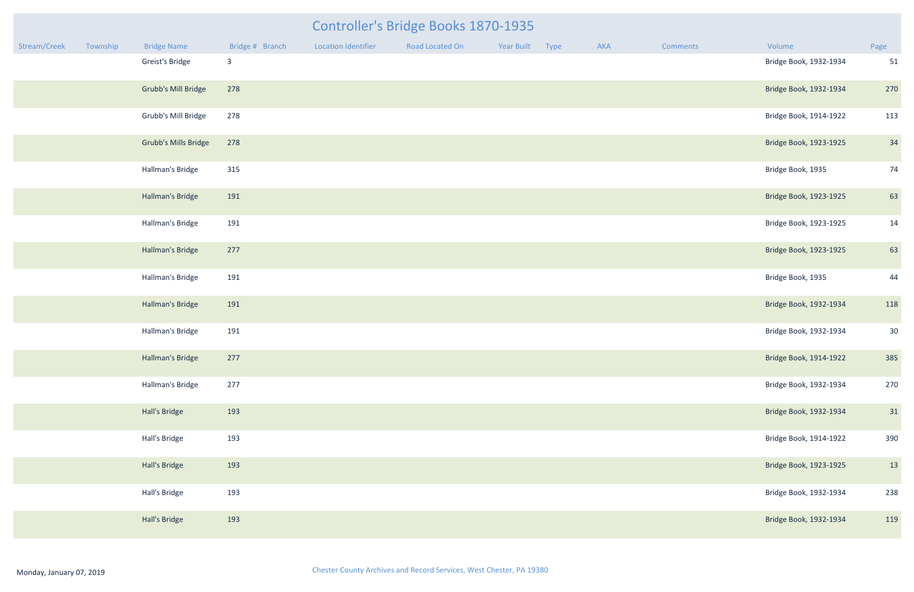|              | <b>Controller's Bridge Books 1870-1935</b> |                             |                 |                            |                 |            |      |     |                 |                        |      |  |
|--------------|--------------------------------------------|-----------------------------|-----------------|----------------------------|-----------------|------------|------|-----|-----------------|------------------------|------|--|
| Stream/Creek | Township                                   | <b>Bridge Name</b>          | Bridge # Branch | <b>Location Identifier</b> | Road Located On | Year Built | Type | AKA | <b>Comments</b> | Volume                 | Page |  |
|              |                                            | Greist's Bridge             | $\overline{3}$  |                            |                 |            |      |     |                 | Bridge Book, 1932-1934 | 51   |  |
|              |                                            | <b>Grubb's Mill Bridge</b>  | 278             |                            |                 |            |      |     |                 | Bridge Book, 1932-1934 | 270  |  |
|              |                                            | Grubb's Mill Bridge         | 278             |                            |                 |            |      |     |                 | Bridge Book, 1914-1922 | 113  |  |
|              |                                            | <b>Grubb's Mills Bridge</b> | 278             |                            |                 |            |      |     |                 | Bridge Book, 1923-1925 | 34   |  |
|              |                                            | Hallman's Bridge            | 315             |                            |                 |            |      |     |                 | Bridge Book, 1935      | 74   |  |
|              |                                            | Hallman's Bridge            | 191             |                            |                 |            |      |     |                 | Bridge Book, 1923-1925 | 63   |  |
|              |                                            | Hallman's Bridge            | 191             |                            |                 |            |      |     |                 | Bridge Book, 1923-1925 | 14   |  |
|              |                                            | Hallman's Bridge            | 277             |                            |                 |            |      |     |                 | Bridge Book, 1923-1925 | 63   |  |
|              |                                            | Hallman's Bridge            | 191             |                            |                 |            |      |     |                 | Bridge Book, 1935      | 44   |  |
|              |                                            | Hallman's Bridge            | 191             |                            |                 |            |      |     |                 | Bridge Book, 1932-1934 | 118  |  |
|              |                                            | Hallman's Bridge            | 191             |                            |                 |            |      |     |                 | Bridge Book, 1932-1934 | 30   |  |
|              |                                            | Hallman's Bridge            | 277             |                            |                 |            |      |     |                 | Bridge Book, 1914-1922 | 385  |  |
|              |                                            | Hallman's Bridge            | 277             |                            |                 |            |      |     |                 | Bridge Book, 1932-1934 | 270  |  |
|              |                                            | Hall's Bridge               | 193             |                            |                 |            |      |     |                 | Bridge Book, 1932-1934 | 31   |  |
|              |                                            | Hall's Bridge               | 193             |                            |                 |            |      |     |                 | Bridge Book, 1914-1922 | 390  |  |
|              |                                            | Hall's Bridge               | 193             |                            |                 |            |      |     |                 | Bridge Book, 1923-1925 | 13   |  |
|              |                                            | Hall's Bridge               | 193             |                            |                 |            |      |     |                 | Bridge Book, 1932-1934 | 238  |  |
|              |                                            | Hall's Bridge               | 193             |                            |                 |            |      |     |                 | Bridge Book, 1932-1934 | 119  |  |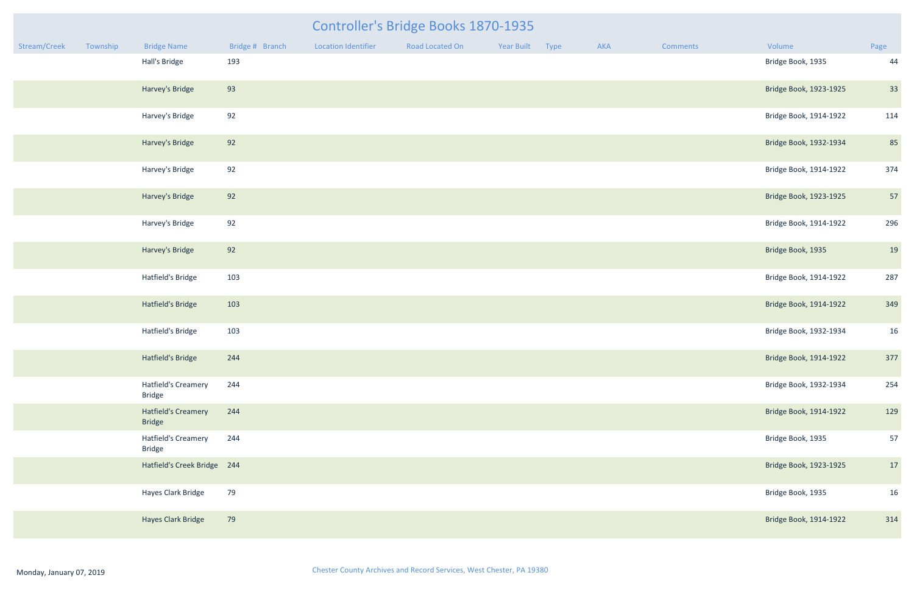|              |          |                    |                 |                            | <b>Controller's Bridge Books 1870-1935</b> |            |      |     |                 |                        |                |
|--------------|----------|--------------------|-----------------|----------------------------|--------------------------------------------|------------|------|-----|-----------------|------------------------|----------------|
| Stream/Creek | Township | <b>Bridge Name</b> | Bridge # Branch | <b>Location Identifier</b> | Road Located On                            | Year Built | Type | AKA | <b>Comments</b> | Volume                 | Page           |
|              |          | Hall's Bridge      | 193             |                            |                                            |            |      |     |                 | Bridge Book, 1935      | 44             |
|              |          | Harvey's Bridge    | 93              |                            |                                            |            |      |     |                 | Bridge Book, 1923-1925 | 33             |
|              |          | Harvey's Bridge    | 92              |                            |                                            |            |      |     |                 | Bridge Book, 1914-1922 | 114            |
|              |          | Harvey's Bridge    | 92              |                            |                                            |            |      |     |                 | Bridge Book, 1932-1934 | 85             |
|              |          | Harvey's Bridge    | 92              |                            |                                            |            |      |     |                 | Bridge Book, 1914-1922 | 374            |
|              |          | Harvey's Bridge    | 92              |                            |                                            |            |      |     |                 | Bridge Book, 1923-1925 | 57             |
|              |          | Harvey's Bridge    | 92              |                            |                                            |            |      |     |                 | Bridge Book, 1914-1922 | 296            |
|              |          | Harvey's Bridge    | 92              |                            |                                            |            |      |     |                 | Bridge Book, 1935      | 1 <sup>c</sup> |
|              |          |                    |                 |                            |                                            |            |      |     |                 |                        |                |

| <b>Bridge Name</b>                          | Bridge # Branch | <b>Location Identifier</b> | Road Located On | Year Built | Type | <b>AKA</b> | <b>Comments</b> | Volume                 | Page |
|---------------------------------------------|-----------------|----------------------------|-----------------|------------|------|------------|-----------------|------------------------|------|
| Hall's Bridge                               | 193             |                            |                 |            |      |            |                 | Bridge Book, 1935      | 44   |
| Harvey's Bridge                             | 93              |                            |                 |            |      |            |                 | Bridge Book, 1923-1925 | 33   |
| Harvey's Bridge                             | 92              |                            |                 |            |      |            |                 | Bridge Book, 1914-1922 | 114  |
| Harvey's Bridge                             | 92              |                            |                 |            |      |            |                 | Bridge Book, 1932-1934 | 85   |
| Harvey's Bridge                             | 92              |                            |                 |            |      |            |                 | Bridge Book, 1914-1922 | 374  |
| Harvey's Bridge                             | 92              |                            |                 |            |      |            |                 | Bridge Book, 1923-1925 | 57   |
| Harvey's Bridge                             | 92              |                            |                 |            |      |            |                 | Bridge Book, 1914-1922 | 296  |
| Harvey's Bridge                             | 92              |                            |                 |            |      |            |                 | Bridge Book, 1935      | 19   |
| Hatfield's Bridge                           | 103             |                            |                 |            |      |            |                 | Bridge Book, 1914-1922 | 287  |
| Hatfield's Bridge                           | 103             |                            |                 |            |      |            |                 | Bridge Book, 1914-1922 | 349  |
| Hatfield's Bridge                           | 103             |                            |                 |            |      |            |                 | Bridge Book, 1932-1934 | 16   |
| Hatfield's Bridge                           | 244             |                            |                 |            |      |            |                 | Bridge Book, 1914-1922 | 377  |
| <b>Hatfield's Creamery</b><br><b>Bridge</b> | 244             |                            |                 |            |      |            |                 | Bridge Book, 1932-1934 | 254  |
| <b>Hatfield's Creamery</b><br><b>Bridge</b> | 244             |                            |                 |            |      |            |                 | Bridge Book, 1914-1922 | 129  |
| Hatfield's Creamery<br><b>Bridge</b>        | 244             |                            |                 |            |      |            |                 | Bridge Book, 1935      | 57   |
| Hatfield's Creek Bridge 244                 |                 |                            |                 |            |      |            |                 | Bridge Book, 1923-1925 | 17   |
| Hayes Clark Bridge                          | 79              |                            |                 |            |      |            |                 | Bridge Book, 1935      | 16   |
| Hayes Clark Bridge                          | 79              |                            |                 |            |      |            |                 | Bridge Book, 1914-1922 | 314  |

Hatfield's Creamery

Bridge

Hatfield's Creamery

Bridge

Hatfield's Creamery

Bridge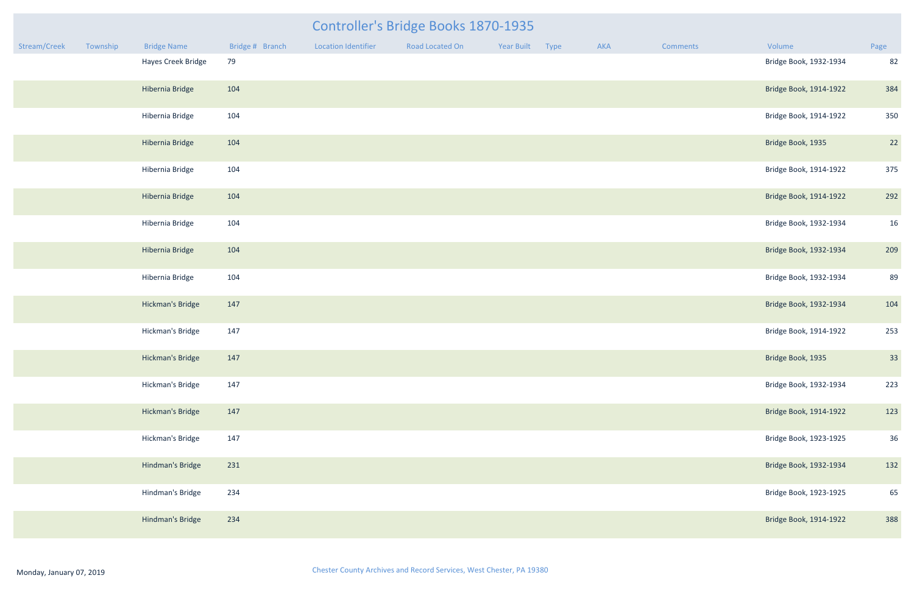|              | Controller's Bridge Books 1870-1935 |                         |                 |                            |                 |            |      |     |          |                        |      |
|--------------|-------------------------------------|-------------------------|-----------------|----------------------------|-----------------|------------|------|-----|----------|------------------------|------|
| Stream/Creek | Township                            | <b>Bridge Name</b>      | Bridge # Branch | <b>Location Identifier</b> | Road Located On | Year Built | Type | AKA | Comments | Volume                 | Page |
|              |                                     | Hayes Creek Bridge      | 79              |                            |                 |            |      |     |          | Bridge Book, 1932-1934 | 82   |
|              |                                     | Hibernia Bridge         | 104             |                            |                 |            |      |     |          | Bridge Book, 1914-1922 | 384  |
|              |                                     | Hibernia Bridge         | 104             |                            |                 |            |      |     |          | Bridge Book, 1914-1922 | 350  |
|              |                                     | Hibernia Bridge         | 104             |                            |                 |            |      |     |          | Bridge Book, 1935      | 22   |
|              |                                     | Hibernia Bridge         | 104             |                            |                 |            |      |     |          | Bridge Book, 1914-1922 | 375  |
|              |                                     | Hibernia Bridge         | 104             |                            |                 |            |      |     |          | Bridge Book, 1914-1922 | 292  |
|              |                                     | Hibernia Bridge         | 104             |                            |                 |            |      |     |          | Bridge Book, 1932-1934 | 16   |
|              |                                     | Hibernia Bridge         | 104             |                            |                 |            |      |     |          | Bridge Book, 1932-1934 | 209  |
|              |                                     | Hibernia Bridge         | 104             |                            |                 |            |      |     |          | Bridge Book, 1932-1934 | 89   |
|              |                                     | Hickman's Bridge        | 147             |                            |                 |            |      |     |          | Bridge Book, 1932-1934 | 104  |
|              |                                     | Hickman's Bridge        | 147             |                            |                 |            |      |     |          | Bridge Book, 1914-1922 | 253  |
|              |                                     | Hickman's Bridge        | 147             |                            |                 |            |      |     |          | Bridge Book, 1935      | 33   |
|              |                                     | Hickman's Bridge        | 147             |                            |                 |            |      |     |          | Bridge Book, 1932-1934 | 223  |
|              |                                     | <b>Hickman's Bridge</b> | 147             |                            |                 |            |      |     |          | Bridge Book, 1914-1922 | 123  |
|              |                                     | Hickman's Bridge        | 147             |                            |                 |            |      |     |          | Bridge Book, 1923-1925 | 36   |
|              |                                     | Hindman's Bridge        | 231             |                            |                 |            |      |     |          | Bridge Book, 1932-1934 | 132  |
|              |                                     | Hindman's Bridge        | 234             |                            |                 |            |      |     |          | Bridge Book, 1923-1925 | 65   |
|              |                                     | Hindman's Bridge        | 234             |                            |                 |            |      |     |          | Bridge Book, 1914-1922 | 388  |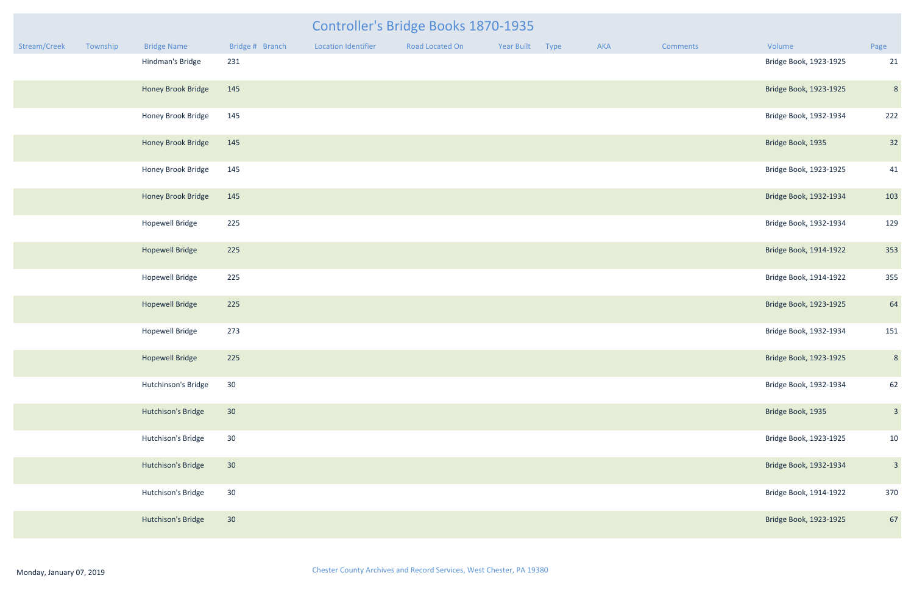| mments | Volume                 | Page |
|--------|------------------------|------|
|        | Bridge Book, 1923-1925 | 21   |
|        | Bridge Book, 1923-1925 | 8    |
|        | Bridge Book, 1932-1934 | 222  |
|        | Bridge Book, 1935      | 32   |
|        | Bridge Book, 1923-1925 | 41   |
|        | Bridge Book, 1932-1934 | 103  |
|        | Bridge Book, 1932-1934 | 129  |
|        | Bridge Book, 1914-1922 | 353  |
|        | Bridge Book, 1914-1922 | 355  |
|        | Bridge Book, 1923-1925 | 64   |
|        | Bridge Book, 1932-1934 | 151  |
|        | Bridge Book, 1923-1925 | 8    |
|        | Bridge Book, 1932-1934 | 62   |
|        | Bridge Book, 1935      | 3    |
|        | Bridge Book, 1923-1925 | 10   |
|        | Bridge Book, 1932-1934 | 3    |
|        | Bridge Book, 1914-1922 | 370  |
|        | Bridge Book, 1923-1925 | 67   |

### Stream/Creek Township Bridge Name Bridge #Branch Location Identifier Road Located On Year Built Type AKA Comments Volume Controller's Bridge Books 1870-1935 Hindman's Bridge 231 231 21 21 22 23 23 23 23 23 23 24 25 26 27 27 27 28 29 28 29 28 29 28 29 29 29 29 29 29 2

| Hindman's Bridge       | 231 | Bridge Book, 1923-1925 | 21              |
|------------------------|-----|------------------------|-----------------|
| Honey Brook Bridge     | 145 | Bridge Book, 1923-1925 | $\epsilon$      |
| Honey Brook Bridge     | 145 | Bridge Book, 1932-1934 | 222             |
| Honey Brook Bridge     | 145 | Bridge Book, 1935      | 32              |
| Honey Brook Bridge     | 145 | Bridge Book, 1923-1925 | 41              |
| Honey Brook Bridge     | 145 | Bridge Book, 1932-1934 | 10 <sup>3</sup> |
| <b>Hopewell Bridge</b> | 225 | Bridge Book, 1932-1934 | 125             |
| <b>Hopewell Bridge</b> | 225 | Bridge Book, 1914-1922 | 353             |
| <b>Hopewell Bridge</b> | 225 | Bridge Book, 1914-1922 | 355             |
| <b>Hopewell Bridge</b> | 225 | Bridge Book, 1923-1925 | 64              |
| <b>Hopewell Bridge</b> | 273 | Bridge Book, 1932-1934 | 151             |
| <b>Hopewell Bridge</b> | 225 | Bridge Book, 1923-1925 | $\epsilon$      |
| Hutchinson's Bridge    | 30  | Bridge Book, 1932-1934 | 62              |
| Hutchison's Bridge     | 30  | Bridge Book, 1935      | $\beta$         |
| Hutchison's Bridge     | 30  | Bridge Book, 1923-1925 | 10              |
| Hutchison's Bridge     | 30  | Bridge Book, 1932-1934 | $\overline{a}$  |
| Hutchison's Bridge     | 30  | Bridge Book, 1914-1922 | 370             |
| Hutchison's Bridge     | 30  | Bridge Book, 1923-1925 | 67              |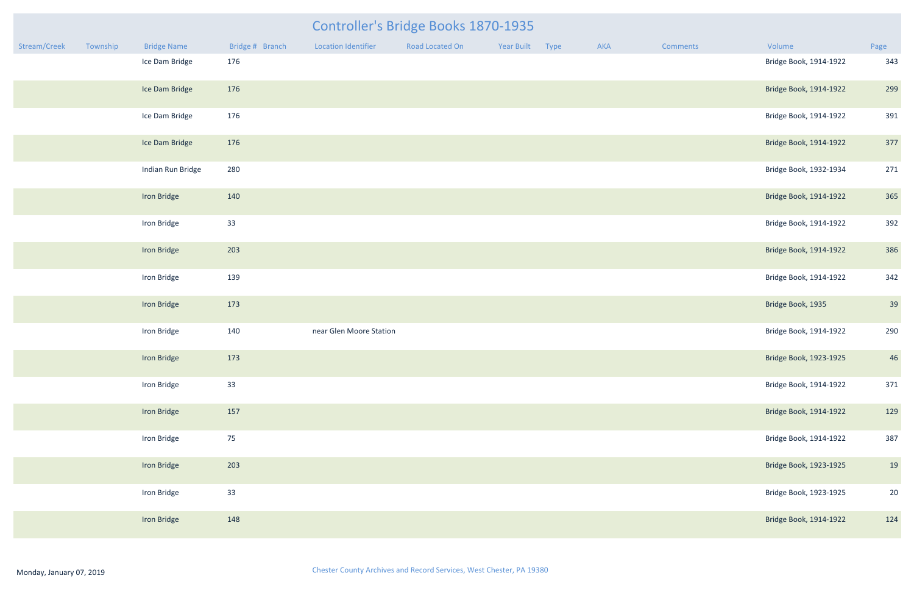|              |          |                    |                 |                         | <b>Controller's Bridge Books 1870-1935</b> |                 |     |                 |                        |      |
|--------------|----------|--------------------|-----------------|-------------------------|--------------------------------------------|-----------------|-----|-----------------|------------------------|------|
| Stream/Creek | Township | <b>Bridge Name</b> | Bridge # Branch | Location Identifier     | Road Located On                            | Year Built Type | AKA | <b>Comments</b> | Volume                 | Page |
|              |          | Ice Dam Bridge     | 176             |                         |                                            |                 |     |                 | Bridge Book, 1914-1922 | 343  |
|              |          | Ice Dam Bridge     | 176             |                         |                                            |                 |     |                 | Bridge Book, 1914-1922 | 299  |
|              |          | Ice Dam Bridge     | 176             |                         |                                            |                 |     |                 | Bridge Book, 1914-1922 | 391  |
|              |          | Ice Dam Bridge     | 176             |                         |                                            |                 |     |                 | Bridge Book, 1914-1922 | 377  |
|              |          | Indian Run Bridge  | 280             |                         |                                            |                 |     |                 | Bridge Book, 1932-1934 | 271  |
|              |          | Iron Bridge        | 140             |                         |                                            |                 |     |                 | Bridge Book, 1914-1922 | 365  |
|              |          | Iron Bridge        | 33              |                         |                                            |                 |     |                 | Bridge Book, 1914-1922 | 392  |
|              |          | Iron Bridge        | 203             |                         |                                            |                 |     |                 | Bridge Book, 1914-1922 | 386  |
|              |          | Iron Bridge        | 139             |                         |                                            |                 |     |                 | Bridge Book, 1914-1922 | 342  |
|              |          | Iron Bridge        | 173             |                         |                                            |                 |     |                 | Bridge Book, 1935      | 39   |
|              |          | Iron Bridge        | 140             | near Glen Moore Station |                                            |                 |     |                 | Bridge Book, 1914-1922 | 290  |
|              |          | Iron Bridge        | 173             |                         |                                            |                 |     |                 | Bridge Book, 1923-1925 | 46   |
|              |          | Iron Bridge        | 33              |                         |                                            |                 |     |                 | Bridge Book, 1914-1922 | 371  |
|              |          | Iron Bridge        | 157             |                         |                                            |                 |     |                 | Bridge Book, 1914-1922 | 129  |
|              |          | Iron Bridge        | 75              |                         |                                            |                 |     |                 | Bridge Book, 1914-1922 | 387  |
|              |          | Iron Bridge        | 203             |                         |                                            |                 |     |                 | Bridge Book, 1923-1925 | 19   |
|              |          | Iron Bridge        | 33              |                         |                                            |                 |     |                 | Bridge Book, 1923-1925 | 20   |
|              |          | Iron Bridge        | 148             |                         |                                            |                 |     |                 | Bridge Book, 1914-1922 | 124  |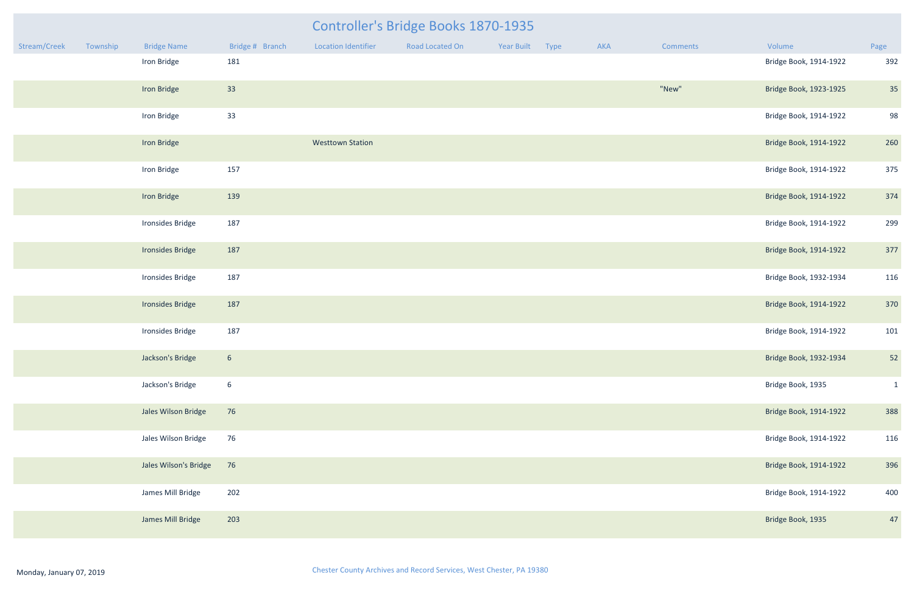|              |          |                       |                 | Controller's Bridge Books 1870-1935 |                 |            |      |     |                 |                        |              |
|--------------|----------|-----------------------|-----------------|-------------------------------------|-----------------|------------|------|-----|-----------------|------------------------|--------------|
| Stream/Creek | Township | <b>Bridge Name</b>    | Bridge # Branch | <b>Location Identifier</b>          | Road Located On | Year Built | Type | AKA | <b>Comments</b> | Volume                 | Page         |
|              |          | Iron Bridge           | 181             |                                     |                 |            |      |     |                 | Bridge Book, 1914-1922 | 392          |
|              |          | Iron Bridge           | 33              |                                     |                 |            |      |     | "New"           | Bridge Book, 1923-1925 | 35           |
|              |          | Iron Bridge           | 33              |                                     |                 |            |      |     |                 | Bridge Book, 1914-1922 | 98           |
|              |          | Iron Bridge           |                 | <b>Westtown Station</b>             |                 |            |      |     |                 | Bridge Book, 1914-1922 | 260          |
|              |          | Iron Bridge           | 157             |                                     |                 |            |      |     |                 | Bridge Book, 1914-1922 | 375          |
|              |          | Iron Bridge           | 139             |                                     |                 |            |      |     |                 | Bridge Book, 1914-1922 | 374          |
|              |          | Ironsides Bridge      | 187             |                                     |                 |            |      |     |                 | Bridge Book, 1914-1922 | 299          |
|              |          | Ironsides Bridge      | 187             |                                     |                 |            |      |     |                 | Bridge Book, 1914-1922 | 377          |
|              |          | Ironsides Bridge      | 187             |                                     |                 |            |      |     |                 | Bridge Book, 1932-1934 | 116          |
|              |          | Ironsides Bridge      | 187             |                                     |                 |            |      |     |                 | Bridge Book, 1914-1922 | 370          |
|              |          | Ironsides Bridge      | 187             |                                     |                 |            |      |     |                 | Bridge Book, 1914-1922 | 101          |
|              |          | Jackson's Bridge      | $6\phantom{.}6$ |                                     |                 |            |      |     |                 | Bridge Book, 1932-1934 | 52           |
|              |          | Jackson's Bridge      | $6\overline{6}$ |                                     |                 |            |      |     |                 | Bridge Book, 1935      | $\mathbf{1}$ |
|              |          | Jales Wilson Bridge   | 76              |                                     |                 |            |      |     |                 | Bridge Book, 1914-1922 | 388          |
|              |          | Jales Wilson Bridge   | 76              |                                     |                 |            |      |     |                 | Bridge Book, 1914-1922 | 116          |
|              |          | Jales Wilson's Bridge | 76              |                                     |                 |            |      |     |                 | Bridge Book, 1914-1922 | 396          |
|              |          | James Mill Bridge     | 202             |                                     |                 |            |      |     |                 | Bridge Book, 1914-1922 | 400          |
|              |          | James Mill Bridge     | 203             |                                     |                 |            |      |     |                 | Bridge Book, 1935      | 47           |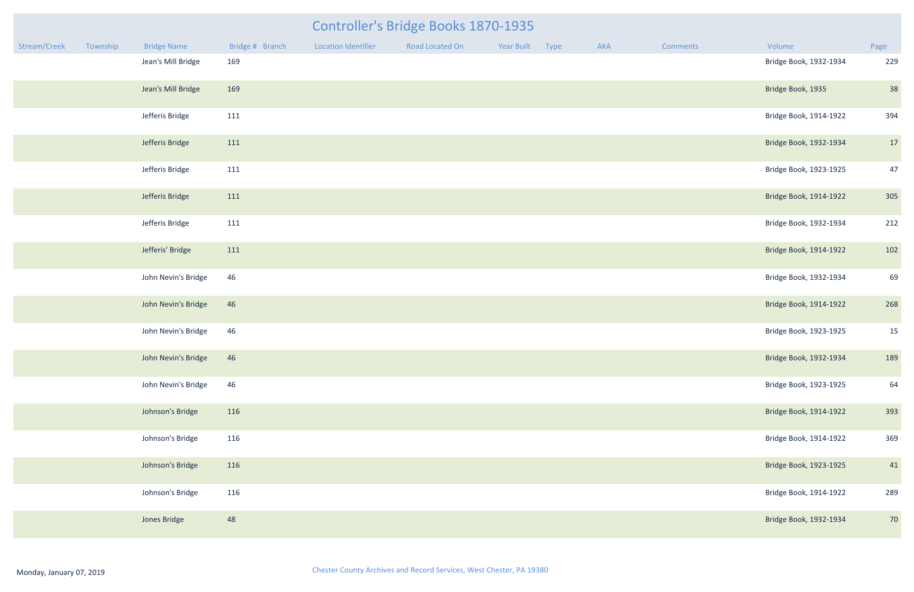|                    |                 |                     | Controller's Bridge Books 1870-1935 |                 |     |  |
|--------------------|-----------------|---------------------|-------------------------------------|-----------------|-----|--|
| <b>Bridge Name</b> | Bridge # Branch | Location Identifier | Road Located On                     | Year Built Type | AKA |  |

| Stream/Creek | Township | <b>Bridge Name</b>  | Bridge # Branch | <b>Location Identifier</b> | Road Located On | Year Built | Type | AKA | Comments | Volume                 | Page |
|--------------|----------|---------------------|-----------------|----------------------------|-----------------|------------|------|-----|----------|------------------------|------|
|              |          | Jean's Mill Bridge  | 169             |                            |                 |            |      |     |          | Bridge Book, 1932-1934 | 229  |
|              |          | Jean's Mill Bridge  | 169             |                            |                 |            |      |     |          | Bridge Book, 1935      | 38   |
|              |          | Jefferis Bridge     | 111             |                            |                 |            |      |     |          | Bridge Book, 1914-1922 | 394  |
|              |          | Jefferis Bridge     | 111             |                            |                 |            |      |     |          | Bridge Book, 1932-1934 | 17   |
|              |          | Jefferis Bridge     | 111             |                            |                 |            |      |     |          | Bridge Book, 1923-1925 | 47   |
|              |          | Jefferis Bridge     | 111             |                            |                 |            |      |     |          | Bridge Book, 1914-1922 | 305  |
|              |          | Jefferis Bridge     | 111             |                            |                 |            |      |     |          | Bridge Book, 1932-1934 | 212  |
|              |          | Jefferis' Bridge    | 111             |                            |                 |            |      |     |          | Bridge Book, 1914-1922 | 102  |
|              |          | John Nevin's Bridge | 46              |                            |                 |            |      |     |          | Bridge Book, 1932-1934 | 69   |
|              |          | John Nevin's Bridge | 46              |                            |                 |            |      |     |          | Bridge Book, 1914-1922 | 268  |
|              |          | John Nevin's Bridge | 46              |                            |                 |            |      |     |          | Bridge Book, 1923-1925 | 15   |
|              |          | John Nevin's Bridge | 46              |                            |                 |            |      |     |          | Bridge Book, 1932-1934 | 189  |
|              |          | John Nevin's Bridge | 46              |                            |                 |            |      |     |          | Bridge Book, 1923-1925 | 64   |
|              |          | Johnson's Bridge    | 116             |                            |                 |            |      |     |          | Bridge Book, 1914-1922 | 393  |
|              |          | Johnson's Bridge    | 116             |                            |                 |            |      |     |          | Bridge Book, 1914-1922 | 369  |
|              |          | Johnson's Bridge    | 116             |                            |                 |            |      |     |          | Bridge Book, 1923-1925 | 41   |
|              |          | Johnson's Bridge    | 116             |                            |                 |            |      |     |          | Bridge Book, 1914-1922 | 289  |
|              |          | Jones Bridge        | 48              |                            |                 |            |      |     |          | Bridge Book, 1932-1934 | 70   |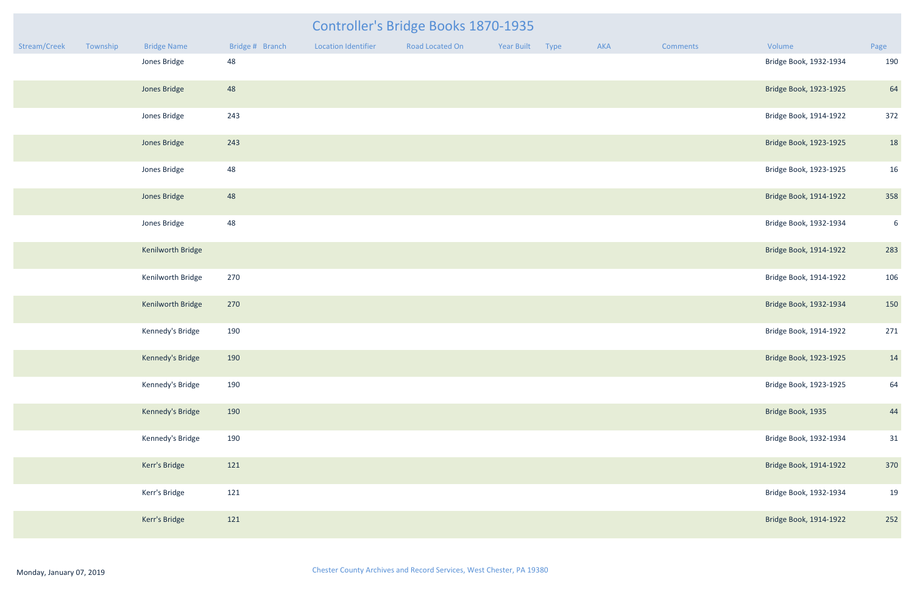|              | Controller's Bridge Books 1870-1935 |                    |                 |                            |                 |            |      |     |                 |                        |                 |
|--------------|-------------------------------------|--------------------|-----------------|----------------------------|-----------------|------------|------|-----|-----------------|------------------------|-----------------|
| Stream/Creek | Township                            | <b>Bridge Name</b> | Bridge # Branch | <b>Location Identifier</b> | Road Located On | Year Built | Type | AKA | <b>Comments</b> | Volume                 | Page            |
|              |                                     | Jones Bridge       | 48              |                            |                 |            |      |     |                 | Bridge Book, 1932-1934 | 190             |
|              |                                     | Jones Bridge       | 48              |                            |                 |            |      |     |                 | Bridge Book, 1923-1925 | 64              |
|              |                                     | Jones Bridge       | 243             |                            |                 |            |      |     |                 | Bridge Book, 1914-1922 | 372             |
|              |                                     | Jones Bridge       | 243             |                            |                 |            |      |     |                 | Bridge Book, 1923-1925 | 18              |
|              |                                     | Jones Bridge       | 48              |                            |                 |            |      |     |                 | Bridge Book, 1923-1925 | 16              |
|              |                                     | Jones Bridge       | 48              |                            |                 |            |      |     |                 | Bridge Book, 1914-1922 | 358             |
|              |                                     | Jones Bridge       | 48              |                            |                 |            |      |     |                 | Bridge Book, 1932-1934 | $6\overline{6}$ |
|              |                                     | Kenilworth Bridge  |                 |                            |                 |            |      |     |                 | Bridge Book, 1914-1922 | 283             |
|              |                                     | Kenilworth Bridge  | 270             |                            |                 |            |      |     |                 | Bridge Book, 1914-1922 | 106             |
|              |                                     | Kenilworth Bridge  | 270             |                            |                 |            |      |     |                 | Bridge Book, 1932-1934 | 150             |
|              |                                     | Kennedy's Bridge   | 190             |                            |                 |            |      |     |                 | Bridge Book, 1914-1922 | 271             |
|              |                                     | Kennedy's Bridge   | 190             |                            |                 |            |      |     |                 | Bridge Book, 1923-1925 | 14              |
|              |                                     | Kennedy's Bridge   | 190             |                            |                 |            |      |     |                 | Bridge Book, 1923-1925 | 64              |
|              |                                     | Kennedy's Bridge   | 190             |                            |                 |            |      |     |                 | Bridge Book, 1935      | 44              |
|              |                                     | Kennedy's Bridge   | 190             |                            |                 |            |      |     |                 | Bridge Book, 1932-1934 | 31              |
|              |                                     | Kerr's Bridge      | 121             |                            |                 |            |      |     |                 | Bridge Book, 1914-1922 | 370             |
|              |                                     | Kerr's Bridge      | 121             |                            |                 |            |      |     |                 | Bridge Book, 1932-1934 | 19              |
|              |                                     | Kerr's Bridge      | 121             |                            |                 |            |      |     |                 | Bridge Book, 1914-1922 | 252             |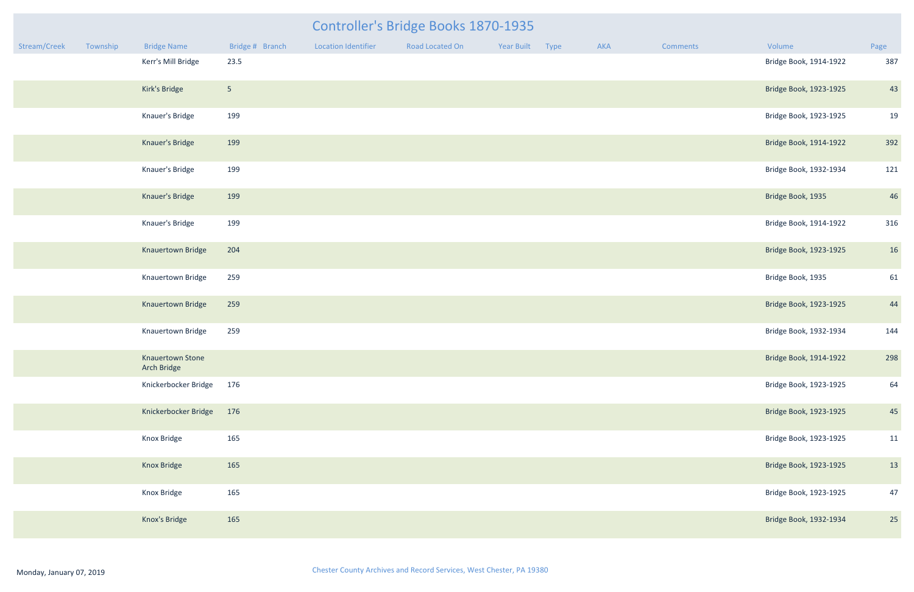|              |          |                                 |                 |                            | <b>Controller's Bridge Books 1870-1935</b> |                 |     |                 |                        |      |
|--------------|----------|---------------------------------|-----------------|----------------------------|--------------------------------------------|-----------------|-----|-----------------|------------------------|------|
| Stream/Creek | Township | <b>Bridge Name</b>              | Bridge # Branch | <b>Location Identifier</b> | Road Located On                            | Year Built Type | AKA | <b>Comments</b> | Volume                 | Page |
|              |          | Kerr's Mill Bridge              | 23.5            |                            |                                            |                 |     |                 | Bridge Book, 1914-1922 | 387  |
|              |          | Kirk's Bridge                   | 5 <sub>1</sub>  |                            |                                            |                 |     |                 | Bridge Book, 1923-1925 | 43   |
|              |          | Knauer's Bridge                 | 199             |                            |                                            |                 |     |                 | Bridge Book, 1923-1925 | 19   |
|              |          | Knauer's Bridge                 | 199             |                            |                                            |                 |     |                 | Bridge Book, 1914-1922 | 392  |
|              |          | Knauer's Bridge                 | 199             |                            |                                            |                 |     |                 | Bridge Book, 1932-1934 | 121  |
|              |          | Knauer's Bridge                 | 199             |                            |                                            |                 |     |                 | Bridge Book, 1935      | 46   |
|              |          | Knauer's Bridge                 | 199             |                            |                                            |                 |     |                 | Bridge Book, 1914-1922 | 316  |
|              |          | Knauertown Bridge               | 204             |                            |                                            |                 |     |                 | Bridge Book, 1923-1925 | 16   |
|              |          | Knauertown Bridge               | 259             |                            |                                            |                 |     |                 | Bridge Book, 1935      | 61   |
|              |          | Knauertown Bridge               | 259             |                            |                                            |                 |     |                 | Bridge Book, 1923-1925 | 44   |
|              |          | Knauertown Bridge               | 259             |                            |                                            |                 |     |                 | Bridge Book, 1932-1934 | 144  |
|              |          | Knauertown Stone<br>Arch Bridge |                 |                            |                                            |                 |     |                 | Bridge Book, 1914-1922 | 298  |
|              |          | Knickerbocker Bridge            | 176             |                            |                                            |                 |     |                 | Bridge Book, 1923-1925 | 64   |
|              |          | Knickerbocker Bridge            | 176             |                            |                                            |                 |     |                 | Bridge Book, 1923-1925 | 45   |
|              |          | Knox Bridge                     | 165             |                            |                                            |                 |     |                 | Bridge Book, 1923-1925 | 11   |
|              |          | Knox Bridge                     | 165             |                            |                                            |                 |     |                 | Bridge Book, 1923-1925 | 13   |
|              |          | Knox Bridge                     | 165             |                            |                                            |                 |     |                 | Bridge Book, 1923-1925 | 47   |
|              |          | Knox's Bridge                   | 165             |                            |                                            |                 |     |                 | Bridge Book, 1932-1934 | 25   |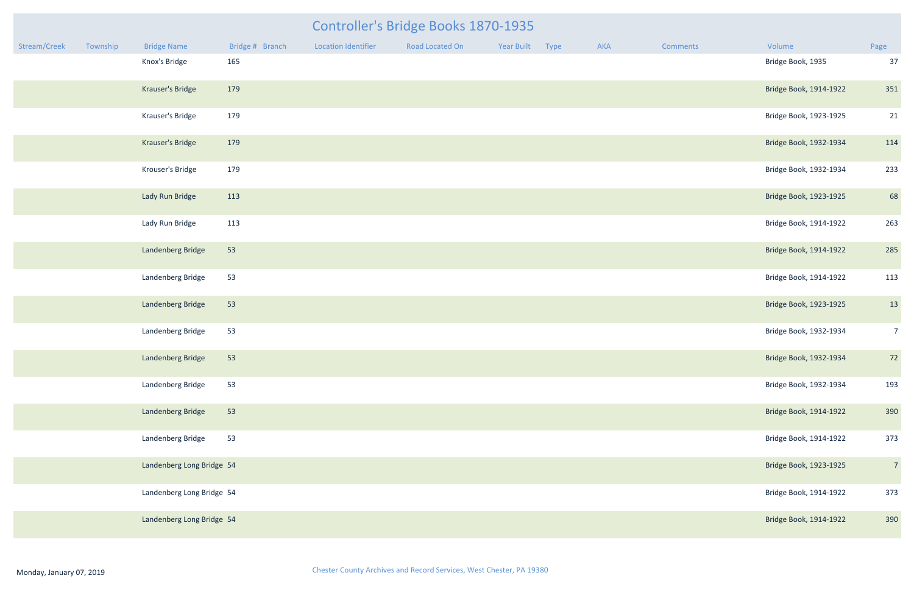| mments | Volume                 | Page           |
|--------|------------------------|----------------|
|        | Bridge Book, 1935      | 37             |
|        | Bridge Book, 1914-1922 | 351            |
|        | Bridge Book, 1923-1925 | 21             |
|        | Bridge Book, 1932-1934 | 114            |
|        | Bridge Book, 1932-1934 | 233            |
|        | Bridge Book, 1923-1925 | 68             |
|        | Bridge Book, 1914-1922 | 263            |
|        | Bridge Book, 1914-1922 | 285            |
|        | Bridge Book, 1914-1922 | 113            |
|        | Bridge Book, 1923-1925 | 13             |
|        | Bridge Book, 1932-1934 | $\overline{7}$ |
|        | Bridge Book, 1932-1934 | 72             |
|        | Bridge Book, 1932-1934 | 193            |
|        | Bridge Book, 1914-1922 | 390            |
|        | Bridge Book, 1914-1922 | 373            |
|        | Bridge Book, 1923-1925 | $\overline{7}$ |
|        | Bridge Book, 1914-1922 | 373            |
|        | Bridge Book, 1914-1922 | 390            |

|              |          |                           |                 |                     | <b>Controller's Bridge Books 1870-1935</b> |                 |     |          |                        |                |
|--------------|----------|---------------------------|-----------------|---------------------|--------------------------------------------|-----------------|-----|----------|------------------------|----------------|
| Stream/Creek | Township | <b>Bridge Name</b>        | Bridge # Branch | Location Identifier | Road Located On                            | Year Built Type | AKA | Comments | Volume                 | Page           |
|              |          | Knox's Bridge             | 165             |                     |                                            |                 |     |          | Bridge Book, 1935      | 37             |
|              |          | Krauser's Bridge          | 179             |                     |                                            |                 |     |          | Bridge Book, 1914-1922 | 351            |
|              |          | Krauser's Bridge          | 179             |                     |                                            |                 |     |          | Bridge Book, 1923-1925 | 21             |
|              |          | Krauser's Bridge          | 179             |                     |                                            |                 |     |          | Bridge Book, 1932-1934 | 114            |
|              |          | Krouser's Bridge          | 179             |                     |                                            |                 |     |          | Bridge Book, 1932-1934 | 233            |
|              |          | Lady Run Bridge           | 113             |                     |                                            |                 |     |          | Bridge Book, 1923-1925 | 68             |
|              |          | Lady Run Bridge           | 113             |                     |                                            |                 |     |          | Bridge Book, 1914-1922 | 263            |
|              |          | Landenberg Bridge         | 53              |                     |                                            |                 |     |          | Bridge Book, 1914-1922 | 285            |
|              |          | Landenberg Bridge         | 53              |                     |                                            |                 |     |          | Bridge Book, 1914-1922 | 113            |
|              |          | Landenberg Bridge         | 53              |                     |                                            |                 |     |          | Bridge Book, 1923-1925 | 13             |
|              |          | Landenberg Bridge         | 53              |                     |                                            |                 |     |          | Bridge Book, 1932-1934 | $\overline{7}$ |
|              |          | Landenberg Bridge         | 53              |                     |                                            |                 |     |          | Bridge Book, 1932-1934 | 72             |
|              |          | Landenberg Bridge         | 53              |                     |                                            |                 |     |          | Bridge Book, 1932-1934 | 193            |
|              |          | Landenberg Bridge         | 53              |                     |                                            |                 |     |          | Bridge Book, 1914-1922 | 390            |
|              |          | Landenberg Bridge         | 53              |                     |                                            |                 |     |          | Bridge Book, 1914-1922 | 373            |
|              |          | Landenberg Long Bridge 54 |                 |                     |                                            |                 |     |          | Bridge Book, 1923-1925 | $\overline{7}$ |
|              |          | Landenberg Long Bridge 54 |                 |                     |                                            |                 |     |          | Bridge Book, 1914-1922 | 373            |
|              |          | Landenberg Long Bridge 54 |                 |                     |                                            |                 |     |          | Bridge Book, 1914-1922 | 390            |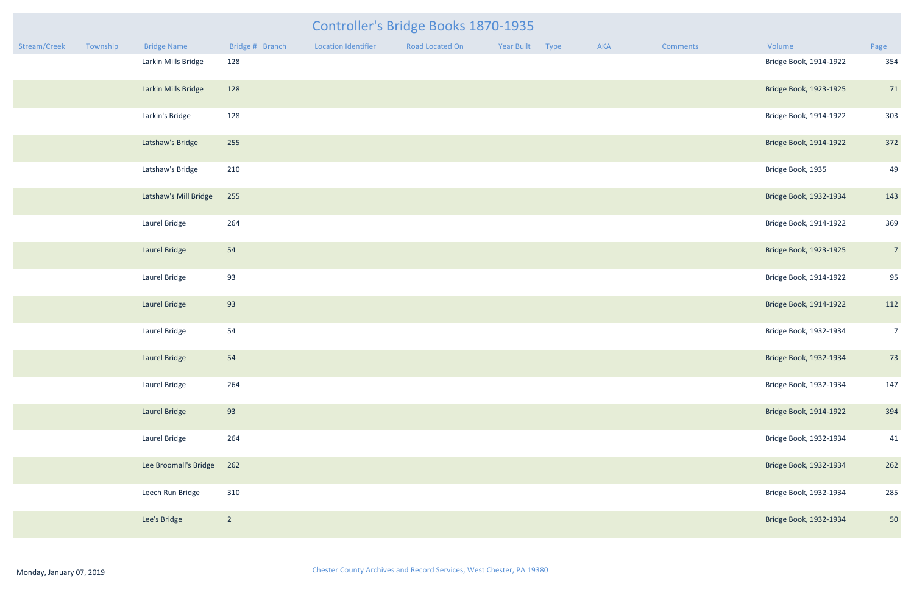| <b>Controller's Bridge Books 1870-1935</b> |                    |                 |                     |                 |                 |  |     |  |  |  |  |  |
|--------------------------------------------|--------------------|-----------------|---------------------|-----------------|-----------------|--|-----|--|--|--|--|--|
|                                            | <b>Bridge Name</b> | Bridge # Branch | Location Identifier | Road Located On | Year Built Type |  | AKA |  |  |  |  |  |
|                                            |                    | .               |                     |                 |                 |  |     |  |  |  |  |  |

| Stream/Creek | Township | <b>Bridge Name</b>    | Bridge # Branch | <b>Location Identifier</b> | Road Located On | Year Built | Type | AKA | Comments | Volume                 | Page           |
|--------------|----------|-----------------------|-----------------|----------------------------|-----------------|------------|------|-----|----------|------------------------|----------------|
|              |          | Larkin Mills Bridge   | 128             |                            |                 |            |      |     |          | Bridge Book, 1914-1922 | 354            |
|              |          | Larkin Mills Bridge   | 128             |                            |                 |            |      |     |          | Bridge Book, 1923-1925 | 71             |
|              |          | Larkin's Bridge       | 128             |                            |                 |            |      |     |          | Bridge Book, 1914-1922 | 303            |
|              |          | Latshaw's Bridge      | 255             |                            |                 |            |      |     |          | Bridge Book, 1914-1922 | 372            |
|              |          | Latshaw's Bridge      | 210             |                            |                 |            |      |     |          | Bridge Book, 1935      | 49             |
|              |          | Latshaw's Mill Bridge | 255             |                            |                 |            |      |     |          | Bridge Book, 1932-1934 | 143            |
|              |          | Laurel Bridge         | 264             |                            |                 |            |      |     |          | Bridge Book, 1914-1922 | 369            |
|              |          | Laurel Bridge         | 54              |                            |                 |            |      |     |          | Bridge Book, 1923-1925 | $\overline{7}$ |
|              |          | Laurel Bridge         | 93              |                            |                 |            |      |     |          | Bridge Book, 1914-1922 | 95             |
|              |          | Laurel Bridge         | 93              |                            |                 |            |      |     |          | Bridge Book, 1914-1922 | 112            |
|              |          | Laurel Bridge         | 54              |                            |                 |            |      |     |          | Bridge Book, 1932-1934 | $\overline{7}$ |
|              |          | Laurel Bridge         | 54              |                            |                 |            |      |     |          | Bridge Book, 1932-1934 | 73             |
|              |          | Laurel Bridge         | 264             |                            |                 |            |      |     |          | Bridge Book, 1932-1934 | 147            |
|              |          | Laurel Bridge         | 93              |                            |                 |            |      |     |          | Bridge Book, 1914-1922 | 394            |
|              |          | Laurel Bridge         | 264             |                            |                 |            |      |     |          | Bridge Book, 1932-1934 | 41             |
|              |          | Lee Broomall's Bridge | 262             |                            |                 |            |      |     |          | Bridge Book, 1932-1934 | 262            |
|              |          | Leech Run Bridge      | 310             |                            |                 |            |      |     |          | Bridge Book, 1932-1934 | 285            |
|              |          | Lee's Bridge          | $\overline{2}$  |                            |                 |            |      |     |          | Bridge Book, 1932-1934 | 50             |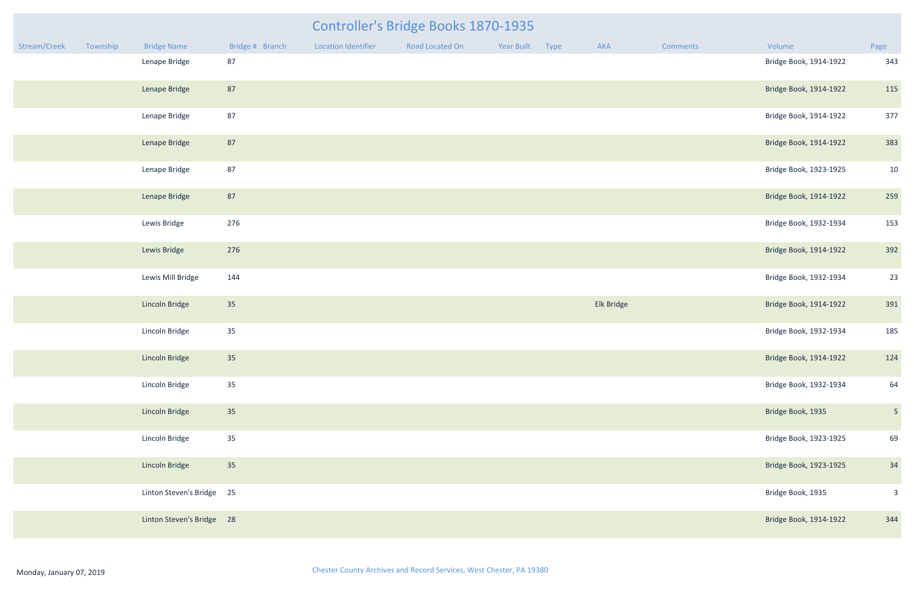|              | Controller's Bridge Books 1870-1935 |                           |                 |                            |                 |            |      |            |                 |                        |                |  |  |
|--------------|-------------------------------------|---------------------------|-----------------|----------------------------|-----------------|------------|------|------------|-----------------|------------------------|----------------|--|--|
| Stream/Creek | Township                            | <b>Bridge Name</b>        | Bridge # Branch | <b>Location Identifier</b> | Road Located On | Year Built | Type | AKA        | <b>Comments</b> | Volume                 | Page           |  |  |
|              |                                     | Lenape Bridge             | 87              |                            |                 |            |      |            |                 | Bridge Book, 1914-1922 | 343            |  |  |
|              |                                     | Lenape Bridge             | 87              |                            |                 |            |      |            |                 | Bridge Book, 1914-1922 | 115            |  |  |
|              |                                     | Lenape Bridge             | 87              |                            |                 |            |      |            |                 | Bridge Book, 1914-1922 | 377            |  |  |
|              |                                     | Lenape Bridge             | 87              |                            |                 |            |      |            |                 | Bridge Book, 1914-1922 | 383            |  |  |
|              |                                     | Lenape Bridge             | 87              |                            |                 |            |      |            |                 | Bridge Book, 1923-1925 | 10             |  |  |
|              |                                     | Lenape Bridge             | 87              |                            |                 |            |      |            |                 | Bridge Book, 1914-1922 | 259            |  |  |
|              |                                     | Lewis Bridge              | 276             |                            |                 |            |      |            |                 | Bridge Book, 1932-1934 | 153            |  |  |
|              |                                     | Lewis Bridge              | 276             |                            |                 |            |      |            |                 | Bridge Book, 1914-1922 | 392            |  |  |
|              |                                     | Lewis Mill Bridge         | 144             |                            |                 |            |      |            |                 | Bridge Book, 1932-1934 | 23             |  |  |
|              |                                     | Lincoln Bridge            | 35              |                            |                 |            |      | Elk Bridge |                 | Bridge Book, 1914-1922 | 391            |  |  |
|              |                                     | Lincoln Bridge            | 35              |                            |                 |            |      |            |                 | Bridge Book, 1932-1934 | 185            |  |  |
|              |                                     | Lincoln Bridge            | 35              |                            |                 |            |      |            |                 | Bridge Book, 1914-1922 | 124            |  |  |
|              |                                     | Lincoln Bridge            | 35              |                            |                 |            |      |            |                 | Bridge Book, 1932-1934 | 64             |  |  |
|              |                                     | Lincoln Bridge            | 35              |                            |                 |            |      |            |                 | Bridge Book, 1935      | 5 <sub>5</sub> |  |  |
|              |                                     | Lincoln Bridge            | 35              |                            |                 |            |      |            |                 | Bridge Book, 1923-1925 | 69             |  |  |
|              |                                     | Lincoln Bridge            | 35              |                            |                 |            |      |            |                 | Bridge Book, 1923-1925 | 34             |  |  |
|              |                                     | Linton Steven's Bridge 25 |                 |                            |                 |            |      |            |                 | Bridge Book, 1935      | $\mathbf{3}$   |  |  |
|              |                                     | Linton Steven's Bridge 28 |                 |                            |                 |            |      |            |                 | Bridge Book, 1914-1922 | 344            |  |  |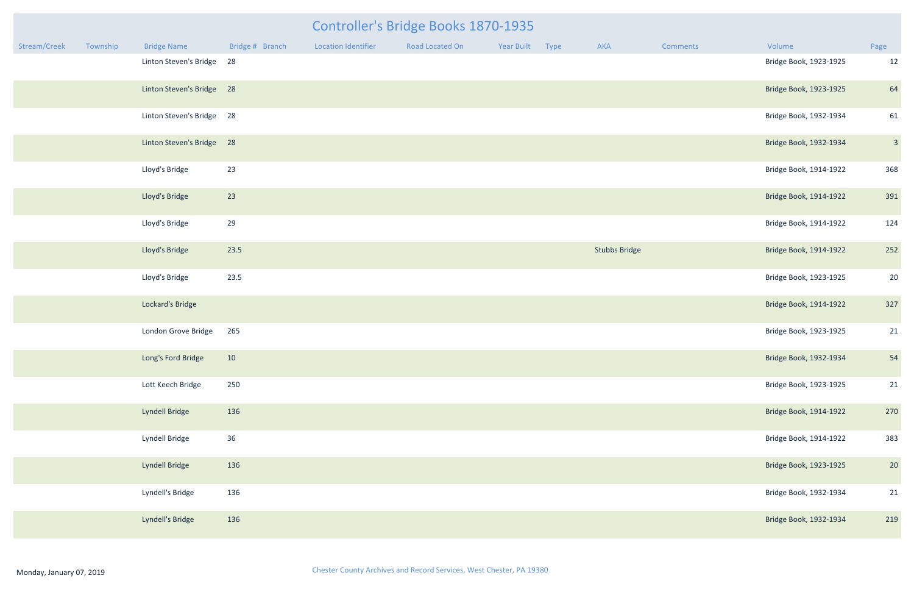|              | Controller's Bridge Books 1870-1935 |                           |                 |                            |                 |                 |  |                      |          |                        |                         |  |  |
|--------------|-------------------------------------|---------------------------|-----------------|----------------------------|-----------------|-----------------|--|----------------------|----------|------------------------|-------------------------|--|--|
| Stream/Creek | Township                            | <b>Bridge Name</b>        | Bridge # Branch | <b>Location Identifier</b> | Road Located On | Year Built Type |  | AKA                  | Comments | Volume                 | Page                    |  |  |
|              |                                     | Linton Steven's Bridge    | 28              |                            |                 |                 |  |                      |          | Bridge Book, 1923-1925 | 12                      |  |  |
|              |                                     | Linton Steven's Bridge 28 |                 |                            |                 |                 |  |                      |          | Bridge Book, 1923-1925 | 64                      |  |  |
|              |                                     | Linton Steven's Bridge 28 |                 |                            |                 |                 |  |                      |          | Bridge Book, 1932-1934 | 61                      |  |  |
|              |                                     | Linton Steven's Bridge 28 |                 |                            |                 |                 |  |                      |          | Bridge Book, 1932-1934 | $\overline{\mathbf{3}}$ |  |  |
|              |                                     | Lloyd's Bridge            | 23              |                            |                 |                 |  |                      |          | Bridge Book, 1914-1922 | 368                     |  |  |
|              |                                     | Lloyd's Bridge            | 23              |                            |                 |                 |  |                      |          | Bridge Book, 1914-1922 | 391                     |  |  |
|              |                                     | Lloyd's Bridge            | 29              |                            |                 |                 |  |                      |          | Bridge Book, 1914-1922 | 124                     |  |  |
|              |                                     | Lloyd's Bridge            | 23.5            |                            |                 |                 |  | <b>Stubbs Bridge</b> |          | Bridge Book, 1914-1922 | 252                     |  |  |
|              |                                     | Lloyd's Bridge            | 23.5            |                            |                 |                 |  |                      |          | Bridge Book, 1923-1925 | 20                      |  |  |
|              |                                     | Lockard's Bridge          |                 |                            |                 |                 |  |                      |          | Bridge Book, 1914-1922 | 327                     |  |  |
|              |                                     | London Grove Bridge       | 265             |                            |                 |                 |  |                      |          | Bridge Book, 1923-1925 | 21                      |  |  |
|              |                                     | Long's Ford Bridge        | 10              |                            |                 |                 |  |                      |          | Bridge Book, 1932-1934 | 54                      |  |  |
|              |                                     | Lott Keech Bridge         | 250             |                            |                 |                 |  |                      |          | Bridge Book, 1923-1925 | 21                      |  |  |
|              |                                     | Lyndell Bridge            | 136             |                            |                 |                 |  |                      |          | Bridge Book, 1914-1922 | 270                     |  |  |
|              |                                     | Lyndell Bridge            | 36              |                            |                 |                 |  |                      |          | Bridge Book, 1914-1922 | 383                     |  |  |
|              |                                     | Lyndell Bridge            | 136             |                            |                 |                 |  |                      |          | Bridge Book, 1923-1925 | 20                      |  |  |
|              |                                     | Lyndell's Bridge          | 136             |                            |                 |                 |  |                      |          | Bridge Book, 1932-1934 | 21                      |  |  |
|              |                                     | Lyndell's Bridge          | 136             |                            |                 |                 |  |                      |          | Bridge Book, 1932-1934 | 219                     |  |  |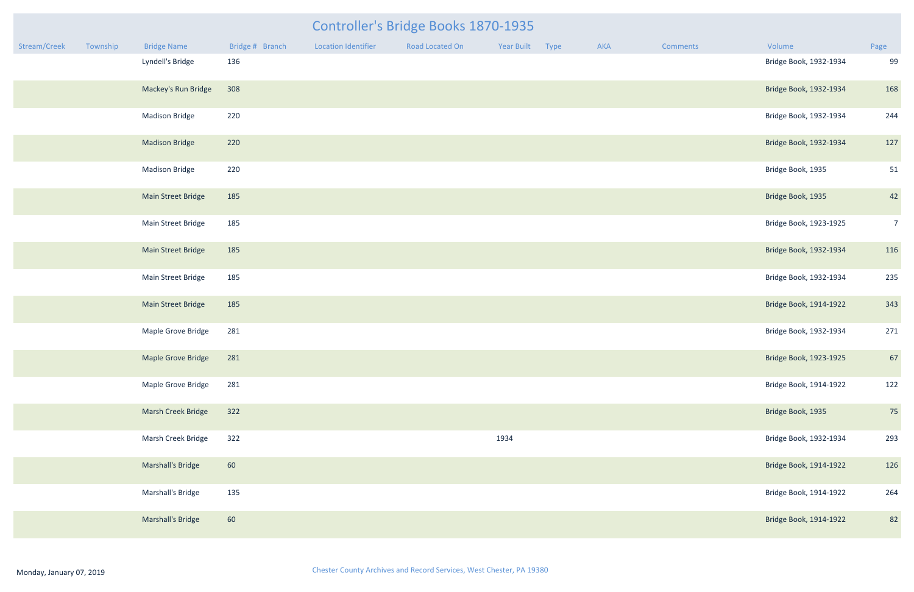|              | Controller's Bridge Books 1870-1935 |                           |                 |                            |                 |            |      |     |          |                        |                |  |  |
|--------------|-------------------------------------|---------------------------|-----------------|----------------------------|-----------------|------------|------|-----|----------|------------------------|----------------|--|--|
| Stream/Creek | Township                            | <b>Bridge Name</b>        | Bridge # Branch | <b>Location Identifier</b> | Road Located On | Year Built | Type | AKA | Comments | Volume                 | Page           |  |  |
|              |                                     | Lyndell's Bridge          | 136             |                            |                 |            |      |     |          | Bridge Book, 1932-1934 | 99             |  |  |
|              |                                     | Mackey's Run Bridge       | 308             |                            |                 |            |      |     |          | Bridge Book, 1932-1934 | 168            |  |  |
|              |                                     | <b>Madison Bridge</b>     | 220             |                            |                 |            |      |     |          | Bridge Book, 1932-1934 | 244            |  |  |
|              |                                     | <b>Madison Bridge</b>     | 220             |                            |                 |            |      |     |          | Bridge Book, 1932-1934 | 127            |  |  |
|              |                                     | <b>Madison Bridge</b>     | 220             |                            |                 |            |      |     |          | Bridge Book, 1935      | 51             |  |  |
|              |                                     | Main Street Bridge        | 185             |                            |                 |            |      |     |          | Bridge Book, 1935      | 42             |  |  |
|              |                                     | Main Street Bridge        | 185             |                            |                 |            |      |     |          | Bridge Book, 1923-1925 | $\overline{7}$ |  |  |
|              |                                     | <b>Main Street Bridge</b> | 185             |                            |                 |            |      |     |          | Bridge Book, 1932-1934 | 116            |  |  |
|              |                                     | Main Street Bridge        | 185             |                            |                 |            |      |     |          | Bridge Book, 1932-1934 | 235            |  |  |
|              |                                     | <b>Main Street Bridge</b> | 185             |                            |                 |            |      |     |          | Bridge Book, 1914-1922 | 343            |  |  |
|              |                                     | Maple Grove Bridge        | 281             |                            |                 |            |      |     |          | Bridge Book, 1932-1934 | 271            |  |  |
|              |                                     | Maple Grove Bridge        | 281             |                            |                 |            |      |     |          | Bridge Book, 1923-1925 | 67             |  |  |
|              |                                     | Maple Grove Bridge        | 281             |                            |                 |            |      |     |          | Bridge Book, 1914-1922 | 122            |  |  |
|              |                                     | Marsh Creek Bridge        | 322             |                            |                 |            |      |     |          | Bridge Book, 1935      | 75             |  |  |
|              |                                     | Marsh Creek Bridge        | 322             |                            |                 | 1934       |      |     |          | Bridge Book, 1932-1934 | 293            |  |  |
|              |                                     | Marshall's Bridge         | 60              |                            |                 |            |      |     |          | Bridge Book, 1914-1922 | 126            |  |  |
|              |                                     | Marshall's Bridge         | 135             |                            |                 |            |      |     |          | Bridge Book, 1914-1922 | 264            |  |  |
|              |                                     | Marshall's Bridge         | 60              |                            |                 |            |      |     |          | Bridge Book, 1914-1922 | 82             |  |  |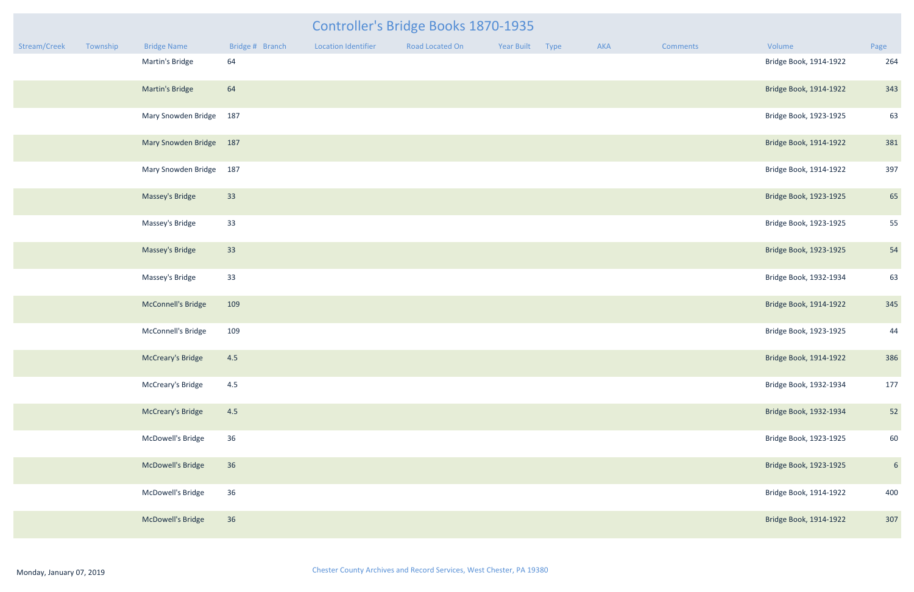| Stream/Creek | Township | <b>Bridge Name</b>       | Bridge # Branch | <b>Location Identifier</b> | Road Located On | Year Built | Type | AKA | <b>Comments</b> | Volume                 | Page           |
|--------------|----------|--------------------------|-----------------|----------------------------|-----------------|------------|------|-----|-----------------|------------------------|----------------|
|              |          | Martin's Bridge          | 64              |                            |                 |            |      |     |                 | Bridge Book, 1914-1922 | 264            |
|              |          | Martin's Bridge          | 64              |                            |                 |            |      |     |                 | Bridge Book, 1914-1922 | 343            |
|              |          | Mary Snowden Bridge 187  |                 |                            |                 |            |      |     |                 | Bridge Book, 1923-1925 | 63             |
|              |          | Mary Snowden Bridge 187  |                 |                            |                 |            |      |     |                 | Bridge Book, 1914-1922 | 381            |
|              |          | Mary Snowden Bridge 187  |                 |                            |                 |            |      |     |                 | Bridge Book, 1914-1922 | 397            |
|              |          | Massey's Bridge          | 33              |                            |                 |            |      |     |                 | Bridge Book, 1923-1925 | 65             |
|              |          | Massey's Bridge          | 33              |                            |                 |            |      |     |                 | Bridge Book, 1923-1925 | 55             |
|              |          | Massey's Bridge          | 33              |                            |                 |            |      |     |                 | Bridge Book, 1923-1925 | 54             |
|              |          | Massey's Bridge          | 33              |                            |                 |            |      |     |                 | Bridge Book, 1932-1934 | 63             |
|              |          | McConnell's Bridge       | 109             |                            |                 |            |      |     |                 | Bridge Book, 1914-1922 | 345            |
|              |          | McConnell's Bridge       | 109             |                            |                 |            |      |     |                 | Bridge Book, 1923-1925 | 44             |
|              |          | <b>McCreary's Bridge</b> | 4.5             |                            |                 |            |      |     |                 | Bridge Book, 1914-1922 | 386            |
|              |          | McCreary's Bridge        | 4.5             |                            |                 |            |      |     |                 | Bridge Book, 1932-1934 | 177            |
|              |          | <b>McCreary's Bridge</b> | 4.5             |                            |                 |            |      |     |                 | Bridge Book, 1932-1934 | 52             |
|              |          | McDowell's Bridge        | 36              |                            |                 |            |      |     |                 | Bridge Book, 1923-1925 | 60             |
|              |          | McDowell's Bridge        | 36              |                            |                 |            |      |     |                 | Bridge Book, 1923-1925 | $6\phantom{1}$ |
|              |          | McDowell's Bridge        | 36              |                            |                 |            |      |     |                 | Bridge Book, 1914-1922 | 400            |
|              |          | McDowell's Bridge        | 36              |                            |                 |            |      |     |                 | Bridge Book, 1914-1922 | 307            |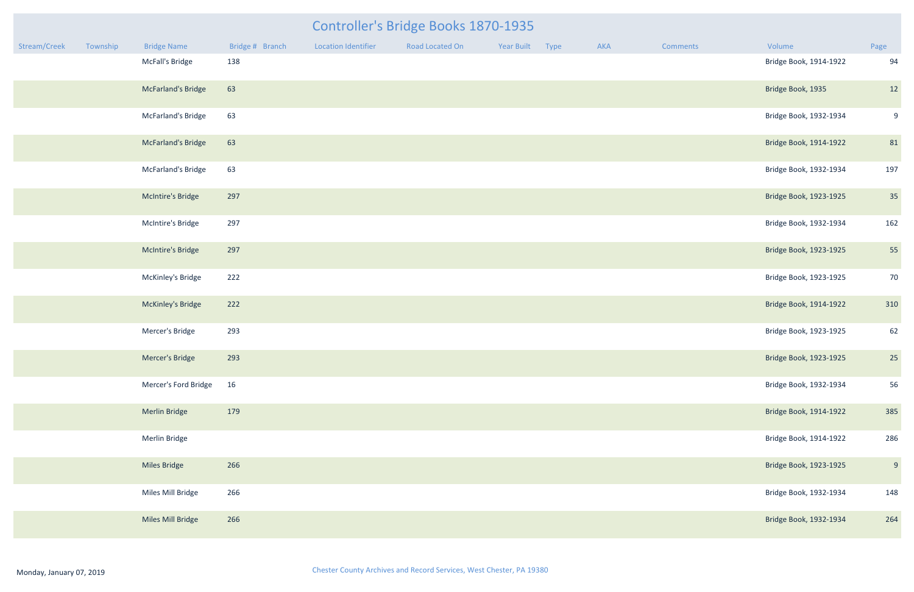|              |          |                      |                 |                            | Controller's Bridge Books 1870-1935 |            |      |     |                 |                        |      |
|--------------|----------|----------------------|-----------------|----------------------------|-------------------------------------|------------|------|-----|-----------------|------------------------|------|
| Stream/Creek | Township | <b>Bridge Name</b>   | Bridge # Branch | <b>Location Identifier</b> | Road Located On                     | Year Built | Type | AKA | <b>Comments</b> | Volume                 | Page |
|              |          | McFall's Bridge      | 138             |                            |                                     |            |      |     |                 | Bridge Book, 1914-1922 | 94   |
|              |          | McFarland's Bridge   | 63              |                            |                                     |            |      |     |                 | Bridge Book, 1935      | 12   |
|              |          | McFarland's Bridge   | 63              |                            |                                     |            |      |     |                 | Bridge Book, 1932-1934 | 9    |
|              |          | McFarland's Bridge   | 63              |                            |                                     |            |      |     |                 | Bridge Book, 1914-1922 | 81   |
|              |          | McFarland's Bridge   | 63              |                            |                                     |            |      |     |                 | Bridge Book, 1932-1934 | 197  |
|              |          | McIntire's Bridge    | 297             |                            |                                     |            |      |     |                 | Bridge Book, 1923-1925 | 35   |
|              |          | McIntire's Bridge    | 297             |                            |                                     |            |      |     |                 | Bridge Book, 1932-1934 | 162  |
|              |          | McIntire's Bridge    | 297             |                            |                                     |            |      |     |                 | Bridge Book, 1923-1925 | 55   |
|              |          | McKinley's Bridge    | 222             |                            |                                     |            |      |     |                 | Bridge Book, 1923-1925 | 70   |
|              |          | McKinley's Bridge    | 222             |                            |                                     |            |      |     |                 | Bridge Book, 1914-1922 | 310  |
|              |          | Mercer's Bridge      | 293             |                            |                                     |            |      |     |                 | Bridge Book, 1923-1925 | 62   |
|              |          | Mercer's Bridge      | 293             |                            |                                     |            |      |     |                 | Bridge Book, 1923-1925 | 25   |
|              |          | Mercer's Ford Bridge | 16              |                            |                                     |            |      |     |                 | Bridge Book, 1932-1934 | 56   |
|              |          | <b>Merlin Bridge</b> | 179             |                            |                                     |            |      |     |                 | Bridge Book, 1914-1922 | 385  |
|              |          | Merlin Bridge        |                 |                            |                                     |            |      |     |                 | Bridge Book, 1914-1922 | 286  |
|              |          | <b>Miles Bridge</b>  | 266             |                            |                                     |            |      |     |                 | Bridge Book, 1923-1925 | 9    |
|              |          | Miles Mill Bridge    | 266             |                            |                                     |            |      |     |                 | Bridge Book, 1932-1934 | 148  |
|              |          | Miles Mill Bridge    | 266             |                            |                                     |            |      |     |                 | Bridge Book, 1932-1934 | 264  |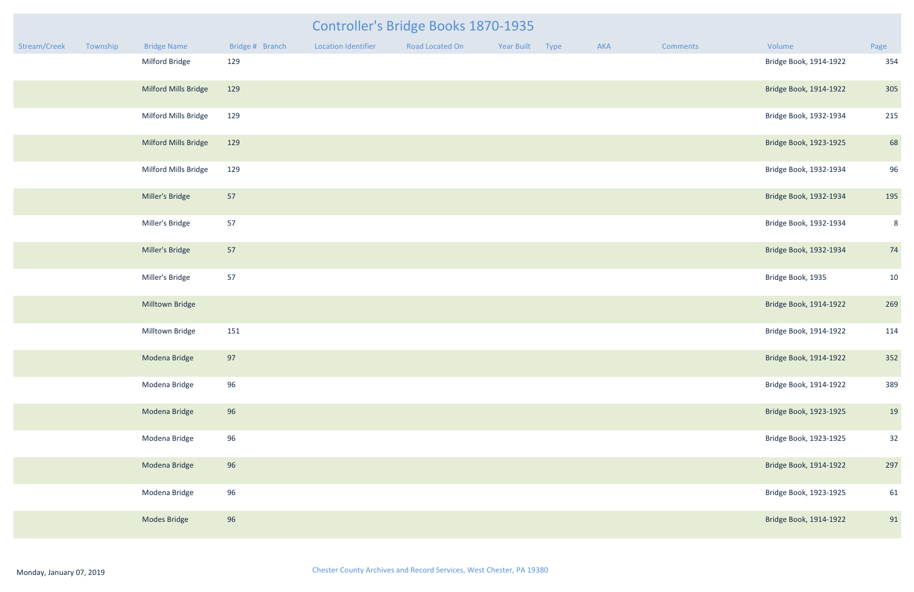|              |          |                      |                 |                            | Controller's Bridge Books 1870-1935 |                 |     |          |                        |      |
|--------------|----------|----------------------|-----------------|----------------------------|-------------------------------------|-----------------|-----|----------|------------------------|------|
| Stream/Creek | Township | <b>Bridge Name</b>   | Bridge # Branch | <b>Location Identifier</b> | Road Located On                     | Year Built Type | AKA | Comments | Volume                 | Page |
|              |          | Milford Bridge       | 129             |                            |                                     |                 |     |          | Bridge Book, 1914-1922 | 354  |
|              |          | Milford Mills Bridge | 129             |                            |                                     |                 |     |          | Bridge Book, 1914-1922 | 305  |
|              |          | Milford Mills Bridge | 129             |                            |                                     |                 |     |          | Bridge Book, 1932-1934 | 215  |
|              |          | Milford Mills Bridge | 129             |                            |                                     |                 |     |          | Bridge Book, 1923-1925 | 68   |
|              |          | Milford Mills Bridge | 129             |                            |                                     |                 |     |          | Bridge Book, 1932-1934 | 96   |
|              |          | Miller's Bridge      | 57              |                            |                                     |                 |     |          | Bridge Book, 1932-1934 | 195  |
|              |          | Miller's Bridge      | 57              |                            |                                     |                 |     |          | Bridge Book, 1932-1934 | 8    |
|              |          | Miller's Bridge      | 57              |                            |                                     |                 |     |          | Bridge Book, 1932-1934 | 74   |
|              |          | Miller's Bridge      | 57              |                            |                                     |                 |     |          | Bridge Book, 1935      | 10   |
|              |          | Milltown Bridge      |                 |                            |                                     |                 |     |          | Bridge Book, 1914-1922 | 269  |
|              |          | Milltown Bridge      | 151             |                            |                                     |                 |     |          | Bridge Book, 1914-1922 | 114  |
|              |          | Modena Bridge        | 97              |                            |                                     |                 |     |          | Bridge Book, 1914-1922 | 352  |
|              |          | Modena Bridge        | 96              |                            |                                     |                 |     |          | Bridge Book, 1914-1922 | 389  |
|              |          | Modena Bridge        | 96              |                            |                                     |                 |     |          | Bridge Book, 1923-1925 | 19   |
|              |          | Modena Bridge        | 96              |                            |                                     |                 |     |          | Bridge Book, 1923-1925 | 32   |
|              |          | Modena Bridge        | 96              |                            |                                     |                 |     |          | Bridge Book, 1914-1922 | 297  |
|              |          | Modena Bridge        | 96              |                            |                                     |                 |     |          | Bridge Book, 1923-1925 | 61   |
|              |          | Modes Bridge         | 96              |                            |                                     |                 |     |          | Bridge Book, 1914-1922 | 91   |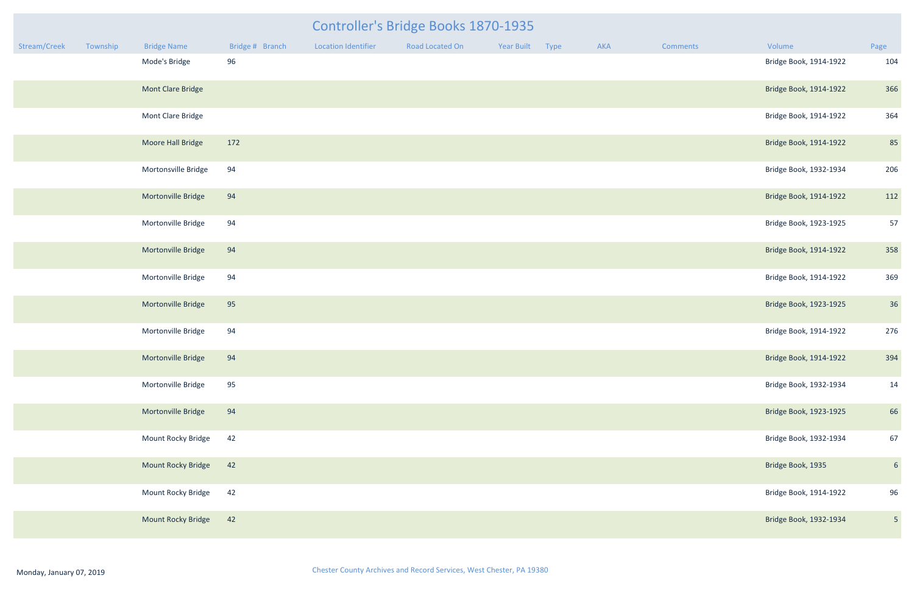|              |          |                     |                 |                            | <b>Controller's Bridge Books 1870-1935</b> |                 |     |                 |                        |                 |
|--------------|----------|---------------------|-----------------|----------------------------|--------------------------------------------|-----------------|-----|-----------------|------------------------|-----------------|
| Stream/Creek | Township | <b>Bridge Name</b>  | Bridge # Branch | <b>Location Identifier</b> | Road Located On                            | Year Built Type | AKA | <b>Comments</b> | Volume                 | Page            |
|              |          | Mode's Bridge       | 96              |                            |                                            |                 |     |                 | Bridge Book, 1914-1922 | 104             |
|              |          | Mont Clare Bridge   |                 |                            |                                            |                 |     |                 | Bridge Book, 1914-1922 | 366             |
|              |          | Mont Clare Bridge   |                 |                            |                                            |                 |     |                 | Bridge Book, 1914-1922 | 364             |
|              |          | Moore Hall Bridge   | 172             |                            |                                            |                 |     |                 | Bridge Book, 1914-1922 | 85              |
|              |          | Mortonsville Bridge | 94              |                            |                                            |                 |     |                 | Bridge Book, 1932-1934 | 206             |
|              |          | Mortonville Bridge  | 94              |                            |                                            |                 |     |                 | Bridge Book, 1914-1922 | 112             |
|              |          | Mortonville Bridge  | 94              |                            |                                            |                 |     |                 | Bridge Book, 1923-1925 | 57              |
|              |          | Mortonville Bridge  | 94              |                            |                                            |                 |     |                 | Bridge Book, 1914-1922 | 358             |
|              |          | Mortonville Bridge  | 94              |                            |                                            |                 |     |                 | Bridge Book, 1914-1922 | 369             |
|              |          | Mortonville Bridge  | 95              |                            |                                            |                 |     |                 | Bridge Book, 1923-1925 | 36              |
|              |          | Mortonville Bridge  | 94              |                            |                                            |                 |     |                 | Bridge Book, 1914-1922 | 276             |
|              |          | Mortonville Bridge  | 94              |                            |                                            |                 |     |                 | Bridge Book, 1914-1922 | 394             |
|              |          | Mortonville Bridge  | 95              |                            |                                            |                 |     |                 | Bridge Book, 1932-1934 | 14              |
|              |          | Mortonville Bridge  | 94              |                            |                                            |                 |     |                 | Bridge Book, 1923-1925 | 66              |
|              |          | Mount Rocky Bridge  | 42              |                            |                                            |                 |     |                 | Bridge Book, 1932-1934 | 67              |
|              |          | Mount Rocky Bridge  | 42              |                            |                                            |                 |     |                 | Bridge Book, 1935      | $6\overline{6}$ |
|              |          | Mount Rocky Bridge  | 42              |                            |                                            |                 |     |                 | Bridge Book, 1914-1922 | 96              |
|              |          | Mount Rocky Bridge  | 42              |                            |                                            |                 |     |                 | Bridge Book, 1932-1934 | 5 <sub>5</sub>  |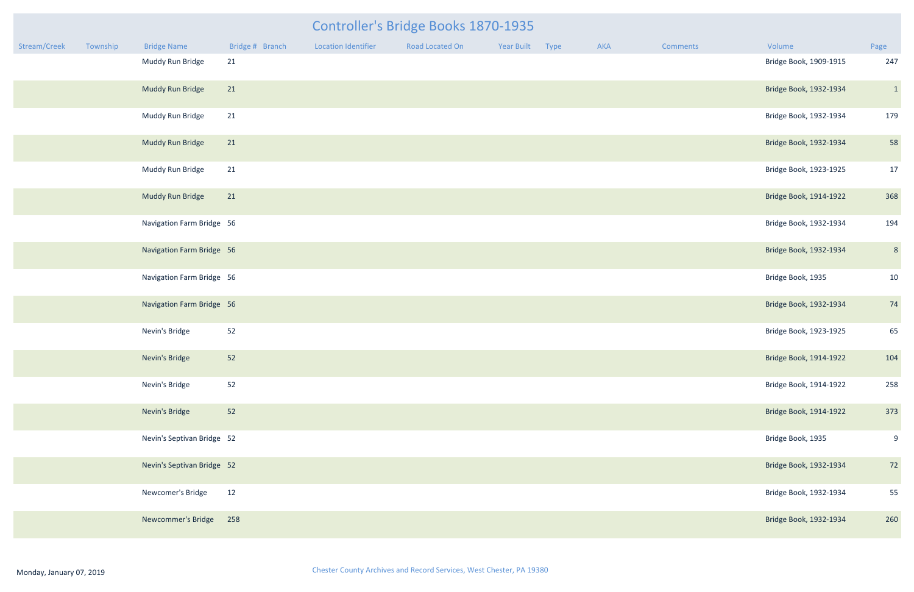| Stream/Creek | Township | <b>Bridge Name</b>         | Bridge # Branch | <b>Location Identifier</b> | Road Located On | Year Built | Type | AKA | <b>Comments</b> | Volume                 | Page           |
|--------------|----------|----------------------------|-----------------|----------------------------|-----------------|------------|------|-----|-----------------|------------------------|----------------|
|              |          | Muddy Run Bridge           | 21              |                            |                 |            |      |     |                 | Bridge Book, 1909-1915 | 247            |
|              |          | Muddy Run Bridge           | 21              |                            |                 |            |      |     |                 | Bridge Book, 1932-1934 | $\mathbf{1}$   |
|              |          | Muddy Run Bridge           | 21              |                            |                 |            |      |     |                 | Bridge Book, 1932-1934 | 179            |
|              |          | Muddy Run Bridge           | 21              |                            |                 |            |      |     |                 | Bridge Book, 1932-1934 | 58             |
|              |          | Muddy Run Bridge           | 21              |                            |                 |            |      |     |                 | Bridge Book, 1923-1925 | 17             |
|              |          | Muddy Run Bridge           | 21              |                            |                 |            |      |     |                 | Bridge Book, 1914-1922 | 368            |
|              |          | Navigation Farm Bridge 56  |                 |                            |                 |            |      |     |                 | Bridge Book, 1932-1934 | 194            |
|              |          | Navigation Farm Bridge 56  |                 |                            |                 |            |      |     |                 | Bridge Book, 1932-1934 | $8\phantom{.}$ |
|              |          | Navigation Farm Bridge 56  |                 |                            |                 |            |      |     |                 | Bridge Book, 1935      | 10             |
|              |          | Navigation Farm Bridge 56  |                 |                            |                 |            |      |     |                 | Bridge Book, 1932-1934 | 74             |
|              |          | Nevin's Bridge             | 52              |                            |                 |            |      |     |                 | Bridge Book, 1923-1925 | 65             |
|              |          | Nevin's Bridge             | 52              |                            |                 |            |      |     |                 | Bridge Book, 1914-1922 | 104            |
|              |          | Nevin's Bridge             | 52              |                            |                 |            |      |     |                 | Bridge Book, 1914-1922 | 258            |
|              |          | Nevin's Bridge             | 52              |                            |                 |            |      |     |                 | Bridge Book, 1914-1922 | 373            |
|              |          | Nevin's Septivan Bridge 52 |                 |                            |                 |            |      |     |                 | Bridge Book, 1935      | 9              |
|              |          | Nevin's Septivan Bridge 52 |                 |                            |                 |            |      |     |                 | Bridge Book, 1932-1934 | 72             |
|              |          | Newcomer's Bridge          | 12              |                            |                 |            |      |     |                 | Bridge Book, 1932-1934 | 55             |
|              |          | Newcommer's Bridge         | 258             |                            |                 |            |      |     |                 | Bridge Book, 1932-1934 | 260            |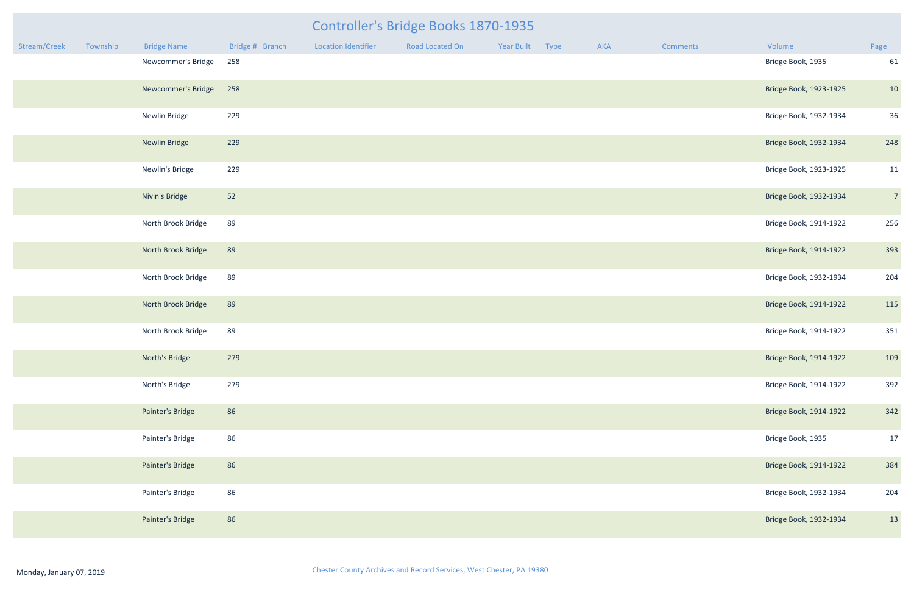| mments | Volume                 | Page           |
|--------|------------------------|----------------|
|        | Bridge Book, 1935      | 61             |
|        | Bridge Book, 1923-1925 | 10             |
|        | Bridge Book, 1932-1934 | 36             |
|        | Bridge Book, 1932-1934 | 248            |
|        | Bridge Book, 1923-1925 | 11             |
|        | Bridge Book, 1932-1934 | $\overline{7}$ |
|        | Bridge Book, 1914-1922 | 256            |
|        | Bridge Book, 1914-1922 | 393            |
|        | Bridge Book, 1932-1934 | 204            |
|        | Bridge Book, 1914-1922 | 115            |
|        | Bridge Book, 1914-1922 | 351            |
|        | Bridge Book, 1914-1922 | 109            |
|        | Bridge Book, 1914-1922 | 392            |
|        | Bridge Book, 1914-1922 | 342            |
|        | Bridge Book, 1935      | 17             |
|        | Bridge Book, 1914-1922 | 384            |
|        | Bridge Book, 1932-1934 | 204            |
|        | Bridge Book, 1932-1934 | 13             |

|              |          |                      |                 |                            | Controller's Bridge Books 1870-1935 |            |      |     |                 |                        |                |
|--------------|----------|----------------------|-----------------|----------------------------|-------------------------------------|------------|------|-----|-----------------|------------------------|----------------|
| Stream/Creek | Township | <b>Bridge Name</b>   | Bridge # Branch | <b>Location Identifier</b> | Road Located On                     | Year Built | Type | AKA | <b>Comments</b> | Volume                 | Page           |
|              |          | Newcommer's Bridge   | 258             |                            |                                     |            |      |     |                 | Bridge Book, 1935      | 61             |
|              |          | Newcommer's Bridge   | 258             |                            |                                     |            |      |     |                 | Bridge Book, 1923-1925 | 10             |
|              |          | Newlin Bridge        | 229             |                            |                                     |            |      |     |                 | Bridge Book, 1932-1934 | 36             |
|              |          | <b>Newlin Bridge</b> | 229             |                            |                                     |            |      |     |                 | Bridge Book, 1932-1934 | 248            |
|              |          | Newlin's Bridge      | 229             |                            |                                     |            |      |     |                 | Bridge Book, 1923-1925 | 11             |
|              |          | Nivin's Bridge       | 52              |                            |                                     |            |      |     |                 | Bridge Book, 1932-1934 | $\overline{7}$ |
|              |          | North Brook Bridge   | 89              |                            |                                     |            |      |     |                 | Bridge Book, 1914-1922 | 256            |
|              |          | North Brook Bridge   | 89              |                            |                                     |            |      |     |                 | Bridge Book, 1914-1922 | 393            |
|              |          | North Brook Bridge   | 89              |                            |                                     |            |      |     |                 | Bridge Book, 1932-1934 | 204            |
|              |          | North Brook Bridge   | 89              |                            |                                     |            |      |     |                 | Bridge Book, 1914-1922 | 115            |
|              |          | North Brook Bridge   | 89              |                            |                                     |            |      |     |                 | Bridge Book, 1914-1922 | 351            |
|              |          | North's Bridge       | 279             |                            |                                     |            |      |     |                 | Bridge Book, 1914-1922 | 109            |
|              |          | North's Bridge       | 279             |                            |                                     |            |      |     |                 | Bridge Book, 1914-1922 | 392            |
|              |          | Painter's Bridge     | 86              |                            |                                     |            |      |     |                 | Bridge Book, 1914-1922 | 342            |
|              |          | Painter's Bridge     | 86              |                            |                                     |            |      |     |                 | Bridge Book, 1935      | 17             |
|              |          | Painter's Bridge     | 86              |                            |                                     |            |      |     |                 | Bridge Book, 1914-1922 | 384            |
|              |          | Painter's Bridge     | 86              |                            |                                     |            |      |     |                 | Bridge Book, 1932-1934 | 204            |
|              |          | Painter's Bridge     | 86              |                            |                                     |            |      |     |                 | Bridge Book, 1932-1934 | 13             |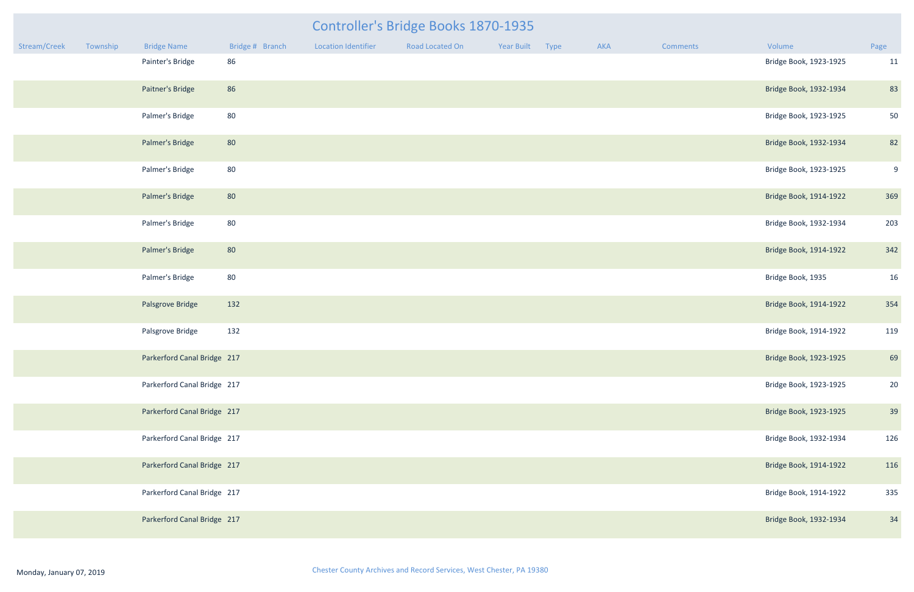| Stream/Creek | Township | <b>Bridge Name</b>          | Bridge # Branch | <b>Location Identifier</b> | Road Located On | Year Built | Type | AKA | Comments | Volume                 | Page |
|--------------|----------|-----------------------------|-----------------|----------------------------|-----------------|------------|------|-----|----------|------------------------|------|
|              |          | Painter's Bridge            | 86              |                            |                 |            |      |     |          | Bridge Book, 1923-1925 | 11   |
|              |          | Paitner's Bridge            | 86              |                            |                 |            |      |     |          | Bridge Book, 1932-1934 | 83   |
|              |          | Palmer's Bridge             | 80              |                            |                 |            |      |     |          | Bridge Book, 1923-1925 | 50   |
|              |          | Palmer's Bridge             | 80              |                            |                 |            |      |     |          | Bridge Book, 1932-1934 | 82   |
|              |          | Palmer's Bridge             | 80              |                            |                 |            |      |     |          | Bridge Book, 1923-1925 | 9    |
|              |          | Palmer's Bridge             | 80              |                            |                 |            |      |     |          | Bridge Book, 1914-1922 | 369  |
|              |          | Palmer's Bridge             | 80              |                            |                 |            |      |     |          | Bridge Book, 1932-1934 | 203  |
|              |          | Palmer's Bridge             | 80              |                            |                 |            |      |     |          | Bridge Book, 1914-1922 | 342  |
|              |          | Palmer's Bridge             | 80              |                            |                 |            |      |     |          | Bridge Book, 1935      | 16   |
|              |          | Palsgrove Bridge            | 132             |                            |                 |            |      |     |          | Bridge Book, 1914-1922 | 354  |
|              |          | Palsgrove Bridge            | 132             |                            |                 |            |      |     |          | Bridge Book, 1914-1922 | 119  |
|              |          | Parkerford Canal Bridge 217 |                 |                            |                 |            |      |     |          | Bridge Book, 1923-1925 | 69   |
|              |          | Parkerford Canal Bridge 217 |                 |                            |                 |            |      |     |          | Bridge Book, 1923-1925 | 20   |
|              |          | Parkerford Canal Bridge 217 |                 |                            |                 |            |      |     |          | Bridge Book, 1923-1925 | 39   |
|              |          | Parkerford Canal Bridge 217 |                 |                            |                 |            |      |     |          | Bridge Book, 1932-1934 | 126  |
|              |          | Parkerford Canal Bridge 217 |                 |                            |                 |            |      |     |          | Bridge Book, 1914-1922 | 116  |
|              |          | Parkerford Canal Bridge 217 |                 |                            |                 |            |      |     |          | Bridge Book, 1914-1922 | 335  |
|              |          | Parkerford Canal Bridge 217 |                 |                            |                 |            |      |     |          | Bridge Book, 1932-1934 | 34   |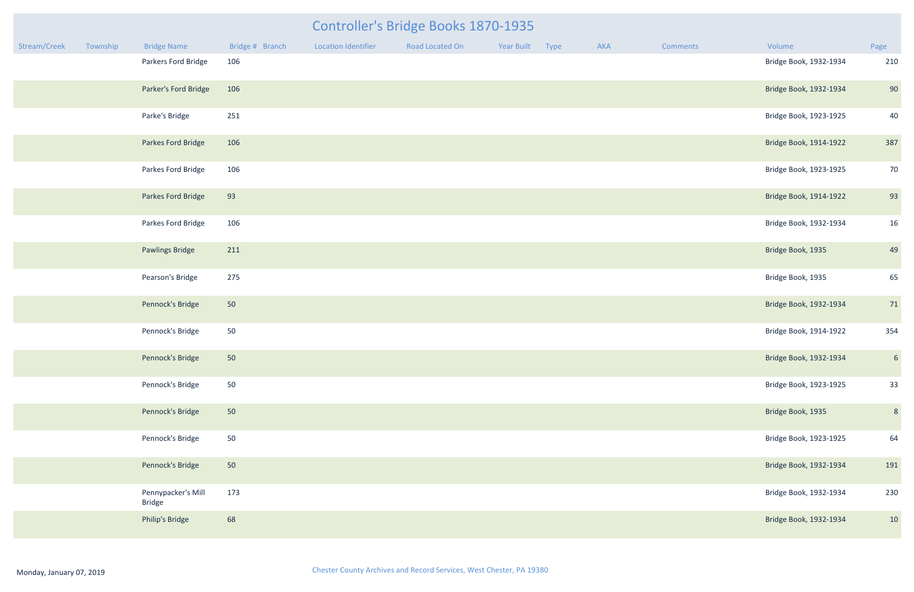|              | Controller's Bridge Books 1870-1935 |                                     |                 |                            |                 |            |      |     |          |                        |                 |  |
|--------------|-------------------------------------|-------------------------------------|-----------------|----------------------------|-----------------|------------|------|-----|----------|------------------------|-----------------|--|
| Stream/Creek | Township                            | <b>Bridge Name</b>                  | Bridge # Branch | <b>Location Identifier</b> | Road Located On | Year Built | Type | AKA | Comments | Volume                 | Page            |  |
|              |                                     | Parkers Ford Bridge                 | 106             |                            |                 |            |      |     |          | Bridge Book, 1932-1934 | 210             |  |
|              |                                     | Parker's Ford Bridge                | 106             |                            |                 |            |      |     |          | Bridge Book, 1932-1934 | 90              |  |
|              |                                     | Parke's Bridge                      | 251             |                            |                 |            |      |     |          | Bridge Book, 1923-1925 | 40              |  |
|              |                                     | Parkes Ford Bridge                  | 106             |                            |                 |            |      |     |          | Bridge Book, 1914-1922 | 387             |  |
|              |                                     | Parkes Ford Bridge                  | 106             |                            |                 |            |      |     |          | Bridge Book, 1923-1925 | 70              |  |
|              |                                     | Parkes Ford Bridge                  | 93              |                            |                 |            |      |     |          | Bridge Book, 1914-1922 | 93              |  |
|              |                                     | Parkes Ford Bridge                  | 106             |                            |                 |            |      |     |          | Bridge Book, 1932-1934 | 16              |  |
|              |                                     | <b>Pawlings Bridge</b>              | 211             |                            |                 |            |      |     |          | Bridge Book, 1935      | 49              |  |
|              |                                     | Pearson's Bridge                    | 275             |                            |                 |            |      |     |          | Bridge Book, 1935      | 65              |  |
|              |                                     | Pennock's Bridge                    | 50              |                            |                 |            |      |     |          | Bridge Book, 1932-1934 | 71              |  |
|              |                                     | Pennock's Bridge                    | 50              |                            |                 |            |      |     |          | Bridge Book, 1914-1922 | 354             |  |
|              |                                     | Pennock's Bridge                    | 50              |                            |                 |            |      |     |          | Bridge Book, 1932-1934 | $6\overline{6}$ |  |
|              |                                     | Pennock's Bridge                    | 50              |                            |                 |            |      |     |          | Bridge Book, 1923-1925 | 33              |  |
|              |                                     | Pennock's Bridge                    | 50              |                            |                 |            |      |     |          | Bridge Book, 1935      | 8               |  |
|              |                                     | Pennock's Bridge                    | 50              |                            |                 |            |      |     |          | Bridge Book, 1923-1925 | 64              |  |
|              |                                     | Pennock's Bridge                    | 50              |                            |                 |            |      |     |          | Bridge Book, 1932-1934 | 191             |  |
|              |                                     | Pennypacker's Mill<br><b>Bridge</b> | 173             |                            |                 |            |      |     |          | Bridge Book, 1932-1934 | 230             |  |
|              |                                     | Philip's Bridge                     | 68              |                            |                 |            |      |     |          | Bridge Book, 1932-1934 | 10              |  |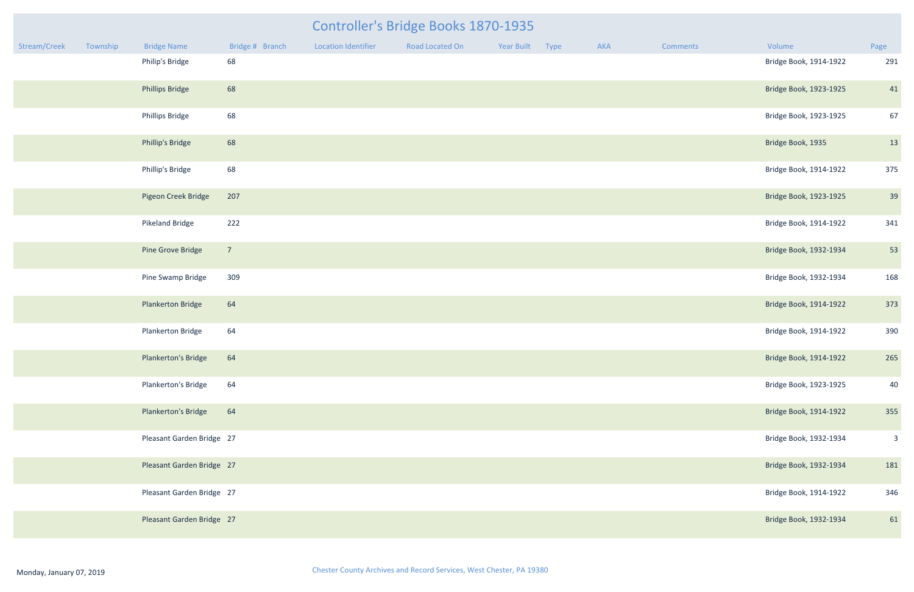| Controller's Bridge Books 1870-1935 |          |                           |                 |                            |                 |            |      |     |          |                        |                |
|-------------------------------------|----------|---------------------------|-----------------|----------------------------|-----------------|------------|------|-----|----------|------------------------|----------------|
| Stream/Creek                        | Township | <b>Bridge Name</b>        | Bridge # Branch | <b>Location Identifier</b> | Road Located On | Year Built | Type | AKA | Comments | Volume                 | Page           |
|                                     |          | Philip's Bridge           | 68              |                            |                 |            |      |     |          | Bridge Book, 1914-1922 | 291            |
|                                     |          | <b>Phillips Bridge</b>    | 68              |                            |                 |            |      |     |          | Bridge Book, 1923-1925 | 41             |
|                                     |          | <b>Phillips Bridge</b>    | 68              |                            |                 |            |      |     |          | Bridge Book, 1923-1925 | 67             |
|                                     |          | Phillip's Bridge          | 68              |                            |                 |            |      |     |          | Bridge Book, 1935      | 13             |
|                                     |          | Phillip's Bridge          | 68              |                            |                 |            |      |     |          | Bridge Book, 1914-1922 | 375            |
|                                     |          | Pigeon Creek Bridge       | 207             |                            |                 |            |      |     |          | Bridge Book, 1923-1925 | 39             |
|                                     |          | Pikeland Bridge           | 222             |                            |                 |            |      |     |          | Bridge Book, 1914-1922 | 341            |
|                                     |          | Pine Grove Bridge         | $\overline{7}$  |                            |                 |            |      |     |          | Bridge Book, 1932-1934 | 53             |
|                                     |          | Pine Swamp Bridge         | 309             |                            |                 |            |      |     |          | Bridge Book, 1932-1934 | 168            |
|                                     |          | <b>Plankerton Bridge</b>  | 64              |                            |                 |            |      |     |          | Bridge Book, 1914-1922 | 373            |
|                                     |          | Plankerton Bridge         | 64              |                            |                 |            |      |     |          | Bridge Book, 1914-1922 | 390            |
|                                     |          | Plankerton's Bridge       | 64              |                            |                 |            |      |     |          | Bridge Book, 1914-1922 | 265            |
|                                     |          | Plankerton's Bridge       | 64              |                            |                 |            |      |     |          | Bridge Book, 1923-1925 | 40             |
|                                     |          | Plankerton's Bridge       | 64              |                            |                 |            |      |     |          | Bridge Book, 1914-1922 | 355            |
|                                     |          | Pleasant Garden Bridge 27 |                 |                            |                 |            |      |     |          | Bridge Book, 1932-1934 | $\overline{3}$ |
|                                     |          | Pleasant Garden Bridge 27 |                 |                            |                 |            |      |     |          | Bridge Book, 1932-1934 | 181            |
|                                     |          | Pleasant Garden Bridge 27 |                 |                            |                 |            |      |     |          | Bridge Book, 1914-1922 | 346            |
|                                     |          | Pleasant Garden Bridge 27 |                 |                            |                 |            |      |     |          | Bridge Book, 1932-1934 | 61             |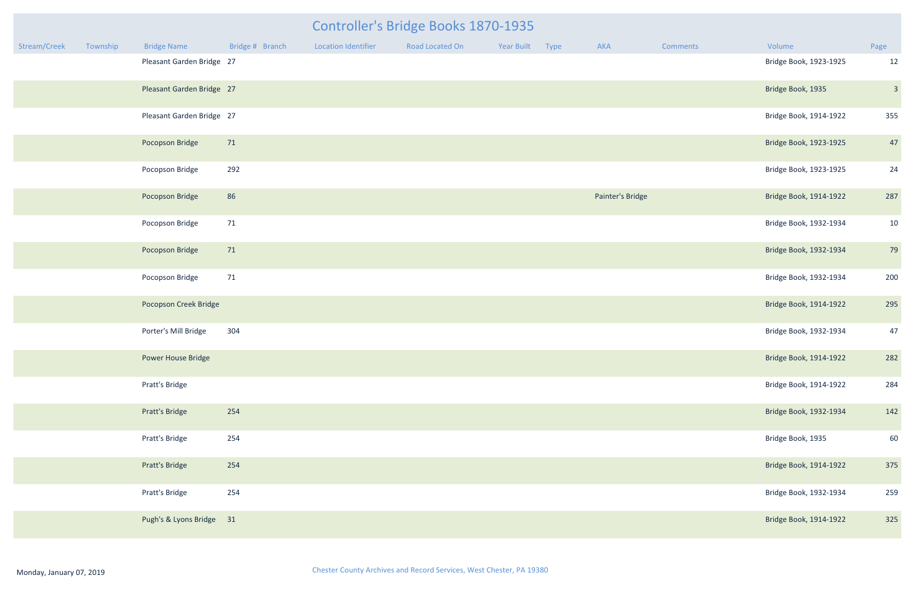| mments | Volume                 | Page |
|--------|------------------------|------|
|        | Bridge Book, 1923-1925 | 12   |
|        | Bridge Book, 1935      | 3    |
|        | Bridge Book, 1914-1922 | 355  |
|        | Bridge Book, 1923-1925 | 47   |
|        | Bridge Book, 1923-1925 | 24   |
|        | Bridge Book, 1914-1922 | 287  |
|        | Bridge Book, 1932-1934 | 10   |
|        | Bridge Book, 1932-1934 | 79   |
|        | Bridge Book, 1932-1934 | 200  |
|        | Bridge Book, 1914-1922 | 295  |
|        | Bridge Book, 1932-1934 | 47   |
|        | Bridge Book, 1914-1922 | 282  |
|        | Bridge Book, 1914-1922 | 284  |
|        | Bridge Book, 1932-1934 | 142  |
|        | Bridge Book, 1935      | 60   |
|        | Bridge Book, 1914-1922 | 375  |
|        | Bridge Book, 1932-1934 | 259  |
|        | Bridge Book, 1914-1922 | 325  |

|              |          |                           |                 |                            | Controller's Bridge Books 1870-1935 |            |      |                  |                 |                        |                |
|--------------|----------|---------------------------|-----------------|----------------------------|-------------------------------------|------------|------|------------------|-----------------|------------------------|----------------|
| Stream/Creek | Township | <b>Bridge Name</b>        | Bridge # Branch | <b>Location Identifier</b> | Road Located On                     | Year Built | Type | AKA              | <b>Comments</b> | Volume                 | Page           |
|              |          | Pleasant Garden Bridge 27 |                 |                            |                                     |            |      |                  |                 | Bridge Book, 1923-1925 | 12             |
|              |          | Pleasant Garden Bridge 27 |                 |                            |                                     |            |      |                  |                 | Bridge Book, 1935      | $\beta$        |
|              |          | Pleasant Garden Bridge 27 |                 |                            |                                     |            |      |                  |                 | Bridge Book, 1914-1922 | 355            |
|              |          | Pocopson Bridge           | 71              |                            |                                     |            |      |                  |                 | Bridge Book, 1923-1925 | 47             |
|              |          | Pocopson Bridge           | 292             |                            |                                     |            |      |                  |                 | Bridge Book, 1923-1925 | 24             |
|              |          | Pocopson Bridge           | 86              |                            |                                     |            |      | Painter's Bridge |                 | Bridge Book, 1914-1922 | 287            |
|              |          | Pocopson Bridge           | 71              |                            |                                     |            |      |                  |                 | Bridge Book, 1932-1934 | 10             |
|              |          | Pocopson Bridge           | 71              |                            |                                     |            |      |                  |                 | Bridge Book, 1932-1934 | 7 <sup>c</sup> |
|              |          | Pocopson Bridge           | 71              |                            |                                     |            |      |                  |                 | Bridge Book, 1932-1934 | 200            |
|              |          | Pocopson Creek Bridge     |                 |                            |                                     |            |      |                  |                 | Bridge Book, 1914-1922 | 295            |
|              |          | Porter's Mill Bridge      | 304             |                            |                                     |            |      |                  |                 | Bridge Book, 1932-1934 | 47             |
|              |          | Power House Bridge        |                 |                            |                                     |            |      |                  |                 | Bridge Book, 1914-1922 | 282            |
|              |          | Pratt's Bridge            |                 |                            |                                     |            |      |                  |                 | Bridge Book, 1914-1922 | 284            |
|              |          | <b>Pratt's Bridge</b>     | 254             |                            |                                     |            |      |                  |                 | Bridge Book, 1932-1934 | 142            |
|              |          | Pratt's Bridge            | 254             |                            |                                     |            |      |                  |                 | Bridge Book, 1935      | 60             |
|              |          | <b>Pratt's Bridge</b>     | 254             |                            |                                     |            |      |                  |                 | Bridge Book, 1914-1922 | 375            |
|              |          | Pratt's Bridge            | 254             |                            |                                     |            |      |                  |                 | Bridge Book, 1932-1934 | 259            |
|              |          | Pugh's & Lyons Bridge 31  |                 |                            |                                     |            |      |                  |                 | Bridge Book, 1914-1922 | 325            |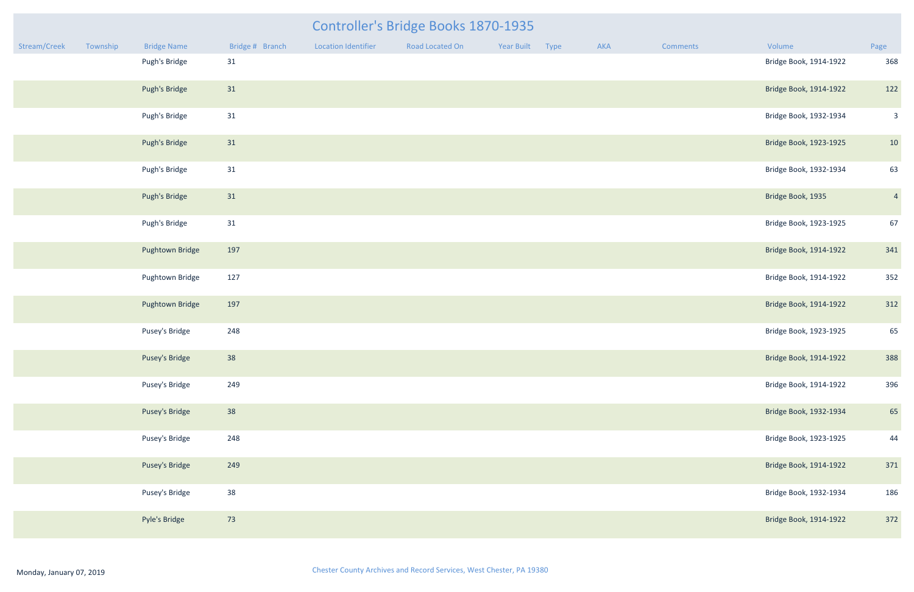|              |          |                    |                 |                            | Controller's Bridge Books 1870-1935 |            |      |     |          |                        |                |
|--------------|----------|--------------------|-----------------|----------------------------|-------------------------------------|------------|------|-----|----------|------------------------|----------------|
| Stream/Creek | Township | <b>Bridge Name</b> | Bridge # Branch | <b>Location Identifier</b> | Road Located On                     | Year Built | Type | AKA | Comments | Volume                 | Page           |
|              |          | Pugh's Bridge      | 31              |                            |                                     |            |      |     |          | Bridge Book, 1914-1922 | 368            |
|              |          | Pugh's Bridge      | 31              |                            |                                     |            |      |     |          | Bridge Book, 1914-1922 | 122            |
|              |          | Pugh's Bridge      | 31              |                            |                                     |            |      |     |          | Bridge Book, 1932-1934 | $\overline{3}$ |
|              |          | Pugh's Bridge      | 31              |                            |                                     |            |      |     |          | Bridge Book, 1923-1925 | 10             |
|              |          | Pugh's Bridge      | 31              |                            |                                     |            |      |     |          | Bridge Book, 1932-1934 | 63             |
|              |          | Pugh's Bridge      | 31              |                            |                                     |            |      |     |          | Bridge Book, 1935      | $\overline{4}$ |
|              |          | Pugh's Bridge      | 31              |                            |                                     |            |      |     |          | Bridge Book, 1923-1925 | 67             |
|              |          | Pughtown Bridge    | 197             |                            |                                     |            |      |     |          | Bridge Book, 1914-1922 | 341            |
|              |          | Pughtown Bridge    | 127             |                            |                                     |            |      |     |          | Bridge Book, 1914-1922 | 352            |
|              |          | Pughtown Bridge    | 197             |                            |                                     |            |      |     |          | Bridge Book, 1914-1922 | 312            |
|              |          | Pusey's Bridge     | 248             |                            |                                     |            |      |     |          | Bridge Book, 1923-1925 | 65             |
|              |          | Pusey's Bridge     | 38              |                            |                                     |            |      |     |          | Bridge Book, 1914-1922 | 388            |
|              |          | Pusey's Bridge     | 249             |                            |                                     |            |      |     |          | Bridge Book, 1914-1922 | 396            |
|              |          | Pusey's Bridge     | 38              |                            |                                     |            |      |     |          | Bridge Book, 1932-1934 | 65             |
|              |          | Pusey's Bridge     | 248             |                            |                                     |            |      |     |          | Bridge Book, 1923-1925 | 44             |
|              |          | Pusey's Bridge     | 249             |                            |                                     |            |      |     |          | Bridge Book, 1914-1922 | 371            |
|              |          | Pusey's Bridge     | 38              |                            |                                     |            |      |     |          | Bridge Book, 1932-1934 | 186            |
|              |          | Pyle's Bridge      | 73              |                            |                                     |            |      |     |          | Bridge Book, 1914-1922 | 372            |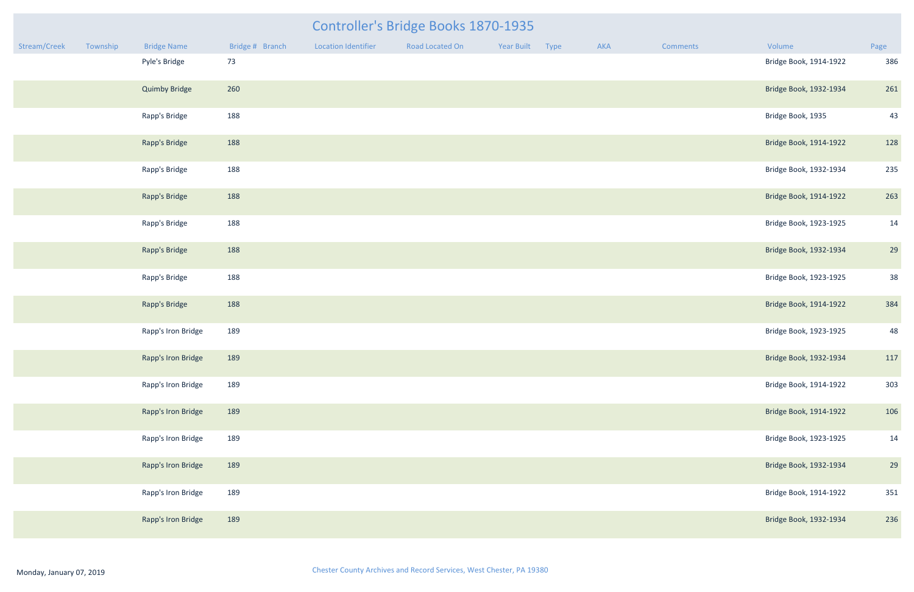|              |          |                      |                 |                     | <b>Controller's Bridge Books 1870-1935</b> |                 |     |                 |                        |      |
|--------------|----------|----------------------|-----------------|---------------------|--------------------------------------------|-----------------|-----|-----------------|------------------------|------|
| Stream/Creek | Township | <b>Bridge Name</b>   | Bridge # Branch | Location Identifier | Road Located On                            | Year Built Type | AKA | <b>Comments</b> | Volume                 | Page |
|              |          | Pyle's Bridge        | 73              |                     |                                            |                 |     |                 | Bridge Book, 1914-1922 | 386  |
|              |          | <b>Quimby Bridge</b> | 260             |                     |                                            |                 |     |                 | Bridge Book, 1932-1934 | 261  |
|              |          | Rapp's Bridge        | 188             |                     |                                            |                 |     |                 | Bridge Book, 1935      | 43   |
|              |          | Rapp's Bridge        | 188             |                     |                                            |                 |     |                 | Bridge Book, 1914-1922 | 128  |
|              |          | Rapp's Bridge        | 188             |                     |                                            |                 |     |                 | Bridge Book, 1932-1934 | 235  |
|              |          | Rapp's Bridge        | 188             |                     |                                            |                 |     |                 | Bridge Book, 1914-1922 | 263  |
|              |          | Rapp's Bridge        | 188             |                     |                                            |                 |     |                 | Bridge Book, 1923-1925 | 14   |
|              |          | Rapp's Bridge        | 188             |                     |                                            |                 |     |                 | Bridge Book, 1932-1934 | 29   |
|              |          | Rapp's Bridge        | 188             |                     |                                            |                 |     |                 | Bridge Book, 1923-1925 | 38   |
|              |          | Rapp's Bridge        | 188             |                     |                                            |                 |     |                 | Bridge Book, 1914-1922 | 384  |
|              |          | Rapp's Iron Bridge   | 189             |                     |                                            |                 |     |                 | Bridge Book, 1923-1925 | 48   |
|              |          | Rapp's Iron Bridge   | 189             |                     |                                            |                 |     |                 | Bridge Book, 1932-1934 | 117  |
|              |          | Rapp's Iron Bridge   | 189             |                     |                                            |                 |     |                 | Bridge Book, 1914-1922 | 303  |
|              |          | Rapp's Iron Bridge   | 189             |                     |                                            |                 |     |                 | Bridge Book, 1914-1922 | 106  |
|              |          | Rapp's Iron Bridge   | 189             |                     |                                            |                 |     |                 | Bridge Book, 1923-1925 | 14   |
|              |          | Rapp's Iron Bridge   | 189             |                     |                                            |                 |     |                 | Bridge Book, 1932-1934 | 29   |
|              |          | Rapp's Iron Bridge   | 189             |                     |                                            |                 |     |                 | Bridge Book, 1914-1922 | 351  |
|              |          | Rapp's Iron Bridge   | 189             |                     |                                            |                 |     |                 | Bridge Book, 1932-1934 | 236  |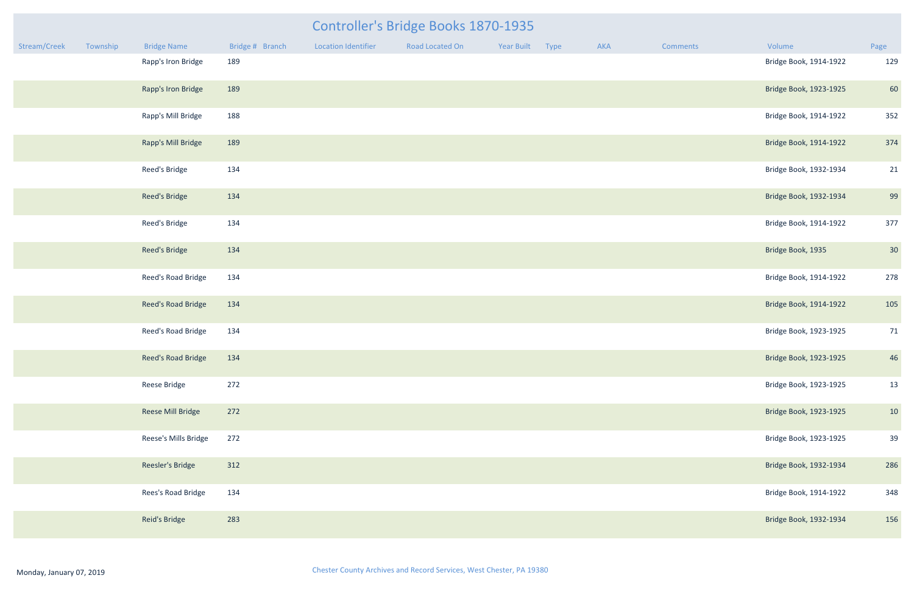|              |          |                        |                 |                            | <b>Controller's Bridge Books 1870-1935</b> |                 |     |                 |                        |      |
|--------------|----------|------------------------|-----------------|----------------------------|--------------------------------------------|-----------------|-----|-----------------|------------------------|------|
| Stream/Creek | Township | <b>Bridge Name</b>     | Bridge # Branch | <b>Location Identifier</b> | Road Located On                            | Year Built Type | AKA | <b>Comments</b> | Volume                 | Page |
|              |          | Rapp's Iron Bridge     | 189             |                            |                                            |                 |     |                 | Bridge Book, 1914-1922 | 129  |
|              |          | Rapp's Iron Bridge     | 189             |                            |                                            |                 |     |                 | Bridge Book, 1923-1925 | 60   |
|              |          | Rapp's Mill Bridge     | 188             |                            |                                            |                 |     |                 | Bridge Book, 1914-1922 | 352  |
|              |          | Rapp's Mill Bridge     | 189             |                            |                                            |                 |     |                 | Bridge Book, 1914-1922 | 374  |
|              |          | Reed's Bridge          | 134             |                            |                                            |                 |     |                 | Bridge Book, 1932-1934 | 21   |
|              |          | <b>Reed's Bridge</b>   | 134             |                            |                                            |                 |     |                 | Bridge Book, 1932-1934 | 99   |
|              |          | Reed's Bridge          | 134             |                            |                                            |                 |     |                 | Bridge Book, 1914-1922 | 377  |
|              |          | Reed's Bridge          | 134             |                            |                                            |                 |     |                 | Bridge Book, 1935      | 30   |
|              |          | Reed's Road Bridge     | 134             |                            |                                            |                 |     |                 | Bridge Book, 1914-1922 | 278  |
|              |          | Reed's Road Bridge     | 134             |                            |                                            |                 |     |                 | Bridge Book, 1914-1922 | 105  |
|              |          | Reed's Road Bridge     | 134             |                            |                                            |                 |     |                 | Bridge Book, 1923-1925 | 71   |
|              |          | Reed's Road Bridge 134 |                 |                            |                                            |                 |     |                 | Bridge Book, 1923-1925 | 46   |
|              |          | Reese Bridge           | 272             |                            |                                            |                 |     |                 | Bridge Book, 1923-1925 | 13   |
|              |          | Reese Mill Bridge      | 272             |                            |                                            |                 |     |                 | Bridge Book, 1923-1925 | 10   |
|              |          | Reese's Mills Bridge   | 272             |                            |                                            |                 |     |                 | Bridge Book, 1923-1925 | 39   |
|              |          | Reesler's Bridge       | 312             |                            |                                            |                 |     |                 | Bridge Book, 1932-1934 | 286  |
|              |          | Rees's Road Bridge     | 134             |                            |                                            |                 |     |                 | Bridge Book, 1914-1922 | 348  |
|              |          | Reid's Bridge          | 283             |                            |                                            |                 |     |                 | Bridge Book, 1932-1934 | 156  |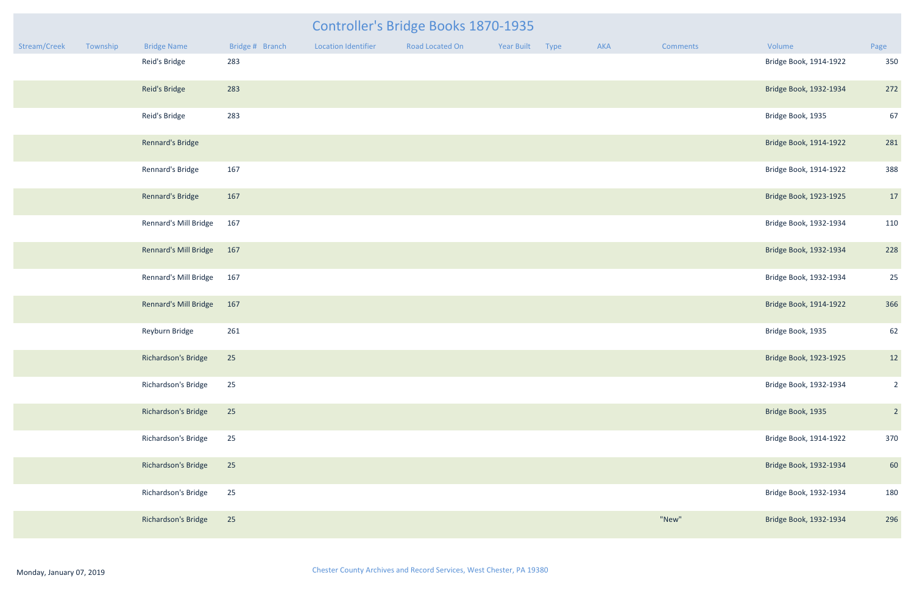|              |          |                              |                 |                            | Controller's Bridge Books 1870-1935 |                 |     |                 |                        |                |
|--------------|----------|------------------------------|-----------------|----------------------------|-------------------------------------|-----------------|-----|-----------------|------------------------|----------------|
| Stream/Creek | Township | <b>Bridge Name</b>           | Bridge # Branch | <b>Location Identifier</b> | Road Located On                     | Year Built Type | AKA | <b>Comments</b> | Volume                 | Page           |
|              |          | Reid's Bridge                | 283             |                            |                                     |                 |     |                 | Bridge Book, 1914-1922 | 350            |
|              |          | Reid's Bridge                | 283             |                            |                                     |                 |     |                 | Bridge Book, 1932-1934 | 272            |
|              |          | Reid's Bridge                | 283             |                            |                                     |                 |     |                 | Bridge Book, 1935      | 67             |
|              |          | Rennard's Bridge             |                 |                            |                                     |                 |     |                 | Bridge Book, 1914-1922 | 281            |
|              |          | Rennard's Bridge             | 167             |                            |                                     |                 |     |                 | Bridge Book, 1914-1922 | 388            |
|              |          | Rennard's Bridge             | 167             |                            |                                     |                 |     |                 | Bridge Book, 1923-1925 | 17             |
|              |          | Rennard's Mill Bridge        | 167             |                            |                                     |                 |     |                 | Bridge Book, 1932-1934 | 110            |
|              |          | Rennard's Mill Bridge 167    |                 |                            |                                     |                 |     |                 | Bridge Book, 1932-1934 | 228            |
|              |          | Rennard's Mill Bridge        | 167             |                            |                                     |                 |     |                 | Bridge Book, 1932-1934 | 25             |
|              |          | <b>Rennard's Mill Bridge</b> | 167             |                            |                                     |                 |     |                 | Bridge Book, 1914-1922 | 366            |
|              |          | Reyburn Bridge               | 261             |                            |                                     |                 |     |                 | Bridge Book, 1935      | 62             |
|              |          | Richardson's Bridge          | 25              |                            |                                     |                 |     |                 | Bridge Book, 1923-1925 | 12             |
|              |          | Richardson's Bridge          | 25              |                            |                                     |                 |     |                 | Bridge Book, 1932-1934 | $\overline{2}$ |
|              |          | Richardson's Bridge          | 25              |                            |                                     |                 |     |                 | Bridge Book, 1935      | $\overline{2}$ |
|              |          | Richardson's Bridge          | 25              |                            |                                     |                 |     |                 | Bridge Book, 1914-1922 | 370            |
|              |          | Richardson's Bridge          | 25              |                            |                                     |                 |     |                 | Bridge Book, 1932-1934 | 60             |
|              |          | Richardson's Bridge          | 25              |                            |                                     |                 |     |                 | Bridge Book, 1932-1934 | 180            |
|              |          | Richardson's Bridge          | 25              |                            |                                     |                 |     | "New"           | Bridge Book, 1932-1934 | 296            |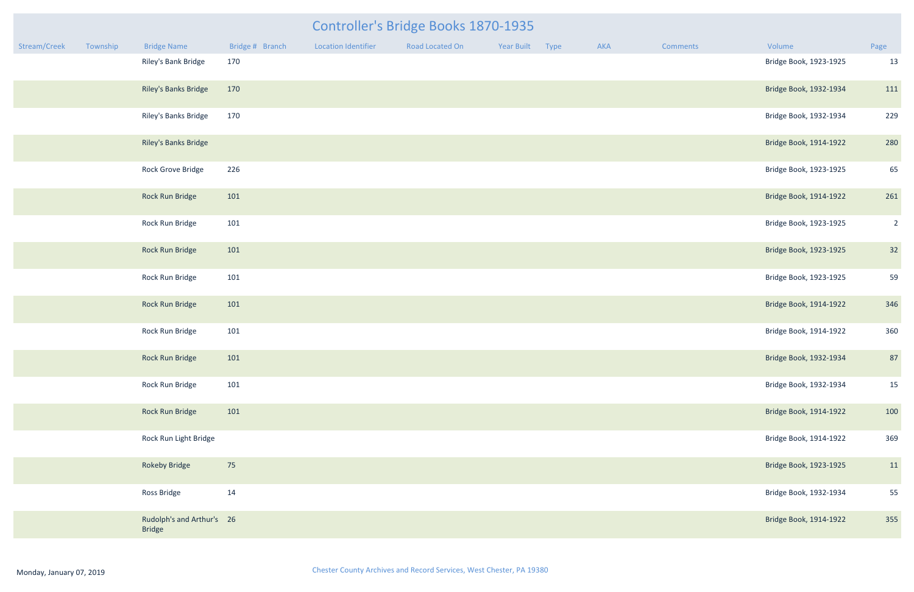|              |          |                                            |                 |                            | Controller's Bridge Books 1870-1935 |            |             |     |          |                        |                |
|--------------|----------|--------------------------------------------|-----------------|----------------------------|-------------------------------------|------------|-------------|-----|----------|------------------------|----------------|
| Stream/Creek | Township | <b>Bridge Name</b>                         | Bridge # Branch | <b>Location Identifier</b> | Road Located On                     | Year Built | <b>Type</b> | AKA | Comments | Volume                 | Page           |
|              |          | Riley's Bank Bridge                        | 170             |                            |                                     |            |             |     |          | Bridge Book, 1923-1925 | 13             |
|              |          | Riley's Banks Bridge                       | 170             |                            |                                     |            |             |     |          | Bridge Book, 1932-1934 | 111            |
|              |          | Riley's Banks Bridge                       | 170             |                            |                                     |            |             |     |          | Bridge Book, 1932-1934 | 229            |
|              |          | Riley's Banks Bridge                       |                 |                            |                                     |            |             |     |          | Bridge Book, 1914-1922 | 280            |
|              |          | Rock Grove Bridge                          | 226             |                            |                                     |            |             |     |          | Bridge Book, 1923-1925 | 65             |
|              |          | Rock Run Bridge                            | 101             |                            |                                     |            |             |     |          | Bridge Book, 1914-1922 | 261            |
|              |          | Rock Run Bridge                            | 101             |                            |                                     |            |             |     |          | Bridge Book, 1923-1925 | $\overline{2}$ |
|              |          | Rock Run Bridge                            | 101             |                            |                                     |            |             |     |          | Bridge Book, 1923-1925 | 32             |
|              |          | Rock Run Bridge                            | 101             |                            |                                     |            |             |     |          | Bridge Book, 1923-1925 | 59             |
|              |          | Rock Run Bridge                            | 101             |                            |                                     |            |             |     |          | Bridge Book, 1914-1922 | 346            |
|              |          | Rock Run Bridge                            | 101             |                            |                                     |            |             |     |          | Bridge Book, 1914-1922 | 360            |
|              |          | Rock Run Bridge                            | 101             |                            |                                     |            |             |     |          | Bridge Book, 1932-1934 | 87             |
|              |          | Rock Run Bridge                            | 101             |                            |                                     |            |             |     |          | Bridge Book, 1932-1934 | 15             |
|              |          | Rock Run Bridge                            | 101             |                            |                                     |            |             |     |          | Bridge Book, 1914-1922 | 100            |
|              |          | Rock Run Light Bridge                      |                 |                            |                                     |            |             |     |          | Bridge Book, 1914-1922 | 369            |
|              |          | <b>Rokeby Bridge</b>                       | 75              |                            |                                     |            |             |     |          | Bridge Book, 1923-1925 | 11             |
|              |          | Ross Bridge                                | 14              |                            |                                     |            |             |     |          | Bridge Book, 1932-1934 | 55             |
|              |          | Rudolph's and Arthur's 26<br><b>Rridge</b> |                 |                            |                                     |            |             |     |          | Bridge Book, 1914-1922 | 355            |

Bridge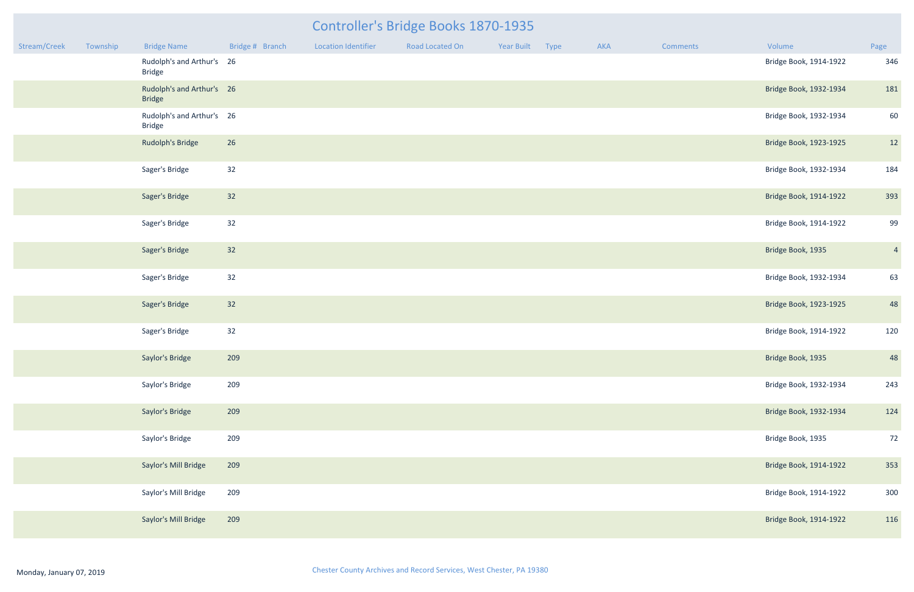| Stream/Creek | Township | <b>Bridge Name</b>                         | Bridge # Branch | <b>Location Identifier</b> | Road Located On | Year Built | Type | AKA | Comments | Volume                 | Page           |
|--------------|----------|--------------------------------------------|-----------------|----------------------------|-----------------|------------|------|-----|----------|------------------------|----------------|
|              |          | Rudolph's and Arthur's 26<br><b>Bridge</b> |                 |                            |                 |            |      |     |          | Bridge Book, 1914-1922 | 346            |
|              |          | Rudolph's and Arthur's 26<br><b>Bridge</b> |                 |                            |                 |            |      |     |          | Bridge Book, 1932-1934 | 181            |
|              |          | Rudolph's and Arthur's 26<br><b>Bridge</b> |                 |                            |                 |            |      |     |          | Bridge Book, 1932-1934 | 60             |
|              |          | Rudolph's Bridge                           | 26              |                            |                 |            |      |     |          | Bridge Book, 1923-1925 | 12             |
|              |          | Sager's Bridge                             | 32              |                            |                 |            |      |     |          | Bridge Book, 1932-1934 | 184            |
|              |          | Sager's Bridge                             | 32              |                            |                 |            |      |     |          | Bridge Book, 1914-1922 | 393            |
|              |          | Sager's Bridge                             | 32              |                            |                 |            |      |     |          | Bridge Book, 1914-1922 | 99             |
|              |          | Sager's Bridge                             | 32              |                            |                 |            |      |     |          | Bridge Book, 1935      | $\overline{4}$ |
|              |          | Sager's Bridge                             | 32              |                            |                 |            |      |     |          | Bridge Book, 1932-1934 | 63             |
|              |          | Sager's Bridge                             | 32              |                            |                 |            |      |     |          | Bridge Book, 1923-1925 | 48             |
|              |          | Sager's Bridge                             | 32              |                            |                 |            |      |     |          | Bridge Book, 1914-1922 | 120            |
|              |          | Saylor's Bridge                            | 209             |                            |                 |            |      |     |          | Bridge Book, 1935      | 48             |
|              |          | Saylor's Bridge                            | 209             |                            |                 |            |      |     |          | Bridge Book, 1932-1934 | 243            |
|              |          | Saylor's Bridge                            | 209             |                            |                 |            |      |     |          | Bridge Book, 1932-1934 | 124            |
|              |          | Saylor's Bridge                            | 209             |                            |                 |            |      |     |          | Bridge Book, 1935      | 72             |
|              |          | Saylor's Mill Bridge                       | 209             |                            |                 |            |      |     |          | Bridge Book, 1914-1922 | 353            |
|              |          | Saylor's Mill Bridge                       | 209             |                            |                 |            |      |     |          | Bridge Book, 1914-1922 | 300            |
|              |          | Saylor's Mill Bridge                       | 209             |                            |                 |            |      |     |          | Bridge Book, 1914-1922 | 116            |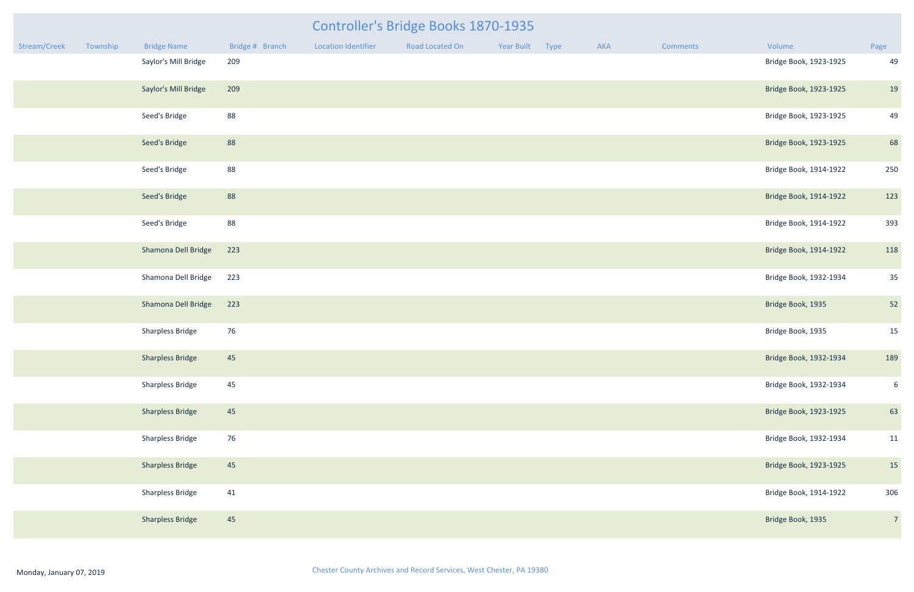|              |          |                         |                 |                            | <b>Controller's Bridge Books 1870-1935</b> |                 |     |                 |                        |                |
|--------------|----------|-------------------------|-----------------|----------------------------|--------------------------------------------|-----------------|-----|-----------------|------------------------|----------------|
| Stream/Creek | Township | <b>Bridge Name</b>      | Bridge # Branch | <b>Location Identifier</b> | Road Located On                            | Year Built Type | AKA | <b>Comments</b> | Volume                 | Page           |
|              |          | Saylor's Mill Bridge    | 209             |                            |                                            |                 |     |                 | Bridge Book, 1923-1925 | 49             |
|              |          | Saylor's Mill Bridge    | 209             |                            |                                            |                 |     |                 | Bridge Book, 1923-1925 | 19             |
|              |          | Seed's Bridge           | 88              |                            |                                            |                 |     |                 | Bridge Book, 1923-1925 | 49             |
|              |          | Seed's Bridge           | 88              |                            |                                            |                 |     |                 | Bridge Book, 1923-1925 | 68             |
|              |          | Seed's Bridge           | 88              |                            |                                            |                 |     |                 | Bridge Book, 1914-1922 | 250            |
|              |          | Seed's Bridge           | 88              |                            |                                            |                 |     |                 | Bridge Book, 1914-1922 | 123            |
|              |          | Seed's Bridge           | 88              |                            |                                            |                 |     |                 | Bridge Book, 1914-1922 | 393            |
|              |          | Shamona Dell Bridge     | 223             |                            |                                            |                 |     |                 | Bridge Book, 1914-1922 | 118            |
|              |          | Shamona Dell Bridge     | 223             |                            |                                            |                 |     |                 | Bridge Book, 1932-1934 | 35             |
|              |          | Shamona Dell Bridge     | 223             |                            |                                            |                 |     |                 | Bridge Book, 1935      | 52             |
|              |          | <b>Sharpless Bridge</b> | 76              |                            |                                            |                 |     |                 | Bridge Book, 1935      | 15             |
|              |          | <b>Sharpless Bridge</b> | 45              |                            |                                            |                 |     |                 | Bridge Book, 1932-1934 | 189            |
|              |          | <b>Sharpless Bridge</b> | 45              |                            |                                            |                 |     |                 | Bridge Book, 1932-1934 | $6^{\circ}$    |
|              |          | <b>Sharpless Bridge</b> | 45              |                            |                                            |                 |     |                 | Bridge Book, 1923-1925 | 63             |
|              |          | <b>Sharpless Bridge</b> | 76              |                            |                                            |                 |     |                 | Bridge Book, 1932-1934 | 11             |
|              |          | <b>Sharpless Bridge</b> | 45              |                            |                                            |                 |     |                 | Bridge Book, 1923-1925 | 15             |
|              |          | <b>Sharpless Bridge</b> | 41              |                            |                                            |                 |     |                 | Bridge Book, 1914-1922 | 306            |
|              |          | <b>Sharpless Bridge</b> | 45              |                            |                                            |                 |     |                 | Bridge Book, 1935      | $\overline{7}$ |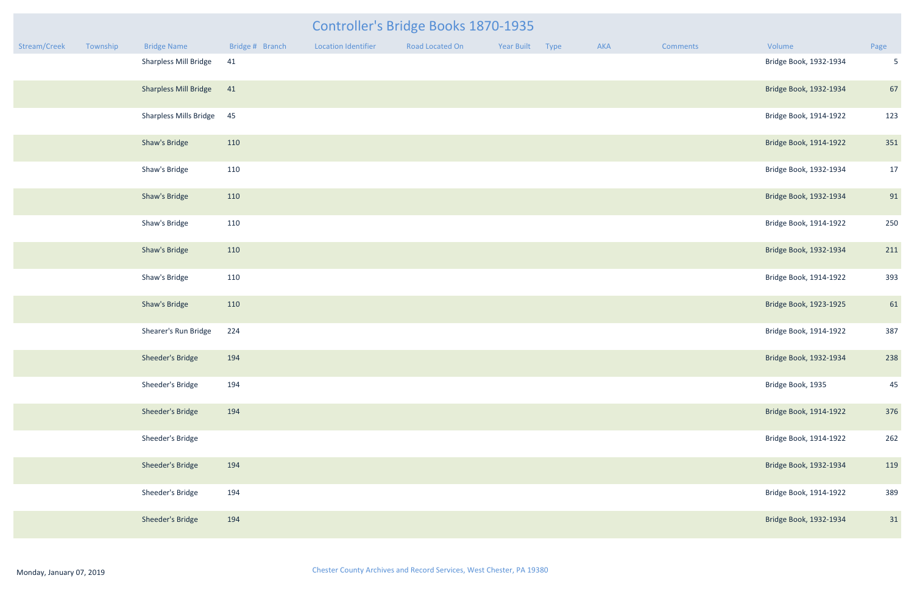|              |          |                               |                 |                            | Controller's Bridge Books 1870-1935 |            |      |     |          |                        |                 |
|--------------|----------|-------------------------------|-----------------|----------------------------|-------------------------------------|------------|------|-----|----------|------------------------|-----------------|
| Stream/Creek | Township | <b>Bridge Name</b>            | Bridge # Branch | <b>Location Identifier</b> | <b>Road Located On</b>              | Year Built | Type | AKA | Comments | Volume                 | Page            |
|              |          | <b>Sharpless Mill Bridge</b>  | 41              |                            |                                     |            |      |     |          | Bridge Book, 1932-1934 | $5\phantom{.0}$ |
|              |          | <b>Sharpless Mill Bridge</b>  | 41              |                            |                                     |            |      |     |          | Bridge Book, 1932-1934 | 67              |
|              |          | <b>Sharpless Mills Bridge</b> | 45              |                            |                                     |            |      |     |          | Bridge Book, 1914-1922 | 123             |
|              |          | Shaw's Bridge                 | 110             |                            |                                     |            |      |     |          | Bridge Book, 1914-1922 | 351             |
|              |          | Shaw's Bridge                 | 110             |                            |                                     |            |      |     |          | Bridge Book, 1932-1934 | 17              |
|              |          | Shaw's Bridge                 | 110             |                            |                                     |            |      |     |          | Bridge Book, 1932-1934 | 91              |
|              |          | Shaw's Bridge                 | 110             |                            |                                     |            |      |     |          | Bridge Book, 1914-1922 | 250             |
|              |          | Shaw's Bridge                 | 110             |                            |                                     |            |      |     |          | Bridge Book, 1932-1934 | 211             |
|              |          | Shaw's Bridge                 | 110             |                            |                                     |            |      |     |          | Bridge Book, 1914-1922 | 393             |
|              |          | Shaw's Bridge                 | 110             |                            |                                     |            |      |     |          | Bridge Book, 1923-1925 | 61              |
|              |          | Shearer's Run Bridge          | 224             |                            |                                     |            |      |     |          | Bridge Book, 1914-1922 | 387             |
|              |          | Sheeder's Bridge              | 194             |                            |                                     |            |      |     |          | Bridge Book, 1932-1934 | 238             |
|              |          | Sheeder's Bridge              | 194             |                            |                                     |            |      |     |          | Bridge Book, 1935      | 45              |
|              |          | Sheeder's Bridge              | 194             |                            |                                     |            |      |     |          | Bridge Book, 1914-1922 | 376             |
|              |          | Sheeder's Bridge              |                 |                            |                                     |            |      |     |          | Bridge Book, 1914-1922 | 262             |
|              |          | Sheeder's Bridge              | 194             |                            |                                     |            |      |     |          | Bridge Book, 1932-1934 | 119             |
|              |          | Sheeder's Bridge              | 194             |                            |                                     |            |      |     |          | Bridge Book, 1914-1922 | 389             |
|              |          | Sheeder's Bridge              | 194             |                            |                                     |            |      |     |          | Bridge Book, 1932-1934 | 31              |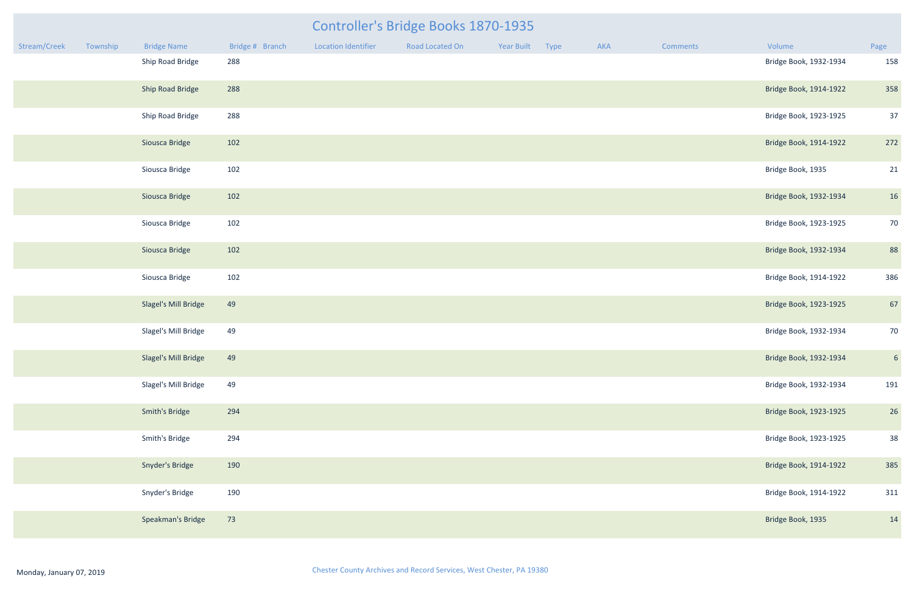|              |          |                      |                 |                            | Controller's Bridge Books 1870-1935 |            |      |     |          |                        |                 |
|--------------|----------|----------------------|-----------------|----------------------------|-------------------------------------|------------|------|-----|----------|------------------------|-----------------|
| Stream/Creek | Township | <b>Bridge Name</b>   | Bridge # Branch | <b>Location Identifier</b> | Road Located On                     | Year Built | Type | AKA | Comments | Volume                 | Page            |
|              |          | Ship Road Bridge     | 288             |                            |                                     |            |      |     |          | Bridge Book, 1932-1934 | 158             |
|              |          | Ship Road Bridge     | 288             |                            |                                     |            |      |     |          | Bridge Book, 1914-1922 | 358             |
|              |          | Ship Road Bridge     | 288             |                            |                                     |            |      |     |          | Bridge Book, 1923-1925 | 37              |
|              |          | Siousca Bridge       | 102             |                            |                                     |            |      |     |          | Bridge Book, 1914-1922 | 272             |
|              |          | Siousca Bridge       | 102             |                            |                                     |            |      |     |          | Bridge Book, 1935      | 21              |
|              |          | Siousca Bridge       | 102             |                            |                                     |            |      |     |          | Bridge Book, 1932-1934 | 16              |
|              |          | Siousca Bridge       | 102             |                            |                                     |            |      |     |          | Bridge Book, 1923-1925 | 70              |
|              |          | Siousca Bridge       | 102             |                            |                                     |            |      |     |          | Bridge Book, 1932-1934 | 88              |
|              |          | Siousca Bridge       | 102             |                            |                                     |            |      |     |          | Bridge Book, 1914-1922 | 386             |
|              |          | Slagel's Mill Bridge | 49              |                            |                                     |            |      |     |          | Bridge Book, 1923-1925 | 67              |
|              |          | Slagel's Mill Bridge | 49              |                            |                                     |            |      |     |          | Bridge Book, 1932-1934 | 70              |
|              |          | Slagel's Mill Bridge | 49              |                            |                                     |            |      |     |          | Bridge Book, 1932-1934 | $6\overline{6}$ |
|              |          | Slagel's Mill Bridge | 49              |                            |                                     |            |      |     |          | Bridge Book, 1932-1934 | 191             |
|              |          | Smith's Bridge       | 294             |                            |                                     |            |      |     |          | Bridge Book, 1923-1925 | 26              |
|              |          | Smith's Bridge       | 294             |                            |                                     |            |      |     |          | Bridge Book, 1923-1925 | 38              |
|              |          | Snyder's Bridge      | 190             |                            |                                     |            |      |     |          | Bridge Book, 1914-1922 | 385             |
|              |          | Snyder's Bridge      | 190             |                            |                                     |            |      |     |          | Bridge Book, 1914-1922 | 311             |
|              |          | Speakman's Bridge    | 73              |                            |                                     |            |      |     |          | Bridge Book, 1935      | 14              |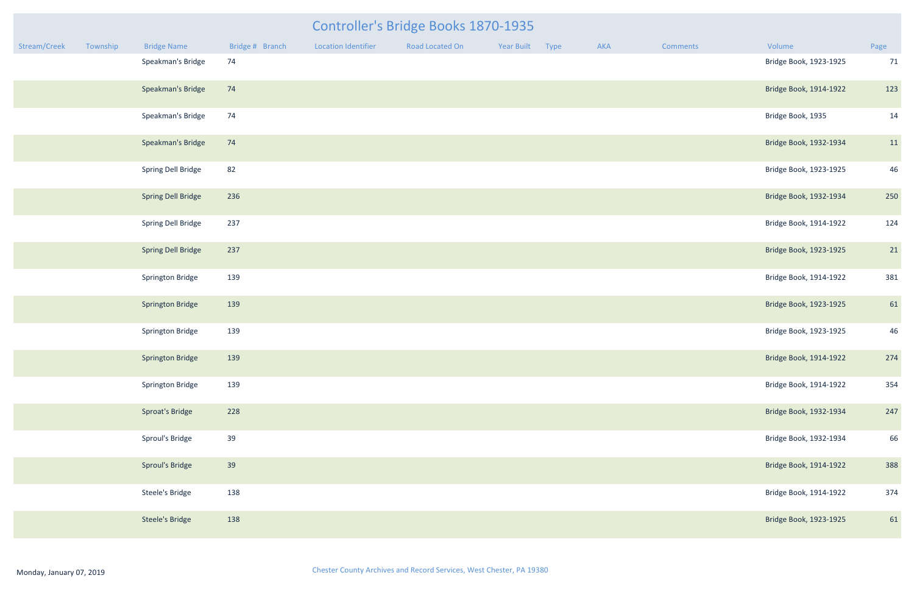# Stream/Creek Township Bridge Name Bridge #Branch Location Identifier Road Located On Year Built Type AKA Comments Volume Controller's Bridge Books 1870-1935

| mments | Volume                 | Page |
|--------|------------------------|------|
|        | Bridge Book, 1923-1925 | 71   |
|        | Bridge Book, 1914-1922 | 123  |
|        | Bridge Book, 1935      | 14   |
|        | Bridge Book, 1932-1934 | 11   |
|        | Bridge Book, 1923-1925 | 46   |
|        | Bridge Book, 1932-1934 | 250  |
|        | Bridge Book, 1914-1922 | 124  |
|        | Bridge Book, 1923-1925 | 21   |
|        | Bridge Book, 1914-1922 | 381  |
|        | Bridge Book, 1923-1925 | 61   |
|        | Bridge Book, 1923-1925 | 46   |
|        | Bridge Book, 1914-1922 | 274  |
|        | Bridge Book, 1914-1922 | 354  |
|        | Bridge Book, 1932-1934 | 247  |
|        | Bridge Book, 1932-1934 | 66   |
|        | Bridge Book, 1914-1922 | 388  |
|        | Bridge Book, 1914-1922 | 374  |
|        | Bridge Book, 1923-1925 | 61   |

| Speakman's Bridge         | 74  | Bridge Book, 1923-1925 | 71  |
|---------------------------|-----|------------------------|-----|
| Speakman's Bridge         | 74  | Bridge Book, 1914-1922 | 123 |
| Speakman's Bridge         | 74  | Bridge Book, 1935      | 14  |
| Speakman's Bridge         | 74  | Bridge Book, 1932-1934 | 11  |
| Spring Dell Bridge        | 82  | Bridge Book, 1923-1925 | 46  |
| <b>Spring Dell Bridge</b> | 236 | Bridge Book, 1932-1934 | 250 |
| Spring Dell Bridge        | 237 | Bridge Book, 1914-1922 | 124 |
| <b>Spring Dell Bridge</b> | 237 | Bridge Book, 1923-1925 | 21  |
| Springton Bridge          | 139 | Bridge Book, 1914-1922 | 381 |
| <b>Springton Bridge</b>   | 139 | Bridge Book, 1923-1925 | 61  |
| Springton Bridge          | 139 | Bridge Book, 1923-1925 | 46  |
| <b>Springton Bridge</b>   | 139 | Bridge Book, 1914-1922 | 274 |
| Springton Bridge          | 139 | Bridge Book, 1914-1922 | 354 |
| Sproat's Bridge           | 228 | Bridge Book, 1932-1934 | 247 |
| Sproul's Bridge           | 39  | Bridge Book, 1932-1934 | 66  |
| Sproul's Bridge           | 39  | Bridge Book, 1914-1922 | 388 |
| Steele's Bridge           | 138 | Bridge Book, 1914-1922 | 374 |
| Steele's Bridge           | 138 | Bridge Book, 1923-1925 | 61  |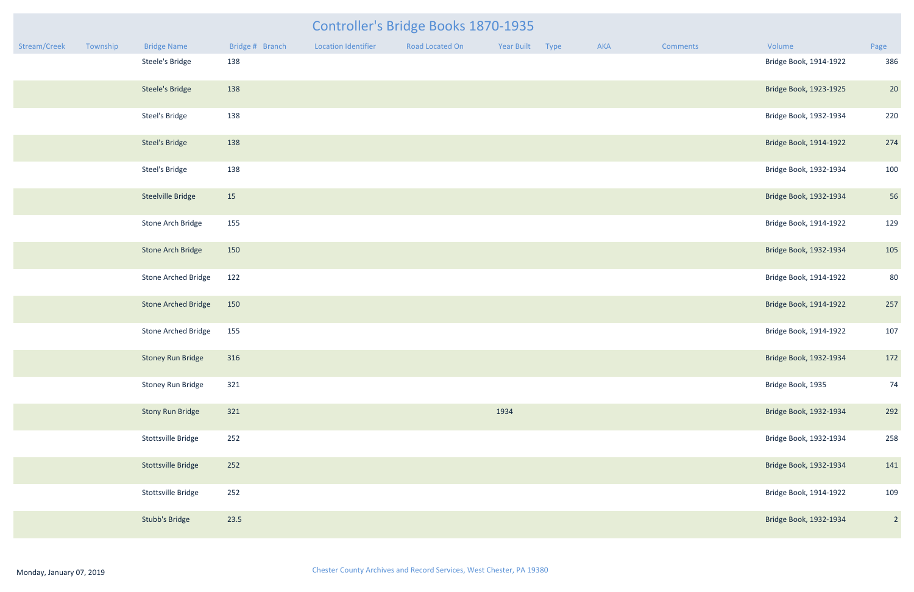|              |          |                            |                 |                     | <b>Controller's Bridge Books 1870-1935</b> |                 |     |          |                        |                |
|--------------|----------|----------------------------|-----------------|---------------------|--------------------------------------------|-----------------|-----|----------|------------------------|----------------|
| Stream/Creek | Township | <b>Bridge Name</b>         | Bridge # Branch | Location Identifier | Road Located On                            | Year Built Type | AKA | Comments | Volume                 | Page           |
|              |          | Steele's Bridge            | 138             |                     |                                            |                 |     |          | Bridge Book, 1914-1922 | 386            |
|              |          | <b>Steele's Bridge</b>     | 138             |                     |                                            |                 |     |          | Bridge Book, 1923-1925 | 20             |
|              |          | <b>Steel's Bridge</b>      | 138             |                     |                                            |                 |     |          | Bridge Book, 1932-1934 | 220            |
|              |          | <b>Steel's Bridge</b>      | 138             |                     |                                            |                 |     |          | Bridge Book, 1914-1922 | 274            |
|              |          | <b>Steel's Bridge</b>      | 138             |                     |                                            |                 |     |          | Bridge Book, 1932-1934 | 100            |
|              |          | <b>Steelville Bridge</b>   | 15              |                     |                                            |                 |     |          | Bridge Book, 1932-1934 | 56             |
|              |          | Stone Arch Bridge          | 155             |                     |                                            |                 |     |          | Bridge Book, 1914-1922 | 129            |
|              |          | Stone Arch Bridge          | 150             |                     |                                            |                 |     |          | Bridge Book, 1932-1934 | 105            |
|              |          | <b>Stone Arched Bridge</b> | 122             |                     |                                            |                 |     |          | Bridge Book, 1914-1922 | 80             |
|              |          | <b>Stone Arched Bridge</b> | 150             |                     |                                            |                 |     |          | Bridge Book, 1914-1922 | 257            |
|              |          | <b>Stone Arched Bridge</b> | 155             |                     |                                            |                 |     |          | Bridge Book, 1914-1922 | 107            |
|              |          | Stoney Run Bridge 316      |                 |                     |                                            |                 |     |          | Bridge Book, 1932-1934 | 172            |
|              |          | Stoney Run Bridge          | 321             |                     |                                            |                 |     |          | Bridge Book, 1935      | 74             |
|              |          | <b>Stony Run Bridge</b>    | 321             |                     |                                            | 1934            |     |          | Bridge Book, 1932-1934 | 292            |
|              |          | Stottsville Bridge         | 252             |                     |                                            |                 |     |          | Bridge Book, 1932-1934 | 258            |
|              |          | <b>Stottsville Bridge</b>  | 252             |                     |                                            |                 |     |          | Bridge Book, 1932-1934 | 141            |
|              |          | Stottsville Bridge         | 252             |                     |                                            |                 |     |          | Bridge Book, 1914-1922 | 109            |
|              |          | <b>Stubb's Bridge</b>      | 23.5            |                     |                                            |                 |     |          | Bridge Book, 1932-1934 | $\overline{2}$ |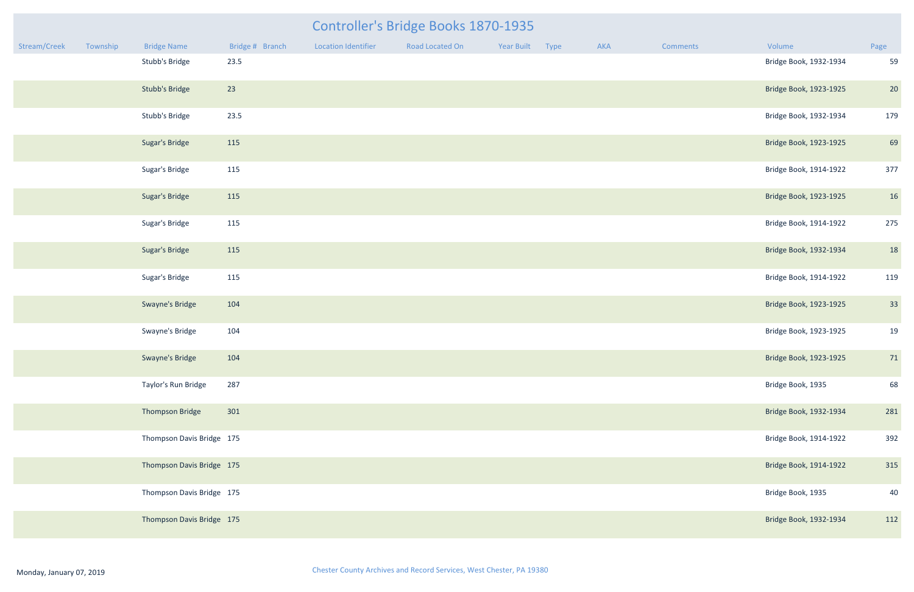|              |          |                           |                 |                     | <b>Controller's Bridge Books 1870-1935</b> |                 |     |          |                        |      |
|--------------|----------|---------------------------|-----------------|---------------------|--------------------------------------------|-----------------|-----|----------|------------------------|------|
| Stream/Creek | Township | <b>Bridge Name</b>        | Bridge # Branch | Location Identifier | Road Located On                            | Year Built Type | AKA | Comments | Volume                 | Page |
|              |          | Stubb's Bridge            | 23.5            |                     |                                            |                 |     |          | Bridge Book, 1932-1934 | 59   |
|              |          | <b>Stubb's Bridge</b>     | 23              |                     |                                            |                 |     |          | Bridge Book, 1923-1925 | 20   |
|              |          | Stubb's Bridge            | 23.5            |                     |                                            |                 |     |          | Bridge Book, 1932-1934 | 179  |
|              |          | <b>Sugar's Bridge</b>     | 115             |                     |                                            |                 |     |          | Bridge Book, 1923-1925 | 69   |
|              |          | Sugar's Bridge            | 115             |                     |                                            |                 |     |          | Bridge Book, 1914-1922 | 377  |
|              |          | Sugar's Bridge            | 115             |                     |                                            |                 |     |          | Bridge Book, 1923-1925 | 16   |
|              |          | Sugar's Bridge            | 115             |                     |                                            |                 |     |          | Bridge Book, 1914-1922 | 275  |
|              |          | Sugar's Bridge            | 115             |                     |                                            |                 |     |          | Bridge Book, 1932-1934 | 18   |
|              |          | Sugar's Bridge            | 115             |                     |                                            |                 |     |          | Bridge Book, 1914-1922 | 119  |
|              |          | Swayne's Bridge           | 104             |                     |                                            |                 |     |          | Bridge Book, 1923-1925 | 33   |
|              |          | Swayne's Bridge           | 104             |                     |                                            |                 |     |          | Bridge Book, 1923-1925 | 19   |
|              |          | Swayne's Bridge           | 104             |                     |                                            |                 |     |          | Bridge Book, 1923-1925 | 71   |
|              |          | Taylor's Run Bridge       | 287             |                     |                                            |                 |     |          | Bridge Book, 1935      | 68   |
|              |          | Thompson Bridge           | 301             |                     |                                            |                 |     |          | Bridge Book, 1932-1934 | 281  |
|              |          | Thompson Davis Bridge 175 |                 |                     |                                            |                 |     |          | Bridge Book, 1914-1922 | 392  |
|              |          | Thompson Davis Bridge 175 |                 |                     |                                            |                 |     |          | Bridge Book, 1914-1922 | 315  |
|              |          | Thompson Davis Bridge 175 |                 |                     |                                            |                 |     |          | Bridge Book, 1935      | 40   |
|              |          | Thompson Davis Bridge 175 |                 |                     |                                            |                 |     |          | Bridge Book, 1932-1934 | 112  |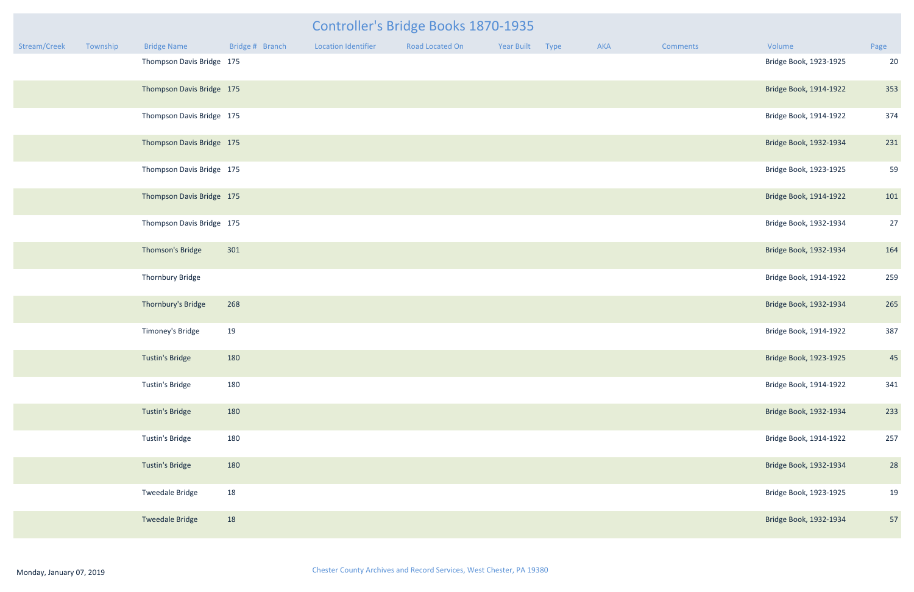| Controller's Bridge Books 1870-1935 |          |                           |                 |                            |                        |            |      |     |          |                        |      |
|-------------------------------------|----------|---------------------------|-----------------|----------------------------|------------------------|------------|------|-----|----------|------------------------|------|
| Stream/Creek                        | Township | <b>Bridge Name</b>        | Bridge # Branch | <b>Location Identifier</b> | <b>Road Located On</b> | Year Built | Type | AKA | Comments | Volume                 | Page |
|                                     |          | Thompson Davis Bridge 175 |                 |                            |                        |            |      |     |          | Bridge Book, 1923-1925 | 20   |
|                                     |          | Thompson Davis Bridge 175 |                 |                            |                        |            |      |     |          | Bridge Book, 1914-1922 | 353  |
|                                     |          | Thompson Davis Bridge 175 |                 |                            |                        |            |      |     |          | Bridge Book, 1914-1922 | 374  |
|                                     |          | Thompson Davis Bridge 175 |                 |                            |                        |            |      |     |          | Bridge Book, 1932-1934 | 231  |
|                                     |          | Thompson Davis Bridge 175 |                 |                            |                        |            |      |     |          | Bridge Book, 1923-1925 | 59   |
|                                     |          | Thompson Davis Bridge 175 |                 |                            |                        |            |      |     |          | Bridge Book, 1914-1922 | 101  |
|                                     |          | Thompson Davis Bridge 175 |                 |                            |                        |            |      |     |          | Bridge Book, 1932-1934 | 27   |
|                                     |          | Thomson's Bridge          | 301             |                            |                        |            |      |     |          | Bridge Book, 1932-1934 | 164  |
|                                     |          | Thornbury Bridge          |                 |                            |                        |            |      |     |          | Bridge Book, 1914-1922 | 259  |
|                                     |          | Thornbury's Bridge        | 268             |                            |                        |            |      |     |          | Bridge Book, 1932-1934 | 265  |
|                                     |          | Timoney's Bridge          | 19              |                            |                        |            |      |     |          | Bridge Book, 1914-1922 | 387  |
|                                     |          | <b>Tustin's Bridge</b>    | 180             |                            |                        |            |      |     |          | Bridge Book, 1923-1925 | 45   |
|                                     |          | Tustin's Bridge           | 180             |                            |                        |            |      |     |          | Bridge Book, 1914-1922 | 341  |
|                                     |          | Tustin's Bridge           | 180             |                            |                        |            |      |     |          | Bridge Book, 1932-1934 | 233  |
|                                     |          | Tustin's Bridge           | 180             |                            |                        |            |      |     |          | Bridge Book, 1914-1922 | 257  |
|                                     |          | Tustin's Bridge           | 180             |                            |                        |            |      |     |          | Bridge Book, 1932-1934 | 28   |
|                                     |          | <b>Tweedale Bridge</b>    | 18              |                            |                        |            |      |     |          | Bridge Book, 1923-1925 | 19   |
|                                     |          | <b>Tweedale Bridge</b>    | 18              |                            |                        |            |      |     |          | Bridge Book, 1932-1934 | 57   |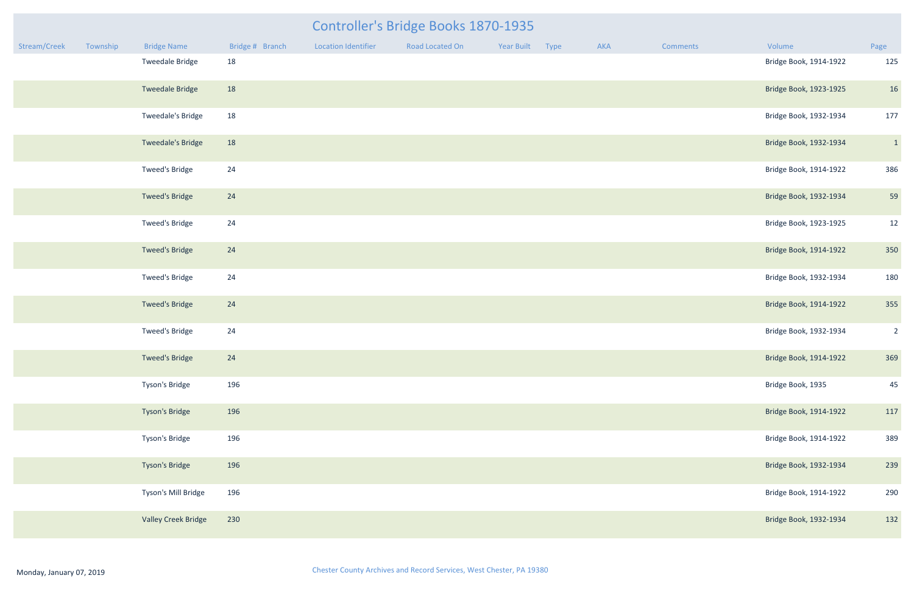| Stream/Creek | Township | <b>Bridge Name</b>       | Bridge # Branch | <b>Location Identifier</b> | Road Located On | Year Built | Type | AKA | <b>Comments</b> | Volume                 | Page           |
|--------------|----------|--------------------------|-----------------|----------------------------|-----------------|------------|------|-----|-----------------|------------------------|----------------|
|              |          | <b>Tweedale Bridge</b>   | 18              |                            |                 |            |      |     |                 | Bridge Book, 1914-1922 | 125            |
|              |          | <b>Tweedale Bridge</b>   | 18              |                            |                 |            |      |     |                 | Bridge Book, 1923-1925 | 16             |
|              |          | Tweedale's Bridge        | 18              |                            |                 |            |      |     |                 | Bridge Book, 1932-1934 | 177            |
|              |          | <b>Tweedale's Bridge</b> | 18              |                            |                 |            |      |     |                 | Bridge Book, 1932-1934 | $\vert$ 1      |
|              |          | Tweed's Bridge           | 24              |                            |                 |            |      |     |                 | Bridge Book, 1914-1922 | 386            |
|              |          | <b>Tweed's Bridge</b>    | 24              |                            |                 |            |      |     |                 | Bridge Book, 1932-1934 | 59             |
|              |          | Tweed's Bridge           | 24              |                            |                 |            |      |     |                 | Bridge Book, 1923-1925 | 12             |
|              |          | <b>Tweed's Bridge</b>    | 24              |                            |                 |            |      |     |                 | Bridge Book, 1914-1922 | 350            |
|              |          | Tweed's Bridge           | 24              |                            |                 |            |      |     |                 | Bridge Book, 1932-1934 | 180            |
|              |          | <b>Tweed's Bridge</b>    | 24              |                            |                 |            |      |     |                 | Bridge Book, 1914-1922 | 355            |
|              |          | Tweed's Bridge           | 24              |                            |                 |            |      |     |                 | Bridge Book, 1932-1934 | $\overline{2}$ |
|              |          | <b>Tweed's Bridge</b>    | 24              |                            |                 |            |      |     |                 | Bridge Book, 1914-1922 | 369            |
|              |          | Tyson's Bridge           | 196             |                            |                 |            |      |     |                 | Bridge Book, 1935      | 45             |
|              |          | Tyson's Bridge           | 196             |                            |                 |            |      |     |                 | Bridge Book, 1914-1922 | 117            |
|              |          | Tyson's Bridge           | 196             |                            |                 |            |      |     |                 | Bridge Book, 1914-1922 | 389            |
|              |          | Tyson's Bridge           | 196             |                            |                 |            |      |     |                 | Bridge Book, 1932-1934 | 239            |
|              |          | Tyson's Mill Bridge      | 196             |                            |                 |            |      |     |                 | Bridge Book, 1914-1922 | 290            |
|              |          | Valley Creek Bridge      | 230             |                            |                 |            |      |     |                 | Bridge Book, 1932-1934 | 132            |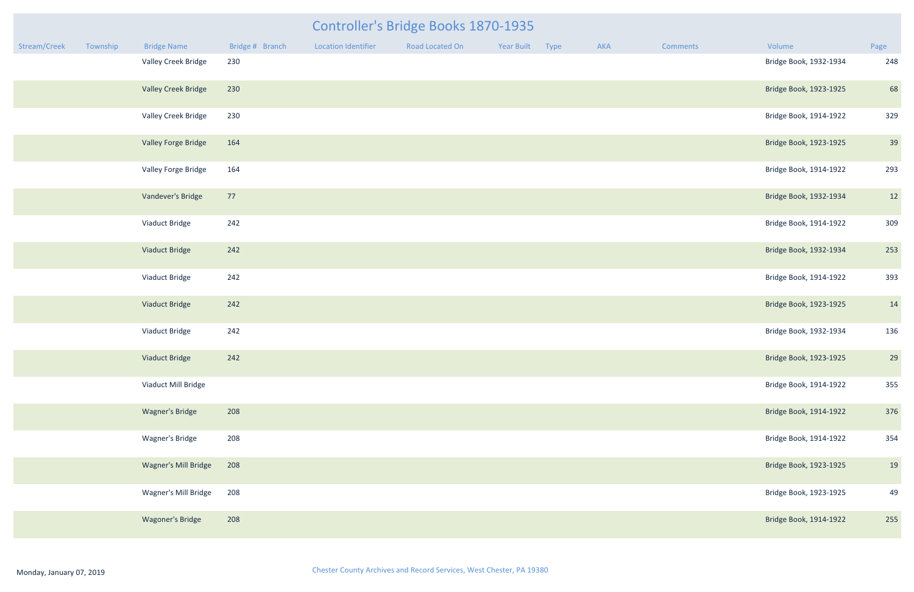|              |          |                             |                 |                            | Controller's Bridge Books 1870-1935 |            |             |     |          |                        |      |
|--------------|----------|-----------------------------|-----------------|----------------------------|-------------------------------------|------------|-------------|-----|----------|------------------------|------|
| Stream/Creek | Township | <b>Bridge Name</b>          | Bridge # Branch | <b>Location Identifier</b> | Road Located On                     | Year Built | <b>Type</b> | AKA | Comments | Volume                 | Page |
|              |          | Valley Creek Bridge         | 230             |                            |                                     |            |             |     |          | Bridge Book, 1932-1934 | 248  |
|              |          | <b>Valley Creek Bridge</b>  | 230             |                            |                                     |            |             |     |          | Bridge Book, 1923-1925 | 68   |
|              |          | Valley Creek Bridge         | 230             |                            |                                     |            |             |     |          | Bridge Book, 1914-1922 | 329  |
|              |          | Valley Forge Bridge         | 164             |                            |                                     |            |             |     |          | Bridge Book, 1923-1925 | 39   |
|              |          | Valley Forge Bridge         | 164             |                            |                                     |            |             |     |          | Bridge Book, 1914-1922 | 293  |
|              |          | Vandever's Bridge           | 77              |                            |                                     |            |             |     |          | Bridge Book, 1932-1934 | 12   |
|              |          | Viaduct Bridge              | 242             |                            |                                     |            |             |     |          | Bridge Book, 1914-1922 | 309  |
|              |          | Viaduct Bridge              | 242             |                            |                                     |            |             |     |          | Bridge Book, 1932-1934 | 253  |
|              |          | Viaduct Bridge              | 242             |                            |                                     |            |             |     |          | Bridge Book, 1914-1922 | 393  |
|              |          | Viaduct Bridge              | 242             |                            |                                     |            |             |     |          | Bridge Book, 1923-1925 | 14   |
|              |          | Viaduct Bridge              | 242             |                            |                                     |            |             |     |          | Bridge Book, 1932-1934 | 136  |
|              |          | Viaduct Bridge              | 242             |                            |                                     |            |             |     |          | Bridge Book, 1923-1925 | 29   |
|              |          | Viaduct Mill Bridge         |                 |                            |                                     |            |             |     |          | Bridge Book, 1914-1922 | 355  |
|              |          | <b>Wagner's Bridge</b>      | 208             |                            |                                     |            |             |     |          | Bridge Book, 1914-1922 | 376  |
|              |          | Wagner's Bridge             | 208             |                            |                                     |            |             |     |          | Bridge Book, 1914-1922 | 354  |
|              |          | <b>Wagner's Mill Bridge</b> | 208             |                            |                                     |            |             |     |          | Bridge Book, 1923-1925 | 19   |
|              |          | Wagner's Mill Bridge        | 208             |                            |                                     |            |             |     |          | Bridge Book, 1923-1925 | 49   |
|              |          | Wagoner's Bridge            | 208             |                            |                                     |            |             |     |          | Bridge Book, 1914-1922 | 255  |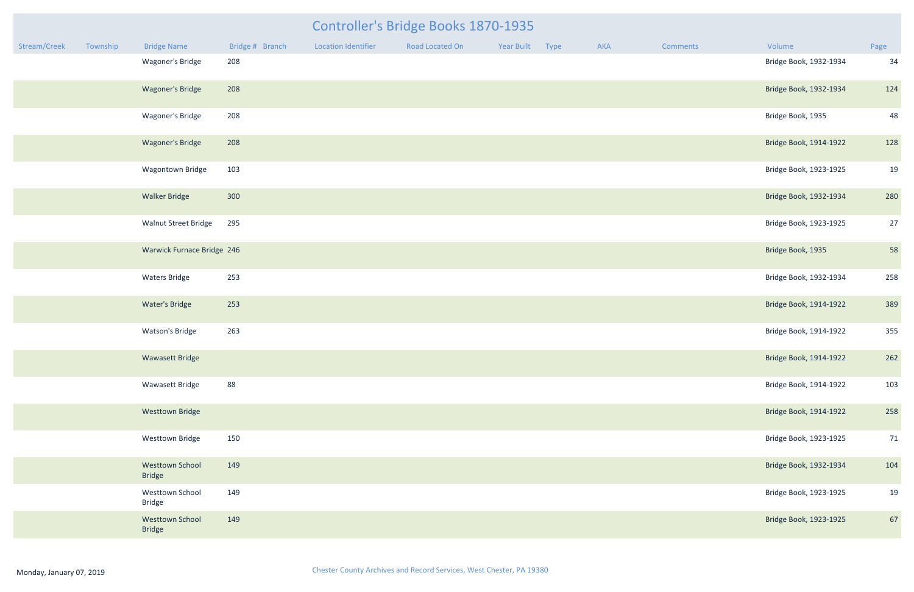| mments | Volume                 | Page |
|--------|------------------------|------|
|        | Bridge Book, 1932-1934 | 34   |
|        | Bridge Book, 1932-1934 | 124  |
|        | Bridge Book, 1935      | 48   |
|        | Bridge Book, 1914-1922 | 128  |
|        | Bridge Book, 1923-1925 | 19   |
|        | Bridge Book, 1932-1934 | 280  |
|        | Bridge Book, 1923-1925 | 27   |
|        | Bridge Book, 1935      | 58   |
|        | Bridge Book, 1932-1934 | 258  |
|        | Bridge Book, 1914-1922 | 389  |
|        | Bridge Book, 1914-1922 | 355  |
|        | Bridge Book, 1914-1922 | 262  |
|        | Bridge Book, 1914-1922 | 103  |
|        | Bridge Book, 1914-1922 | 258  |
|        | Bridge Book, 1923-1925 | 71   |
|        | Bridge Book, 1932-1934 | 104  |
|        | Bridge Book, 1923-1925 | 19   |
|        | Bridge Book, 1923-1925 | 67   |

|              |          |                                         |                 |                            | Controller's Bridge Books 1870-1935 |            |      |            |                 |                        |                |
|--------------|----------|-----------------------------------------|-----------------|----------------------------|-------------------------------------|------------|------|------------|-----------------|------------------------|----------------|
| Stream/Creek | Township | <b>Bridge Name</b>                      | Bridge # Branch | <b>Location Identifier</b> | Road Located On                     | Year Built | Type | <b>AKA</b> | <b>Comments</b> | Volume                 | Page           |
|              |          | Wagoner's Bridge                        | 208             |                            |                                     |            |      |            |                 | Bridge Book, 1932-1934 | 34             |
|              |          | <b>Wagoner's Bridge</b>                 | 208             |                            |                                     |            |      |            |                 | Bridge Book, 1932-1934 | 124            |
|              |          | Wagoner's Bridge                        | 208             |                            |                                     |            |      |            |                 | Bridge Book, 1935      | 48             |
|              |          | <b>Wagoner's Bridge</b>                 | 208             |                            |                                     |            |      |            |                 | Bridge Book, 1914-1922 | 128            |
|              |          | Wagontown Bridge                        | 103             |                            |                                     |            |      |            |                 | Bridge Book, 1923-1925 | 1 <sup>c</sup> |
|              |          | <b>Walker Bridge</b>                    | 300             |                            |                                     |            |      |            |                 | Bridge Book, 1932-1934 | 280            |
|              |          | <b>Walnut Street Bridge</b>             | 295             |                            |                                     |            |      |            |                 | Bridge Book, 1923-1925 | 27             |
|              |          | Warwick Furnace Bridge 246              |                 |                            |                                     |            |      |            |                 | Bridge Book, 1935      | 58             |
|              |          | <b>Waters Bridge</b>                    | 253             |                            |                                     |            |      |            |                 | Bridge Book, 1932-1934 | 258            |
|              |          | <b>Water's Bridge</b>                   | 253             |                            |                                     |            |      |            |                 | Bridge Book, 1914-1922 | 389            |
|              |          | <b>Watson's Bridge</b>                  | 263             |                            |                                     |            |      |            |                 | Bridge Book, 1914-1922 | 355            |
|              |          | Wawasett Bridge                         |                 |                            |                                     |            |      |            |                 | Bridge Book, 1914-1922 | 262            |
|              |          | Wawasett Bridge                         | 88              |                            |                                     |            |      |            |                 | Bridge Book, 1914-1922 | 103            |
|              |          | <b>Westtown Bridge</b>                  |                 |                            |                                     |            |      |            |                 | Bridge Book, 1914-1922 | 258            |
|              |          | <b>Westtown Bridge</b>                  | 150             |                            |                                     |            |      |            |                 | Bridge Book, 1923-1925 | 71             |
|              |          | <b>Westtown School</b><br><b>Bridge</b> | 149             |                            |                                     |            |      |            |                 | Bridge Book, 1932-1934 | 104            |
|              |          | Westtown School<br><b>Bridge</b>        | 149             |                            |                                     |            |      |            |                 | Bridge Book, 1923-1925 | 1 <sup>c</sup> |
|              |          | <b>Westtown School</b><br><b>Bridge</b> | 149             |                            |                                     |            |      |            |                 | Bridge Book, 1923-1925 | 67             |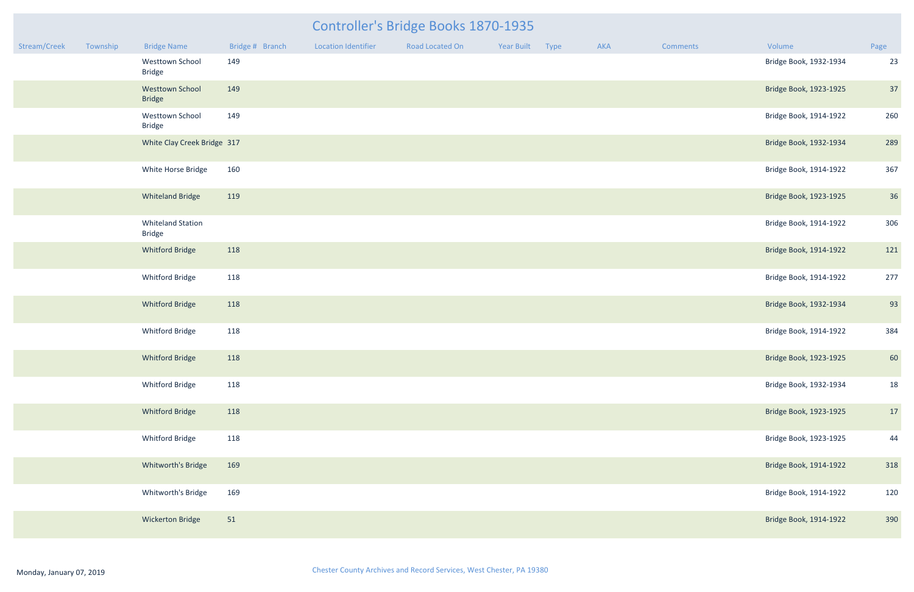| Stream/Creek | Township | <b>Bridge Name</b>                        | Bridge # Branch | <b>Location Identifier</b> | Road Located On | Year Built | Type | AKA | Comments | Volume                 | Page |
|--------------|----------|-------------------------------------------|-----------------|----------------------------|-----------------|------------|------|-----|----------|------------------------|------|
|              |          | Westtown School<br><b>Bridge</b>          | 149             |                            |                 |            |      |     |          | Bridge Book, 1932-1934 | 23   |
|              |          | <b>Westtown School</b><br><b>Bridge</b>   | 149             |                            |                 |            |      |     |          | Bridge Book, 1923-1925 | 37   |
|              |          | Westtown School<br><b>Bridge</b>          | 149             |                            |                 |            |      |     |          | Bridge Book, 1914-1922 | 260  |
|              |          | White Clay Creek Bridge 317               |                 |                            |                 |            |      |     |          | Bridge Book, 1932-1934 | 289  |
|              |          | White Horse Bridge                        | 160             |                            |                 |            |      |     |          | Bridge Book, 1914-1922 | 367  |
|              |          | <b>Whiteland Bridge</b>                   | 119             |                            |                 |            |      |     |          | Bridge Book, 1923-1925 | 36   |
|              |          | <b>Whiteland Station</b><br><b>Bridge</b> |                 |                            |                 |            |      |     |          | Bridge Book, 1914-1922 | 306  |
|              |          | <b>Whitford Bridge</b>                    | 118             |                            |                 |            |      |     |          | Bridge Book, 1914-1922 | 121  |
|              |          | Whitford Bridge                           | 118             |                            |                 |            |      |     |          | Bridge Book, 1914-1922 | 277  |
|              |          | Whitford Bridge                           | 118             |                            |                 |            |      |     |          | Bridge Book, 1932-1934 | 93   |
|              |          | Whitford Bridge                           | 118             |                            |                 |            |      |     |          | Bridge Book, 1914-1922 | 384  |
|              |          | Whitford Bridge                           | 118             |                            |                 |            |      |     |          | Bridge Book, 1923-1925 | 60   |
|              |          | Whitford Bridge                           | 118             |                            |                 |            |      |     |          | Bridge Book, 1932-1934 | 18   |
|              |          | Whitford Bridge                           | 118             |                            |                 |            |      |     |          | Bridge Book, 1923-1925 | 17   |
|              |          | Whitford Bridge                           | 118             |                            |                 |            |      |     |          | Bridge Book, 1923-1925 | 44   |
|              |          | Whitworth's Bridge                        | 169             |                            |                 |            |      |     |          | Bridge Book, 1914-1922 | 318  |
|              |          | Whitworth's Bridge                        | 169             |                            |                 |            |      |     |          | Bridge Book, 1914-1922 | 120  |
|              |          | <b>Wickerton Bridge</b>                   | 51              |                            |                 |            |      |     |          | Bridge Book, 1914-1922 | 390  |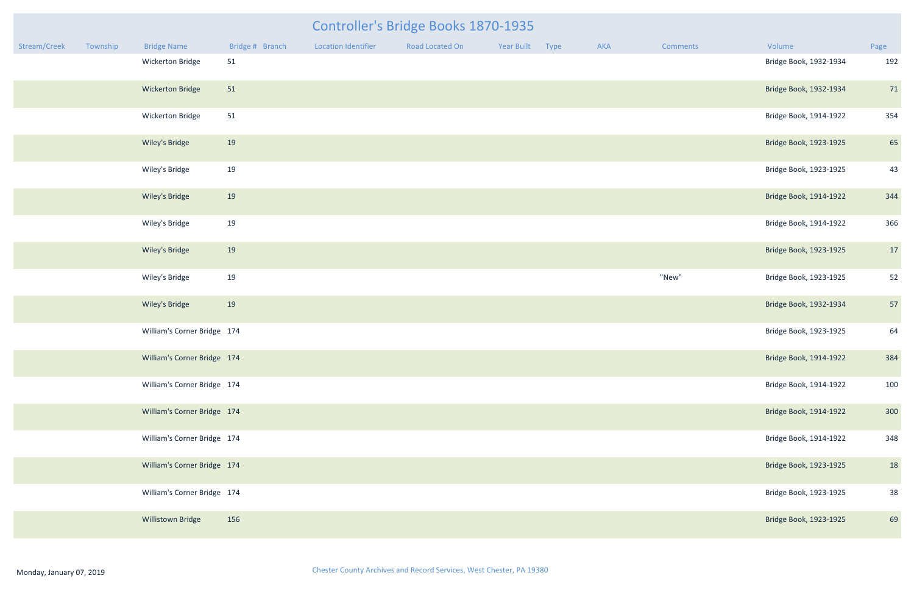|              |          |                             |                 |                            | <b>Controller's Bridge Books 1870-1935</b> |                 |     |                 |                        |      |
|--------------|----------|-----------------------------|-----------------|----------------------------|--------------------------------------------|-----------------|-----|-----------------|------------------------|------|
| Stream/Creek | Township | <b>Bridge Name</b>          | Bridge # Branch | <b>Location Identifier</b> | Road Located On                            | Year Built Type | AKA | <b>Comments</b> | Volume                 | Page |
|              |          | Wickerton Bridge            | 51              |                            |                                            |                 |     |                 | Bridge Book, 1932-1934 | 192  |
|              |          | <b>Wickerton Bridge</b>     | 51              |                            |                                            |                 |     |                 | Bridge Book, 1932-1934 | 71   |
|              |          | Wickerton Bridge            | 51              |                            |                                            |                 |     |                 | Bridge Book, 1914-1922 | 354  |
|              |          | Wiley's Bridge              | 19              |                            |                                            |                 |     |                 | Bridge Book, 1923-1925 | 65   |
|              |          | Wiley's Bridge              | 19              |                            |                                            |                 |     |                 | Bridge Book, 1923-1925 | 43   |
|              |          | Wiley's Bridge              | 19              |                            |                                            |                 |     |                 | Bridge Book, 1914-1922 | 344  |
|              |          | Wiley's Bridge              | 19              |                            |                                            |                 |     |                 | Bridge Book, 1914-1922 | 366  |
|              |          | Wiley's Bridge              | 19              |                            |                                            |                 |     |                 | Bridge Book, 1923-1925 | 17   |
|              |          | Wiley's Bridge              | 19              |                            |                                            |                 |     | "New"           | Bridge Book, 1923-1925 | 52   |
|              |          | Wiley's Bridge              | 19              |                            |                                            |                 |     |                 | Bridge Book, 1932-1934 | 57   |
|              |          | William's Corner Bridge 174 |                 |                            |                                            |                 |     |                 | Bridge Book, 1923-1925 | 64   |
|              |          | William's Corner Bridge 174 |                 |                            |                                            |                 |     |                 | Bridge Book, 1914-1922 | 384  |
|              |          | William's Corner Bridge 174 |                 |                            |                                            |                 |     |                 | Bridge Book, 1914-1922 | 100  |
|              |          | William's Corner Bridge 174 |                 |                            |                                            |                 |     |                 | Bridge Book, 1914-1922 | 300  |
|              |          | William's Corner Bridge 174 |                 |                            |                                            |                 |     |                 | Bridge Book, 1914-1922 | 348  |
|              |          | William's Corner Bridge 174 |                 |                            |                                            |                 |     |                 | Bridge Book, 1923-1925 | 18   |
|              |          | William's Corner Bridge 174 |                 |                            |                                            |                 |     |                 | Bridge Book, 1923-1925 | 38   |
|              |          | <b>Willistown Bridge</b>    | 156             |                            |                                            |                 |     |                 | Bridge Book, 1923-1925 | 69   |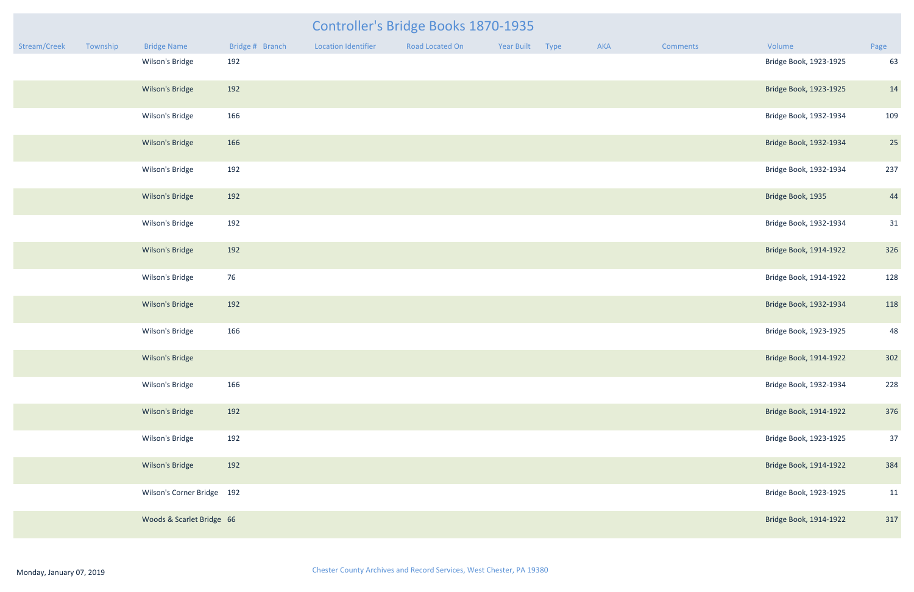|              |          |                            |                 |                     | <b>Controller's Bridge Books 1870-1935</b> |                 |     |                 |                        |      |
|--------------|----------|----------------------------|-----------------|---------------------|--------------------------------------------|-----------------|-----|-----------------|------------------------|------|
| Stream/Creek | Township | <b>Bridge Name</b>         | Bridge # Branch | Location Identifier | Road Located On                            | Year Built Type | AKA | <b>Comments</b> | Volume                 | Page |
|              |          | Wilson's Bridge            | 192             |                     |                                            |                 |     |                 | Bridge Book, 1923-1925 | 63   |
|              |          | Wilson's Bridge            | 192             |                     |                                            |                 |     |                 | Bridge Book, 1923-1925 | 14   |
|              |          | Wilson's Bridge            | 166             |                     |                                            |                 |     |                 | Bridge Book, 1932-1934 | 109  |
|              |          | Wilson's Bridge            | 166             |                     |                                            |                 |     |                 | Bridge Book, 1932-1934 | 25   |
|              |          | Wilson's Bridge            | 192             |                     |                                            |                 |     |                 | Bridge Book, 1932-1934 | 237  |
|              |          | Wilson's Bridge            | 192             |                     |                                            |                 |     |                 | Bridge Book, 1935      | 44   |
|              |          | Wilson's Bridge            | 192             |                     |                                            |                 |     |                 | Bridge Book, 1932-1934 | 31   |
|              |          | Wilson's Bridge            | 192             |                     |                                            |                 |     |                 | Bridge Book, 1914-1922 | 326  |
|              |          | Wilson's Bridge            | 76              |                     |                                            |                 |     |                 | Bridge Book, 1914-1922 | 128  |
|              |          | Wilson's Bridge            | 192             |                     |                                            |                 |     |                 | Bridge Book, 1932-1934 | 118  |
|              |          | Wilson's Bridge            | 166             |                     |                                            |                 |     |                 | Bridge Book, 1923-1925 | 48   |
|              |          | Wilson's Bridge            |                 |                     |                                            |                 |     |                 | Bridge Book, 1914-1922 | 302  |
|              |          | Wilson's Bridge            | 166             |                     |                                            |                 |     |                 | Bridge Book, 1932-1934 | 228  |
|              |          | Wilson's Bridge            | 192             |                     |                                            |                 |     |                 | Bridge Book, 1914-1922 | 376  |
|              |          | Wilson's Bridge            | 192             |                     |                                            |                 |     |                 | Bridge Book, 1923-1925 | 37   |
|              |          | Wilson's Bridge            | 192             |                     |                                            |                 |     |                 | Bridge Book, 1914-1922 | 384  |
|              |          | Wilson's Corner Bridge 192 |                 |                     |                                            |                 |     |                 | Bridge Book, 1923-1925 | 11   |
|              |          | Woods & Scarlet Bridge 66  |                 |                     |                                            |                 |     |                 | Bridge Book, 1914-1922 | 317  |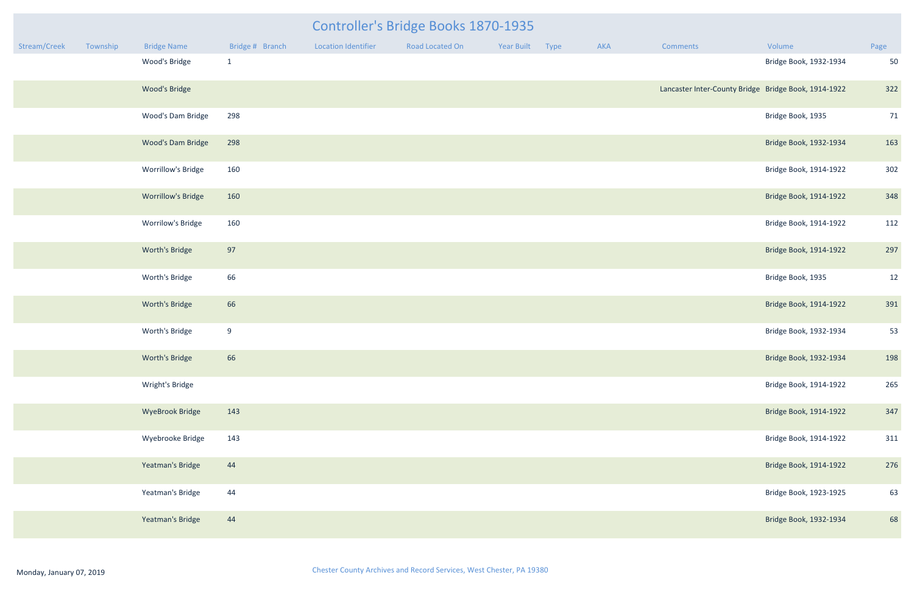| mments                                            | Volume                 | Page |
|---------------------------------------------------|------------------------|------|
|                                                   | Bridge Book, 1932-1934 | 50   |
| caster Inter-County Bridge Bridge Book, 1914-1922 |                        | 322  |
|                                                   | Bridge Book, 1935      | 71   |
|                                                   | Bridge Book, 1932-1934 | 163  |
|                                                   | Bridge Book, 1914-1922 | 302  |
|                                                   | Bridge Book, 1914-1922 | 348  |
|                                                   | Bridge Book, 1914-1922 | 112  |
|                                                   | Bridge Book, 1914-1922 | 297  |
|                                                   | Bridge Book, 1935      | 12   |
|                                                   | Bridge Book, 1914-1922 | 391  |
|                                                   | Bridge Book, 1932-1934 | 53   |
|                                                   | Bridge Book, 1932-1934 | 198  |
|                                                   | Bridge Book, 1914-1922 | 265  |
|                                                   | Bridge Book, 1914-1922 | 347  |
|                                                   | Bridge Book, 1914-1922 | 311  |
|                                                   | Bridge Book, 1914-1922 | 276  |
|                                                   | Bridge Book, 1923-1925 | 63   |
|                                                   | Bridge Book, 1932-1934 | 68   |

|              |          |                           |                 |                     | <b>Controller's Bridge Books 1870-1935</b> |                 |     |                                                      |                        |                |
|--------------|----------|---------------------------|-----------------|---------------------|--------------------------------------------|-----------------|-----|------------------------------------------------------|------------------------|----------------|
| Stream/Creek | Township | <b>Bridge Name</b>        | Bridge # Branch | Location Identifier | Road Located On                            | Year Built Type | AKA | Comments                                             | Volume                 | Page           |
|              |          | Wood's Bridge             | $\mathbf{1}$    |                     |                                            |                 |     |                                                      | Bridge Book, 1932-1934 | 50             |
|              |          | Wood's Bridge             |                 |                     |                                            |                 |     | Lancaster Inter-County Bridge Bridge Book, 1914-1922 |                        | 322            |
|              |          | Wood's Dam Bridge         | 298             |                     |                                            |                 |     |                                                      | Bridge Book, 1935      | 71             |
|              |          | Wood's Dam Bridge         | 298             |                     |                                            |                 |     |                                                      | Bridge Book, 1932-1934 | 163            |
|              |          | Worrillow's Bridge        | 160             |                     |                                            |                 |     |                                                      | Bridge Book, 1914-1922 | 302            |
|              |          | <b>Worrillow's Bridge</b> | 160             |                     |                                            |                 |     |                                                      | Bridge Book, 1914-1922 | 348            |
|              |          | Worrilow's Bridge         | 160             |                     |                                            |                 |     |                                                      | Bridge Book, 1914-1922 | 112            |
|              |          | Worth's Bridge            | 97              |                     |                                            |                 |     |                                                      | Bridge Book, 1914-1922 | 297            |
|              |          | Worth's Bridge            | 66              |                     |                                            |                 |     |                                                      | Bridge Book, 1935      | 12             |
|              |          | Worth's Bridge            | 66              |                     |                                            |                 |     |                                                      | Bridge Book, 1914-1922 | 391            |
|              |          | Worth's Bridge            | 9               |                     |                                            |                 |     |                                                      | Bridge Book, 1932-1934 | 5 <sup>3</sup> |
|              |          | Worth's Bridge            | 66              |                     |                                            |                 |     |                                                      | Bridge Book, 1932-1934 | 198            |
|              |          | Wright's Bridge           |                 |                     |                                            |                 |     |                                                      | Bridge Book, 1914-1922 | 265            |
|              |          | <b>WyeBrook Bridge</b>    | 143             |                     |                                            |                 |     |                                                      | Bridge Book, 1914-1922 | 347            |
|              |          | Wyebrooke Bridge          | 143             |                     |                                            |                 |     |                                                      | Bridge Book, 1914-1922 | 311            |
|              |          | Yeatman's Bridge          | 44              |                     |                                            |                 |     |                                                      | Bridge Book, 1914-1922 | 276            |
|              |          | Yeatman's Bridge          | 44              |                     |                                            |                 |     |                                                      | Bridge Book, 1923-1925 | 63             |
|              |          | Yeatman's Bridge          | 44              |                     |                                            |                 |     |                                                      | Bridge Book, 1932-1934 | 68             |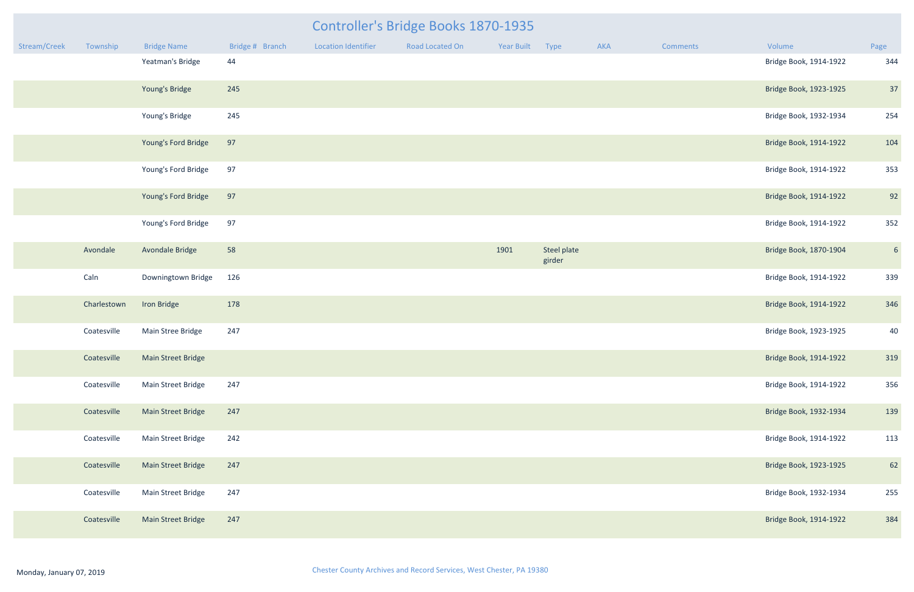|              | Controller's Bridge Books 1870-1935 |                     |                 |                            |                 |            |                       |     |          |                        |                 |  |  |
|--------------|-------------------------------------|---------------------|-----------------|----------------------------|-----------------|------------|-----------------------|-----|----------|------------------------|-----------------|--|--|
| Stream/Creek | Township                            | <b>Bridge Name</b>  | Bridge # Branch | <b>Location Identifier</b> | Road Located On | Year Built | Type                  | AKA | Comments | Volume                 | Page            |  |  |
|              |                                     | Yeatman's Bridge    | 44              |                            |                 |            |                       |     |          | Bridge Book, 1914-1922 | 344             |  |  |
|              |                                     | Young's Bridge      | 245             |                            |                 |            |                       |     |          | Bridge Book, 1923-1925 | 37              |  |  |
|              |                                     | Young's Bridge      | 245             |                            |                 |            |                       |     |          | Bridge Book, 1932-1934 | 254             |  |  |
|              |                                     | Young's Ford Bridge | 97              |                            |                 |            |                       |     |          | Bridge Book, 1914-1922 | 104             |  |  |
|              |                                     | Young's Ford Bridge | 97              |                            |                 |            |                       |     |          | Bridge Book, 1914-1922 | 353             |  |  |
|              |                                     | Young's Ford Bridge | 97              |                            |                 |            |                       |     |          | Bridge Book, 1914-1922 | 92              |  |  |
|              |                                     | Young's Ford Bridge | 97              |                            |                 |            |                       |     |          | Bridge Book, 1914-1922 | 352             |  |  |
|              | Avondale                            | Avondale Bridge     | 58              |                            |                 | 1901       | Steel plate<br>girder |     |          | Bridge Book, 1870-1904 | $6\overline{6}$ |  |  |
|              | Caln                                | Downingtown Bridge  | 126             |                            |                 |            |                       |     |          | Bridge Book, 1914-1922 | 339             |  |  |
|              | Charlestown                         | Iron Bridge         | 178             |                            |                 |            |                       |     |          | Bridge Book, 1914-1922 | 346             |  |  |
|              | Coatesville                         | Main Stree Bridge   | 247             |                            |                 |            |                       |     |          | Bridge Book, 1923-1925 | 40              |  |  |
|              | Coatesville                         | Main Street Bridge  |                 |                            |                 |            |                       |     |          | Bridge Book, 1914-1922 | 319             |  |  |
|              | Coatesville                         | Main Street Bridge  | 247             |                            |                 |            |                       |     |          | Bridge Book, 1914-1922 | 356             |  |  |
|              | Coatesville                         | Main Street Bridge  | 247             |                            |                 |            |                       |     |          | Bridge Book, 1932-1934 | 139             |  |  |
|              | Coatesville                         | Main Street Bridge  | 242             |                            |                 |            |                       |     |          | Bridge Book, 1914-1922 | 113             |  |  |
|              | Coatesville                         | Main Street Bridge  | 247             |                            |                 |            |                       |     |          | Bridge Book, 1923-1925 | 62              |  |  |
|              | Coatesville                         | Main Street Bridge  | 247             |                            |                 |            |                       |     |          | Bridge Book, 1932-1934 | 255             |  |  |
|              | Coatesville                         | Main Street Bridge  | 247             |                            |                 |            |                       |     |          | Bridge Book, 1914-1922 | 384             |  |  |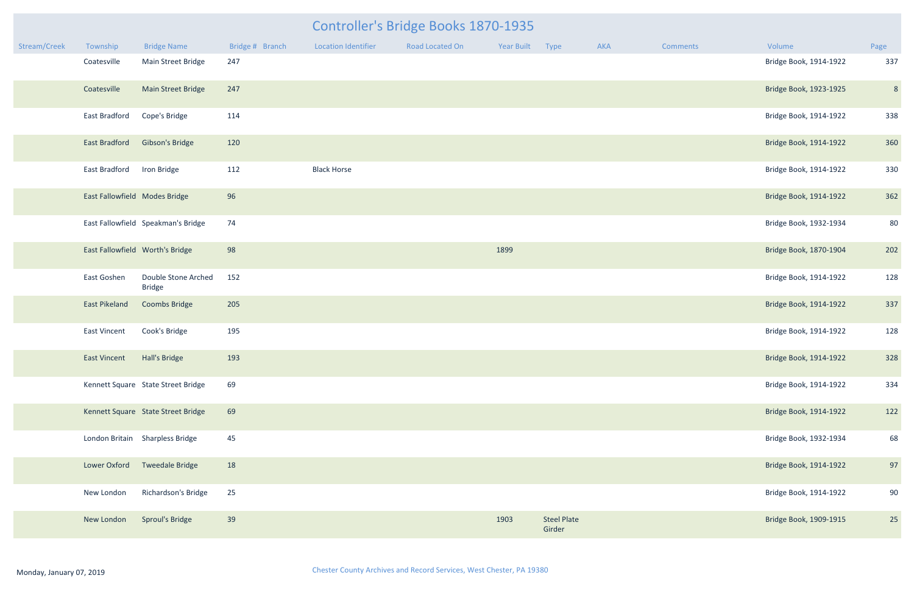|              |                               |                                      |                 | <b>Controller's Bridge Books 1870-1935</b> |                 |                 |                              |     |                 |                        |                |  |  |  |
|--------------|-------------------------------|--------------------------------------|-----------------|--------------------------------------------|-----------------|-----------------|------------------------------|-----|-----------------|------------------------|----------------|--|--|--|
| Stream/Creek | Township                      | <b>Bridge Name</b>                   | Bridge # Branch | <b>Location Identifier</b>                 | Road Located On | Year Built Type |                              | AKA | <b>Comments</b> | Volume                 | Page           |  |  |  |
|              | Coatesville                   | Main Street Bridge                   | 247             |                                            |                 |                 |                              |     |                 | Bridge Book, 1914-1922 | 337            |  |  |  |
|              | Coatesville                   | Main Street Bridge                   | 247             |                                            |                 |                 |                              |     |                 | Bridge Book, 1923-1925 | 8 <sup>°</sup> |  |  |  |
|              | East Bradford                 | Cope's Bridge                        | 114             |                                            |                 |                 |                              |     |                 | Bridge Book, 1914-1922 | 338            |  |  |  |
|              | East Bradford                 | Gibson's Bridge                      | 120             |                                            |                 |                 |                              |     |                 | Bridge Book, 1914-1922 | 360            |  |  |  |
|              | East Bradford                 | Iron Bridge                          | 112             | <b>Black Horse</b>                         |                 |                 |                              |     |                 | Bridge Book, 1914-1922 | 330            |  |  |  |
|              | East Fallowfield Modes Bridge |                                      | 96              |                                            |                 |                 |                              |     |                 | Bridge Book, 1914-1922 | 362            |  |  |  |
|              |                               | East Fallowfield Speakman's Bridge   | 74              |                                            |                 |                 |                              |     |                 | Bridge Book, 1932-1934 | 80             |  |  |  |
|              |                               | East Fallowfield Worth's Bridge      | 98              |                                            |                 | 1899            |                              |     |                 | Bridge Book, 1870-1904 | 202            |  |  |  |
|              | East Goshen                   | Double Stone Arched<br><b>Bridge</b> | 152             |                                            |                 |                 |                              |     |                 | Bridge Book, 1914-1922 | 128            |  |  |  |
|              | East Pikeland                 | Coombs Bridge                        | 205             |                                            |                 |                 |                              |     |                 | Bridge Book, 1914-1922 | 337            |  |  |  |
|              | East Vincent                  | Cook's Bridge                        | 195             |                                            |                 |                 |                              |     |                 | Bridge Book, 1914-1922 | 128            |  |  |  |
|              | East Vincent Hall's Bridge    |                                      | 193             |                                            |                 |                 |                              |     |                 | Bridge Book, 1914-1922 | 328            |  |  |  |
|              |                               | Kennett Square State Street Bridge   | 69              |                                            |                 |                 |                              |     |                 | Bridge Book, 1914-1922 | 334            |  |  |  |
|              |                               | Kennett Square State Street Bridge   | 69              |                                            |                 |                 |                              |     |                 | Bridge Book, 1914-1922 | 122            |  |  |  |
|              |                               | London Britain Sharpless Bridge      | 45              |                                            |                 |                 |                              |     |                 | Bridge Book, 1932-1934 | 68             |  |  |  |
|              | Lower Oxford                  | <b>Tweedale Bridge</b>               | 18              |                                            |                 |                 |                              |     |                 | Bridge Book, 1914-1922 | 97             |  |  |  |
|              | New London                    | <b>Richardson's Bridge</b>           | 25              |                                            |                 |                 |                              |     |                 | Bridge Book, 1914-1922 | 90             |  |  |  |
|              | New London                    | <b>Sproul's Bridge</b>               | 39              |                                            |                 | 1903            | <b>Steel Plate</b><br>Girder |     |                 | Bridge Book, 1909-1915 | 25             |  |  |  |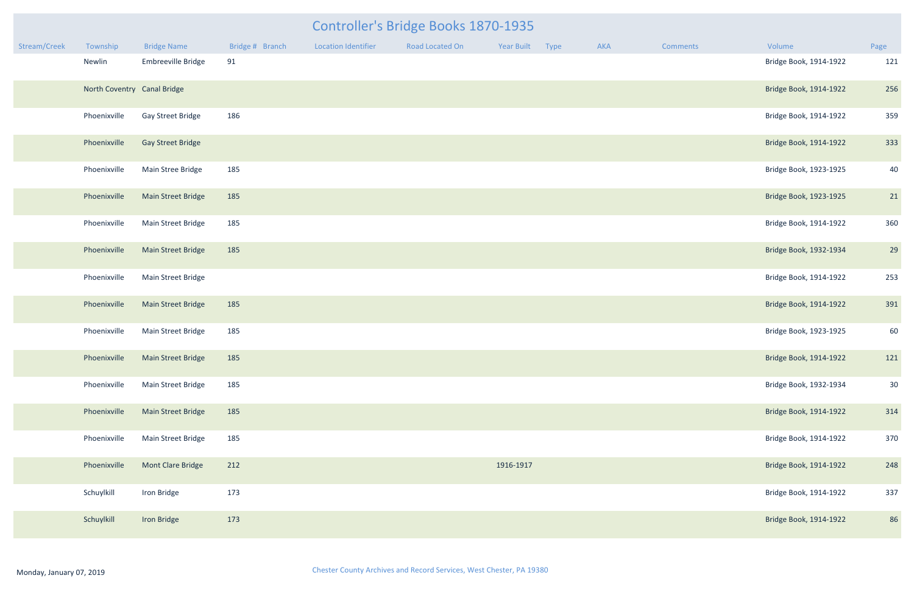|              | Controller's Bridge Books 1870-1935 |                             |                 |                            |                 |            |      |     |          |                        |                 |  |  |
|--------------|-------------------------------------|-----------------------------|-----------------|----------------------------|-----------------|------------|------|-----|----------|------------------------|-----------------|--|--|
| Stream/Creek | Township                            | <b>Bridge Name</b>          | Bridge # Branch | <b>Location Identifier</b> | Road Located On | Year Built | Type | AKA | Comments | Volume                 | Page            |  |  |
|              | Newlin                              | Embreeville Bridge          | 91              |                            |                 |            |      |     |          | Bridge Book, 1914-1922 | 121             |  |  |
|              |                                     | North Coventry Canal Bridge |                 |                            |                 |            |      |     |          | Bridge Book, 1914-1922 | 256             |  |  |
|              | Phoenixville                        | Gay Street Bridge           | 186             |                            |                 |            |      |     |          | Bridge Book, 1914-1922 | 359             |  |  |
|              | Phoenixville                        | <b>Gay Street Bridge</b>    |                 |                            |                 |            |      |     |          | Bridge Book, 1914-1922 | 333             |  |  |
|              | Phoenixville                        | Main Stree Bridge           | 185             |                            |                 |            |      |     |          | Bridge Book, 1923-1925 | 40              |  |  |
|              | Phoenixville                        | Main Street Bridge          | 185             |                            |                 |            |      |     |          | Bridge Book, 1923-1925 | 21              |  |  |
|              | Phoenixville                        | Main Street Bridge          | 185             |                            |                 |            |      |     |          | Bridge Book, 1914-1922 | 360             |  |  |
|              | Phoenixville                        | <b>Main Street Bridge</b>   | 185             |                            |                 |            |      |     |          | Bridge Book, 1932-1934 | 29              |  |  |
|              | Phoenixville                        | Main Street Bridge          |                 |                            |                 |            |      |     |          | Bridge Book, 1914-1922 | 253             |  |  |
|              | Phoenixville                        | <b>Main Street Bridge</b>   | 185             |                            |                 |            |      |     |          | Bridge Book, 1914-1922 | 391             |  |  |
|              | Phoenixville                        | Main Street Bridge          | 185             |                            |                 |            |      |     |          | Bridge Book, 1923-1925 | 60              |  |  |
|              | Phoenixville                        | Main Street Bridge          | 185             |                            |                 |            |      |     |          | Bridge Book, 1914-1922 | 121             |  |  |
|              | Phoenixville                        | Main Street Bridge          | 185             |                            |                 |            |      |     |          | Bridge Book, 1932-1934 | 30 <sup>°</sup> |  |  |
|              | Phoenixville                        | <b>Main Street Bridge</b>   | 185             |                            |                 |            |      |     |          | Bridge Book, 1914-1922 | 314             |  |  |
|              | Phoenixville                        | Main Street Bridge          | 185             |                            |                 |            |      |     |          | Bridge Book, 1914-1922 | 370             |  |  |
|              | Phoenixville                        | Mont Clare Bridge           | 212             |                            |                 | 1916-1917  |      |     |          | Bridge Book, 1914-1922 | 248             |  |  |
|              | Schuylkill                          | Iron Bridge                 | 173             |                            |                 |            |      |     |          | Bridge Book, 1914-1922 | 337             |  |  |
|              | Schuylkill                          | Iron Bridge                 | 173             |                            |                 |            |      |     |          | Bridge Book, 1914-1922 | 86              |  |  |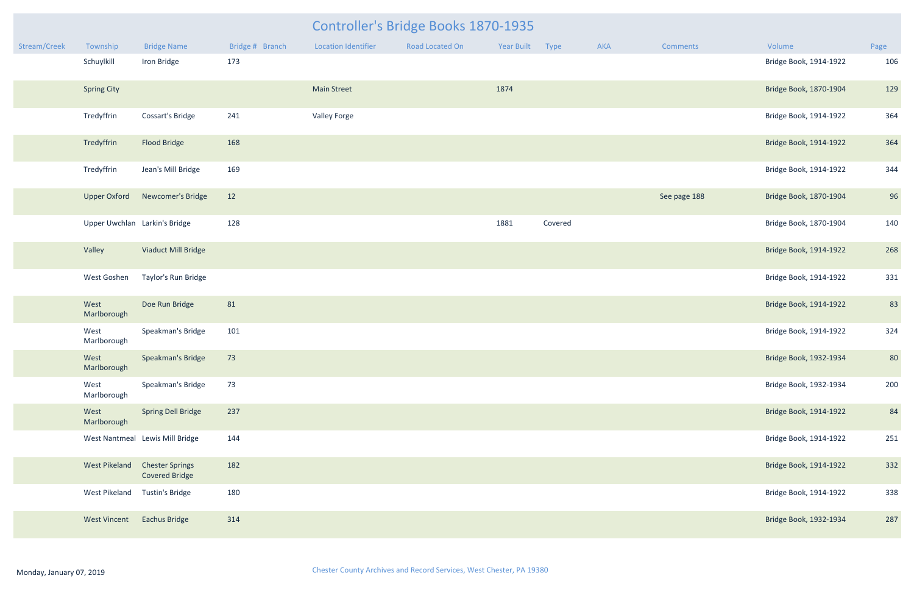|              |                               |                                                 |                 | <b>Controller's Bridge Books 1870-1935</b> |                 |                 |         |     |              |                        |      |
|--------------|-------------------------------|-------------------------------------------------|-----------------|--------------------------------------------|-----------------|-----------------|---------|-----|--------------|------------------------|------|
| Stream/Creek | Township                      | <b>Bridge Name</b>                              | Bridge # Branch | Location Identifier                        | Road Located On | Year Built Type |         | AKA | Comments     | Volume                 | Page |
|              | Schuylkill                    | Iron Bridge                                     | 173             |                                            |                 |                 |         |     |              | Bridge Book, 1914-1922 | 106  |
|              | <b>Spring City</b>            |                                                 |                 | <b>Main Street</b>                         |                 | 1874            |         |     |              | Bridge Book, 1870-1904 | 129  |
|              | Tredyffrin                    | Cossart's Bridge                                | 241             | <b>Valley Forge</b>                        |                 |                 |         |     |              | Bridge Book, 1914-1922 | 364  |
|              | Tredyffrin                    | Flood Bridge                                    | 168             |                                            |                 |                 |         |     |              | Bridge Book, 1914-1922 | 364  |
|              | Tredyffrin                    | Jean's Mill Bridge                              | 169             |                                            |                 |                 |         |     |              | Bridge Book, 1914-1922 | 344  |
|              | <b>Upper Oxford</b>           | Newcomer's Bridge                               | 12              |                                            |                 |                 |         |     | See page 188 | Bridge Book, 1870-1904 | 96   |
|              | Upper Uwchlan Larkin's Bridge |                                                 | 128             |                                            |                 | 1881            | Covered |     |              | Bridge Book, 1870-1904 | 140  |
|              | Valley                        | Viaduct Mill Bridge                             |                 |                                            |                 |                 |         |     |              | Bridge Book, 1914-1922 | 268  |
|              | West Goshen                   | Taylor's Run Bridge                             |                 |                                            |                 |                 |         |     |              | Bridge Book, 1914-1922 | 331  |
|              | West<br>Marlborough           | Doe Run Bridge                                  | 81              |                                            |                 |                 |         |     |              | Bridge Book, 1914-1922 | 83   |
|              | West<br>Marlborough           | Speakman's Bridge                               | 101             |                                            |                 |                 |         |     |              | Bridge Book, 1914-1922 | 324  |
|              | West<br>Marlborough           | Speakman's Bridge                               | 73              |                                            |                 |                 |         |     |              | Bridge Book, 1932-1934 | 80   |
|              | West<br>Marlborough           | Speakman's Bridge                               | 73              |                                            |                 |                 |         |     |              | Bridge Book, 1932-1934 | 200  |
|              | West<br>Marlborough           | <b>Spring Dell Bridge</b>                       | 237             |                                            |                 |                 |         |     |              | Bridge Book, 1914-1922 | 84   |
|              |                               | West Nantmeal Lewis Mill Bridge                 | 144             |                                            |                 |                 |         |     |              | Bridge Book, 1914-1922 | 251  |
|              | <b>West Pikeland</b>          | <b>Chester Springs</b><br><b>Covered Bridge</b> | 182             |                                            |                 |                 |         |     |              | Bridge Book, 1914-1922 | 332  |
|              | West Pikeland                 | Tustin's Bridge                                 | 180             |                                            |                 |                 |         |     |              | Bridge Book, 1914-1922 | 338  |
|              | <b>West Vincent</b>           | <b>Eachus Bridge</b>                            | 314             |                                            |                 |                 |         |     |              | Bridge Book, 1932-1934 | 287  |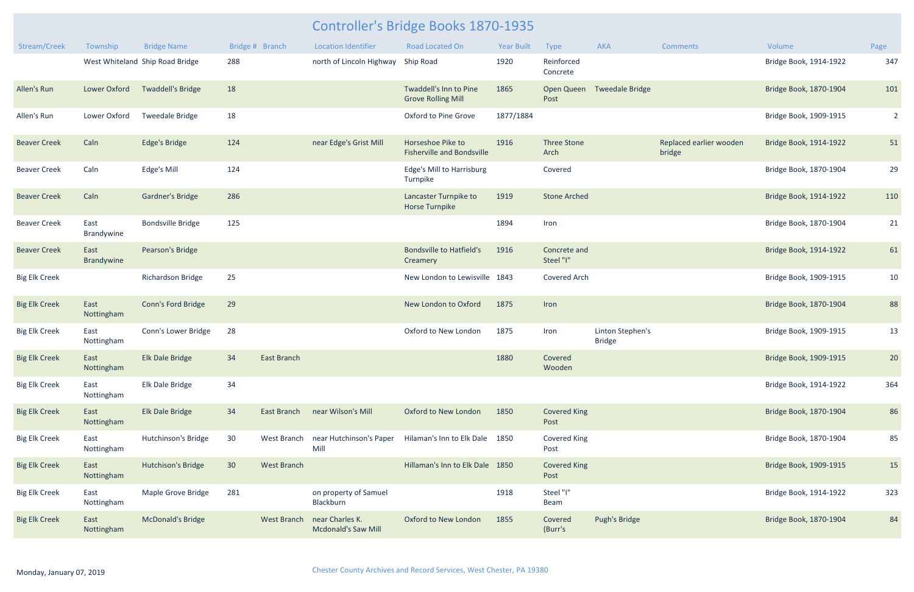| Stream/Creek         | Township           | <b>Bridge Name</b>              |                 | Bridge # Branch    | <b>Location Identifier</b>                                | <b>Road Located On</b>                                 | <b>Year Built</b> | Type                        | <b>AKA</b>                        | <b>Comments</b>                   | Volume                 | Page           |
|----------------------|--------------------|---------------------------------|-----------------|--------------------|-----------------------------------------------------------|--------------------------------------------------------|-------------------|-----------------------------|-----------------------------------|-----------------------------------|------------------------|----------------|
|                      |                    | West Whiteland Ship Road Bridge | 288             |                    | north of Lincoln Highway                                  | <b>Ship Road</b>                                       | 1920              | Reinforced<br>Concrete      |                                   |                                   | Bridge Book, 1914-1922 | 347            |
| Allen's Run          | Lower Oxford       | <b>Twaddell's Bridge</b>        | 18              |                    |                                                           | Twaddell's Inn to Pine<br><b>Grove Rolling Mill</b>    | 1865              | <b>Open Queen</b><br>Post   | <b>Tweedale Bridge</b>            |                                   | Bridge Book, 1870-1904 | 101            |
| Allen's Run          | Lower Oxford       | <b>Tweedale Bridge</b>          | 18              |                    |                                                           | Oxford to Pine Grove                                   | 1877/1884         |                             |                                   |                                   | Bridge Book, 1909-1915 | $\overline{2}$ |
| <b>Beaver Creek</b>  | Caln               | <b>Edge's Bridge</b>            | 124             |                    | near Edge's Grist Mill                                    | Horseshoe Pike to<br><b>Fisherville and Bondsville</b> | 1916              | <b>Three Stone</b><br>Arch  |                                   | Replaced earlier wooden<br>bridge | Bridge Book, 1914-1922 | 51             |
| <b>Beaver Creek</b>  | Caln               | Edge's Mill                     | 124             |                    |                                                           | Edge's Mill to Harrisburg<br>Turnpike                  |                   | Covered                     |                                   |                                   | Bridge Book, 1870-1904 | 29             |
| <b>Beaver Creek</b>  | Caln               | <b>Gardner's Bridge</b>         | 286             |                    |                                                           | Lancaster Turnpike to<br><b>Horse Turnpike</b>         | 1919              | <b>Stone Arched</b>         |                                   |                                   | Bridge Book, 1914-1922 | 110            |
| <b>Beaver Creek</b>  | East<br>Brandywine | <b>Bondsville Bridge</b>        | 125             |                    |                                                           |                                                        | 1894              | Iron                        |                                   |                                   | Bridge Book, 1870-1904 | 21             |
| <b>Beaver Creek</b>  | East<br>Brandywine | Pearson's Bridge                |                 |                    |                                                           | <b>Bondsville to Hatfield's</b><br>Creamery            | 1916              | Concrete and<br>Steel "I"   |                                   |                                   | Bridge Book, 1914-1922 | 61             |
| <b>Big Elk Creek</b> |                    | Richardson Bridge               | 25              |                    |                                                           | New London to Lewisville 1843                          |                   | <b>Covered Arch</b>         |                                   |                                   | Bridge Book, 1909-1915 | 10             |
| <b>Big Elk Creek</b> | East<br>Nottingham | Conn's Ford Bridge              | 29              |                    |                                                           | New London to Oxford                                   | 1875              | Iron                        |                                   |                                   | Bridge Book, 1870-1904 | 88             |
| <b>Big Elk Creek</b> | East<br>Nottingham | Conn's Lower Bridge             | 28              |                    |                                                           | Oxford to New London                                   | 1875              | Iron                        | Linton Stephen's<br><b>Bridge</b> |                                   | Bridge Book, 1909-1915 | 13             |
| <b>Big Elk Creek</b> | East<br>Nottingham | Elk Dale Bridge                 | 34              | <b>East Branch</b> |                                                           |                                                        | 1880              | Covered<br>Wooden           |                                   |                                   | Bridge Book, 1909-1915 | 20             |
| <b>Big Elk Creek</b> | East<br>Nottingham | Elk Dale Bridge                 | 34              |                    |                                                           |                                                        |                   |                             |                                   |                                   | Bridge Book, 1914-1922 | 364            |
| <b>Big Elk Creek</b> | East<br>Nottingham | Elk Dale Bridge                 | 34              |                    | East Branch    near Wilson's Mill                         | Oxford to New London                                   | 1850              | <b>Covered King</b><br>Post |                                   |                                   | Bridge Book, 1870-1904 | 86             |
| <b>Big Elk Creek</b> | East<br>Nottingham | Hutchinson's Bridge             | 30 <sup>°</sup> |                    | West Branch near Hutchinson's Paper<br>Mill               | Hilaman's Inn to Elk Dale 1850                         |                   | <b>Covered King</b><br>Post |                                   |                                   | Bridge Book, 1870-1904 | 85             |
| <b>Big Elk Creek</b> | East<br>Nottingham | <b>Hutchison's Bridge</b>       | 30 <sup>°</sup> | <b>West Branch</b> |                                                           | Hillaman's Inn to Elk Dale 1850                        |                   | <b>Covered King</b><br>Post |                                   |                                   | Bridge Book, 1909-1915 | 15             |
| <b>Big Elk Creek</b> | East<br>Nottingham | Maple Grove Bridge              | 281             |                    | on property of Samuel<br>Blackburn                        |                                                        | 1918              | Steel "I"<br>Beam           |                                   |                                   | Bridge Book, 1914-1922 | 323            |
| <b>Big Elk Creek</b> | East<br>Nottingham | <b>McDonald's Bridge</b>        |                 |                    | West Branch near Charles K.<br><b>Mcdonald's Saw Mill</b> | Oxford to New London                                   | 1855              | Covered<br>(Burr's          | Pugh's Bridge                     |                                   | Bridge Book, 1870-1904 | 84             |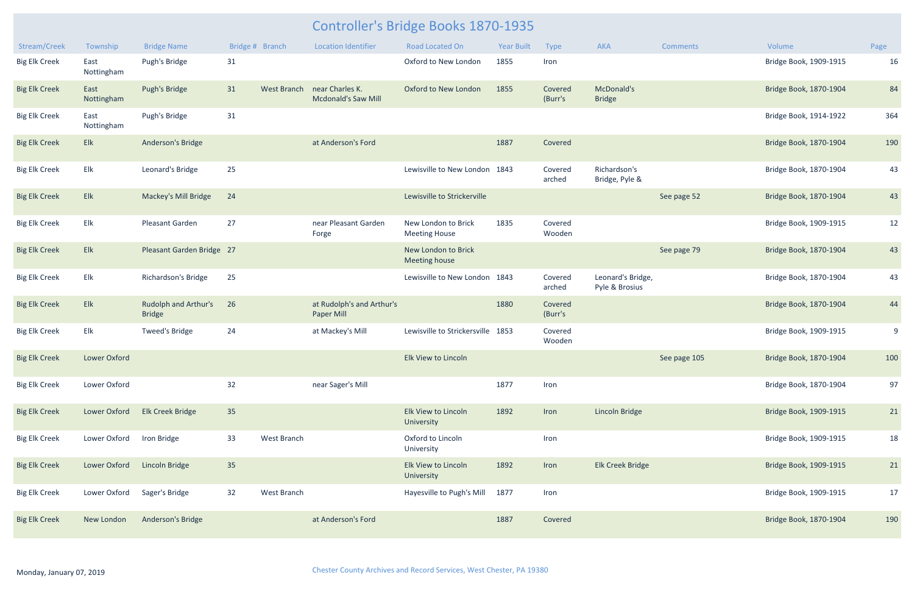| Stream/Creek         | Township           | <b>Bridge Name</b>                           |    | Bridge # Branch    | <b>Location Identifier</b>                     | <b>Road Located On</b>                      | <b>Year Built</b> | Type               | <b>AKA</b>                          | <b>Comments</b> | Volume                 | Page |
|----------------------|--------------------|----------------------------------------------|----|--------------------|------------------------------------------------|---------------------------------------------|-------------------|--------------------|-------------------------------------|-----------------|------------------------|------|
| <b>Big Elk Creek</b> | East<br>Nottingham | Pugh's Bridge                                | 31 |                    |                                                | Oxford to New London                        | 1855              | Iron               |                                     |                 | Bridge Book, 1909-1915 | 16   |
| <b>Big Elk Creek</b> | East<br>Nottingham | Pugh's Bridge                                | 31 | <b>West Branch</b> | near Charles K.<br>Mcdonald's Saw Mill         | Oxford to New London                        | 1855              | Covered<br>(Burr's | McDonald's<br><b>Bridge</b>         |                 | Bridge Book, 1870-1904 | 84   |
| <b>Big Elk Creek</b> | East<br>Nottingham | Pugh's Bridge                                | 31 |                    |                                                |                                             |                   |                    |                                     |                 | Bridge Book, 1914-1922 | 364  |
| <b>Big Elk Creek</b> | Elk                | <b>Anderson's Bridge</b>                     |    |                    | at Anderson's Ford                             |                                             | 1887              | Covered            |                                     |                 | Bridge Book, 1870-1904 | 190  |
| <b>Big Elk Creek</b> | Elk                | Leonard's Bridge                             | 25 |                    |                                                | Lewisville to New London                    | 1843              | Covered<br>arched  | Richardson's<br>Bridge, Pyle &      |                 | Bridge Book, 1870-1904 | 43   |
| <b>Big Elk Creek</b> | Elk                | <b>Mackey's Mill Bridge</b>                  | 24 |                    |                                                | Lewisville to Strickerville                 |                   |                    |                                     | See page 52     | Bridge Book, 1870-1904 | 43   |
| <b>Big Elk Creek</b> | Elk                | Pleasant Garden                              | 27 |                    | near Pleasant Garden<br>Forge                  | New London to Brick<br><b>Meeting House</b> | 1835              | Covered<br>Wooden  |                                     |                 | Bridge Book, 1909-1915 | 12   |
| <b>Big Elk Creek</b> | Elk                | Pleasant Garden Bridge 27                    |    |                    |                                                | New London to Brick<br><b>Meeting house</b> |                   |                    |                                     | See page 79     | Bridge Book, 1870-1904 | 43   |
| <b>Big Elk Creek</b> | Elk                | Richardson's Bridge                          | 25 |                    |                                                | Lewisville to New London                    | 1843              | Covered<br>arched  | Leonard's Bridge,<br>Pyle & Brosius |                 | Bridge Book, 1870-1904 | 43   |
| <b>Big Elk Creek</b> | Elk                | <b>Rudolph and Arthur's</b><br><b>Bridge</b> | 26 |                    | at Rudolph's and Arthur's<br><b>Paper Mill</b> |                                             | 1880              | Covered<br>(Burr's |                                     |                 | Bridge Book, 1870-1904 | 44   |
| <b>Big Elk Creek</b> | Elk                | Tweed's Bridge                               | 24 |                    | at Mackey's Mill                               | Lewisville to Strickersville                | 1853              | Covered<br>Wooden  |                                     |                 | Bridge Book, 1909-1915 | 9    |
| <b>Big Elk Creek</b> | Lower Oxford       |                                              |    |                    |                                                | Elk View to Lincoln                         |                   |                    |                                     | See page 105    | Bridge Book, 1870-1904 | 100  |
| <b>Big Elk Creek</b> | Lower Oxford       |                                              | 32 |                    | near Sager's Mill                              |                                             | 1877              | Iron               |                                     |                 | Bridge Book, 1870-1904 | 97   |
| <b>Big Elk Creek</b> | Lower Oxford       | <b>Elk Creek Bridge</b>                      | 35 |                    |                                                | Elk View to Lincoln<br>University           | 1892              | Iron               | Lincoln Bridge                      |                 | Bridge Book, 1909-1915 | 21   |
| <b>Big Elk Creek</b> | Lower Oxford       | Iron Bridge                                  | 33 | West Branch        |                                                | Oxford to Lincoln<br>University             |                   | Iron               |                                     |                 | Bridge Book, 1909-1915 | 18   |
| <b>Big Elk Creek</b> | Lower Oxford       | <b>Lincoln Bridge</b>                        | 35 |                    |                                                | Elk View to Lincoln<br>University           | 1892              | Iron               | Elk Creek Bridge                    |                 | Bridge Book, 1909-1915 | 21   |
| <b>Big Elk Creek</b> | Lower Oxford       | Sager's Bridge                               | 32 | West Branch        |                                                | Hayesville to Pugh's Mill                   | 1877              | Iron               |                                     |                 | Bridge Book, 1909-1915 | 17   |
| <b>Big Elk Creek</b> | New London         | Anderson's Bridge                            |    |                    | at Anderson's Ford                             |                                             | 1887              | Covered            |                                     |                 | Bridge Book, 1870-1904 | 190  |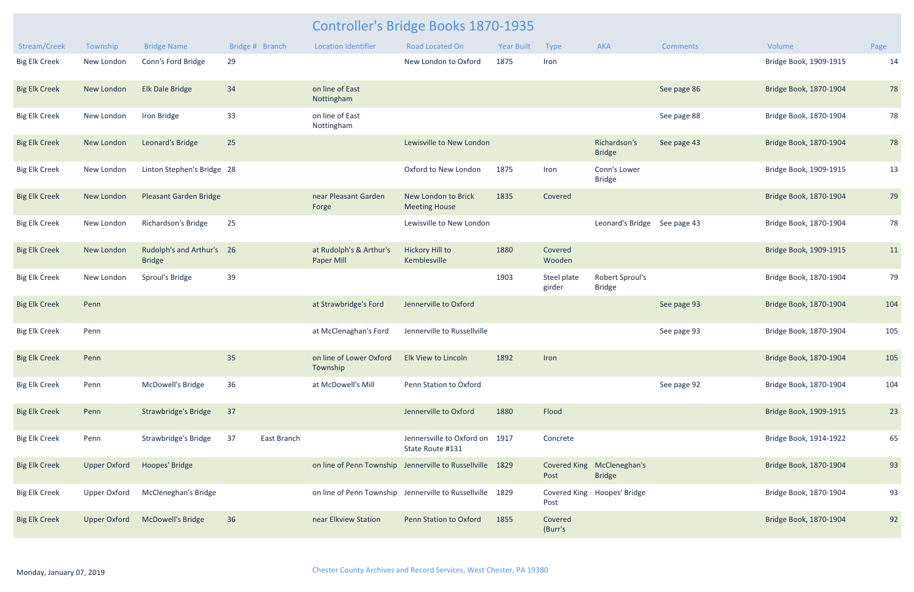| Stream/Creek         | Township            | <b>Bridge Name</b>                         | Bridge # Branch |             | <b>Location Identifier</b>                   | <b>Road Located On</b>                                    | <b>Year Built</b> | Type                  | AKA                                         | <b>Comments</b> | Volume                 | Page |
|----------------------|---------------------|--------------------------------------------|-----------------|-------------|----------------------------------------------|-----------------------------------------------------------|-------------------|-----------------------|---------------------------------------------|-----------------|------------------------|------|
| <b>Big Elk Creek</b> | New London          | Conn's Ford Bridge                         | 29              |             |                                              | New London to Oxford                                      | 1875              | Iron                  |                                             |                 | Bridge Book, 1909-1915 | 14   |
| <b>Big Elk Creek</b> | New London          | <b>Elk Dale Bridge</b>                     | 34              |             | on line of East<br>Nottingham                |                                                           |                   |                       |                                             | See page 86     | Bridge Book, 1870-1904 | 78   |
| <b>Big Elk Creek</b> | New London          | Iron Bridge                                | 33              |             | on line of East<br>Nottingham                |                                                           |                   |                       |                                             | See page 88     | Bridge Book, 1870-1904 | 78   |
| <b>Big Elk Creek</b> | New London          | Leonard's Bridge                           | 25              |             |                                              | Lewisville to New London                                  |                   |                       | Richardson's<br><b>Bridge</b>               | See page 43     | Bridge Book, 1870-1904 | 78   |
| <b>Big Elk Creek</b> | New London          | Linton Stephen's Bridge 28                 |                 |             |                                              | Oxford to New London                                      | 1875              | Iron                  | Conn's Lower<br><b>Bridge</b>               |                 | Bridge Book, 1909-1915 | 13   |
| <b>Big Elk Creek</b> | New London          | <b>Pleasant Garden Bridge</b>              |                 |             | near Pleasant Garden<br>Forge                | New London to Brick<br><b>Meeting House</b>               | 1835              | Covered               |                                             |                 | Bridge Book, 1870-1904 | 79   |
| <b>Big Elk Creek</b> | New London          | Richardson's Bridge                        | 25              |             |                                              | Lewisville to New London                                  |                   |                       | Leonard's Bridge                            | See page 43     | Bridge Book, 1870-1904 | 78   |
| <b>Big Elk Creek</b> | New London          | Rudolph's and Arthur's 26<br><b>Bridge</b> |                 |             | at Rudolph's & Arthur's<br><b>Paper Mill</b> | <b>Hickory Hill to</b><br>Kemblesville                    | 1880              | Covered<br>Wooden     |                                             |                 | Bridge Book, 1909-1915 | 11   |
| <b>Big Elk Creek</b> | New London          | Sproul's Bridge                            | 39              |             |                                              |                                                           | 1903              | Steel plate<br>girder | Robert Sproul's<br><b>Bridge</b>            |                 | Bridge Book, 1870-1904 | 79   |
| <b>Big Elk Creek</b> | Penn                |                                            |                 |             | at Strawbridge's Ford                        | Jennerville to Oxford                                     |                   |                       |                                             | See page 93     | Bridge Book, 1870-1904 | 104  |
| <b>Big Elk Creek</b> | Penn                |                                            |                 |             | at McClenaghan's Ford                        | Jennerville to Russellville                               |                   |                       |                                             | See page 93     | Bridge Book, 1870-1904 | 105  |
| <b>Big Elk Creek</b> | Penn                |                                            | 35              |             | on line of Lower Oxford<br>Township          | <b>Elk View to Lincoln</b>                                | 1892              | Iron                  |                                             |                 | Bridge Book, 1870-1904 | 105  |
| <b>Big Elk Creek</b> | Penn                | McDowell's Bridge                          | 36              |             | at McDowell's Mill                           | Penn Station to Oxford                                    |                   |                       |                                             | See page 92     | Bridge Book, 1870-1904 | 104  |
| <b>Big Elk Creek</b> | Penn                | <b>Strawbridge's Bridge</b>                | 37              |             |                                              | Jennerville to Oxford                                     | 1880              | Flood                 |                                             |                 | Bridge Book, 1909-1915 | 23   |
| <b>Big Elk Creek</b> | Penn                | Strawbridge's Bridge                       | 37              | East Branch |                                              | Jennersville to Oxford on 1917<br>State Route #131        |                   | Concrete              |                                             |                 | Bridge Book, 1914-1922 | 65   |
| <b>Big Elk Creek</b> | <b>Upper Oxford</b> | Hoopes' Bridge                             |                 |             |                                              | on line of Penn Township Jennerville to Russellville 1829 |                   | Post                  | Covered King McCleneghan's<br><b>Bridge</b> |                 | Bridge Book, 1870-1904 | 93   |
| <b>Big Elk Creek</b> | <b>Upper Oxford</b> | McCleneghan's Bridge                       |                 |             |                                              | on line of Penn Township Jennerville to Russellville 1829 |                   | Post                  | Covered King Hoopes' Bridge                 |                 | Bridge Book, 1870-1904 | 93   |
| <b>Big Elk Creek</b> | <b>Upper Oxford</b> | <b>McDowell's Bridge</b>                   | 36              |             | near Elkview Station                         | Penn Station to Oxford                                    | 1855              | Covered<br>(Burr's    |                                             |                 | Bridge Book, 1870-1904 | 92   |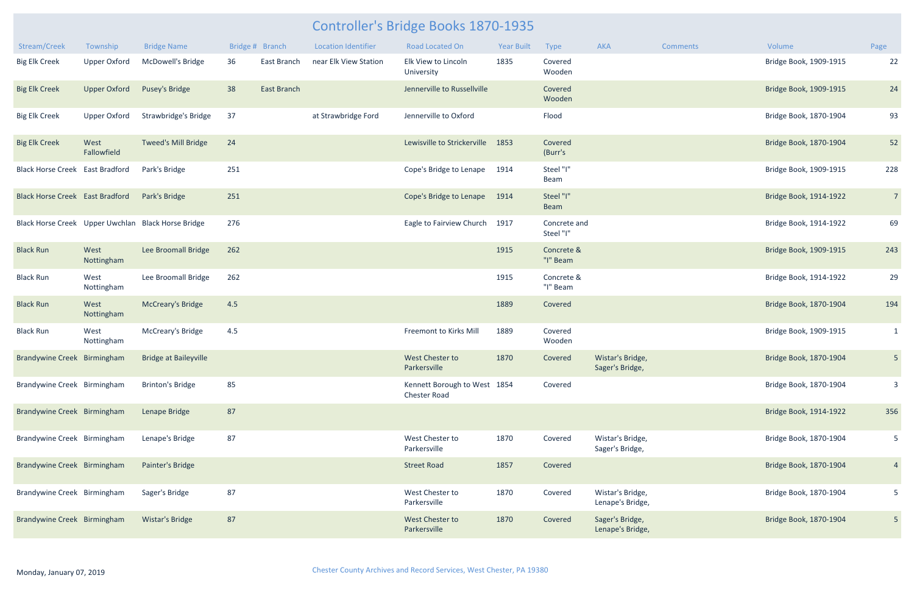| Stream/Creek                           | Township            | <b>Bridge Name</b>                                 |     | Bridge # Branch | <b>Location Identifier</b> | Road Located On                                     | <b>Year Built</b> | Type                      | AKA                                  | <b>Comments</b> | Volume                 | Page           |
|----------------------------------------|---------------------|----------------------------------------------------|-----|-----------------|----------------------------|-----------------------------------------------------|-------------------|---------------------------|--------------------------------------|-----------------|------------------------|----------------|
| <b>Big Elk Creek</b>                   | <b>Upper Oxford</b> | McDowell's Bridge                                  | 36  | East Branch     | near Elk View Station      | Elk View to Lincoln<br>University                   | 1835              | Covered<br>Wooden         |                                      |                 | Bridge Book, 1909-1915 | 22             |
| <b>Big Elk Creek</b>                   | <b>Upper Oxford</b> | Pusey's Bridge                                     | 38  | East Branch     |                            | Jennerville to Russellville                         |                   | Covered<br>Wooden         |                                      |                 | Bridge Book, 1909-1915 | 24             |
| <b>Big Elk Creek</b>                   | <b>Upper Oxford</b> | Strawbridge's Bridge                               | 37  |                 | at Strawbridge Ford        | Jennerville to Oxford                               |                   | Flood                     |                                      |                 | Bridge Book, 1870-1904 | 93             |
| <b>Big Elk Creek</b>                   | West<br>Fallowfield | <b>Tweed's Mill Bridge</b>                         | 24  |                 |                            | Lewisville to Strickerville                         | 1853              | Covered<br>(Burr's        |                                      |                 | Bridge Book, 1870-1904 | 52             |
| <b>Black Horse Creek East Bradford</b> |                     | Park's Bridge                                      | 251 |                 |                            | Cope's Bridge to Lenape                             | 1914              | Steel "I"<br>Beam         |                                      |                 | Bridge Book, 1909-1915 | 228            |
| <b>Black Horse Creek East Bradford</b> |                     | Park's Bridge                                      | 251 |                 |                            | Cope's Bridge to Lenape                             | 1914              | Steel "I"<br>Beam         |                                      |                 | Bridge Book, 1914-1922 | $\overline{7}$ |
|                                        |                     | Black Horse Creek Upper Uwchlan Black Horse Bridge | 276 |                 |                            | Eagle to Fairview Church                            | 1917              | Concrete and<br>Steel "I" |                                      |                 | Bridge Book, 1914-1922 | 69             |
| <b>Black Run</b>                       | West<br>Nottingham  | Lee Broomall Bridge                                | 262 |                 |                            |                                                     | 1915              | Concrete &<br>"I" Beam    |                                      |                 | Bridge Book, 1909-1915 | 243            |
| <b>Black Run</b>                       | West<br>Nottingham  | Lee Broomall Bridge                                | 262 |                 |                            |                                                     | 1915              | Concrete &<br>"I" Beam    |                                      |                 | Bridge Book, 1914-1922 | 29             |
| <b>Black Run</b>                       | West<br>Nottingham  | <b>McCreary's Bridge</b>                           | 4.5 |                 |                            |                                                     | 1889              | Covered                   |                                      |                 | Bridge Book, 1870-1904 | 194            |
| <b>Black Run</b>                       | West<br>Nottingham  | McCreary's Bridge                                  | 4.5 |                 |                            | Freemont to Kirks Mill                              | 1889              | Covered<br>Wooden         |                                      |                 | Bridge Book, 1909-1915 | $\mathbf{1}$   |
| Brandywine Creek Birmingham            |                     | <b>Bridge at Baileyville</b>                       |     |                 |                            | <b>West Chester to</b><br>Parkersville              | 1870              | Covered                   | Wistar's Bridge,<br>Sager's Bridge,  |                 | Bridge Book, 1870-1904 | 5 <sub>o</sub> |
| Brandywine Creek Birmingham            |                     | <b>Brinton's Bridge</b>                            | 85  |                 |                            | Kennett Borough to West 1854<br><b>Chester Road</b> |                   | Covered                   |                                      |                 | Bridge Book, 1870-1904 | 3              |
| Brandywine Creek Birmingham            |                     | Lenape Bridge                                      | 87  |                 |                            |                                                     |                   |                           |                                      |                 | Bridge Book, 1914-1922 | 356            |
| Brandywine Creek Birmingham            |                     | Lenape's Bridge                                    | 87  |                 |                            | West Chester to<br>Parkersville                     | 1870              | Covered                   | Wistar's Bridge,<br>Sager's Bridge,  |                 | Bridge Book, 1870-1904 | 5              |
| Brandywine Creek Birmingham            |                     | Painter's Bridge                                   |     |                 |                            | <b>Street Road</b>                                  | 1857              | Covered                   |                                      |                 | Bridge Book, 1870-1904 | $\overline{4}$ |
| Brandywine Creek Birmingham            |                     | Sager's Bridge                                     | 87  |                 |                            | West Chester to<br>Parkersville                     | 1870              | Covered                   | Wistar's Bridge,<br>Lenape's Bridge, |                 | Bridge Book, 1870-1904 | $5\phantom{.}$ |
| Brandywine Creek Birmingham            |                     | <b>Wistar's Bridge</b>                             | 87  |                 |                            | West Chester to<br>Parkersville                     | 1870              | Covered                   | Sager's Bridge,<br>Lenape's Bridge,  |                 | Bridge Book, 1870-1904 | 5 <sub>o</sub> |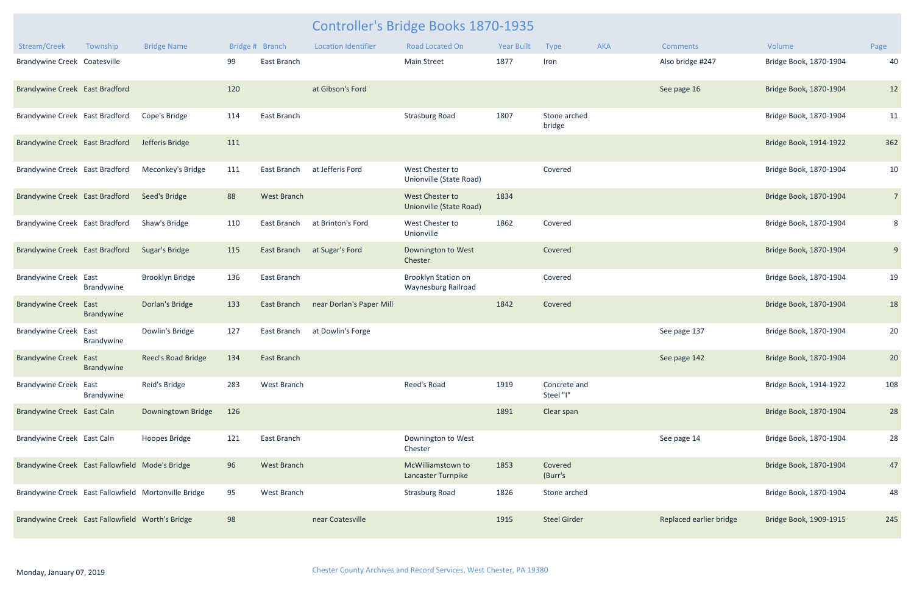|                                                  |                    |                                                      |                 |                    |                            | Controller's Bridge Books 1870-1935               |                   |                           |     |                         |                        |                |
|--------------------------------------------------|--------------------|------------------------------------------------------|-----------------|--------------------|----------------------------|---------------------------------------------------|-------------------|---------------------------|-----|-------------------------|------------------------|----------------|
| Stream/Creek                                     | Township           | <b>Bridge Name</b>                                   | Bridge # Branch |                    | <b>Location Identifier</b> | Road Located On                                   | <b>Year Built</b> | <b>Type</b>               | AKA | <b>Comments</b>         | Volume                 | Page           |
| Brandywine Creek Coatesville                     |                    |                                                      | 99              | East Branch        |                            | <b>Main Street</b>                                | 1877              | Iron                      |     | Also bridge #247        | Bridge Book, 1870-1904 | 40             |
| Brandywine Creek East Bradford                   |                    |                                                      | 120             |                    | at Gibson's Ford           |                                                   |                   |                           |     | See page 16             | Bridge Book, 1870-1904 | 12             |
| Brandywine Creek East Bradford                   |                    | Cope's Bridge                                        | 114             | East Branch        |                            | <b>Strasburg Road</b>                             | 1807              | Stone arched<br>bridge    |     |                         | Bridge Book, 1870-1904 | 11             |
| Brandywine Creek East Bradford                   |                    | Jefferis Bridge                                      | 111             |                    |                            |                                                   |                   |                           |     |                         | Bridge Book, 1914-1922 | 362            |
| Brandywine Creek East Bradford                   |                    | Meconkey's Bridge                                    | 111             | East Branch        | at Jefferis Ford           | West Chester to<br>Unionville (State Road)        |                   | Covered                   |     |                         | Bridge Book, 1870-1904 | 10             |
| Brandywine Creek East Bradford                   |                    | Seed's Bridge                                        | 88              | <b>West Branch</b> |                            | West Chester to<br><b>Unionville (State Road)</b> | 1834              |                           |     |                         | Bridge Book, 1870-1904 | $\overline{7}$ |
| Brandywine Creek East Bradford                   |                    | Shaw's Bridge                                        | 110             | East Branch        | at Brinton's Ford          | West Chester to<br>Unionville                     | 1862              | Covered                   |     |                         | Bridge Book, 1870-1904 | 8              |
| Brandywine Creek East Bradford                   |                    | <b>Sugar's Bridge</b>                                | 115             | <b>East Branch</b> | at Sugar's Ford            | Downington to West<br>Chester                     |                   | Covered                   |     |                         | Bridge Book, 1870-1904 | 9              |
| Brandywine Creek East                            | Brandywine         | Brooklyn Bridge                                      | 136             | East Branch        |                            | Brooklyn Station on<br>Waynesburg Railroad        |                   | Covered                   |     |                         | Bridge Book, 1870-1904 | 19             |
| <b>Brandywine Creek</b>                          | East<br>Brandywine | <b>Dorlan's Bridge</b>                               | 133             | East Branch        | near Dorlan's Paper Mill   |                                                   | 1842              | Covered                   |     |                         | Bridge Book, 1870-1904 | 18             |
| <b>Brandywine Creek</b>                          | East<br>Brandywine | Dowlin's Bridge                                      | 127             | East Branch        | at Dowlin's Forge          |                                                   |                   |                           |     | See page 137            | Bridge Book, 1870-1904 | 20             |
| <b>Brandywine Creek East</b>                     | Brandywine         | Reed's Road Bridge                                   | 134             | <b>East Branch</b> |                            |                                                   |                   |                           |     | See page 142            | Bridge Book, 1870-1904 | 20             |
| <b>Brandywine Creek</b>                          | East<br>Brandywine | Reid's Bridge                                        | 283             | West Branch        |                            | Reed's Road                                       | 1919              | Concrete and<br>Steel "I" |     |                         | Bridge Book, 1914-1922 | 108            |
| Brandywine Creek East Caln                       |                    | Downingtown Bridge                                   | 126             |                    |                            |                                                   | 1891              | Clear span                |     |                         | Bridge Book, 1870-1904 | 28             |
| Brandywine Creek East Caln                       |                    | <b>Hoopes Bridge</b>                                 | 121             | East Branch        |                            | Downington to West<br>Chester                     |                   |                           |     | See page 14             | Bridge Book, 1870-1904 | 28             |
| Brandywine Creek East Fallowfield Mode's Bridge  |                    |                                                      | 96              | <b>West Branch</b> |                            | McWilliamstown to<br>Lancaster Turnpike           | 1853              | Covered<br>(Burr's        |     |                         | Bridge Book, 1870-1904 | 47             |
|                                                  |                    | Brandywine Creek East Fallowfield Mortonville Bridge | 95              | West Branch        |                            | <b>Strasburg Road</b>                             | 1826              | Stone arched              |     |                         | Bridge Book, 1870-1904 | 48             |
| Brandywine Creek East Fallowfield Worth's Bridge |                    |                                                      | 98              |                    | near Coatesville           |                                                   | 1915              | <b>Steel Girder</b>       |     | Replaced earlier bridge | Bridge Book, 1909-1915 | 245            |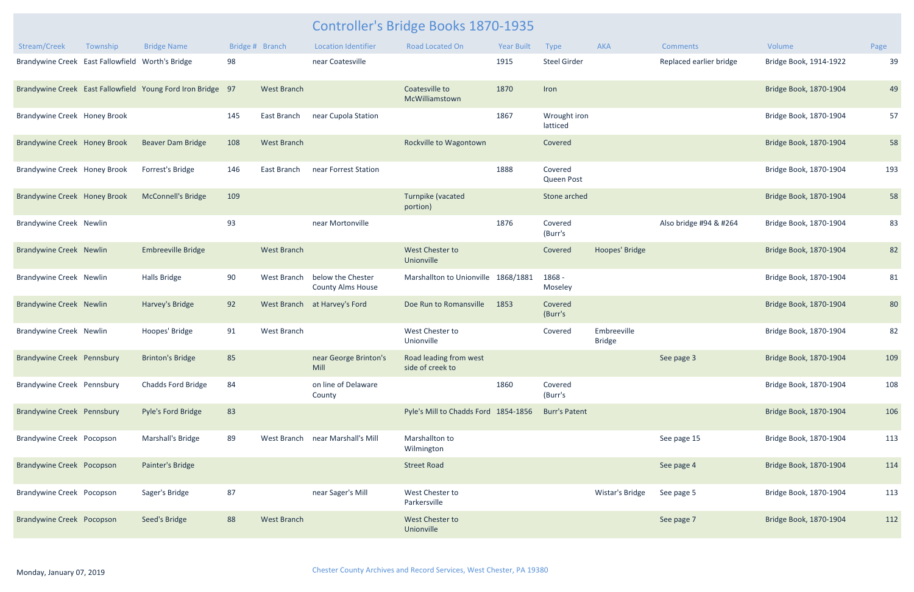| Stream/Creek                                     | Township | <b>Bridge Name</b>                                          |     | Bridge # Branch    | <b>Location Identifier</b>                    | <b>Road Located On</b>                     | <b>Year Built</b> | <b>Type</b>              | <b>AKA</b>                   | <b>Comments</b>         | Volume                 | Page |
|--------------------------------------------------|----------|-------------------------------------------------------------|-----|--------------------|-----------------------------------------------|--------------------------------------------|-------------------|--------------------------|------------------------------|-------------------------|------------------------|------|
| Brandywine Creek East Fallowfield Worth's Bridge |          |                                                             | 98  |                    | near Coatesville                              |                                            | 1915              | <b>Steel Girder</b>      |                              | Replaced earlier bridge | Bridge Book, 1914-1922 | 39   |
|                                                  |          | Brandywine Creek East Fallowfield Young Ford Iron Bridge 97 |     | <b>West Branch</b> |                                               | Coatesville to<br>McWilliamstown           | 1870              | Iron                     |                              |                         | Bridge Book, 1870-1904 | 49   |
| Brandywine Creek Honey Brook                     |          |                                                             | 145 | East Branch        | near Cupola Station                           |                                            | 1867              | Wrought iron<br>latticed |                              |                         | Bridge Book, 1870-1904 | 57   |
| Brandywine Creek Honey Brook                     |          | <b>Beaver Dam Bridge</b>                                    | 108 | <b>West Branch</b> |                                               | Rockville to Wagontown                     |                   | Covered                  |                              |                         | Bridge Book, 1870-1904 | 58   |
| Brandywine Creek Honey Brook                     |          | Forrest's Bridge                                            | 146 | East Branch        | near Forrest Station                          |                                            | 1888              | Covered<br>Queen Post    |                              |                         | Bridge Book, 1870-1904 | 193  |
| Brandywine Creek Honey Brook                     |          | <b>McConnell's Bridge</b>                                   | 109 |                    |                                               | Turnpike (vacated<br>portion)              |                   | Stone arched             |                              |                         | Bridge Book, 1870-1904 | 58   |
| <b>Brandywine Creek Newlin</b>                   |          |                                                             | 93  |                    | near Mortonville                              |                                            | 1876              | Covered<br>(Burr's       |                              | Also bridge #94 & #264  | Bridge Book, 1870-1904 | 83   |
| <b>Brandywine Creek Newlin</b>                   |          | <b>Embreeville Bridge</b>                                   |     | <b>West Branch</b> |                                               | <b>West Chester to</b><br>Unionville       |                   | Covered                  | Hoopes' Bridge               |                         | Bridge Book, 1870-1904 | 82   |
| <b>Brandywine Creek Newlin</b>                   |          | <b>Halls Bridge</b>                                         | 90  | West Branch        | below the Chester<br><b>County Alms House</b> | Marshallton to Unionville 1868/1881        |                   | 1868 -<br>Moseley        |                              |                         | Bridge Book, 1870-1904 | 81   |
| <b>Brandywine Creek Newlin</b>                   |          | Harvey's Bridge                                             | 92  |                    | West Branch at Harvey's Ford                  | Doe Run to Romansville                     | 1853              | Covered<br>(Burr's       |                              |                         | Bridge Book, 1870-1904 | 80   |
| <b>Brandywine Creek Newlin</b>                   |          | Hoopes' Bridge                                              | 91  | West Branch        |                                               | West Chester to<br>Unionville              |                   | Covered                  | Embreeville<br><b>Bridge</b> |                         | Bridge Book, 1870-1904 | 82   |
| Brandywine Creek Pennsbury                       |          | <b>Brinton's Bridge</b>                                     | 85  |                    | near George Brinton's<br>Mill                 | Road leading from west<br>side of creek to |                   |                          |                              | See page 3              | Bridge Book, 1870-1904 | 109  |
| Brandywine Creek Pennsbury                       |          | Chadds Ford Bridge                                          | 84  |                    | on line of Delaware<br>County                 |                                            | 1860              | Covered<br>(Burr's       |                              |                         | Bridge Book, 1870-1904 | 108  |
| Brandywine Creek Pennsbury                       |          | Pyle's Ford Bridge                                          | 83  |                    |                                               | Pyle's Mill to Chadds Ford 1854-1856       |                   | <b>Burr's Patent</b>     |                              |                         | Bridge Book, 1870-1904 | 106  |
| Brandywine Creek Pocopson                        |          | Marshall's Bridge                                           | 89  |                    | West Branch near Marshall's Mill              | Marshallton to<br>Wilmington               |                   |                          |                              | See page 15             | Bridge Book, 1870-1904 | 113  |
| <b>Brandywine Creek Pocopson</b>                 |          | Painter's Bridge                                            |     |                    |                                               | <b>Street Road</b>                         |                   |                          |                              | See page 4              | Bridge Book, 1870-1904 | 114  |
| Brandywine Creek Pocopson                        |          | Sager's Bridge                                              | 87  |                    | near Sager's Mill                             | West Chester to<br>Parkersville            |                   |                          | Wistar's Bridge              | See page 5              | Bridge Book, 1870-1904 | 113  |
| Brandywine Creek Pocopson                        |          | Seed's Bridge                                               | 88  | <b>West Branch</b> |                                               | West Chester to<br>Unionville              |                   |                          |                              | See page 7              | Bridge Book, 1870-1904 | 112  |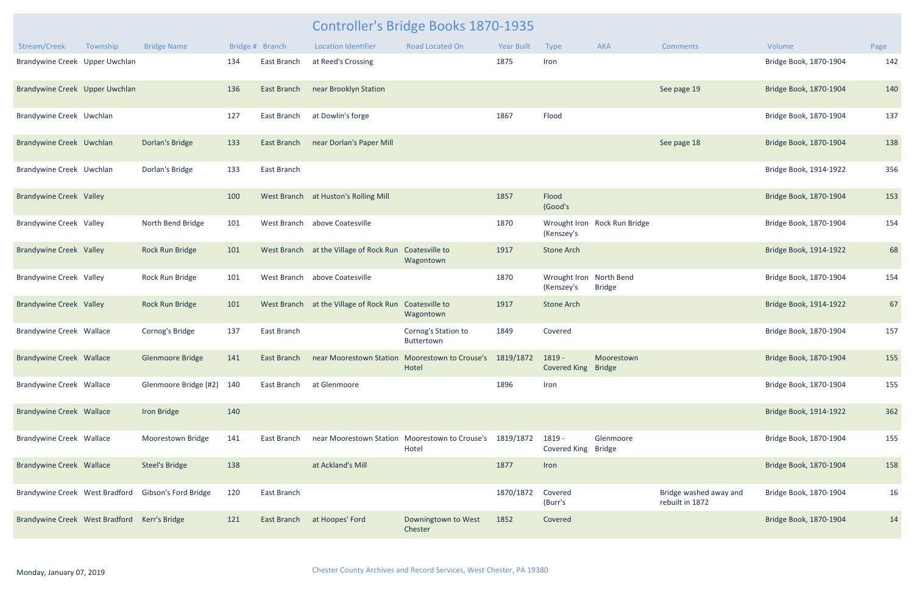| Stream/Creek                                 | Township | <b>Bridge Name</b>                                  |     | Bridge # Branch    | <b>Location Identifier</b> | <b>Road Located On</b>                                  | <b>Year Built</b> | <b>Type</b>                           | <b>AKA</b>                   | <b>Comments</b>                           | Volume                 | Page |
|----------------------------------------------|----------|-----------------------------------------------------|-----|--------------------|----------------------------|---------------------------------------------------------|-------------------|---------------------------------------|------------------------------|-------------------------------------------|------------------------|------|
| Brandywine Creek Upper Uwchlan               |          |                                                     | 134 | East Branch        | at Reed's Crossing         |                                                         | 1875              | Iron                                  |                              |                                           | Bridge Book, 1870-1904 | 142  |
| Brandywine Creek Upper Uwchlan               |          |                                                     | 136 | East Branch        | near Brooklyn Station      |                                                         |                   |                                       |                              | See page 19                               | Bridge Book, 1870-1904 | 140  |
| Brandywine Creek Uwchlan                     |          |                                                     | 127 | East Branch        | at Dowlin's forge          |                                                         | 1867              | Flood                                 |                              |                                           | Bridge Book, 1870-1904 | 137  |
| Brandywine Creek Uwchlan                     |          | Dorlan's Bridge                                     | 133 | <b>East Branch</b> | near Dorlan's Paper Mill   |                                                         |                   |                                       |                              | See page 18                               | Bridge Book, 1870-1904 | 138  |
| Brandywine Creek Uwchlan                     |          | Dorlan's Bridge                                     | 133 | East Branch        |                            |                                                         |                   |                                       |                              |                                           | Bridge Book, 1914-1922 | 356  |
| <b>Brandywine Creek Valley</b>               |          |                                                     | 100 | West Branch        | at Huston's Rolling Mill   |                                                         | 1857              | Flood<br>(Good's                      |                              |                                           | Bridge Book, 1870-1904 | 153  |
| <b>Brandywine Creek Valley</b>               |          | North Bend Bridge                                   | 101 | West Branch        | above Coatesville          |                                                         | 1870              | (Kenszey's                            | Wrought Iron Rock Run Bridge |                                           | Bridge Book, 1870-1904 | 154  |
| <b>Brandywine Creek Valley</b>               |          | Rock Run Bridge                                     | 101 | West Branch        | at the Village of Rock Run | Coatesville to<br>Wagontown                             | 1917              | <b>Stone Arch</b>                     |                              |                                           | Bridge Book, 1914-1922 | 68   |
| <b>Brandywine Creek Valley</b>               |          | Rock Run Bridge                                     | 101 | West Branch        | above Coatesville          |                                                         | 1870              | Wrought Iron North Bend<br>(Kenszey's | <b>Bridge</b>                |                                           | Bridge Book, 1870-1904 | 154  |
| <b>Brandywine Creek Valley</b>               |          | Rock Run Bridge                                     | 101 | West Branch        | at the Village of Rock Run | Coatesville to<br>Wagontown                             | 1917              | <b>Stone Arch</b>                     |                              |                                           | Bridge Book, 1914-1922 | 67   |
| <b>Brandywine Creek Wallace</b>              |          | Cornog's Bridge                                     | 137 | East Branch        |                            | Cornog's Station to<br>Buttertown                       | 1849              | Covered                               |                              |                                           | Bridge Book, 1870-1904 | 157  |
| <b>Brandywine Creek Wallace</b>              |          | <b>Glenmoore Bridge</b>                             | 141 | <b>East Branch</b> |                            | near Moorestown Station Moorestown to Crouse's<br>Hotel | 1819/1872         | 1819 -<br>Covered King Bridge         | Moorestown                   |                                           | Bridge Book, 1870-1904 | 155  |
| <b>Brandywine Creek Wallace</b>              |          | Glenmoore Bridge (#2)                               | 140 | East Branch        | at Glenmoore               |                                                         | 1896              | Iron                                  |                              |                                           | Bridge Book, 1870-1904 | 155  |
| <b>Brandywine Creek Wallace</b>              |          | Iron Bridge                                         | 140 |                    |                            |                                                         |                   |                                       |                              |                                           | Bridge Book, 1914-1922 | 362  |
| <b>Brandywine Creek Wallace</b>              |          | Moorestown Bridge                                   | 141 | East Branch        |                            | near Moorestown Station Moorestown to Crouse's<br>Hotel | 1819/1872         | 1819 -<br>Covered King Bridge         | Glenmoore                    |                                           | Bridge Book, 1870-1904 | 155  |
| <b>Brandywine Creek Wallace</b>              |          | <b>Steel's Bridge</b>                               | 138 |                    | at Ackland's Mill          |                                                         | 1877              | Iron                                  |                              |                                           | Bridge Book, 1870-1904 | 158  |
|                                              |          | Brandywine Creek West Bradford Gibson's Ford Bridge | 120 | East Branch        |                            |                                                         | 1870/1872         | Covered<br>(Burr's                    |                              | Bridge washed away and<br>rebuilt in 1872 | Bridge Book, 1870-1904 | 16   |
| Brandywine Creek West Bradford Kerr's Bridge |          |                                                     | 121 | East Branch        | at Hoopes' Ford            | Downingtown to West<br>Chester                          | 1852              | Covered                               |                              |                                           | Bridge Book, 1870-1904 | 14   |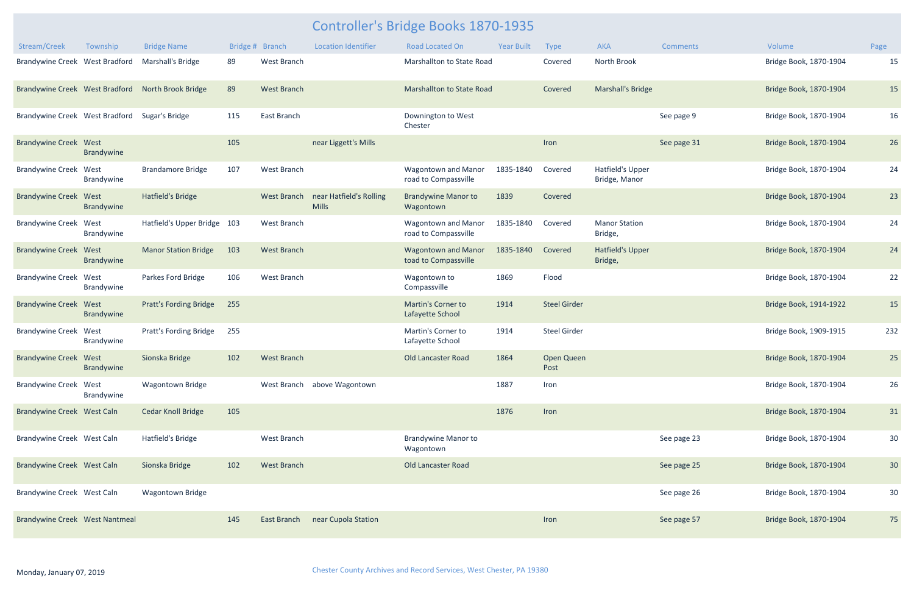| Stream/Creek                   | Township           | <b>Bridge Name</b>            | Bridge # | <b>Branch</b>      | <b>Location Identifier</b>              | <b>Road Located On</b>                             | <b>Year Built</b> | <b>Type</b>         | <b>AKA</b>                               | <b>Comments</b> | Volume                 | Page |
|--------------------------------|--------------------|-------------------------------|----------|--------------------|-----------------------------------------|----------------------------------------------------|-------------------|---------------------|------------------------------------------|-----------------|------------------------|------|
| Brandywine Creek West Bradford |                    | Marshall's Bridge             | 89       | West Branch        |                                         | Marshallton to State Road                          |                   | Covered             | North Brook                              |                 | Bridge Book, 1870-1904 | 15   |
| Brandywine Creek West Bradford |                    | North Brook Bridge            | 89       | <b>West Branch</b> |                                         | Marshallton to State Road                          |                   | Covered             | Marshall's Bridge                        |                 | Bridge Book, 1870-1904 | 15   |
| Brandywine Creek West Bradford |                    | Sugar's Bridge                | 115      | East Branch        |                                         | Downington to West<br>Chester                      |                   |                     |                                          | See page 9      | Bridge Book, 1870-1904 | 16   |
| <b>Brandywine Creek West</b>   | Brandywine         |                               | 105      |                    | near Liggett's Mills                    |                                                    |                   | Iron                |                                          | See page 31     | Bridge Book, 1870-1904 | 26   |
| <b>Brandywine Creek West</b>   | Brandywine         | <b>Brandamore Bridge</b>      | 107      | West Branch        |                                         | <b>Wagontown and Manor</b><br>road to Compassville | 1835-1840         | Covered             | <b>Hatfield's Upper</b><br>Bridge, Manor |                 | Bridge Book, 1870-1904 | 24   |
| <b>Brandywine Creek West</b>   | Brandywine         | Hatfield's Bridge             |          | <b>West Branch</b> | near Hatfield's Rolling<br><b>Mills</b> | <b>Brandywine Manor to</b><br>Wagontown            | 1839              | Covered             |                                          |                 | Bridge Book, 1870-1904 | 23   |
| <b>Brandywine Creek West</b>   | Brandywine         | Hatfield's Upper Bridge 103   |          | West Branch        |                                         | <b>Wagontown and Manor</b><br>road to Compassville | 1835-1840         | Covered             | <b>Manor Station</b><br>Bridge,          |                 | Bridge Book, 1870-1904 | 24   |
| <b>Brandywine Creek</b>        | West<br>Brandywine | <b>Manor Station Bridge</b>   | 103      | <b>West Branch</b> |                                         | <b>Wagontown and Manor</b><br>toad to Compassville | 1835-1840         | Covered             | <b>Hatfield's Upper</b><br>Bridge,       |                 | Bridge Book, 1870-1904 | 24   |
| <b>Brandywine Creek</b>        | West<br>Brandywine | Parkes Ford Bridge            | 106      | West Branch        |                                         | Wagontown to<br>Compassville                       | 1869              | Flood               |                                          |                 | Bridge Book, 1870-1904 | 22   |
| <b>Brandywine Creek West</b>   | <b>Brandywine</b>  | <b>Pratt's Fording Bridge</b> | 255      |                    |                                         | <b>Martin's Corner to</b><br>Lafayette School      | 1914              | <b>Steel Girder</b> |                                          |                 | Bridge Book, 1914-1922 | 15   |
| <b>Brandywine Creek West</b>   | Brandywine         | Pratt's Fording Bridge        | 255      |                    |                                         | Martin's Corner to<br>Lafayette School             | 1914              | <b>Steel Girder</b> |                                          |                 | Bridge Book, 1909-1915 | 232  |
| <b>Brandywine Creek</b>        | West<br>Brandywine | Sionska Bridge                | 102      | <b>West Branch</b> |                                         | Old Lancaster Road                                 | 1864              | Open Queen<br>Post  |                                          |                 | Bridge Book, 1870-1904 | 25   |
| <b>Brandywine Creek West</b>   | Brandywine         | <b>Wagontown Bridge</b>       |          |                    | West Branch above Wagontown             |                                                    | 1887              | Iron                |                                          |                 | Bridge Book, 1870-1904 | 26   |
| Brandywine Creek West Caln     |                    | <b>Cedar Knoll Bridge</b>     | 105      |                    |                                         |                                                    | 1876              | Iron                |                                          |                 | Bridge Book, 1870-1904 | 31   |
| Brandywine Creek West Caln     |                    | Hatfield's Bridge             |          | West Branch        |                                         | <b>Brandywine Manor to</b><br>Wagontown            |                   |                     |                                          | See page 23     | Bridge Book, 1870-1904 | 30   |
| Brandywine Creek West Caln     |                    | Sionska Bridge                | 102      | <b>West Branch</b> |                                         | Old Lancaster Road                                 |                   |                     |                                          | See page 25     | Bridge Book, 1870-1904 | 30   |
| Brandywine Creek West Caln     |                    | <b>Wagontown Bridge</b>       |          |                    |                                         |                                                    |                   |                     |                                          | See page 26     | Bridge Book, 1870-1904 | 30   |
| Brandywine Creek West Nantmeal |                    |                               | 145      | East Branch        | near Cupola Station                     |                                                    |                   | Iron                |                                          | See page 57     | Bridge Book, 1870-1904 | 75   |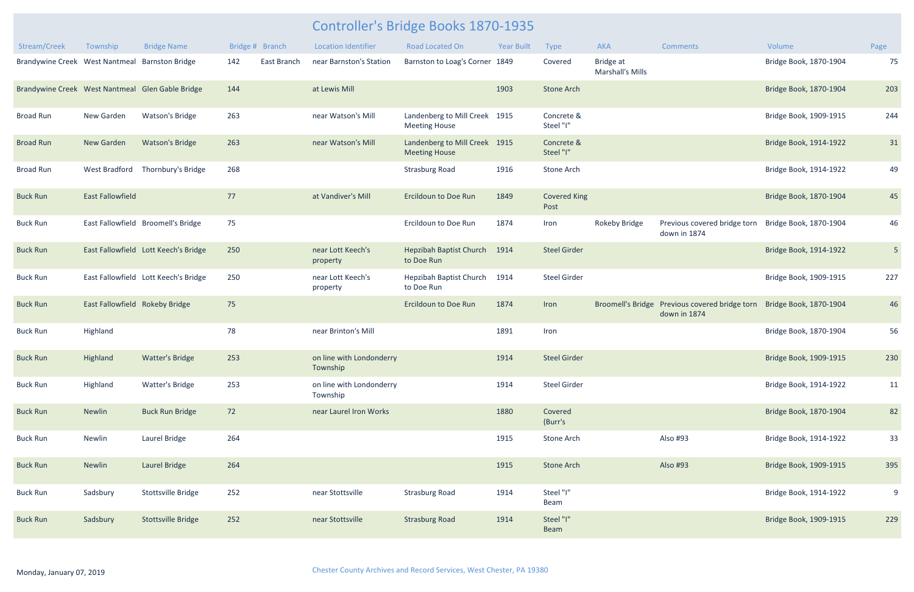| Stream/Creek                   | Township                       | <b>Bridge Name</b>                               | Bridge # Branch |             | <b>Location Identifier</b>           | <b>Road Located On</b>                           | <b>Year Built</b> | Type                        | <b>AKA</b>                           | <b>Comments</b>                              | Volume                 | Page           |
|--------------------------------|--------------------------------|--------------------------------------------------|-----------------|-------------|--------------------------------------|--------------------------------------------------|-------------------|-----------------------------|--------------------------------------|----------------------------------------------|------------------------|----------------|
| Brandywine Creek West Nantmeal |                                | <b>Barnston Bridge</b>                           | 142             | East Branch | near Barnston's Station              | Barnston to Loag's Corner 1849                   |                   | Covered                     | Bridge at<br><b>Marshall's Mills</b> |                                              | Bridge Book, 1870-1904 | 75             |
|                                |                                | Brandywine Creek West Nantmeal Glen Gable Bridge | 144             |             | at Lewis Mill                        |                                                  | 1903              | <b>Stone Arch</b>           |                                      |                                              | Bridge Book, 1870-1904 | 203            |
| Broad Run                      | New Garden                     | <b>Watson's Bridge</b>                           | 263             |             | near Watson's Mill                   | Landenberg to Mill Creek<br><b>Meeting House</b> | 1915              | Concrete &<br>Steel "I"     |                                      |                                              | Bridge Book, 1909-1915 | 244            |
| <b>Broad Run</b>               | New Garden                     | <b>Watson's Bridge</b>                           | 263             |             | near Watson's Mill                   | Landenberg to Mill Creek<br><b>Meeting House</b> | 1915              | Concrete &<br>Steel "I"     |                                      |                                              | Bridge Book, 1914-1922 | 31             |
| <b>Broad Run</b>               | West Bradford                  | Thornbury's Bridge                               | 268             |             |                                      | <b>Strasburg Road</b>                            | 1916              | <b>Stone Arch</b>           |                                      |                                              | Bridge Book, 1914-1922 | 49             |
| <b>Buck Run</b>                | <b>East Fallowfield</b>        |                                                  | 77              |             | at Vandiver's Mill                   | <b>Ercildoun to Doe Run</b>                      | 1849              | <b>Covered King</b><br>Post |                                      |                                              | Bridge Book, 1870-1904 | 45             |
| <b>Buck Run</b>                |                                | East Fallowfield Broomell's Bridge               | 75              |             |                                      | Ercildoun to Doe Run                             | 1874              | Iron                        | <b>Rokeby Bridge</b>                 | Previous covered bridge torn<br>down in 1874 | Bridge Book, 1870-1904 | 46             |
| <b>Buck Run</b>                |                                | East Fallowfield Lott Keech's Bridge             | 250             |             | near Lott Keech's<br>property        | <b>Hepzibah Baptist Church</b><br>to Doe Run     | 1914              | <b>Steel Girder</b>         |                                      |                                              | Bridge Book, 1914-1922 | 5 <sub>5</sub> |
| <b>Buck Run</b>                |                                | East Fallowfield Lott Keech's Bridge             | 250             |             | near Lott Keech's<br>property        | Hepzibah Baptist Church<br>to Doe Run            | 1914              | <b>Steel Girder</b>         |                                      |                                              | Bridge Book, 1909-1915 | 227            |
| <b>Buck Run</b>                | East Fallowfield Rokeby Bridge |                                                  | 75              |             |                                      | <b>Ercildoun to Doe Run</b>                      | 1874              | Iron                        | <b>Broomell's Bridge</b>             | Previous covered bridge torn<br>down in 1874 | Bridge Book, 1870-1904 | 46             |
| <b>Buck Run</b>                | Highland                       |                                                  | 78              |             | near Brinton's Mill                  |                                                  | 1891              | Iron                        |                                      |                                              | Bridge Book, 1870-1904 | 56             |
| <b>Buck Run</b>                | Highland                       | <b>Watter's Bridge</b>                           | 253             |             | on line with Londonderry<br>Township |                                                  | 1914              | <b>Steel Girder</b>         |                                      |                                              | Bridge Book, 1909-1915 | 230            |
| <b>Buck Run</b>                | Highland                       | <b>Watter's Bridge</b>                           | 253             |             | on line with Londonderry<br>Township |                                                  | 1914              | <b>Steel Girder</b>         |                                      |                                              | Bridge Book, 1914-1922 | 11             |
| <b>Buck Run</b>                | Newlin                         | <b>Buck Run Bridge</b>                           | 72              |             | near Laurel Iron Works               |                                                  | 1880              | Covered<br>(Burr's          |                                      |                                              | Bridge Book, 1870-1904 | 82             |
| <b>Buck Run</b>                | Newlin                         | Laurel Bridge                                    | 264             |             |                                      |                                                  | 1915              | Stone Arch                  |                                      | Also #93                                     | Bridge Book, 1914-1922 | 33             |
| <b>Buck Run</b>                | Newlin                         | Laurel Bridge                                    | 264             |             |                                      |                                                  | 1915              | <b>Stone Arch</b>           |                                      | Also #93                                     | Bridge Book, 1909-1915 | 395            |
| <b>Buck Run</b>                | Sadsbury                       | Stottsville Bridge                               | 252             |             | near Stottsville                     | <b>Strasburg Road</b>                            | 1914              | Steel "I"<br>Beam           |                                      |                                              | Bridge Book, 1914-1922 | 9              |
| <b>Buck Run</b>                | Sadsbury                       | Stottsville Bridge                               | 252             |             | near Stottsville                     | <b>Strasburg Road</b>                            | 1914              | Steel "I"<br>Beam           |                                      |                                              | Bridge Book, 1909-1915 | 229            |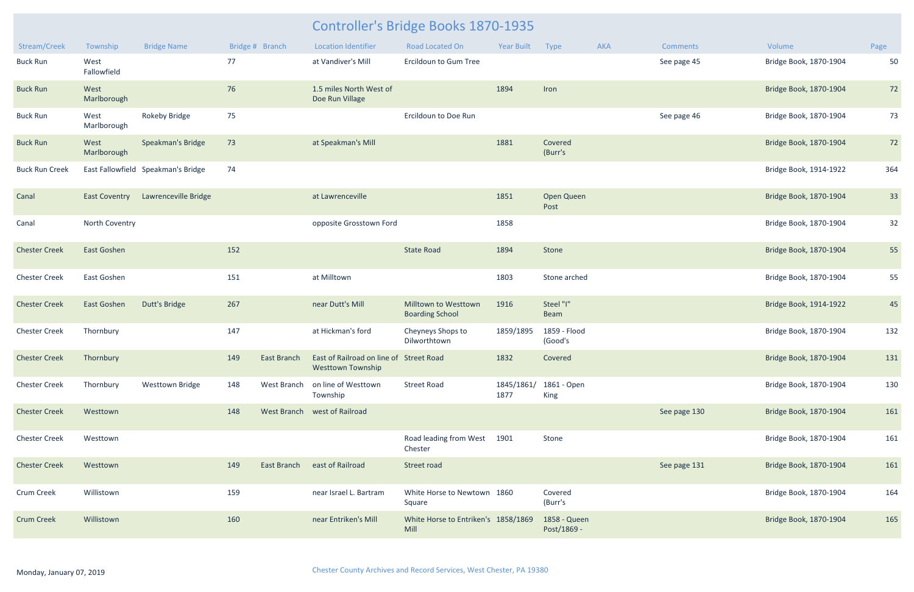| Stream/Creek          | Township             | <b>Bridge Name</b>                 |     | Bridge # Branch    | <b>Location Identifier</b>                                          | <b>Road Located On</b>                         | <b>Year Built</b>  | Type                        | <b>AKA</b> | <b>Comments</b> | Volume                 | Page |
|-----------------------|----------------------|------------------------------------|-----|--------------------|---------------------------------------------------------------------|------------------------------------------------|--------------------|-----------------------------|------------|-----------------|------------------------|------|
| <b>Buck Run</b>       | West<br>Fallowfield  |                                    | 77  |                    | at Vandiver's Mill                                                  | Ercildoun to Gum Tree                          |                    |                             |            | See page 45     | Bridge Book, 1870-1904 | 50   |
| <b>Buck Run</b>       | West<br>Marlborough  |                                    | 76  |                    | 1.5 miles North West of<br>Doe Run Village                          |                                                | 1894               | Iron                        |            |                 | Bridge Book, 1870-1904 | 72   |
| <b>Buck Run</b>       | West<br>Marlborough  | <b>Rokeby Bridge</b>               | 75  |                    |                                                                     | Ercildoun to Doe Run                           |                    |                             |            | See page 46     | Bridge Book, 1870-1904 | 73   |
| <b>Buck Run</b>       | West<br>Marlborough  | Speakman's Bridge                  | 73  |                    | at Speakman's Mill                                                  |                                                | 1881               | Covered<br>(Burr's          |            |                 | Bridge Book, 1870-1904 | 72   |
| <b>Buck Run Creek</b> |                      | East Fallowfield Speakman's Bridge | 74  |                    |                                                                     |                                                |                    |                             |            |                 | Bridge Book, 1914-1922 | 364  |
| Canal                 | <b>East Coventry</b> | Lawrenceville Bridge               |     |                    | at Lawrenceville                                                    |                                                | 1851               | Open Queen<br>Post          |            |                 | Bridge Book, 1870-1904 | 33   |
| Canal                 | North Coventry       |                                    |     |                    | opposite Grosstown Ford                                             |                                                | 1858               |                             |            |                 | Bridge Book, 1870-1904 | 32   |
| <b>Chester Creek</b>  | East Goshen          |                                    | 152 |                    |                                                                     | <b>State Road</b>                              | 1894               | Stone                       |            |                 | Bridge Book, 1870-1904 | 55   |
| <b>Chester Creek</b>  | East Goshen          |                                    | 151 |                    | at Milltown                                                         |                                                | 1803               | Stone arched                |            |                 | Bridge Book, 1870-1904 | 55   |
| <b>Chester Creek</b>  | East Goshen          | Dutt's Bridge                      | 267 |                    | near Dutt's Mill                                                    | Milltown to Westtown<br><b>Boarding School</b> | 1916               | Steel "I"<br>Beam           |            |                 | Bridge Book, 1914-1922 | 45   |
| <b>Chester Creek</b>  | Thornbury            |                                    | 147 |                    | at Hickman's ford                                                   | Cheyneys Shops to<br>Dilworthtown              | 1859/1895          | 1859 - Flood<br>(Good's     |            |                 | Bridge Book, 1870-1904 | 132  |
| <b>Chester Creek</b>  | Thornbury            |                                    | 149 | <b>East Branch</b> | East of Railroad on line of Street Road<br><b>Westtown Township</b> |                                                | 1832               | Covered                     |            |                 | Bridge Book, 1870-1904 | 131  |
| <b>Chester Creek</b>  | Thornbury            | <b>Westtown Bridge</b>             | 148 | West Branch        | on line of Westtown<br>Township                                     | <b>Street Road</b>                             | 1845/1861/<br>1877 | 1861 - Open<br>King         |            |                 | Bridge Book, 1870-1904 | 130  |
| <b>Chester Creek</b>  | Westtown             |                                    | 148 |                    | West Branch west of Railroad                                        |                                                |                    |                             |            | See page 130    | Bridge Book, 1870-1904 | 161  |
| <b>Chester Creek</b>  | Westtown             |                                    |     |                    |                                                                     | Road leading from West<br>Chester              | 1901               | Stone                       |            |                 | Bridge Book, 1870-1904 | 161  |
| <b>Chester Creek</b>  | Westtown             |                                    | 149 | <b>East Branch</b> | east of Railroad                                                    | Street road                                    |                    |                             |            | See page 131    | Bridge Book, 1870-1904 | 161  |
| Crum Creek            | Willistown           |                                    | 159 |                    | near Israel L. Bartram                                              | White Horse to Newtown 1860<br>Square          |                    | Covered<br>(Burr's          |            |                 | Bridge Book, 1870-1904 | 164  |
| <b>Crum Creek</b>     | Willistown           |                                    | 160 |                    | near Entriken's Mill                                                | White Horse to Entriken's 1858/1869<br>Mill    |                    | 1858 - Queen<br>Post/1869 - |            |                 | Bridge Book, 1870-1904 | 165  |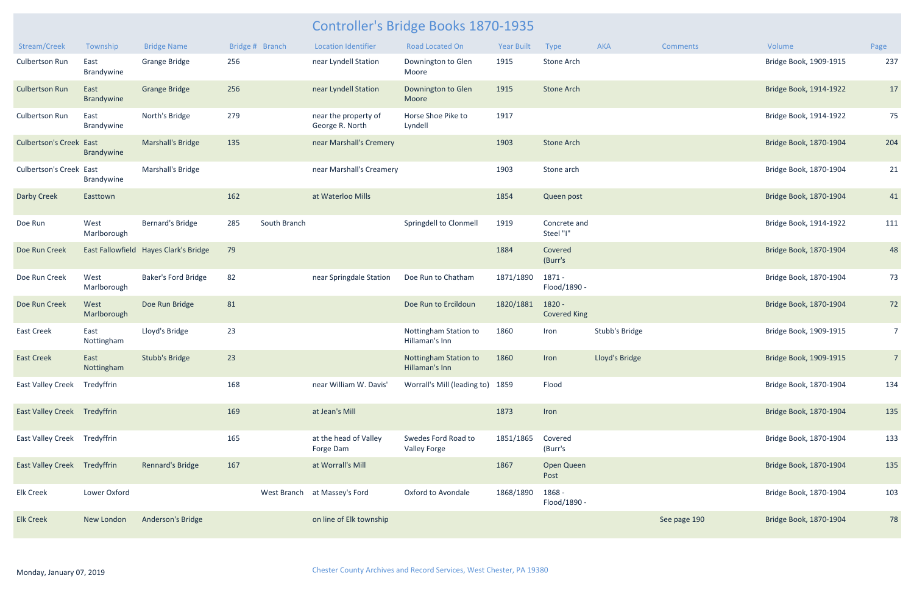| Stream/Creek                        | Township            | <b>Bridge Name</b>                    | Bridge # Branch |              | <b>Location Identifier</b>              | Road Located On                            | <b>Year Built</b> | Type                          | <b>AKA</b>     | <b>Comments</b> | Volume                 | Page           |
|-------------------------------------|---------------------|---------------------------------------|-----------------|--------------|-----------------------------------------|--------------------------------------------|-------------------|-------------------------------|----------------|-----------------|------------------------|----------------|
| <b>Culbertson Run</b>               | East<br>Brandywine  | <b>Grange Bridge</b>                  | 256             |              | near Lyndell Station                    | Downington to Glen<br>Moore                | 1915              | Stone Arch                    |                |                 | Bridge Book, 1909-1915 | 237            |
| <b>Culbertson Run</b>               | East<br>Brandywine  | <b>Grange Bridge</b>                  | 256             |              | near Lyndell Station                    | Downington to Glen<br>Moore                | 1915              | <b>Stone Arch</b>             |                |                 | Bridge Book, 1914-1922 | 17             |
| <b>Culbertson Run</b>               | East<br>Brandywine  | North's Bridge                        | 279             |              | near the property of<br>George R. North | Horse Shoe Pike to<br>Lyndell              | 1917              |                               |                |                 | Bridge Book, 1914-1922 | 75             |
| <b>Culbertson's Creek East</b>      | <b>Brandywine</b>   | Marshall's Bridge                     | 135             |              | near Marshall's Cremery                 |                                            | 1903              | <b>Stone Arch</b>             |                |                 | Bridge Book, 1870-1904 | 204            |
| <b>Culbertson's Creek East</b>      | Brandywine          | Marshall's Bridge                     |                 |              | near Marshall's Creamery                |                                            | 1903              | Stone arch                    |                |                 | Bridge Book, 1870-1904 | 21             |
| <b>Darby Creek</b>                  | Easttown            |                                       | 162             |              | at Waterloo Mills                       |                                            | 1854              | Queen post                    |                |                 | Bridge Book, 1870-1904 | 41             |
| Doe Run                             | West<br>Marlborough | Bernard's Bridge                      | 285             | South Branch |                                         | Springdell to Clonmell                     | 1919              | Concrete and<br>Steel "I"     |                |                 | Bridge Book, 1914-1922 | 111            |
| Doe Run Creek                       |                     | East Fallowfield Hayes Clark's Bridge | 79              |              |                                         |                                            | 1884              | Covered<br>(Burr's            |                |                 | Bridge Book, 1870-1904 | 48             |
| Doe Run Creek                       | West<br>Marlborough | <b>Baker's Ford Bridge</b>            | 82              |              | near Springdale Station                 | Doe Run to Chatham                         | 1871/1890         | 1871 -<br>Flood/1890 -        |                |                 | Bridge Book, 1870-1904 | 73             |
| Doe Run Creek                       | West<br>Marlborough | Doe Run Bridge                        | 81              |              |                                         | Doe Run to Ercildoun                       | 1820/1881         | 1820 -<br><b>Covered King</b> |                |                 | Bridge Book, 1870-1904 | 72             |
| <b>East Creek</b>                   | East<br>Nottingham  | Lloyd's Bridge                        | 23              |              |                                         | Nottingham Station to<br>Hillaman's Inn    | 1860              | Iron                          | Stubb's Bridge |                 | Bridge Book, 1909-1915 | 7 <sup>7</sup> |
| <b>East Creek</b>                   | East<br>Nottingham  | <b>Stubb's Bridge</b>                 | 23              |              |                                         | Nottingham Station to<br>Hillaman's Inn    | 1860              | Iron                          | Lloyd's Bridge |                 | Bridge Book, 1909-1915 | $\overline{7}$ |
| East Valley Creek Tredyffrin        |                     |                                       | 168             |              | near William W. Davis'                  | Worrall's Mill (leading to) 1859           |                   | Flood                         |                |                 | Bridge Book, 1870-1904 | 134            |
| <b>East Valley Creek Tredyffrin</b> |                     |                                       | 169             |              | at Jean's Mill                          |                                            | 1873              | Iron                          |                |                 | Bridge Book, 1870-1904 | 135            |
| East Valley Creek Tredyffrin        |                     |                                       | 165             |              | at the head of Valley<br>Forge Dam      | Swedes Ford Road to<br><b>Valley Forge</b> | 1851/1865         | Covered<br>(Burr's            |                |                 | Bridge Book, 1870-1904 | 133            |
| <b>East Valley Creek Tredyffrin</b> |                     | Rennard's Bridge                      | 167             |              | at Worrall's Mill                       |                                            | 1867              | Open Queen<br>Post            |                |                 | Bridge Book, 1870-1904 | 135            |
| <b>Elk Creek</b>                    | Lower Oxford        |                                       |                 |              | West Branch at Massey's Ford            | Oxford to Avondale                         | 1868/1890         | 1868 -<br>Flood/1890 -        |                |                 | Bridge Book, 1870-1904 | 103            |
| <b>Elk Creek</b>                    | New London          | Anderson's Bridge                     |                 |              | on line of Elk township                 |                                            |                   |                               |                | See page 190    | Bridge Book, 1870-1904 | 78             |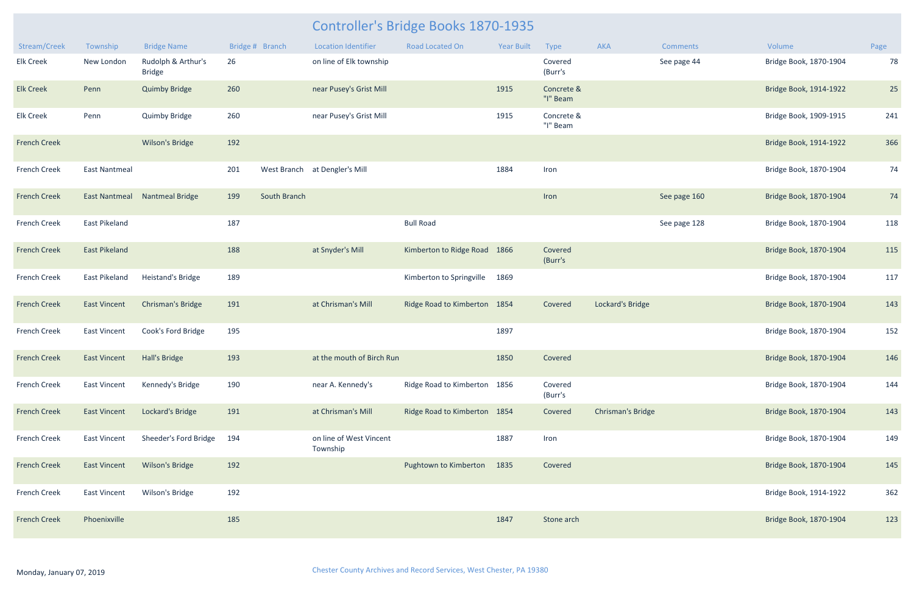| Stream/Creek        | Township             | <b>Bridge Name</b>                  |     | Bridge # Branch | <b>Location Identifier</b>          | <b>Road Located On</b>         | <b>Year Built</b> | Type                   | AKA                      | <b>Comments</b> | Volume                 | Page |
|---------------------|----------------------|-------------------------------------|-----|-----------------|-------------------------------------|--------------------------------|-------------------|------------------------|--------------------------|-----------------|------------------------|------|
| <b>Elk Creek</b>    | New London           | Rudolph & Arthur's<br><b>Bridge</b> | 26  |                 | on line of Elk township             |                                |                   | Covered<br>(Burr's     |                          | See page 44     | Bridge Book, 1870-1904 | 78   |
| <b>Elk Creek</b>    | Penn                 | <b>Quimby Bridge</b>                | 260 |                 | near Pusey's Grist Mill             |                                | 1915              | Concrete &<br>"I" Beam |                          |                 | Bridge Book, 1914-1922 | 25   |
| <b>Elk Creek</b>    | Penn                 | <b>Quimby Bridge</b>                | 260 |                 | near Pusey's Grist Mill             |                                | 1915              | Concrete &<br>"I" Beam |                          |                 | Bridge Book, 1909-1915 | 241  |
| <b>French Creek</b> |                      | <b>Wilson's Bridge</b>              | 192 |                 |                                     |                                |                   |                        |                          |                 | Bridge Book, 1914-1922 | 366  |
| <b>French Creek</b> | <b>East Nantmeal</b> |                                     | 201 |                 | West Branch at Dengler's Mill       |                                | 1884              | Iron                   |                          |                 | Bridge Book, 1870-1904 | 74   |
| <b>French Creek</b> | <b>East Nantmeal</b> | <b>Nantmeal Bridge</b>              | 199 | South Branch    |                                     |                                |                   | Iron                   |                          | See page 160    | Bridge Book, 1870-1904 | 74   |
| <b>French Creek</b> | East Pikeland        |                                     | 187 |                 |                                     | <b>Bull Road</b>               |                   |                        |                          | See page 128    | Bridge Book, 1870-1904 | 118  |
| <b>French Creek</b> | <b>East Pikeland</b> |                                     | 188 |                 | at Snyder's Mill                    | Kimberton to Ridge Road        | 1866              | Covered<br>(Burr's     |                          |                 | Bridge Book, 1870-1904 | 115  |
| French Creek        | East Pikeland        | Heistand's Bridge                   | 189 |                 |                                     | Kimberton to Springville       | 1869              |                        |                          |                 | Bridge Book, 1870-1904 | 117  |
| <b>French Creek</b> | <b>East Vincent</b>  | <b>Chrisman's Bridge</b>            | 191 |                 | at Chrisman's Mill                  | <b>Ridge Road to Kimberton</b> | 1854              | Covered                | Lockard's Bridge         |                 | Bridge Book, 1870-1904 | 143  |
| <b>French Creek</b> | <b>East Vincent</b>  | Cook's Ford Bridge                  | 195 |                 |                                     |                                | 1897              |                        |                          |                 | Bridge Book, 1870-1904 | 152  |
| <b>French Creek</b> | <b>East Vincent</b>  | Hall's Bridge                       | 193 |                 | at the mouth of Birch Run           |                                | 1850              | Covered                |                          |                 | Bridge Book, 1870-1904 | 146  |
| <b>French Creek</b> | East Vincent         | Kennedy's Bridge                    | 190 |                 | near A. Kennedy's                   | Ridge Road to Kimberton 1856   |                   | Covered<br>(Burr's     |                          |                 | Bridge Book, 1870-1904 | 144  |
| <b>French Creek</b> | <b>East Vincent</b>  | Lockard's Bridge                    | 191 |                 | at Chrisman's Mill                  | Ridge Road to Kimberton 1854   |                   | Covered                | <b>Chrisman's Bridge</b> |                 | Bridge Book, 1870-1904 | 143  |
| French Creek        | <b>East Vincent</b>  | Sheeder's Ford Bridge               | 194 |                 | on line of West Vincent<br>Township |                                | 1887              | Iron                   |                          |                 | Bridge Book, 1870-1904 | 149  |
| <b>French Creek</b> | <b>East Vincent</b>  | Wilson's Bridge                     | 192 |                 |                                     | Pughtown to Kimberton          | 1835              | Covered                |                          |                 | Bridge Book, 1870-1904 | 145  |
| French Creek        | <b>East Vincent</b>  | Wilson's Bridge                     | 192 |                 |                                     |                                |                   |                        |                          |                 | Bridge Book, 1914-1922 | 362  |
| <b>French Creek</b> | Phoenixville         |                                     | 185 |                 |                                     |                                | 1847              | Stone arch             |                          |                 | Bridge Book, 1870-1904 | 123  |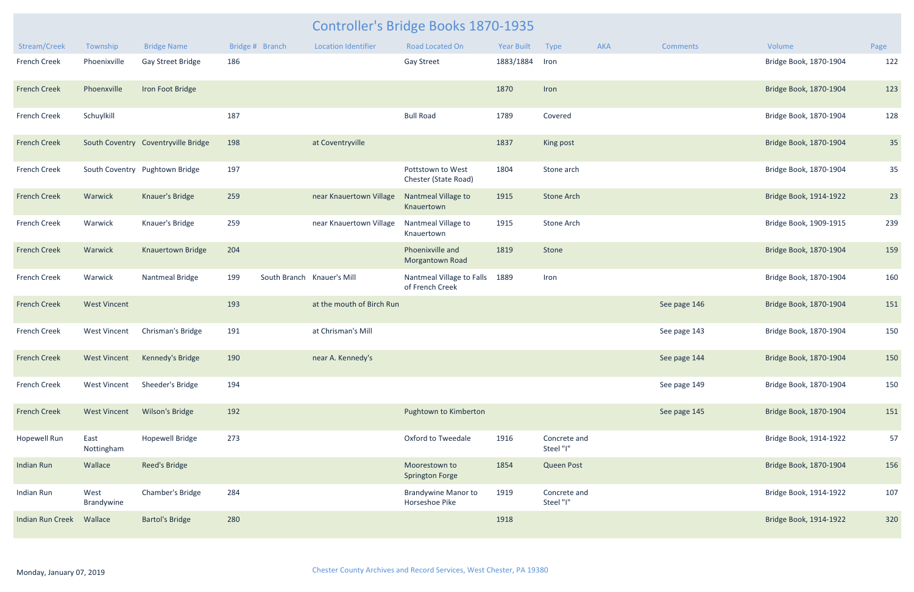|                         |                     |                                            |                 |                            | <b>Controller's Bridge Books 1870-1935</b>   |            |                           |     |                 |                        |      |
|-------------------------|---------------------|--------------------------------------------|-----------------|----------------------------|----------------------------------------------|------------|---------------------------|-----|-----------------|------------------------|------|
| Stream/Creek            | Township            | <b>Bridge Name</b>                         | Bridge # Branch | <b>Location Identifier</b> | <b>Road Located On</b>                       | Year Built | Type                      | AKA | <b>Comments</b> | Volume                 | Page |
| <b>French Creek</b>     | Phoenixville        | Gay Street Bridge                          | 186             |                            | <b>Gay Street</b>                            | 1883/1884  | Iron                      |     |                 | Bridge Book, 1870-1904 | 122  |
| <b>French Creek</b>     | Phoenxville         | Iron Foot Bridge                           |                 |                            |                                              | 1870       | Iron                      |     |                 | Bridge Book, 1870-1904 | 123  |
| <b>French Creek</b>     | Schuylkill          |                                            | 187             |                            | <b>Bull Road</b>                             | 1789       | Covered                   |     |                 | Bridge Book, 1870-1904 | 128  |
| <b>French Creek</b>     |                     | South Coventry Coventryville Bridge        | 198             | at Coventryville           |                                              | 1837       | King post                 |     |                 | Bridge Book, 1870-1904 | 35   |
| <b>French Creek</b>     |                     | South Coventry Pughtown Bridge             | 197             |                            | Pottstown to West<br>Chester (State Road)    | 1804       | Stone arch                |     |                 | Bridge Book, 1870-1904 | 35   |
| <b>French Creek</b>     | Warwick             | Knauer's Bridge                            | 259             | near Knauertown Village    | <b>Nantmeal Village to</b><br>Knauertown     | 1915       | <b>Stone Arch</b>         |     |                 | Bridge Book, 1914-1922 | 23   |
| <b>French Creek</b>     | Warwick             | Knauer's Bridge                            | 259             | near Knauertown Village    | Nantmeal Village to<br>Knauertown            | 1915       | Stone Arch                |     |                 | Bridge Book, 1909-1915 | 239  |
| <b>French Creek</b>     | Warwick             | Knauertown Bridge                          | 204             |                            | Phoenixville and<br>Morgantown Road          | 1819       | Stone                     |     |                 | Bridge Book, 1870-1904 | 159  |
| <b>French Creek</b>     | Warwick             | Nantmeal Bridge                            | 199             | South Branch Knauer's Mill | Nantmeal Village to Falls<br>of French Creek | 1889       | Iron                      |     |                 | Bridge Book, 1870-1904 | 160  |
| <b>French Creek</b>     | <b>West Vincent</b> |                                            | 193             | at the mouth of Birch Run  |                                              |            |                           |     | See page 146    | Bridge Book, 1870-1904 | 151  |
| <b>French Creek</b>     | West Vincent        | Chrisman's Bridge                          | 191             | at Chrisman's Mill         |                                              |            |                           |     | See page 143    | Bridge Book, 1870-1904 | 150  |
|                         |                     | French Creek West Vincent Kennedy's Bridge | 190             | near A. Kennedy's          |                                              |            |                           |     | See page 144    | Bridge Book, 1870-1904 | 150  |
| <b>French Creek</b>     | West Vincent        | Sheeder's Bridge                           | 194             |                            |                                              |            |                           |     | See page 149    | Bridge Book, 1870-1904 | 150  |
| <b>French Creek</b>     | <b>West Vincent</b> | Wilson's Bridge                            | 192             |                            | Pughtown to Kimberton                        |            |                           |     | See page 145    | Bridge Book, 1870-1904 | 151  |
| <b>Hopewell Run</b>     | East<br>Nottingham  | Hopewell Bridge                            | 273             |                            | Oxford to Tweedale                           | 1916       | Concrete and<br>Steel "I" |     |                 | Bridge Book, 1914-1922 | 57   |
| <b>Indian Run</b>       | Wallace             | <b>Reed's Bridge</b>                       |                 |                            | Moorestown to<br><b>Springton Forge</b>      | 1854       | <b>Queen Post</b>         |     |                 | Bridge Book, 1870-1904 | 156  |
| Indian Run              | West<br>Brandywine  | Chamber's Bridge                           | 284             |                            | <b>Brandywine Manor to</b><br>Horseshoe Pike | 1919       | Concrete and<br>Steel "I" |     |                 | Bridge Book, 1914-1922 | 107  |
| <b>Indian Run Creek</b> | Wallace             | <b>Bartol's Bridge</b>                     | 280             |                            |                                              | 1918       |                           |     |                 | Bridge Book, 1914-1922 | 320  |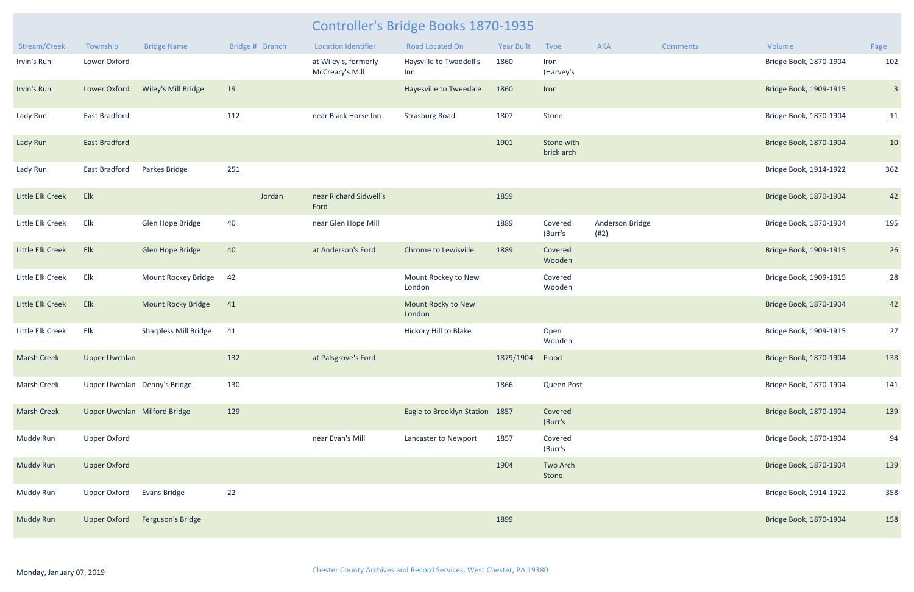| Stream/Creek       | Township                     | <b>Bridge Name</b>           | Bridge # Branch |        | <b>Location Identifier</b>              | <b>Road Located On</b>         | <b>Year Built</b> | Type                     | AKA                     | <b>Comments</b> | Volume                 | Page                    |
|--------------------|------------------------------|------------------------------|-----------------|--------|-----------------------------------------|--------------------------------|-------------------|--------------------------|-------------------------|-----------------|------------------------|-------------------------|
| Irvin's Run        | Lower Oxford                 |                              |                 |        | at Wiley's, formerly<br>McCreary's Mill | Haysville to Twaddell's<br>Inn | 1860              | Iron<br>(Harvey's        |                         |                 | Bridge Book, 1870-1904 | 102                     |
| Irvin's Run        | Lower Oxford                 | Wiley's Mill Bridge          | 19              |        |                                         | Hayesville to Tweedale         | 1860              | Iron                     |                         |                 | Bridge Book, 1909-1915 | $\overline{\mathbf{3}}$ |
| Lady Run           | <b>East Bradford</b>         |                              | 112             |        | near Black Horse Inn                    | <b>Strasburg Road</b>          | 1807              | Stone                    |                         |                 | Bridge Book, 1870-1904 | 11                      |
| Lady Run           | <b>East Bradford</b>         |                              |                 |        |                                         |                                | 1901              | Stone with<br>brick arch |                         |                 | Bridge Book, 1870-1904 | 10                      |
| Lady Run           | <b>East Bradford</b>         | Parkes Bridge                | 251             |        |                                         |                                |                   |                          |                         |                 | Bridge Book, 1914-1922 | 362                     |
| Little Elk Creek   | Elk                          |                              |                 | Jordan | near Richard Sidwell's<br>Ford          |                                | 1859              |                          |                         |                 | Bridge Book, 1870-1904 | 42                      |
| Little Elk Creek   | Elk                          | Glen Hope Bridge             | 40              |        | near Glen Hope Mill                     |                                | 1889              | Covered<br>(Burr's       | Anderson Bridge<br>(#2) |                 | Bridge Book, 1870-1904 | 195                     |
| Little Elk Creek   | Elk                          | Glen Hope Bridge             | 40              |        | at Anderson's Ford                      | <b>Chrome to Lewisville</b>    | 1889              | Covered<br>Wooden        |                         |                 | Bridge Book, 1909-1915 | 26                      |
| Little Elk Creek   | Elk                          | Mount Rockey Bridge          | 42              |        |                                         | Mount Rockey to New<br>London  |                   | Covered<br>Wooden        |                         |                 | Bridge Book, 1909-1915 | 28                      |
| Little Elk Creek   | Elk                          | <b>Mount Rocky Bridge</b>    | 41              |        |                                         | Mount Rocky to New<br>London   |                   |                          |                         |                 | Bridge Book, 1870-1904 | 42                      |
| Little Elk Creek   | Elk                          | <b>Sharpless Mill Bridge</b> | 41              |        |                                         | Hickory Hill to Blake          |                   | Open<br>Wooden           |                         |                 | Bridge Book, 1909-1915 | 27                      |
| <b>Marsh Creek</b> | <b>Upper Uwchlan</b>         |                              | 132             |        | at Palsgrove's Ford                     |                                | 1879/1904         | Flood                    |                         |                 | Bridge Book, 1870-1904 | 138                     |
| Marsh Creek        | Upper Uwchlan Denny's Bridge |                              | 130             |        |                                         |                                | 1866              | Queen Post               |                         |                 | Bridge Book, 1870-1904 | 141                     |
| <b>Marsh Creek</b> | Upper Uwchlan Milford Bridge |                              | 129             |        |                                         | Eagle to Brooklyn Station 1857 |                   | Covered<br>(Burr's       |                         |                 | Bridge Book, 1870-1904 | 139                     |
| Muddy Run          | <b>Upper Oxford</b>          |                              |                 |        | near Evan's Mill                        | Lancaster to Newport           | 1857              | Covered<br>(Burr's       |                         |                 | Bridge Book, 1870-1904 | 94                      |
| <b>Muddy Run</b>   | <b>Upper Oxford</b>          |                              |                 |        |                                         |                                | 1904              | Two Arch<br>Stone        |                         |                 | Bridge Book, 1870-1904 | 139                     |
| Muddy Run          | Upper Oxford                 | Evans Bridge                 | 22              |        |                                         |                                |                   |                          |                         |                 | Bridge Book, 1914-1922 | 358                     |
| <b>Muddy Run</b>   | <b>Upper Oxford</b>          | Ferguson's Bridge            |                 |        |                                         |                                | 1899              |                          |                         |                 | Bridge Book, 1870-1904 | 158                     |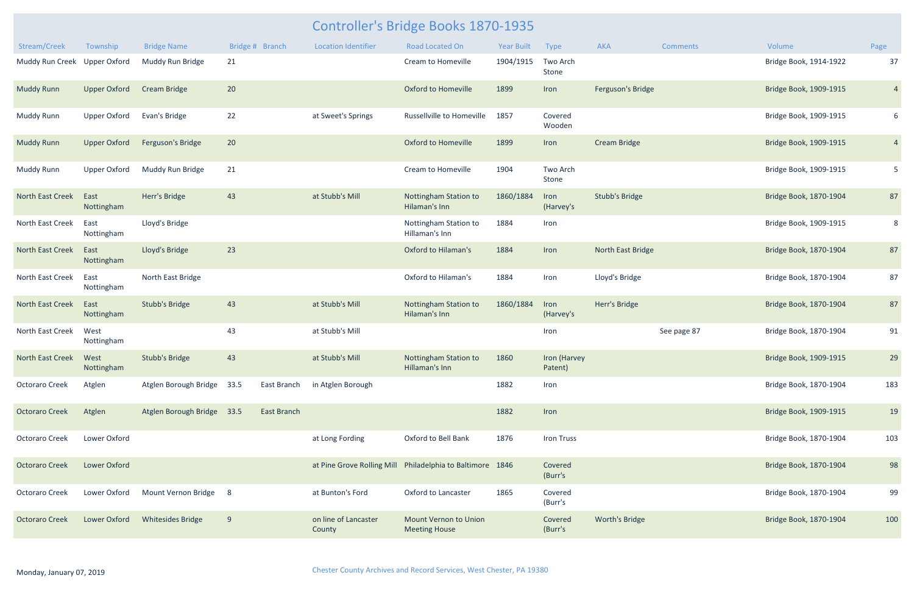| Stream/Creek                 | Township            | <b>Bridge Name</b>         | Bridge # Branch |                    | <b>Location Identifier</b>     | Road Located On                                           | <b>Year Built</b> | <b>Type</b>             | AKA                   | <b>Comments</b> | Volume                 | Page           |
|------------------------------|---------------------|----------------------------|-----------------|--------------------|--------------------------------|-----------------------------------------------------------|-------------------|-------------------------|-----------------------|-----------------|------------------------|----------------|
| Muddy Run Creek Upper Oxford |                     | Muddy Run Bridge           | 21              |                    |                                | Cream to Homeville                                        | 1904/1915         | Two Arch<br>Stone       |                       |                 | Bridge Book, 1914-1922 | 37             |
| <b>Muddy Runn</b>            | <b>Upper Oxford</b> | <b>Cream Bridge</b>        | 20 <sub>2</sub> |                    |                                | <b>Oxford to Homeville</b>                                | 1899              | Iron                    | Ferguson's Bridge     |                 | Bridge Book, 1909-1915 | $\overline{4}$ |
| <b>Muddy Runn</b>            | Upper Oxford        | Evan's Bridge              | 22              |                    | at Sweet's Springs             | Russellville to Homeville                                 | 1857              | Covered<br>Wooden       |                       |                 | Bridge Book, 1909-1915 | 6              |
| <b>Muddy Runn</b>            | <b>Upper Oxford</b> | Ferguson's Bridge          | 20              |                    |                                | <b>Oxford to Homeville</b>                                | 1899              | Iron                    | Cream Bridge          |                 | Bridge Book, 1909-1915 | $\overline{4}$ |
| <b>Muddy Runn</b>            | <b>Upper Oxford</b> | Muddy Run Bridge           | 21              |                    |                                | Cream to Homeville                                        | 1904              | Two Arch<br>Stone       |                       |                 | Bridge Book, 1909-1915 | 5 <sub>5</sub> |
| North East Creek             | East<br>Nottingham  | Herr's Bridge              | 43              |                    | at Stubb's Mill                | Nottingham Station to<br>Hilaman's Inn                    | 1860/1884         | Iron<br>(Harvey's       | <b>Stubb's Bridge</b> |                 | Bridge Book, 1870-1904 | 87             |
| North East Creek             | East<br>Nottingham  | Lloyd's Bridge             |                 |                    |                                | Nottingham Station to<br>Hillaman's Inn                   | 1884              | Iron                    |                       |                 | Bridge Book, 1909-1915 | 8              |
| <b>North East Creek</b>      | East<br>Nottingham  | Lloyd's Bridge             | 23              |                    |                                | <b>Oxford to Hilaman's</b>                                | 1884              | Iron                    | North East Bridge     |                 | Bridge Book, 1870-1904 | 87             |
| North East Creek             | East<br>Nottingham  | North East Bridge          |                 |                    |                                | Oxford to Hilaman's                                       | 1884              | Iron                    | Lloyd's Bridge        |                 | Bridge Book, 1870-1904 | 87             |
| North East Creek             | East<br>Nottingham  | <b>Stubb's Bridge</b>      | 43              |                    | at Stubb's Mill                | Nottingham Station to<br>Hilaman's Inn                    | 1860/1884         | Iron<br>(Harvey's       | Herr's Bridge         |                 | Bridge Book, 1870-1904 | 87             |
| North East Creek             | West<br>Nottingham  |                            | 43              |                    | at Stubb's Mill                |                                                           |                   | Iron                    |                       | See page 87     | Bridge Book, 1870-1904 | 91             |
| <b>North East Creek</b>      | West<br>Nottingham  | <b>Stubb's Bridge</b>      | 43              |                    | at Stubb's Mill                | Nottingham Station to<br>Hillaman's Inn                   | 1860              | Iron (Harvey<br>Patent) |                       |                 | Bridge Book, 1909-1915 | 29             |
| <b>Octoraro Creek</b>        | Atglen              | Atglen Borough Bridge 33.5 |                 | East Branch        | in Atglen Borough              |                                                           | 1882              | Iron                    |                       |                 | Bridge Book, 1870-1904 | 183            |
| <b>Octoraro Creek</b>        | Atglen              | Atglen Borough Bridge 33.5 |                 | <b>East Branch</b> |                                |                                                           | 1882              | Iron                    |                       |                 | Bridge Book, 1909-1915 | 19             |
| <b>Octoraro Creek</b>        | Lower Oxford        |                            |                 |                    | at Long Fording                | Oxford to Bell Bank                                       | 1876              | <b>Iron Truss</b>       |                       |                 | Bridge Book, 1870-1904 | 103            |
| <b>Octoraro Creek</b>        | Lower Oxford        |                            |                 |                    |                                | at Pine Grove Rolling Mill Philadelphia to Baltimore 1846 |                   | Covered<br>(Burr's      |                       |                 | Bridge Book, 1870-1904 | 98             |
| Octoraro Creek               | Lower Oxford        | Mount Vernon Bridge 8      |                 |                    | at Bunton's Ford               | Oxford to Lancaster                                       | 1865              | Covered<br>(Burr's      |                       |                 | Bridge Book, 1870-1904 | 99             |
| <b>Octoraro Creek</b>        | Lower Oxford        | <b>Whitesides Bridge</b>   | 9               |                    | on line of Lancaster<br>County | Mount Vernon to Union<br><b>Meeting House</b>             |                   | Covered<br>(Burr's      | Worth's Bridge        |                 | Bridge Book, 1870-1904 | 100            |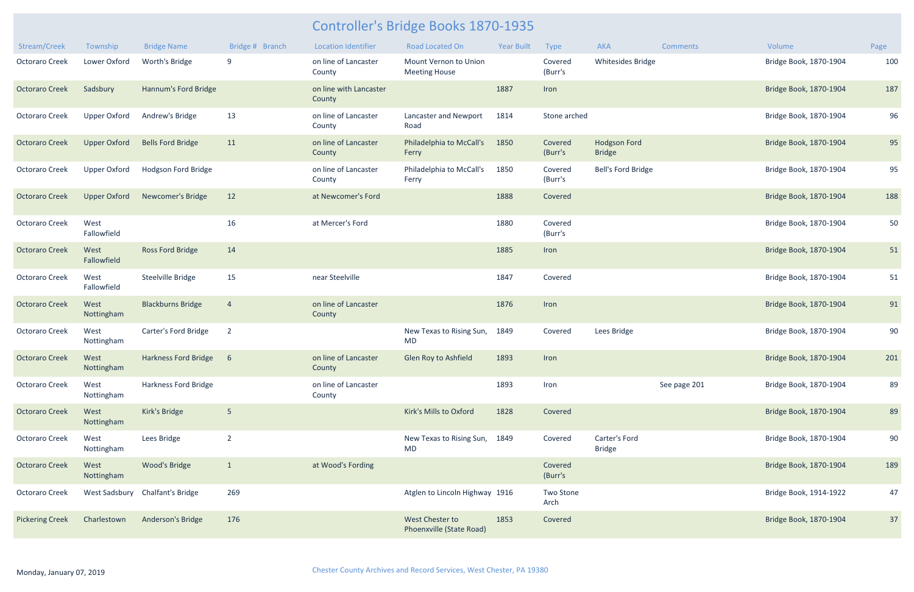| Stream/Creek           | Township            | <b>Bridge Name</b>              | Bridge # Branch | <b>Location Identifier</b>       | <b>Road Located On</b>                             | <b>Year Built</b> | Type               | AKA                                  | <b>Comments</b> | Volume                 | Page |
|------------------------|---------------------|---------------------------------|-----------------|----------------------------------|----------------------------------------------------|-------------------|--------------------|--------------------------------------|-----------------|------------------------|------|
| <b>Octoraro Creek</b>  | Lower Oxford        | Worth's Bridge                  | 9               | on line of Lancaster<br>County   | Mount Vernon to Union<br><b>Meeting House</b>      |                   | Covered<br>(Burr's | <b>Whitesides Bridge</b>             |                 | Bridge Book, 1870-1904 | 100  |
| <b>Octoraro Creek</b>  | Sadsbury            | Hannum's Ford Bridge            |                 | on line with Lancaster<br>County |                                                    | 1887              | Iron               |                                      |                 | Bridge Book, 1870-1904 | 187  |
| <b>Octoraro Creek</b>  | <b>Upper Oxford</b> | Andrew's Bridge                 | 13              | on line of Lancaster<br>County   | Lancaster and Newport<br>Road                      | 1814              | Stone arched       |                                      |                 | Bridge Book, 1870-1904 | 96   |
| <b>Octoraro Creek</b>  | <b>Upper Oxford</b> | <b>Bells Ford Bridge</b>        | 11              | on line of Lancaster<br>County   | Philadelphia to McCall's<br>Ferry                  | 1850              | Covered<br>(Burr's | <b>Hodgson Ford</b><br><b>Bridge</b> |                 | Bridge Book, 1870-1904 | 95   |
| <b>Octoraro Creek</b>  | <b>Upper Oxford</b> | Hodgson Ford Bridge             |                 | on line of Lancaster<br>County   | Philadelphia to McCall's<br>Ferry                  | 1850              | Covered<br>(Burr's | Bell's Ford Bridge                   |                 | Bridge Book, 1870-1904 | 95   |
| <b>Octoraro Creek</b>  | <b>Upper Oxford</b> | Newcomer's Bridge               | 12              | at Newcomer's Ford               |                                                    | 1888              | Covered            |                                      |                 | Bridge Book, 1870-1904 | 188  |
| Octoraro Creek         | West<br>Fallowfield |                                 | 16              | at Mercer's Ford                 |                                                    | 1880              | Covered<br>(Burr's |                                      |                 | Bridge Book, 1870-1904 | 50   |
| <b>Octoraro Creek</b>  | West<br>Fallowfield | Ross Ford Bridge                | 14              |                                  |                                                    | 1885              | Iron               |                                      |                 | Bridge Book, 1870-1904 | 51   |
| Octoraro Creek         | West<br>Fallowfield | Steelville Bridge               | 15              | near Steelville                  |                                                    | 1847              | Covered            |                                      |                 | Bridge Book, 1870-1904 | 51   |
| <b>Octoraro Creek</b>  | West<br>Nottingham  | <b>Blackburns Bridge</b>        | $\overline{4}$  | on line of Lancaster<br>County   |                                                    | 1876              | Iron               |                                      |                 | Bridge Book, 1870-1904 | 91   |
| <b>Octoraro Creek</b>  | West<br>Nottingham  | Carter's Ford Bridge            | $\overline{2}$  |                                  | New Texas to Rising Sun,<br><b>MD</b>              | 1849              | Covered            | Lees Bridge                          |                 | Bridge Book, 1870-1904 | 90   |
| <b>Octoraro Creek</b>  | West<br>Nottingham  | <b>Harkness Ford Bridge</b>     | $6\overline{6}$ | on line of Lancaster<br>County   | Glen Roy to Ashfield                               | 1893              | Iron               |                                      |                 | Bridge Book, 1870-1904 | 201  |
| Octoraro Creek         | West<br>Nottingham  | Harkness Ford Bridge            |                 | on line of Lancaster<br>County   |                                                    | 1893              | Iron               |                                      | See page 201    | Bridge Book, 1870-1904 | 89   |
| <b>Octoraro Creek</b>  | West<br>Nottingham  | Kirk's Bridge                   | 5               |                                  | Kirk's Mills to Oxford                             | 1828              | Covered            |                                      |                 | Bridge Book, 1870-1904 | 89   |
| Octoraro Creek         | West<br>Nottingham  | Lees Bridge                     | $\overline{2}$  |                                  | New Texas to Rising Sun, 1849<br><b>MD</b>         |                   | Covered            | Carter's Ford<br><b>Bridge</b>       |                 | Bridge Book, 1870-1904 | 90   |
| <b>Octoraro Creek</b>  | West<br>Nottingham  | Wood's Bridge                   | $\mathbf{1}$    | at Wood's Fording                |                                                    |                   | Covered<br>(Burr's |                                      |                 | Bridge Book, 1870-1904 | 189  |
| Octoraro Creek         |                     | West Sadsbury Chalfant's Bridge | 269             |                                  | Atglen to Lincoln Highway 1916                     |                   | Two Stone<br>Arch  |                                      |                 | Bridge Book, 1914-1922 | 47   |
| <b>Pickering Creek</b> | Charlestown         | Anderson's Bridge               | 176             |                                  | <b>West Chester to</b><br>Phoenxville (State Road) | 1853              | Covered            |                                      |                 | Bridge Book, 1870-1904 | 37   |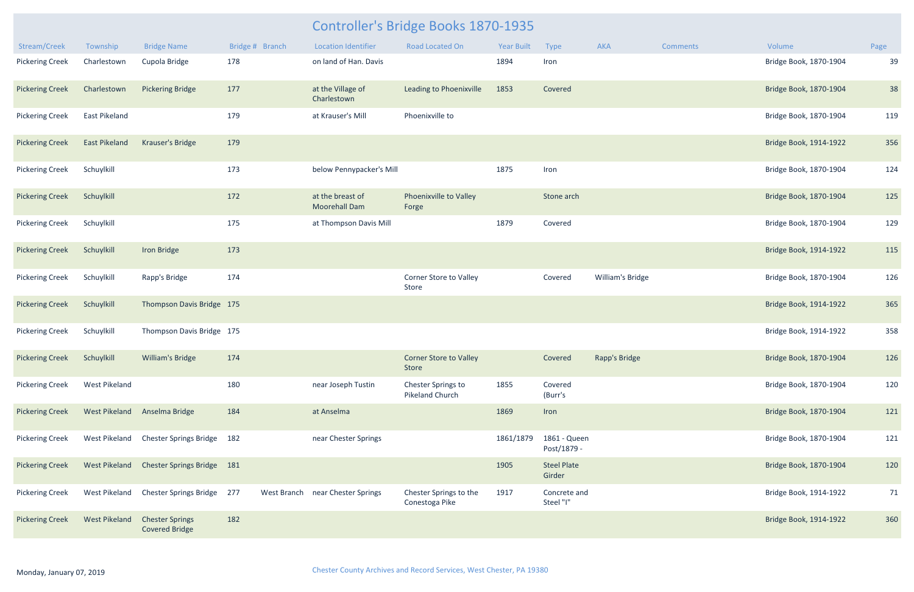|                                             |                      |                                                 |                 |                                          | <b>Controller's Bridge Books 1870-1935</b> |            |                              |                       |                 |                        |      |
|---------------------------------------------|----------------------|-------------------------------------------------|-----------------|------------------------------------------|--------------------------------------------|------------|------------------------------|-----------------------|-----------------|------------------------|------|
| Stream/Creek                                | Township             | <b>Bridge Name</b>                              | Bridge # Branch | <b>Location Identifier</b>               | <b>Road Located On</b>                     | Year Built | Type                         | <b>AKA</b>            | <b>Comments</b> | Volume                 | Page |
| <b>Pickering Creek</b>                      | Charlestown          | Cupola Bridge                                   | 178             | on land of Han. Davis                    |                                            | 1894       | Iron                         |                       |                 | Bridge Book, 1870-1904 | 39   |
| <b>Pickering Creek</b>                      | Charlestown          | <b>Pickering Bridge</b>                         | 177             | at the Village of<br>Charlestown         | Leading to Phoenixville                    | 1853       | Covered                      |                       |                 | Bridge Book, 1870-1904 | 38   |
| <b>Pickering Creek</b>                      | <b>East Pikeland</b> |                                                 | 179             | at Krauser's Mill                        | Phoenixville to                            |            |                              |                       |                 | Bridge Book, 1870-1904 | 119  |
| <b>Pickering Creek</b>                      | <b>East Pikeland</b> | Krauser's Bridge                                | 179             |                                          |                                            |            |                              |                       |                 | Bridge Book, 1914-1922 | 356  |
| <b>Pickering Creek</b>                      | Schuylkill           |                                                 | 173             | below Pennypacker's Mill                 |                                            | 1875       | Iron                         |                       |                 | Bridge Book, 1870-1904 | 124  |
| <b>Pickering Creek</b>                      | Schuylkill           |                                                 | 172             | at the breast of<br><b>Moorehall Dam</b> | Phoenixville to Valley<br>Forge            |            | Stone arch                   |                       |                 | Bridge Book, 1870-1904 | 125  |
| <b>Pickering Creek</b>                      | Schuylkill           |                                                 | 175             | at Thompson Davis Mill                   |                                            | 1879       | Covered                      |                       |                 | Bridge Book, 1870-1904 | 129  |
| <b>Pickering Creek</b>                      | Schuylkill           | Iron Bridge                                     | 173             |                                          |                                            |            |                              |                       |                 | Bridge Book, 1914-1922 | 115  |
| <b>Pickering Creek</b>                      | Schuylkill           | Rapp's Bridge                                   | 174             |                                          | Corner Store to Valley<br>Store            |            | Covered                      | William's Bridge      |                 | Bridge Book, 1870-1904 | 126  |
| <b>Pickering Creek</b>                      | Schuylkill           | Thompson Davis Bridge 175                       |                 |                                          |                                            |            |                              |                       |                 | Bridge Book, 1914-1922 | 365  |
| <b>Pickering Creek</b>                      | Schuylkill           | Thompson Davis Bridge 175                       |                 |                                          |                                            |            |                              |                       |                 | Bridge Book, 1914-1922 | 358  |
| Pickering Creek Schuylkill William's Bridge |                      |                                                 | 174             |                                          | <b>Corner Store to Valley</b><br>Store     |            |                              | Covered Rapp's Bridge |                 | Bridge Book, 1870-1904 | 126  |
| <b>Pickering Creek</b>                      | <b>West Pikeland</b> |                                                 | 180             | near Joseph Tustin                       | Chester Springs to<br>Pikeland Church      | 1855       | Covered<br>(Burr's           |                       |                 | Bridge Book, 1870-1904 | 120  |
| <b>Pickering Creek</b>                      |                      | West Pikeland Anselma Bridge                    | 184             | at Anselma                               |                                            | 1869       | Iron                         |                       |                 | Bridge Book, 1870-1904 | 121  |
| <b>Pickering Creek</b>                      | West Pikeland        | Chester Springs Bridge 182                      |                 | near Chester Springs                     |                                            | 1861/1879  | 1861 - Queen<br>Post/1879 -  |                       |                 | Bridge Book, 1870-1904 | 121  |
| <b>Pickering Creek</b>                      | <b>West Pikeland</b> | Chester Springs Bridge 181                      |                 |                                          |                                            | 1905       | <b>Steel Plate</b><br>Girder |                       |                 | Bridge Book, 1870-1904 | 120  |
| <b>Pickering Creek</b>                      | <b>West Pikeland</b> | Chester Springs Bridge 277                      |                 | West Branch near Chester Springs         | Chester Springs to the<br>Conestoga Pike   | 1917       | Concrete and<br>Steel "I"    |                       |                 | Bridge Book, 1914-1922 | 71   |
| <b>Pickering Creek</b>                      | <b>West Pikeland</b> | <b>Chester Springs</b><br><b>Covered Bridge</b> | 182             |                                          |                                            |            |                              |                       |                 | Bridge Book, 1914-1922 | 360  |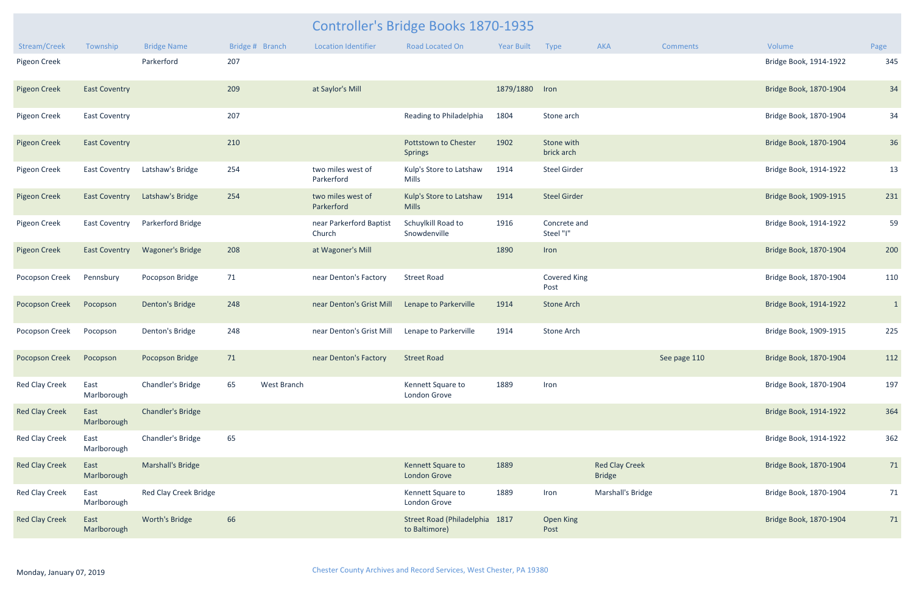|                         |                      |                              |                   |                                   | <b>Controller's Bridge Books 1870-1935</b>      |                 |                             |                                        |              |                        |              |
|-------------------------|----------------------|------------------------------|-------------------|-----------------------------------|-------------------------------------------------|-----------------|-----------------------------|----------------------------------------|--------------|------------------------|--------------|
| Stream/Creek            | Township             | <b>Bridge Name</b>           | Bridge # Branch   | <b>Location Identifier</b>        | <b>Road Located On</b>                          | Year Built Type |                             | AKA                                    | Comments     | Volume                 | Page         |
| Pigeon Creek            |                      | Parkerford                   | 207               |                                   |                                                 |                 |                             |                                        |              | Bridge Book, 1914-1922 | 345          |
| <b>Pigeon Creek</b>     | <b>East Coventry</b> |                              | 209               | at Saylor's Mill                  |                                                 | 1879/1880 Iron  |                             |                                        |              | Bridge Book, 1870-1904 | 34           |
| Pigeon Creek            | <b>East Coventry</b> |                              | 207               |                                   | Reading to Philadelphia                         | 1804            | Stone arch                  |                                        |              | Bridge Book, 1870-1904 | 34           |
| <b>Pigeon Creek</b>     | <b>East Coventry</b> |                              | 210               |                                   | Pottstown to Chester<br><b>Springs</b>          | 1902            | Stone with<br>brick arch    |                                        |              | Bridge Book, 1870-1904 | 36           |
| Pigeon Creek            | <b>East Coventry</b> | Latshaw's Bridge             | 254               | two miles west of<br>Parkerford   | Kulp's Store to Latshaw<br>Mills                | 1914            | <b>Steel Girder</b>         |                                        |              | Bridge Book, 1914-1922 | 13           |
| <b>Pigeon Creek</b>     | <b>East Coventry</b> | Latshaw's Bridge             | 254               | two miles west of<br>Parkerford   | Kulp's Store to Latshaw<br><b>Mills</b>         | 1914            | <b>Steel Girder</b>         |                                        |              | Bridge Book, 1909-1915 | 231          |
| Pigeon Creek            | <b>East Coventry</b> | Parkerford Bridge            |                   | near Parkerford Baptist<br>Church | Schuylkill Road to<br>Snowdenville              | 1916            | Concrete and<br>Steel "I"   |                                        |              | Bridge Book, 1914-1922 | 59           |
| <b>Pigeon Creek</b>     | <b>East Coventry</b> | <b>Wagoner's Bridge</b>      | 208               | at Wagoner's Mill                 |                                                 | 1890            | Iron                        |                                        |              | Bridge Book, 1870-1904 | 200          |
| Pocopson Creek          | Pennsbury            | Pocopson Bridge              | 71                | near Denton's Factory             | <b>Street Road</b>                              |                 | <b>Covered King</b><br>Post |                                        |              | Bridge Book, 1870-1904 | 110          |
| <b>Pocopson Creek</b>   | Pocopson             | Denton's Bridge              | 248               | near Denton's Grist Mill          | Lenape to Parkerville                           | 1914            | <b>Stone Arch</b>           |                                        |              | Bridge Book, 1914-1922 | $\mathbf{1}$ |
| Pocopson Creek          | Pocopson             | Denton's Bridge              | 248               | near Denton's Grist Mill          | Lenape to Parkerville                           | 1914            | Stone Arch                  |                                        |              | Bridge Book, 1909-1915 | 225          |
| Pocopson Creek Pocopson |                      | Pocopson Bridge              | 71                | near Denton's Factory Street Road |                                                 |                 |                             |                                        | See page 110 | Bridge Book, 1870-1904 | 112          |
| <b>Red Clay Creek</b>   | East<br>Marlborough  | Chandler's Bridge            | 65<br>West Branch |                                   | Kennett Square to<br>London Grove               | 1889            | Iron                        |                                        |              | Bridge Book, 1870-1904 | 197          |
| <b>Red Clay Creek</b>   | East<br>Marlborough  | <b>Chandler's Bridge</b>     |                   |                                   |                                                 |                 |                             |                                        |              | Bridge Book, 1914-1922 | 364          |
| Red Clay Creek          | East<br>Marlborough  | Chandler's Bridge            | 65                |                                   |                                                 |                 |                             |                                        |              | Bridge Book, 1914-1922 | 362          |
| <b>Red Clay Creek</b>   | East<br>Marlborough  | Marshall's Bridge            |                   |                                   | Kennett Square to<br><b>London Grove</b>        | 1889            |                             | <b>Red Clay Creek</b><br><b>Bridge</b> |              | Bridge Book, 1870-1904 | 71           |
| <b>Red Clay Creek</b>   | East<br>Marlborough  | <b>Red Clay Creek Bridge</b> |                   |                                   | Kennett Square to<br>London Grove               | 1889            | Iron                        | Marshall's Bridge                      |              | Bridge Book, 1870-1904 | 71           |
| <b>Red Clay Creek</b>   | East<br>Marlborough  | Worth's Bridge               | 66                |                                   | Street Road (Philadelphia 1817<br>to Baltimore) |                 | Open King<br>Post           |                                        |              | Bridge Book, 1870-1904 | 71           |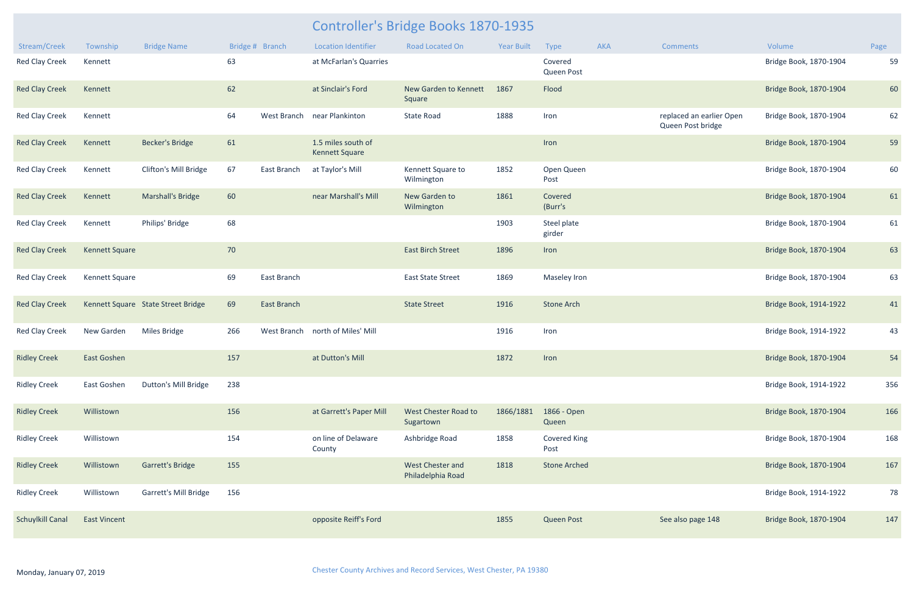| Stream/Creek            | Township              | <b>Bridge Name</b>                 |     | Bridge # Branch | <b>Location Identifier</b>                  | Road Located On                       | <b>Year Built</b> | Type                        | <b>AKA</b> | <b>Comments</b>                               | Volume                 | Page |
|-------------------------|-----------------------|------------------------------------|-----|-----------------|---------------------------------------------|---------------------------------------|-------------------|-----------------------------|------------|-----------------------------------------------|------------------------|------|
| <b>Red Clay Creek</b>   | Kennett               |                                    | 63  |                 | at McFarlan's Quarries                      |                                       |                   | Covered<br>Queen Post       |            |                                               | Bridge Book, 1870-1904 | 59   |
| <b>Red Clay Creek</b>   | Kennett               |                                    | 62  |                 | at Sinclair's Ford                          | New Garden to Kennett<br>Square       | 1867              | Flood                       |            |                                               | Bridge Book, 1870-1904 | 60   |
| <b>Red Clay Creek</b>   | Kennett               |                                    | 64  | West Branch     | near Plankinton                             | <b>State Road</b>                     | 1888              | Iron                        |            | replaced an earlier Open<br>Queen Post bridge | Bridge Book, 1870-1904 | 62   |
| <b>Red Clay Creek</b>   | Kennett               | Becker's Bridge                    | 61  |                 | 1.5 miles south of<br><b>Kennett Square</b> |                                       |                   | Iron                        |            |                                               | Bridge Book, 1870-1904 | 59   |
| <b>Red Clay Creek</b>   | Kennett               | Clifton's Mill Bridge              | 67  | East Branch     | at Taylor's Mill                            | Kennett Square to<br>Wilmington       | 1852              | Open Queen<br>Post          |            |                                               | Bridge Book, 1870-1904 | 60   |
| <b>Red Clay Creek</b>   | Kennett               | <b>Marshall's Bridge</b>           | 60  |                 | near Marshall's Mill                        | New Garden to<br>Wilmington           | 1861              | Covered<br>(Burr's          |            |                                               | Bridge Book, 1870-1904 | 61   |
| <b>Red Clay Creek</b>   | Kennett               | Philips' Bridge                    | 68  |                 |                                             |                                       | 1903              | Steel plate<br>girder       |            |                                               | Bridge Book, 1870-1904 | 61   |
| <b>Red Clay Creek</b>   | <b>Kennett Square</b> |                                    | 70  |                 |                                             | <b>East Birch Street</b>              | 1896              | Iron                        |            |                                               | Bridge Book, 1870-1904 | 63   |
| <b>Red Clay Creek</b>   | Kennett Square        |                                    | 69  | East Branch     |                                             | <b>East State Street</b>              | 1869              | Maseley Iron                |            |                                               | Bridge Book, 1870-1904 | 63   |
| <b>Red Clay Creek</b>   |                       | Kennett Square State Street Bridge | 69  | East Branch     |                                             | <b>State Street</b>                   | 1916              | <b>Stone Arch</b>           |            |                                               | Bridge Book, 1914-1922 | 41   |
| <b>Red Clay Creek</b>   | New Garden            | Miles Bridge                       | 266 | West Branch     | north of Miles' Mill                        |                                       | 1916              | Iron                        |            |                                               | Bridge Book, 1914-1922 | 43   |
| <b>Ridley Creek</b>     | <b>East Goshen</b>    |                                    | 157 |                 | at Dutton's Mill                            |                                       | 1872              | Iron                        |            |                                               | Bridge Book, 1870-1904 | 54   |
| <b>Ridley Creek</b>     | East Goshen           | Dutton's Mill Bridge               | 238 |                 |                                             |                                       |                   |                             |            |                                               | Bridge Book, 1914-1922 | 356  |
| <b>Ridley Creek</b>     | Willistown            |                                    | 156 |                 | at Garrett's Paper Mill                     | West Chester Road to<br>Sugartown     | 1866/1881         | 1866 - Open<br>Queen        |            |                                               | Bridge Book, 1870-1904 | 166  |
| <b>Ridley Creek</b>     | Willistown            |                                    | 154 |                 | on line of Delaware<br>County               | Ashbridge Road                        | 1858              | <b>Covered King</b><br>Post |            |                                               | Bridge Book, 1870-1904 | 168  |
| <b>Ridley Creek</b>     | Willistown            | Garrett's Bridge                   | 155 |                 |                                             | West Chester and<br>Philadelphia Road | 1818              | <b>Stone Arched</b>         |            |                                               | Bridge Book, 1870-1904 | 167  |
| <b>Ridley Creek</b>     | Willistown            | <b>Garrett's Mill Bridge</b>       | 156 |                 |                                             |                                       |                   |                             |            |                                               | Bridge Book, 1914-1922 | 78   |
| <b>Schuylkill Canal</b> | <b>East Vincent</b>   |                                    |     |                 | opposite Reiff's Ford                       |                                       | 1855              | <b>Queen Post</b>           |            | See also page 148                             | Bridge Book, 1870-1904 | 147  |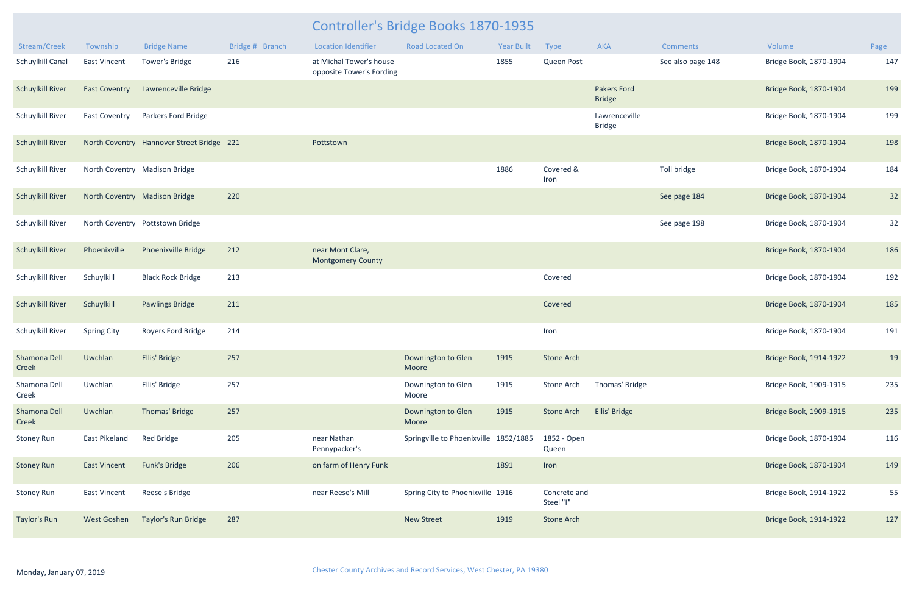| Stream/Creek            | Township                      | <b>Bridge Name</b>                        | Bridge # Branch | <b>Location Identifier</b>                          | <b>Road Located On</b>                | <b>Year Built</b> | Type                      | AKA                                 | <b>Comments</b>   | Volume                 | Page |
|-------------------------|-------------------------------|-------------------------------------------|-----------------|-----------------------------------------------------|---------------------------------------|-------------------|---------------------------|-------------------------------------|-------------------|------------------------|------|
| Schuylkill Canal        | <b>East Vincent</b>           | Tower's Bridge                            | 216             | at Michal Tower's house<br>opposite Tower's Fording |                                       | 1855              | Queen Post                |                                     | See also page 148 | Bridge Book, 1870-1904 | 147  |
| <b>Schuylkill River</b> | <b>East Coventry</b>          | Lawrenceville Bridge                      |                 |                                                     |                                       |                   |                           | <b>Pakers Ford</b><br><b>Bridge</b> |                   | Bridge Book, 1870-1904 | 199  |
| Schuylkill River        | <b>East Coventry</b>          | Parkers Ford Bridge                       |                 |                                                     |                                       |                   |                           | Lawrenceville<br><b>Bridge</b>      |                   | Bridge Book, 1870-1904 | 199  |
| <b>Schuylkill River</b> |                               | North Coventry Hannover Street Bridge 221 |                 | Pottstown                                           |                                       |                   |                           |                                     |                   | Bridge Book, 1870-1904 | 198  |
| Schuylkill River        | North Coventry Madison Bridge |                                           |                 |                                                     |                                       | 1886              | Covered &<br>Iron         |                                     | Toll bridge       | Bridge Book, 1870-1904 | 184  |
| <b>Schuylkill River</b> | North Coventry Madison Bridge |                                           | 220             |                                                     |                                       |                   |                           |                                     | See page 184      | Bridge Book, 1870-1904 | 32   |
| Schuylkill River        |                               | North Coventry Pottstown Bridge           |                 |                                                     |                                       |                   |                           |                                     | See page 198      | Bridge Book, 1870-1904 | 32   |
| <b>Schuylkill River</b> | Phoenixville                  | <b>Phoenixville Bridge</b>                | 212             | near Mont Clare,<br><b>Montgomery County</b>        |                                       |                   |                           |                                     |                   | Bridge Book, 1870-1904 | 186  |
| Schuylkill River        | Schuylkill                    | <b>Black Rock Bridge</b>                  | 213             |                                                     |                                       |                   | Covered                   |                                     |                   | Bridge Book, 1870-1904 | 192  |
| <b>Schuylkill River</b> | Schuylkill                    | <b>Pawlings Bridge</b>                    | 211             |                                                     |                                       |                   | Covered                   |                                     |                   | Bridge Book, 1870-1904 | 185  |
| Schuylkill River        | <b>Spring City</b>            | Royers Ford Bridge                        | 214             |                                                     |                                       |                   | Iron                      |                                     |                   | Bridge Book, 1870-1904 | 191  |
| Shamona Dell<br>Creek   | Uwchlan                       | Ellis' Bridge                             | 257             |                                                     | Downington to Glen<br>Moore           | 1915              | <b>Stone Arch</b>         |                                     |                   | Bridge Book, 1914-1922 | 19   |
| Shamona Dell<br>Creek   | Uwchlan                       | Ellis' Bridge                             | 257             |                                                     | Downington to Glen<br>Moore           | 1915              | Stone Arch                | Thomas' Bridge                      |                   | Bridge Book, 1909-1915 | 235  |
| Shamona Dell<br>Creek   | Uwchlan                       | Thomas' Bridge                            | 257             |                                                     | Downington to Glen<br>Moore           | 1915              | <b>Stone Arch</b>         | Ellis' Bridge                       |                   | Bridge Book, 1909-1915 | 235  |
| <b>Stoney Run</b>       | East Pikeland                 | <b>Red Bridge</b>                         | 205             | near Nathan<br>Pennypacker's                        | Springville to Phoenixville 1852/1885 |                   | 1852 - Open<br>Queen      |                                     |                   | Bridge Book, 1870-1904 | 116  |
| <b>Stoney Run</b>       | <b>East Vincent</b>           | Funk's Bridge                             | 206             | on farm of Henry Funk                               |                                       | 1891              | Iron                      |                                     |                   | Bridge Book, 1870-1904 | 149  |
| Stoney Run              | <b>East Vincent</b>           | Reese's Bridge                            |                 | near Reese's Mill                                   | Spring City to Phoenixville 1916      |                   | Concrete and<br>Steel "I" |                                     |                   | Bridge Book, 1914-1922 | 55   |
| Taylor's Run            | West Goshen                   | Taylor's Run Bridge                       | 287             |                                                     | <b>New Street</b>                     | 1919              | <b>Stone Arch</b>         |                                     |                   | Bridge Book, 1914-1922 | 127  |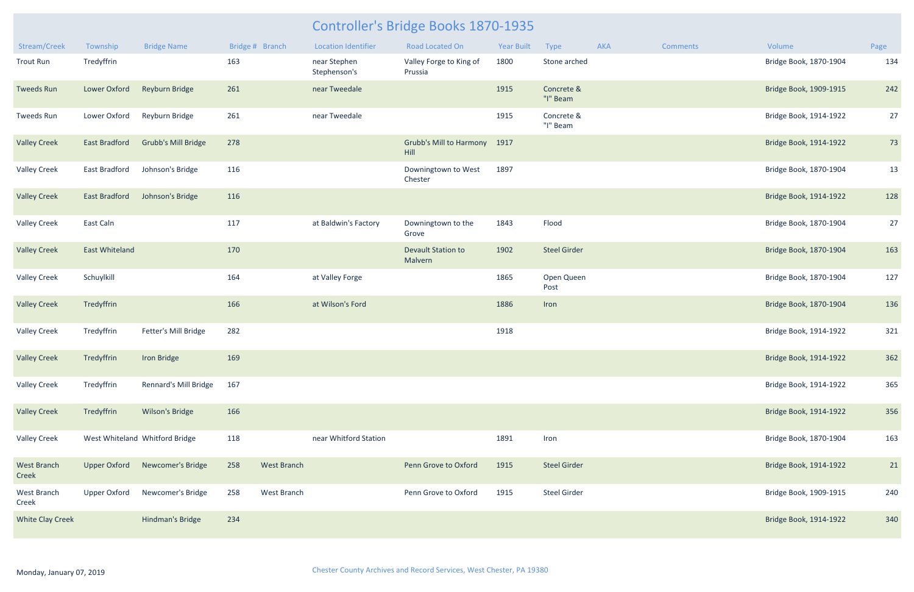| Stream/Creek            | Township              | <b>Bridge Name</b>             | Bridge # Branch |                    | <b>Location Identifier</b>   | <b>Road Located On</b>               | <b>Year Built</b> | Type                   | AKA | <b>Comments</b> | Volume                 | Page |
|-------------------------|-----------------------|--------------------------------|-----------------|--------------------|------------------------------|--------------------------------------|-------------------|------------------------|-----|-----------------|------------------------|------|
| <b>Trout Run</b>        | Tredyffrin            |                                | 163             |                    | near Stephen<br>Stephenson's | Valley Forge to King of<br>Prussia   | 1800              | Stone arched           |     |                 | Bridge Book, 1870-1904 | 134  |
| <b>Tweeds Run</b>       | Lower Oxford          | Reyburn Bridge                 | 261             |                    | near Tweedale                |                                      | 1915              | Concrete &<br>"I" Beam |     |                 | Bridge Book, 1909-1915 | 242  |
| Tweeds Run              | Lower Oxford          | Reyburn Bridge                 | 261             |                    | near Tweedale                |                                      | 1915              | Concrete &<br>"I" Beam |     |                 | Bridge Book, 1914-1922 | 27   |
| <b>Valley Creek</b>     | <b>East Bradford</b>  | <b>Grubb's Mill Bridge</b>     | 278             |                    |                              | Grubb's Mill to Harmony 1917<br>Hill |                   |                        |     |                 | Bridge Book, 1914-1922 | 73   |
| <b>Valley Creek</b>     | East Bradford         | Johnson's Bridge               | 116             |                    |                              | Downingtown to West<br>Chester       | 1897              |                        |     |                 | Bridge Book, 1870-1904 | 13   |
| <b>Valley Creek</b>     | <b>East Bradford</b>  | Johnson's Bridge               | 116             |                    |                              |                                      |                   |                        |     |                 | Bridge Book, 1914-1922 | 128  |
| <b>Valley Creek</b>     | East Caln             |                                | 117             |                    | at Baldwin's Factory         | Downingtown to the<br>Grove          | 1843              | Flood                  |     |                 | Bridge Book, 1870-1904 | 27   |
| <b>Valley Creek</b>     | <b>East Whiteland</b> |                                | 170             |                    |                              | <b>Devault Station to</b><br>Malvern | 1902              | <b>Steel Girder</b>    |     |                 | Bridge Book, 1870-1904 | 163  |
| <b>Valley Creek</b>     | Schuylkill            |                                | 164             |                    | at Valley Forge              |                                      | 1865              | Open Queen<br>Post     |     |                 | Bridge Book, 1870-1904 | 127  |
| <b>Valley Creek</b>     | Tredyffrin            |                                | 166             |                    | at Wilson's Ford             |                                      | 1886              | Iron                   |     |                 | Bridge Book, 1870-1904 | 136  |
| <b>Valley Creek</b>     | Tredyffrin            | Fetter's Mill Bridge           | 282             |                    |                              |                                      | 1918              |                        |     |                 | Bridge Book, 1914-1922 | 321  |
| <b>Valley Creek</b>     | Tredyffrin            | Iron Bridge                    | 169             |                    |                              |                                      |                   |                        |     |                 | Bridge Book, 1914-1922 | 362  |
| <b>Valley Creek</b>     | Tredyffrin            | Rennard's Mill Bridge          | 167             |                    |                              |                                      |                   |                        |     |                 | Bridge Book, 1914-1922 | 365  |
| <b>Valley Creek</b>     | Tredyffrin            | <b>Wilson's Bridge</b>         | 166             |                    |                              |                                      |                   |                        |     |                 | Bridge Book, 1914-1922 | 356  |
| <b>Valley Creek</b>     |                       | West Whiteland Whitford Bridge | 118             |                    | near Whitford Station        |                                      | 1891              | Iron                   |     |                 | Bridge Book, 1870-1904 | 163  |
| West Branch<br>Creek    | <b>Upper Oxford</b>   | Newcomer's Bridge              | 258             | <b>West Branch</b> |                              | Penn Grove to Oxford                 | 1915              | <b>Steel Girder</b>    |     |                 | Bridge Book, 1914-1922 | 21   |
| West Branch<br>Creek    | <b>Upper Oxford</b>   | Newcomer's Bridge              | 258             | West Branch        |                              | Penn Grove to Oxford                 | 1915              | <b>Steel Girder</b>    |     |                 | Bridge Book, 1909-1915 | 240  |
| <b>White Clay Creek</b> |                       | Hindman's Bridge               | 234             |                    |                              |                                      |                   |                        |     |                 | Bridge Book, 1914-1922 | 340  |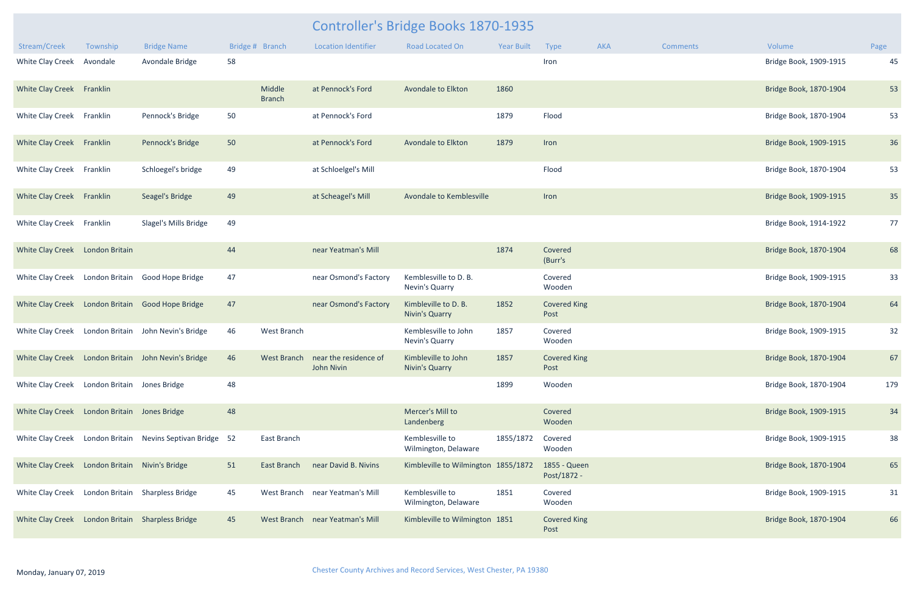|                                                  |                |                                                           |    |                         |                                                 | Controller's Bridge Books 1870-1935          |                   |                             |     |                 |                        |      |
|--------------------------------------------------|----------------|-----------------------------------------------------------|----|-------------------------|-------------------------------------------------|----------------------------------------------|-------------------|-----------------------------|-----|-----------------|------------------------|------|
| Stream/Creek                                     | Township       | <b>Bridge Name</b>                                        |    | Bridge # Branch         | <b>Location Identifier</b>                      | <b>Road Located On</b>                       | <b>Year Built</b> | Type                        | AKA | <b>Comments</b> | Volume                 | Page |
| White Clay Creek                                 | Avondale       | Avondale Bridge                                           | 58 |                         |                                                 |                                              |                   | Iron                        |     |                 | Bridge Book, 1909-1915 | 45   |
| White Clay Creek Franklin                        |                |                                                           |    | Middle<br><b>Branch</b> | at Pennock's Ford                               | Avondale to Elkton                           | 1860              |                             |     |                 | Bridge Book, 1870-1904 | 53   |
| White Clay Creek Franklin                        |                | Pennock's Bridge                                          | 50 |                         | at Pennock's Ford                               |                                              | 1879              | Flood                       |     |                 | Bridge Book, 1870-1904 | 53   |
| White Clay Creek Franklin                        |                | Pennock's Bridge                                          | 50 |                         | at Pennock's Ford                               | Avondale to Elkton                           | 1879              | Iron                        |     |                 | Bridge Book, 1909-1915 | 36   |
| White Clay Creek Franklin                        |                | Schloegel's bridge                                        | 49 |                         | at Schloelgel's Mill                            |                                              |                   | Flood                       |     |                 | Bridge Book, 1870-1904 | 53   |
| White Clay Creek Franklin                        |                | Seagel's Bridge                                           | 49 |                         | at Scheagel's Mill                              | Avondale to Kemblesville                     |                   | Iron                        |     |                 | Bridge Book, 1909-1915 | 35   |
| White Clay Creek Franklin                        |                | Slagel's Mills Bridge                                     | 49 |                         |                                                 |                                              |                   |                             |     |                 | Bridge Book, 1914-1922 | 77   |
| White Clay Creek London Britain                  |                |                                                           | 44 |                         | near Yeatman's Mill                             |                                              | 1874              | Covered<br>(Burr's          |     |                 | Bridge Book, 1870-1904 | 68   |
| White Clay Creek                                 |                | London Britain Good Hope Bridge                           | 47 |                         | near Osmond's Factory                           | Kemblesville to D. B.<br>Nevin's Quarry      |                   | Covered<br>Wooden           |     |                 | Bridge Book, 1909-1915 | 33   |
|                                                  |                | White Clay Creek London Britain Good Hope Bridge          | 47 |                         | near Osmond's Factory                           | Kimbleville to D. B.<br>Nivin's Quarry       | 1852              | <b>Covered King</b><br>Post |     |                 | Bridge Book, 1870-1904 | 64   |
| White Clay Creek                                 | London Britain | John Nevin's Bridge                                       | 46 | West Branch             |                                                 | Kemblesville to John<br>Nevin's Quarry       | 1857              | Covered<br>Wooden           |     |                 | Bridge Book, 1909-1915 | 32   |
|                                                  |                | White Clay Creek London Britain John Nevin's Bridge       | 46 |                         | West Branch near the residence of<br>John Nivin | Kimbleville to John<br><b>Nivin's Quarry</b> | 1857              | <b>Covered King</b><br>Post |     |                 | Bridge Book, 1870-1904 | 67   |
| White Clay Creek London Britain Jones Bridge     |                |                                                           | 48 |                         |                                                 |                                              | 1899              | Wooden                      |     |                 | Bridge Book, 1870-1904 | 179  |
| White Clay Creek London Britain Jones Bridge     |                |                                                           | 48 |                         |                                                 | Mercer's Mill to<br>Landenberg               |                   | Covered<br>Wooden           |     |                 | Bridge Book, 1909-1915 | 34   |
|                                                  |                | White Clay Creek London Britain Nevins Septivan Bridge 52 |    | East Branch             |                                                 | Kemblesville to<br>Wilmington, Delaware      | 1855/1872         | Covered<br>Wooden           |     |                 | Bridge Book, 1909-1915 | 38   |
| White Clay Creek London Britain Nivin's Bridge   |                |                                                           | 51 | East Branch             | near David B. Nivins                            | Kimbleville to Wilmington 1855/1872          |                   | 1855 - Queen<br>Post/1872 - |     |                 | Bridge Book, 1870-1904 | 65   |
| White Clay Creek London Britain Sharpless Bridge |                |                                                           | 45 |                         | West Branch near Yeatman's Mill                 | Kemblesville to<br>Wilmington, Delaware      | 1851              | Covered<br>Wooden           |     |                 | Bridge Book, 1909-1915 | 31   |
| White Clay Creek London Britain Sharpless Bridge |                |                                                           | 45 |                         | West Branch near Yeatman's Mill                 | Kimbleville to Wilmington 1851               |                   | <b>Covered King</b><br>Post |     |                 | Bridge Book, 1870-1904 | 66   |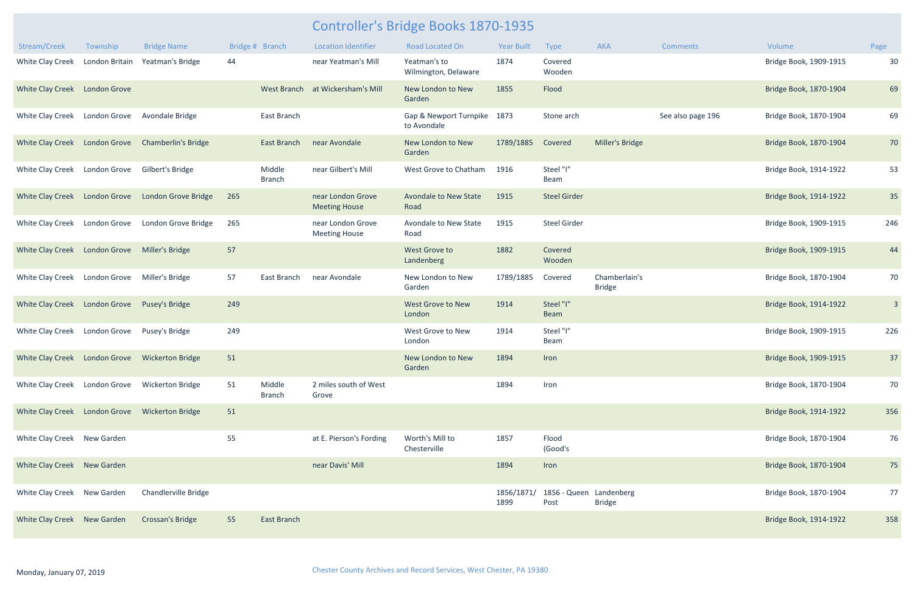| Stream/Creek                                   | Township                    | <b>Bridge Name</b>         |     | Bridge # Branch         | <b>Location Identifier</b>                | <b>Road Located On</b>                | <b>Year Built</b>  | <b>Type</b>                     | AKA                            | <b>Comments</b>   | Volume                 | Page           |
|------------------------------------------------|-----------------------------|----------------------------|-----|-------------------------|-------------------------------------------|---------------------------------------|--------------------|---------------------------------|--------------------------------|-------------------|------------------------|----------------|
| White Clay Creek                               | London Britain              | Yeatman's Bridge           | 44  |                         | near Yeatman's Mill                       | Yeatman's to<br>Wilmington, Delaware  | 1874               | Covered<br>Wooden               |                                |                   | Bridge Book, 1909-1915 | 30             |
| White Clay Creek London Grove                  |                             |                            |     |                         | West Branch at Wickersham's Mill          | New London to New<br>Garden           | 1855               | Flood                           |                                |                   | Bridge Book, 1870-1904 | 69             |
| White Clay Creek London Grove                  |                             | Avondale Bridge            |     | East Branch             |                                           | Gap & Newport Turnpike<br>to Avondale | 1873               | Stone arch                      |                                | See also page 196 | Bridge Book, 1870-1904 | 69             |
| White Clay Creek London Grove                  |                             | <b>Chamberlin's Bridge</b> |     | East Branch             | near Avondale                             | New London to New<br>Garden           | 1789/1885          | Covered                         | Miller's Bridge                |                   | Bridge Book, 1870-1904 | 70             |
| White Clay Creek London Grove                  |                             | Gilbert's Bridge           |     | Middle<br><b>Branch</b> | near Gilbert's Mill                       | West Grove to Chatham                 | 1916               | Steel "I"<br>Beam               |                                |                   | Bridge Book, 1914-1922 | 53             |
| White Clay Creek                               | London Grove                | London Grove Bridge        | 265 |                         | near London Grove<br><b>Meeting House</b> | <b>Avondale to New State</b><br>Road  | 1915               | <b>Steel Girder</b>             |                                |                   | Bridge Book, 1914-1922 | 35             |
| White Clay Creek                               | London Grove                | London Grove Bridge        | 265 |                         | near London Grove<br><b>Meeting House</b> | Avondale to New State<br>Road         | 1915               | <b>Steel Girder</b>             |                                |                   | Bridge Book, 1909-1915 | 246            |
| White Clay Creek London Grove Miller's Bridge  |                             |                            | 57  |                         |                                           | West Grove to<br>Landenberg           | 1882               | Covered<br>Wooden               |                                |                   | Bridge Book, 1909-1915 | 44             |
| White Clay Creek London Grove Miller's Bridge  |                             |                            | 57  | East Branch             | near Avondale                             | New London to New<br>Garden           | 1789/1885          | Covered                         | Chamberlain's<br><b>Bridge</b> |                   | Bridge Book, 1870-1904 | 70             |
| White Clay Creek                               | London Grove Pusey's Bridge |                            | 249 |                         |                                           | West Grove to New<br>London           | 1914               | Steel "I"<br>Beam               |                                |                   | Bridge Book, 1914-1922 | $\overline{3}$ |
| White Clay Creek                               | London Grove                | Pusey's Bridge             | 249 |                         |                                           | West Grove to New<br>London           | 1914               | Steel "I"<br>Beam               |                                |                   | Bridge Book, 1909-1915 | 226            |
| <b>White Clay Creek</b>                        | <b>London Grove</b>         | <b>Wickerton Bridge</b>    | 51  |                         |                                           | New London to New<br>Garden           | 1894               | Iron                            |                                |                   | Bridge Book, 1909-1915 | 37             |
| White Clay Creek London Grove Wickerton Bridge |                             |                            | 51  | Middle<br><b>Branch</b> | 2 miles south of West<br>Grove            |                                       | 1894               | Iron                            |                                |                   | Bridge Book, 1870-1904 | 70             |
| White Clay Creek London Grove Wickerton Bridge |                             |                            | 51  |                         |                                           |                                       |                    |                                 |                                |                   | Bridge Book, 1914-1922 | 356            |
| White Clay Creek New Garden                    |                             |                            | 55  |                         | at E. Pierson's Fording                   | Worth's Mill to<br>Chesterville       | 1857               | Flood<br>(Good's                |                                |                   | Bridge Book, 1870-1904 | 76             |
| White Clay Creek New Garden                    |                             |                            |     |                         | near Davis' Mill                          |                                       | 1894               | Iron                            |                                |                   | Bridge Book, 1870-1904 | 75             |
| White Clay Creek New Garden                    |                             | Chandlerville Bridge       |     |                         |                                           |                                       | 1856/1871/<br>1899 | 1856 - Queen Landenberg<br>Post | <b>Bridge</b>                  |                   | Bridge Book, 1870-1904 | 77             |
| White Clay Creek New Garden                    |                             | <b>Crossan's Bridge</b>    | 55  | East Branch             |                                           |                                       |                    |                                 |                                |                   | Bridge Book, 1914-1922 | 358            |